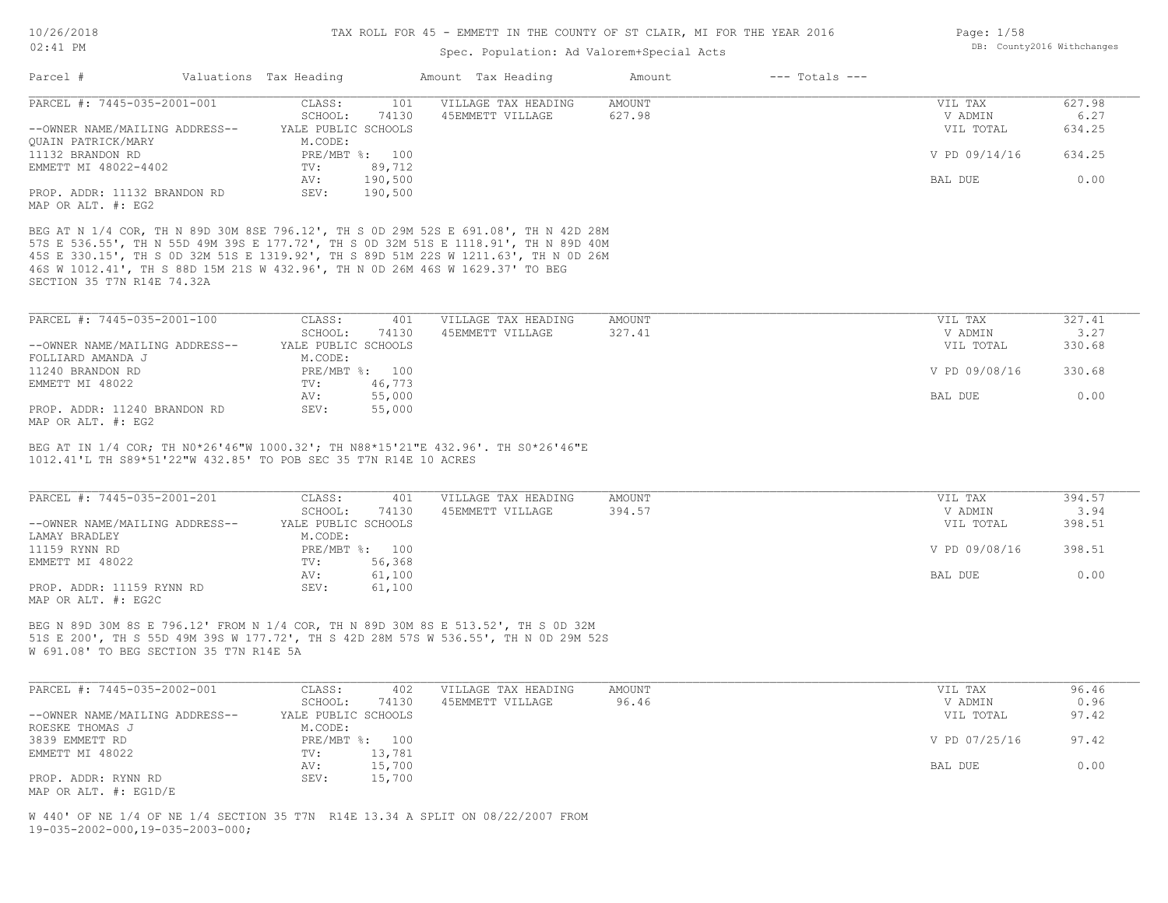## 02:41 PM

#### TAX ROLL FOR 45 - EMMETT IN THE COUNTY OF ST CLAIR, MI FOR THE YEAR 2016

### Spec. Population: Ad Valorem+Special Acts

| Page: 1/58 |                            |
|------------|----------------------------|
|            | DB: County2016 Withchanges |

| Parcel #                       | Valuations Tax Heading |                | Amount Tax Heading  | Amount | $---$ Totals $---$ |               |        |
|--------------------------------|------------------------|----------------|---------------------|--------|--------------------|---------------|--------|
| PARCEL #: 7445-035-2001-001    | CLASS:                 | 101            | VILLAGE TAX HEADING | AMOUNT |                    | VIL TAX       | 627.98 |
|                                | SCHOOL:                | 74130          | 45EMMETT VILLAGE    | 627.98 |                    | V ADMIN       | 6.27   |
| --OWNER NAME/MAILING ADDRESS-- | YALE PUBLIC SCHOOLS    |                |                     |        |                    | VIL TOTAL     | 634.25 |
| OUAIN PATRICK/MARY             | M.CODE:                |                |                     |        |                    |               |        |
| 11132 BRANDON RD               |                        | PRE/MBT %: 100 |                     |        |                    | V PD 09/14/16 | 634.25 |
| EMMETT MI 48022-4402           | TV:                    | 89,712         |                     |        |                    |               |        |
|                                | AV:                    | 190,500        |                     |        |                    | BAL DUE       | 0.00   |
| PROP. ADDR: 11132 BRANDON RD   | SEV:                   | 190,500        |                     |        |                    |               |        |
| MAP OR ALT. #: EG2             |                        |                |                     |        |                    |               |        |

SECTION 35 T7N R14E 74.32A 46S W 1012.41', TH S 88D 15M 21S W 432.96', TH N 0D 26M 46S W 1629.37' TO BEG 45S E 330.15', TH S 0D 32M 51S E 1319.92', TH S 89D 51M 22S W 1211.63', TH N 0D 26M 57S E 536.55', TH N 55D 49M 39S E 177.72', TH S 0D 32M 51S E 1118.91', TH N 89D 40M

| PARCEL #: 7445-035-2001-100                                                           | CLASS:              | 401            | VILLAGE TAX HEADING | AMOUNT | VIL TAX       | 327.41 |
|---------------------------------------------------------------------------------------|---------------------|----------------|---------------------|--------|---------------|--------|
|                                                                                       | SCHOOL:             | 74130          | 45EMMETT VILLAGE    | 327.41 | V ADMIN       | 3.27   |
| --OWNER NAME/MAILING ADDRESS--                                                        | YALE PUBLIC SCHOOLS |                |                     |        | VIL TOTAL     | 330.68 |
| FOLLIARD AMANDA J                                                                     | M.CODE:             |                |                     |        |               |        |
| 11240 BRANDON RD                                                                      |                     | PRE/MBT %: 100 |                     |        | V PD 09/08/16 | 330.68 |
| EMMETT MI 48022                                                                       | TV:                 | 46,773         |                     |        |               |        |
|                                                                                       | AV:                 | 55,000         |                     |        | BAL DUE       | 0.00   |
| PROP. ADDR: 11240 BRANDON RD<br>$\cdots$ $\cdots$ $\cdots$ $\cdots$ $\cdots$ $\cdots$ | SEV:                | 55,000         |                     |        |               |        |

MAP OR ALT. #: EG2

1012.41'L TH S89\*51'22"W 432.85' TO POB SEC 35 T7N R14E 10 ACRES BEG AT IN 1/4 COR; TH N0\*26'46"W 1000.32'; TH N88\*15'21"E 432.96'. TH S0\*26'46"E

| PARCEL #: 7445-035-2001-201    | CLASS:              | 401            | VILLAGE TAX HEADING | AMOUNT | VIL TAX       | 394.57 |
|--------------------------------|---------------------|----------------|---------------------|--------|---------------|--------|
|                                | SCHOOL:             | 74130          | 45EMMETT VILLAGE    | 394.57 | V ADMIN       | 3.94   |
| --OWNER NAME/MAILING ADDRESS-- | YALE PUBLIC SCHOOLS |                |                     |        | VIL TOTAL     | 398.51 |
| LAMAY BRADLEY                  | M.CODE:             |                |                     |        |               |        |
| 11159 RYNN RD                  |                     | PRE/MBT %: 100 |                     |        | V PD 09/08/16 | 398.51 |
| EMMETT MI 48022                | TV:                 | 56,368         |                     |        |               |        |
|                                | AV:                 | 61,100         |                     |        | BAL DUE       | 0.00   |
| PROP. ADDR: 11159 RYNN RD      | SEV:                | 61,100         |                     |        |               |        |
| MAP OR ALT. #: EG2C            |                     |                |                     |        |               |        |

W 691.08' TO BEG SECTION 35 T7N R14E 5A 51S E 200', TH S 55D 49M 39S W 177.72', TH S 42D 28M 57S W 536.55', TH N 0D 29M 52S BEG N 89D 30M 8S E 796.12' FROM N 1/4 COR, TH N 89D 30M 8S E 513.52', TH S 0D 32M

| PARCEL #: 7445-035-2002-001    | CLASS:<br>402       | VILLAGE TAX HEADING | AMOUNT | VIL TAX       | 96.46 |
|--------------------------------|---------------------|---------------------|--------|---------------|-------|
|                                | 74130<br>SCHOOL:    | 45EMMETT VILLAGE    | 96.46  | V ADMIN       | 0.96  |
| --OWNER NAME/MAILING ADDRESS-- | YALE PUBLIC SCHOOLS |                     |        | VIL TOTAL     | 97.42 |
| ROESKE THOMAS J                | M.CODE:             |                     |        |               |       |
| 3839 EMMETT RD                 | PRE/MBT %: 100      |                     |        | V PD 07/25/16 | 97.42 |
| EMMETT MI 48022                | 13,781<br>TV:       |                     |        |               |       |
|                                | 15,700<br>AV:       |                     |        | BAL DUE       | 0.00  |
| PROP. ADDR: RYNN RD            | 15,700<br>SEV:      |                     |        |               |       |
| MAP OR ALT. #: EG1D/E          |                     |                     |        |               |       |

19-035-2002-000,19-035-2003-000; W 440' OF NE 1/4 OF NE 1/4 SECTION 35 T7N R14E 13.34 A SPLIT ON 08/22/2007 FROM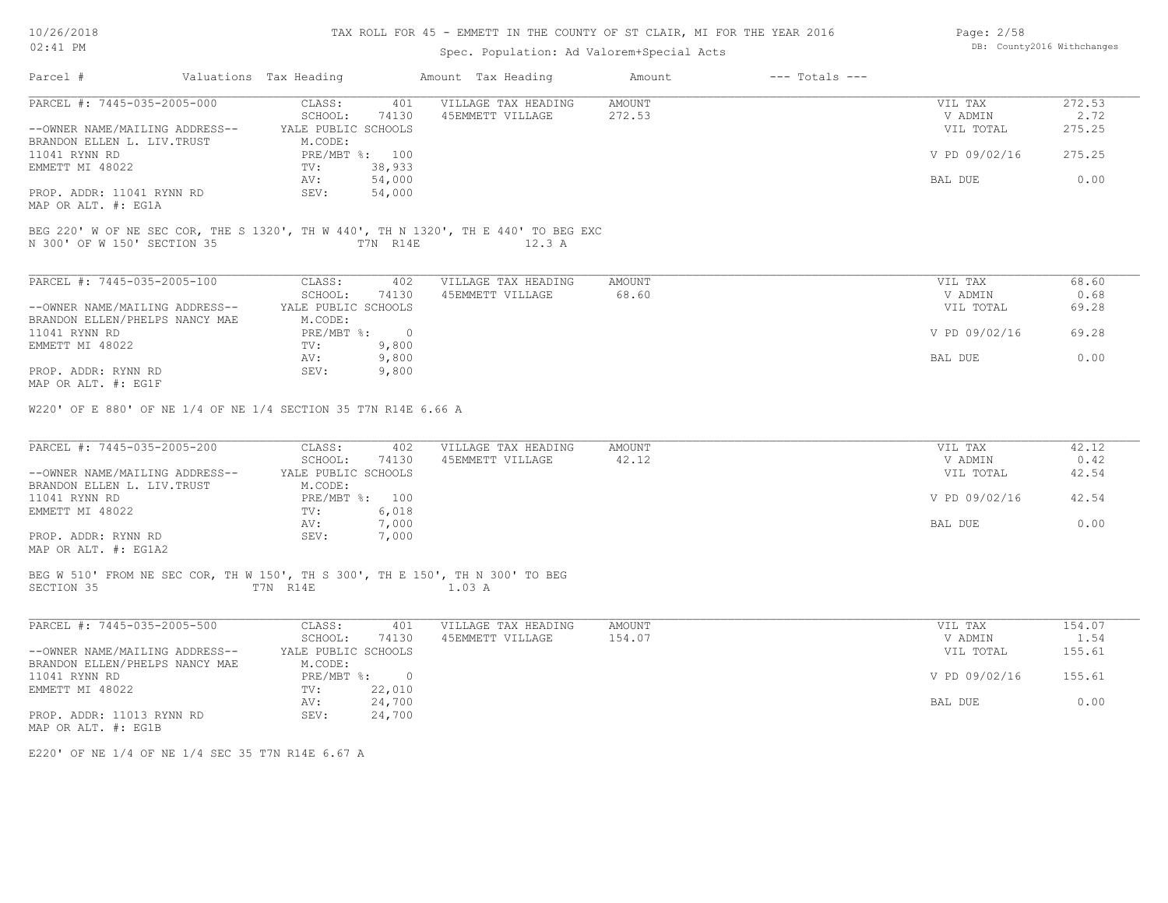## TAX ROLL FOR 45 - EMMETT IN THE COUNTY OF ST CLAIR, MI FOR THE YEAR 2016

## Spec. Population: Ad Valorem+Special Acts

| Page: 2/58 |                            |
|------------|----------------------------|
|            | DB: County2016 Withchanges |

| PARCEL #: 7445-035-2005-000<br>AMOUNT<br>CLASS:<br>401<br>VILLAGE TAX HEADING<br>VIL TAX<br>SCHOOL:<br>272.53<br>74130<br>45EMMETT VILLAGE<br>V ADMIN<br>--OWNER NAME/MAILING ADDRESS--<br>YALE PUBLIC SCHOOLS<br>VIL TOTAL<br>BRANDON ELLEN L. LIV. TRUST<br>M.CODE:<br>PRE/MBT %: 100<br>11041 RYNN RD<br>V PD 09/02/16<br>EMMETT MI 48022<br>38,933<br>TV:<br>54,000<br>BAL DUE<br>AV:<br>54,000<br>SEV:<br>PROP. ADDR: 11041 RYNN RD<br>MAP OR ALT. #: EG1A<br>BEG 220' W OF NE SEC COR, THE S 1320', TH W 440', TH N 1320', TH E 440' TO BEG EXC<br>N 300' OF W 150' SECTION 35<br>T7N R14E<br>12.3 A<br>PARCEL #: 7445-035-2005-100<br>CLASS:<br>402<br>AMOUNT<br>VILLAGE TAX HEADING<br>VIL TAX<br>68.60<br>SCHOOL:<br>74130<br>45EMMETT VILLAGE<br>V ADMIN<br>--OWNER NAME/MAILING ADDRESS--<br>YALE PUBLIC SCHOOLS<br>VIL TOTAL<br>M.CODE:<br>BRANDON ELLEN/PHELPS NANCY MAE<br>PRE/MBT %: 0<br>V PD 09/02/16<br>11041 RYNN RD<br>EMMETT MI 48022<br>TV:<br>9,800<br>AV:<br>9,800<br>BAL DUE<br>9,800<br>PROP. ADDR: RYNN RD<br>SEV:<br>MAP OR ALT. #: EG1F<br>W220' OF E 880' OF NE 1/4 OF NE 1/4 SECTION 35 T7N R14E 6.66 A<br>PARCEL #: 7445-035-2005-200<br>CLASS:<br>VILLAGE TAX HEADING<br>AMOUNT<br>VIL TAX<br>402<br>42.12<br>SCHOOL:<br>74130<br>45EMMETT VILLAGE<br>V ADMIN<br>--OWNER NAME/MAILING ADDRESS--<br>YALE PUBLIC SCHOOLS<br>VIL TOTAL<br>BRANDON ELLEN L. LIV. TRUST<br>M.CODE:<br>PRE/MBT %: 100<br>V PD 09/02/16<br>11041 RYNN RD<br>EMMETT MI 48022<br>6,018<br>TV:<br>7,000<br>BAL DUE<br>AV:<br>SEV:<br>7,000<br>PROP. ADDR: RYNN RD<br>MAP OR ALT. #: EG1A2<br>BEG W 510' FROM NE SEC COR, TH W 150', TH S 300', TH E 150', TH N 300' TO BEG<br>SECTION 35<br>T7N R14E<br>$1.03$ A<br>PARCEL #: 7445-035-2005-500<br>CLASS:<br>401<br>VILLAGE TAX HEADING<br>AMOUNT<br>VIL TAX<br>154.07<br>SCHOOL:<br>74130<br>45EMMETT VILLAGE<br>V ADMIN<br>--OWNER NAME/MAILING ADDRESS--<br>YALE PUBLIC SCHOOLS<br>VIL TOTAL<br>BRANDON ELLEN/PHELPS NANCY MAE<br>M.CODE:<br>11041 RYNN RD<br>PRE/MBT %: 0<br>V PD 09/02/16<br>EMMETT MI 48022<br>TV:<br>22,010<br>24,700<br>AV:<br>BAL DUE<br>SEV:<br>PROP. ADDR: 11013 RYNN RD<br>24,700<br>MAP OR ALT. #: EG1B | Parcel # | Valuations Tax Heading | Amount Tax Heading | Amount | $---$ Totals $---$ |                |
|---------------------------------------------------------------------------------------------------------------------------------------------------------------------------------------------------------------------------------------------------------------------------------------------------------------------------------------------------------------------------------------------------------------------------------------------------------------------------------------------------------------------------------------------------------------------------------------------------------------------------------------------------------------------------------------------------------------------------------------------------------------------------------------------------------------------------------------------------------------------------------------------------------------------------------------------------------------------------------------------------------------------------------------------------------------------------------------------------------------------------------------------------------------------------------------------------------------------------------------------------------------------------------------------------------------------------------------------------------------------------------------------------------------------------------------------------------------------------------------------------------------------------------------------------------------------------------------------------------------------------------------------------------------------------------------------------------------------------------------------------------------------------------------------------------------------------------------------------------------------------------------------------------------------------------------------------------------------------------------------------------------------------------------------------------------------------------------------------------------------------------------------------------------------------------------------|----------|------------------------|--------------------|--------|--------------------|----------------|
|                                                                                                                                                                                                                                                                                                                                                                                                                                                                                                                                                                                                                                                                                                                                                                                                                                                                                                                                                                                                                                                                                                                                                                                                                                                                                                                                                                                                                                                                                                                                                                                                                                                                                                                                                                                                                                                                                                                                                                                                                                                                                                                                                                                             |          |                        |                    |        |                    | 272.53<br>2.72 |
|                                                                                                                                                                                                                                                                                                                                                                                                                                                                                                                                                                                                                                                                                                                                                                                                                                                                                                                                                                                                                                                                                                                                                                                                                                                                                                                                                                                                                                                                                                                                                                                                                                                                                                                                                                                                                                                                                                                                                                                                                                                                                                                                                                                             |          |                        |                    |        |                    | 275.25         |
|                                                                                                                                                                                                                                                                                                                                                                                                                                                                                                                                                                                                                                                                                                                                                                                                                                                                                                                                                                                                                                                                                                                                                                                                                                                                                                                                                                                                                                                                                                                                                                                                                                                                                                                                                                                                                                                                                                                                                                                                                                                                                                                                                                                             |          |                        |                    |        |                    | 275.25         |
|                                                                                                                                                                                                                                                                                                                                                                                                                                                                                                                                                                                                                                                                                                                                                                                                                                                                                                                                                                                                                                                                                                                                                                                                                                                                                                                                                                                                                                                                                                                                                                                                                                                                                                                                                                                                                                                                                                                                                                                                                                                                                                                                                                                             |          |                        |                    |        |                    | 0.00           |
|                                                                                                                                                                                                                                                                                                                                                                                                                                                                                                                                                                                                                                                                                                                                                                                                                                                                                                                                                                                                                                                                                                                                                                                                                                                                                                                                                                                                                                                                                                                                                                                                                                                                                                                                                                                                                                                                                                                                                                                                                                                                                                                                                                                             |          |                        |                    |        |                    |                |
|                                                                                                                                                                                                                                                                                                                                                                                                                                                                                                                                                                                                                                                                                                                                                                                                                                                                                                                                                                                                                                                                                                                                                                                                                                                                                                                                                                                                                                                                                                                                                                                                                                                                                                                                                                                                                                                                                                                                                                                                                                                                                                                                                                                             |          |                        |                    |        |                    |                |
|                                                                                                                                                                                                                                                                                                                                                                                                                                                                                                                                                                                                                                                                                                                                                                                                                                                                                                                                                                                                                                                                                                                                                                                                                                                                                                                                                                                                                                                                                                                                                                                                                                                                                                                                                                                                                                                                                                                                                                                                                                                                                                                                                                                             |          |                        |                    |        |                    | 68.60          |
|                                                                                                                                                                                                                                                                                                                                                                                                                                                                                                                                                                                                                                                                                                                                                                                                                                                                                                                                                                                                                                                                                                                                                                                                                                                                                                                                                                                                                                                                                                                                                                                                                                                                                                                                                                                                                                                                                                                                                                                                                                                                                                                                                                                             |          |                        |                    |        |                    | 0.68           |
|                                                                                                                                                                                                                                                                                                                                                                                                                                                                                                                                                                                                                                                                                                                                                                                                                                                                                                                                                                                                                                                                                                                                                                                                                                                                                                                                                                                                                                                                                                                                                                                                                                                                                                                                                                                                                                                                                                                                                                                                                                                                                                                                                                                             |          |                        |                    |        |                    | 69.28          |
|                                                                                                                                                                                                                                                                                                                                                                                                                                                                                                                                                                                                                                                                                                                                                                                                                                                                                                                                                                                                                                                                                                                                                                                                                                                                                                                                                                                                                                                                                                                                                                                                                                                                                                                                                                                                                                                                                                                                                                                                                                                                                                                                                                                             |          |                        |                    |        |                    | 69.28          |
|                                                                                                                                                                                                                                                                                                                                                                                                                                                                                                                                                                                                                                                                                                                                                                                                                                                                                                                                                                                                                                                                                                                                                                                                                                                                                                                                                                                                                                                                                                                                                                                                                                                                                                                                                                                                                                                                                                                                                                                                                                                                                                                                                                                             |          |                        |                    |        |                    |                |
|                                                                                                                                                                                                                                                                                                                                                                                                                                                                                                                                                                                                                                                                                                                                                                                                                                                                                                                                                                                                                                                                                                                                                                                                                                                                                                                                                                                                                                                                                                                                                                                                                                                                                                                                                                                                                                                                                                                                                                                                                                                                                                                                                                                             |          |                        |                    |        |                    | 0.00           |
|                                                                                                                                                                                                                                                                                                                                                                                                                                                                                                                                                                                                                                                                                                                                                                                                                                                                                                                                                                                                                                                                                                                                                                                                                                                                                                                                                                                                                                                                                                                                                                                                                                                                                                                                                                                                                                                                                                                                                                                                                                                                                                                                                                                             |          |                        |                    |        |                    |                |
|                                                                                                                                                                                                                                                                                                                                                                                                                                                                                                                                                                                                                                                                                                                                                                                                                                                                                                                                                                                                                                                                                                                                                                                                                                                                                                                                                                                                                                                                                                                                                                                                                                                                                                                                                                                                                                                                                                                                                                                                                                                                                                                                                                                             |          |                        |                    |        |                    | 42.12          |
|                                                                                                                                                                                                                                                                                                                                                                                                                                                                                                                                                                                                                                                                                                                                                                                                                                                                                                                                                                                                                                                                                                                                                                                                                                                                                                                                                                                                                                                                                                                                                                                                                                                                                                                                                                                                                                                                                                                                                                                                                                                                                                                                                                                             |          |                        |                    |        |                    | 0.42<br>42.54  |
|                                                                                                                                                                                                                                                                                                                                                                                                                                                                                                                                                                                                                                                                                                                                                                                                                                                                                                                                                                                                                                                                                                                                                                                                                                                                                                                                                                                                                                                                                                                                                                                                                                                                                                                                                                                                                                                                                                                                                                                                                                                                                                                                                                                             |          |                        |                    |        |                    |                |
|                                                                                                                                                                                                                                                                                                                                                                                                                                                                                                                                                                                                                                                                                                                                                                                                                                                                                                                                                                                                                                                                                                                                                                                                                                                                                                                                                                                                                                                                                                                                                                                                                                                                                                                                                                                                                                                                                                                                                                                                                                                                                                                                                                                             |          |                        |                    |        |                    | 42.54          |
|                                                                                                                                                                                                                                                                                                                                                                                                                                                                                                                                                                                                                                                                                                                                                                                                                                                                                                                                                                                                                                                                                                                                                                                                                                                                                                                                                                                                                                                                                                                                                                                                                                                                                                                                                                                                                                                                                                                                                                                                                                                                                                                                                                                             |          |                        |                    |        |                    |                |
|                                                                                                                                                                                                                                                                                                                                                                                                                                                                                                                                                                                                                                                                                                                                                                                                                                                                                                                                                                                                                                                                                                                                                                                                                                                                                                                                                                                                                                                                                                                                                                                                                                                                                                                                                                                                                                                                                                                                                                                                                                                                                                                                                                                             |          |                        |                    |        |                    | 0.00           |
|                                                                                                                                                                                                                                                                                                                                                                                                                                                                                                                                                                                                                                                                                                                                                                                                                                                                                                                                                                                                                                                                                                                                                                                                                                                                                                                                                                                                                                                                                                                                                                                                                                                                                                                                                                                                                                                                                                                                                                                                                                                                                                                                                                                             |          |                        |                    |        |                    |                |
|                                                                                                                                                                                                                                                                                                                                                                                                                                                                                                                                                                                                                                                                                                                                                                                                                                                                                                                                                                                                                                                                                                                                                                                                                                                                                                                                                                                                                                                                                                                                                                                                                                                                                                                                                                                                                                                                                                                                                                                                                                                                                                                                                                                             |          |                        |                    |        |                    |                |
|                                                                                                                                                                                                                                                                                                                                                                                                                                                                                                                                                                                                                                                                                                                                                                                                                                                                                                                                                                                                                                                                                                                                                                                                                                                                                                                                                                                                                                                                                                                                                                                                                                                                                                                                                                                                                                                                                                                                                                                                                                                                                                                                                                                             |          |                        |                    |        |                    |                |
|                                                                                                                                                                                                                                                                                                                                                                                                                                                                                                                                                                                                                                                                                                                                                                                                                                                                                                                                                                                                                                                                                                                                                                                                                                                                                                                                                                                                                                                                                                                                                                                                                                                                                                                                                                                                                                                                                                                                                                                                                                                                                                                                                                                             |          |                        |                    |        |                    | 154.07<br>1.54 |
|                                                                                                                                                                                                                                                                                                                                                                                                                                                                                                                                                                                                                                                                                                                                                                                                                                                                                                                                                                                                                                                                                                                                                                                                                                                                                                                                                                                                                                                                                                                                                                                                                                                                                                                                                                                                                                                                                                                                                                                                                                                                                                                                                                                             |          |                        |                    |        |                    | 155.61         |
|                                                                                                                                                                                                                                                                                                                                                                                                                                                                                                                                                                                                                                                                                                                                                                                                                                                                                                                                                                                                                                                                                                                                                                                                                                                                                                                                                                                                                                                                                                                                                                                                                                                                                                                                                                                                                                                                                                                                                                                                                                                                                                                                                                                             |          |                        |                    |        |                    |                |
|                                                                                                                                                                                                                                                                                                                                                                                                                                                                                                                                                                                                                                                                                                                                                                                                                                                                                                                                                                                                                                                                                                                                                                                                                                                                                                                                                                                                                                                                                                                                                                                                                                                                                                                                                                                                                                                                                                                                                                                                                                                                                                                                                                                             |          |                        |                    |        |                    | 155.61         |
|                                                                                                                                                                                                                                                                                                                                                                                                                                                                                                                                                                                                                                                                                                                                                                                                                                                                                                                                                                                                                                                                                                                                                                                                                                                                                                                                                                                                                                                                                                                                                                                                                                                                                                                                                                                                                                                                                                                                                                                                                                                                                                                                                                                             |          |                        |                    |        |                    |                |
|                                                                                                                                                                                                                                                                                                                                                                                                                                                                                                                                                                                                                                                                                                                                                                                                                                                                                                                                                                                                                                                                                                                                                                                                                                                                                                                                                                                                                                                                                                                                                                                                                                                                                                                                                                                                                                                                                                                                                                                                                                                                                                                                                                                             |          |                        |                    |        |                    | 0.00           |
|                                                                                                                                                                                                                                                                                                                                                                                                                                                                                                                                                                                                                                                                                                                                                                                                                                                                                                                                                                                                                                                                                                                                                                                                                                                                                                                                                                                                                                                                                                                                                                                                                                                                                                                                                                                                                                                                                                                                                                                                                                                                                                                                                                                             |          |                        |                    |        |                    |                |

E220' OF NE 1/4 OF NE 1/4 SEC 35 T7N R14E 6.67 A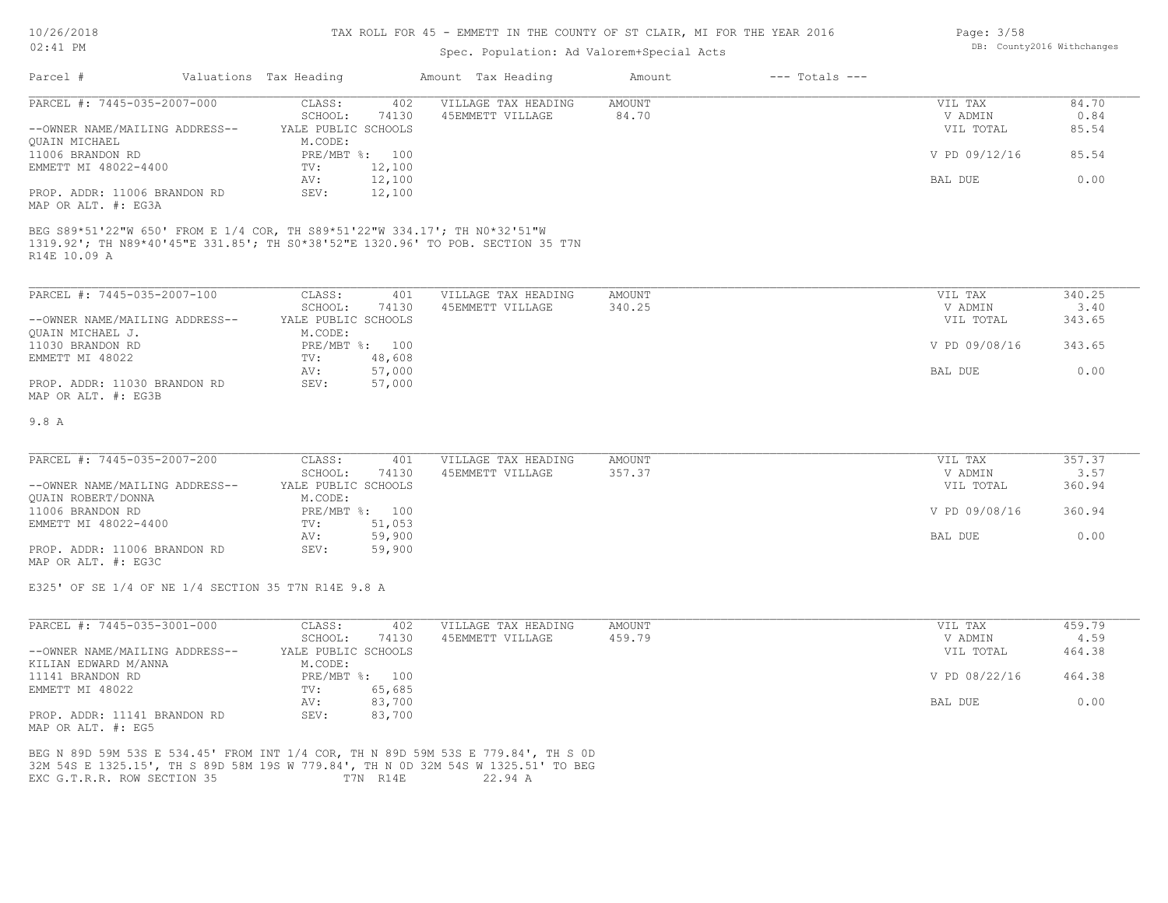#### TAX ROLL FOR 45 - EMMETT IN THE COUNTY OF ST CLAIR, MI FOR THE YEAR 2016

### Spec. Population: Ad Valorem+Special Acts

| Parcel #                       | Valuations Tax Heading |                | Amount Tax Heading  | Amount | $---$ Totals $---$ |               |       |
|--------------------------------|------------------------|----------------|---------------------|--------|--------------------|---------------|-------|
| PARCEL #: 7445-035-2007-000    | CLASS:                 | 402            | VILLAGE TAX HEADING | AMOUNT |                    | VIL TAX       | 84.70 |
|                                | SCHOOL:                | 74130          | 45EMMETT VILLAGE    | 84.70  |                    | V ADMIN       | 0.84  |
| --OWNER NAME/MAILING ADDRESS-- | YALE PUBLIC SCHOOLS    |                |                     |        |                    | VIL TOTAL     | 85.54 |
| OUAIN MICHAEL                  | M.CODE:                |                |                     |        |                    |               |       |
| 11006 BRANDON RD               |                        | PRE/MBT %: 100 |                     |        |                    | V PD 09/12/16 | 85.54 |
| EMMETT MI 48022-4400           | TV:                    | 12,100         |                     |        |                    |               |       |
|                                | AV:                    | 12,100         |                     |        |                    | BAL DUE       | 0.00  |
| PROP. ADDR: 11006 BRANDON RD   | SEV:                   | 12,100         |                     |        |                    |               |       |
| MAP OR ALT. #: EG3A            |                        |                |                     |        |                    |               |       |

R14E 10.09 A 1319.92'; TH N89\*40'45"E 331.85'; TH S0\*38'52"E 1320.96' TO POB. SECTION 35 T7N BEG S89\*51'22"W 650' FROM E 1/4 COR, TH S89\*51'22"W 334.17'; TH N0\*32'51"W

| PARCEL #: 7445-035-2007-100    | CLASS:              | 401            | VILLAGE TAX HEADING | AMOUNT | VIL TAX       | 340.25 |
|--------------------------------|---------------------|----------------|---------------------|--------|---------------|--------|
|                                | SCHOOL:             | 74130          | 45EMMETT VILLAGE    | 340.25 | V ADMIN       | 3.40   |
| --OWNER NAME/MAILING ADDRESS-- | YALE PUBLIC SCHOOLS |                |                     |        | VIL TOTAL     | 343.65 |
| OUAIN MICHAEL J.               | M.CODE:             |                |                     |        |               |        |
| 11030 BRANDON RD               |                     | PRE/MBT %: 100 |                     |        | V PD 09/08/16 | 343.65 |
| EMMETT MI 48022                | TV:                 | 48,608         |                     |        |               |        |
|                                | AV:                 | 57,000         |                     |        | BAL DUE       | 0.00   |
| PROP. ADDR: 11030 BRANDON RD   | SEV:                | 57,000         |                     |        |               |        |
| MAP OR ALT. #: EG3B            |                     |                |                     |        |               |        |

#### 9.8 A

| PARCEL #: 7445-035-2007-200    | CLASS:              | 401            | VILLAGE TAX HEADING | AMOUNT | VIL TAX       | 357.37 |
|--------------------------------|---------------------|----------------|---------------------|--------|---------------|--------|
|                                | SCHOOL:             | 74130          | 45EMMETT VILLAGE    | 357.37 | V ADMIN       | 3.57   |
| --OWNER NAME/MAILING ADDRESS-- | YALE PUBLIC SCHOOLS |                |                     |        | VIL TOTAL     | 360.94 |
| QUAIN ROBERT/DONNA             | M.CODE:             |                |                     |        |               |        |
| 11006 BRANDON RD               |                     | PRE/MBT %: 100 |                     |        | V PD 09/08/16 | 360.94 |
| EMMETT MI 48022-4400           | TV:                 | 51,053         |                     |        |               |        |
|                                | AV:                 | 59,900         |                     |        | BAL DUE       | 0.00   |
| PROP. ADDR: 11006 BRANDON RD   | SEV:                | 59,900         |                     |        |               |        |
|                                |                     |                |                     |        |               |        |

MAP OR ALT. #: EG3C

E325' OF SE 1/4 OF NE 1/4 SECTION 35 T7N R14E 9.8 A

| PARCEL #: 7445-035-3001-000    | CLASS:              | 402    | VILLAGE TAX HEADING | AMOUNT | VIL TAX       | 459.79 |
|--------------------------------|---------------------|--------|---------------------|--------|---------------|--------|
|                                | SCHOOL:             | 74130  | 45EMMETT VILLAGE    | 459.79 | V ADMIN       | 4.59   |
| --OWNER NAME/MAILING ADDRESS-- | YALE PUBLIC SCHOOLS |        |                     |        | VIL TOTAL     | 464.38 |
| KILIAN EDWARD M/ANNA           | M.CODE:             |        |                     |        |               |        |
| 11141 BRANDON RD               | $PRE/MBT$ %:        | 100    |                     |        | V PD 08/22/16 | 464.38 |
| EMMETT MI 48022                | TV:                 | 65,685 |                     |        |               |        |
|                                | AV:                 | 83,700 |                     |        | BAL DUE       | 0.00   |
| PROP. ADDR: 11141 BRANDON RD   | SEV:                | 83,700 |                     |        |               |        |
| MAP OR ALT. #: EG5             |                     |        |                     |        |               |        |

EXC G.T.R.R. ROW SECTION 35 T7N R14E 22.94 A 32M 54S E 1325.15', TH S 89D 58M 19S W 779.84', TH N 0D 32M 54S W 1325.51' TO BEG BEG N 89D 59M 53S E 534.45' FROM INT 1/4 COR, TH N 89D 59M 53S E 779.84', TH S 0D Page: 3/58 DB: County2016 Withchanges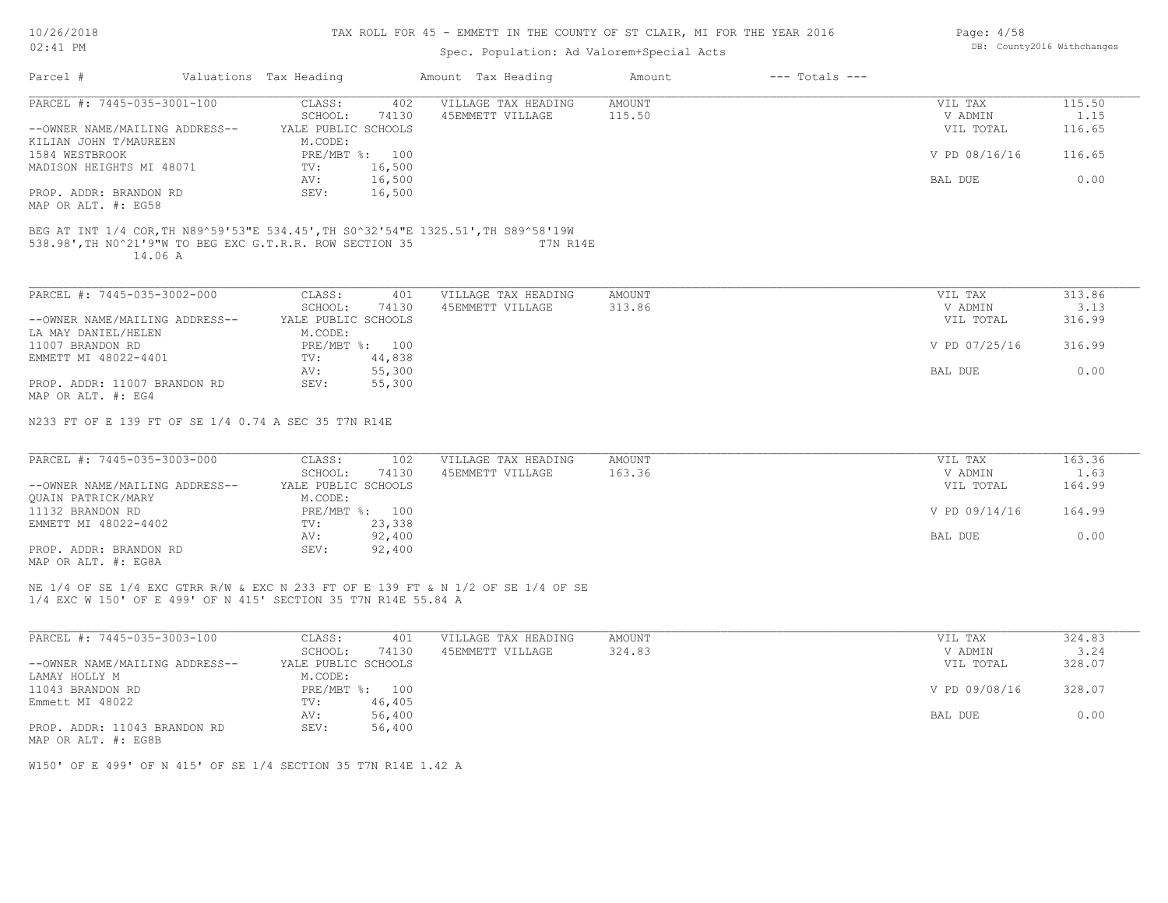#### TAX ROLL FOR 45 - EMMETT IN THE COUNTY OF ST CLAIR, MI FOR THE YEAR 2016

# Spec. Population: Ad Valorem+Special Acts

|                                                                                   |                         | OPCC. LOPULUCLON. NU VULOLOM OPCCIUL NCCO |               |                    |               |        |
|-----------------------------------------------------------------------------------|-------------------------|-------------------------------------------|---------------|--------------------|---------------|--------|
| Parcel #                                                                          | Valuations Tax Heading  | Amount Tax Heading                        | Amount        | $---$ Totals $---$ |               |        |
| PARCEL #: 7445-035-3001-100                                                       | CLASS:<br>402           | VILLAGE TAX HEADING                       | <b>AMOUNT</b> |                    | VIL TAX       | 115.50 |
|                                                                                   | 74130<br>SCHOOL:        | 45EMMETT VILLAGE                          | 115.50        |                    | V ADMIN       | 1.15   |
| --OWNER NAME/MAILING ADDRESS--                                                    | YALE PUBLIC SCHOOLS     |                                           |               |                    | VIL TOTAL     | 116.65 |
| KILIAN JOHN T/MAUREEN                                                             | M.CODE:                 |                                           |               |                    |               |        |
| 1584 WESTBROOK                                                                    | PRE/MBT %: 100          |                                           |               |                    | V PD 08/16/16 | 116.65 |
| MADISON HEIGHTS MI 48071                                                          | 16,500<br>TV:           |                                           |               |                    |               |        |
|                                                                                   | 16,500<br>AV:           |                                           |               |                    | BAL DUE       | 0.00   |
| PROP. ADDR: BRANDON RD                                                            | SEV:<br>16,500          |                                           |               |                    |               |        |
| MAP OR ALT. #: EG58                                                               |                         |                                           |               |                    |               |        |
| BEG AT INT 1/4 COR, TH N89^59'53"E 534.45', TH S0^32'54"E 1325.51', TH S89^58'19W |                         |                                           |               |                    |               |        |
| 538.98', TH NO^21'9"W TO BEG EXC G.T.R.R. ROW SECTION 35                          |                         | T7N R14E                                  |               |                    |               |        |
| 14.06 A                                                                           |                         |                                           |               |                    |               |        |
|                                                                                   |                         |                                           |               |                    |               |        |
| PARCEL #: 7445-035-3002-000                                                       | CLASS:<br>401           | VILLAGE TAX HEADING                       | <b>AMOUNT</b> |                    | VIL TAX       | 313.86 |
|                                                                                   | SCHOOL:<br>74130        | 45EMMETT VILLAGE                          | 313.86        |                    | V ADMIN       | 3.13   |
| --OWNER NAME/MAILING ADDRESS--                                                    | YALE PUBLIC SCHOOLS     |                                           |               |                    | VIL TOTAL     | 316.99 |
| LA MAY DANIEL/HELEN                                                               | M.CODE:                 |                                           |               |                    |               |        |
| 11007 BRANDON RD                                                                  | PRE/MBT %: 100          |                                           |               |                    | V PD 07/25/16 | 316.99 |
| EMMETT MI 48022-4401                                                              | 44,838<br>$\text{TV}$ : |                                           |               |                    |               |        |
|                                                                                   | 55,300<br>AV:           |                                           |               |                    | BAL DUE       | 0.00   |
| PROP. ADDR: 11007 BRANDON RD                                                      | SEV:<br>55,300          |                                           |               |                    |               |        |
| MAP OR ALT. #: EG4                                                                |                         |                                           |               |                    |               |        |
|                                                                                   |                         |                                           |               |                    |               |        |
| N233 FT OF E 139 FT OF SE 1/4 0.74 A SEC 35 T7N R14E                              |                         |                                           |               |                    |               |        |
|                                                                                   |                         |                                           |               |                    |               |        |
| PARCEL #: 7445-035-3003-000                                                       | CLASS:<br>102           | VILLAGE TAX HEADING                       | AMOUNT        |                    | VIL TAX       | 163.36 |
|                                                                                   | SCHOOL:<br>74130        | 45EMMETT VILLAGE                          | 163.36        |                    | V ADMIN       | 1.63   |
| --OWNER NAME/MAILING ADDRESS--                                                    | YALE PUBLIC SCHOOLS     |                                           |               |                    | VIL TOTAL     | 164.99 |
| QUAIN PATRICK/MARY                                                                | M.CODE:                 |                                           |               |                    |               |        |
| 11132 BRANDON RD                                                                  | PRE/MBT %: 100          |                                           |               |                    | V PD 09/14/16 | 164.99 |
| EMMETT MI 48022-4402                                                              | 23,338<br>TV:           |                                           |               |                    |               |        |
|                                                                                   | 92,400<br>AV:           |                                           |               |                    | BAL DUE       | 0.00   |
| PROP. ADDR: BRANDON RD                                                            | SEV:<br>92,400          |                                           |               |                    |               |        |
| MAP OR ALT. #: EG8A                                                               |                         |                                           |               |                    |               |        |
|                                                                                   |                         |                                           |               |                    |               |        |
| NE 1/4 OF SE 1/4 EXC GTRR R/W & EXC N 233 FT OF E 139 FT & N 1/2 OF SE 1/4 OF SE  |                         |                                           |               |                    |               |        |

1/4 EXC W 150' OF E 499' OF N 415' SECTION 35 T7N R14E 55.84 A

| PARCEL #: 7445-035-3003-100    | CLASS:              | 401    | VILLAGE TAX HEADING | AMOUNT | VIL TAX       | 324.83 |
|--------------------------------|---------------------|--------|---------------------|--------|---------------|--------|
|                                | SCHOOL:             | 74130  | 45EMMETT VILLAGE    | 324.83 | V ADMIN       | 3.24   |
| --OWNER NAME/MAILING ADDRESS-- | YALE PUBLIC SCHOOLS |        |                     |        | VIL TOTAL     | 328.07 |
| LAMAY HOLLY M                  | M.CODE:             |        |                     |        |               |        |
| 11043 BRANDON RD               | $PRE/MBT$ %:        | 100    |                     |        | V PD 09/08/16 | 328.07 |
| Emmett MI 48022                | TV:                 | 46,405 |                     |        |               |        |
|                                | AV:                 | 56,400 |                     |        | BAL DUE       | 0.00   |
| PROP. ADDR: 11043 BRANDON RD   | SEV:                | 56,400 |                     |        |               |        |
| MAP OR ALT. #: EG8B            |                     |        |                     |        |               |        |

W150' OF E 499' OF N 415' OF SE 1/4 SECTION 35 T7N R14E 1.42 A

Page: 4/58 DB: County2016 Withchanges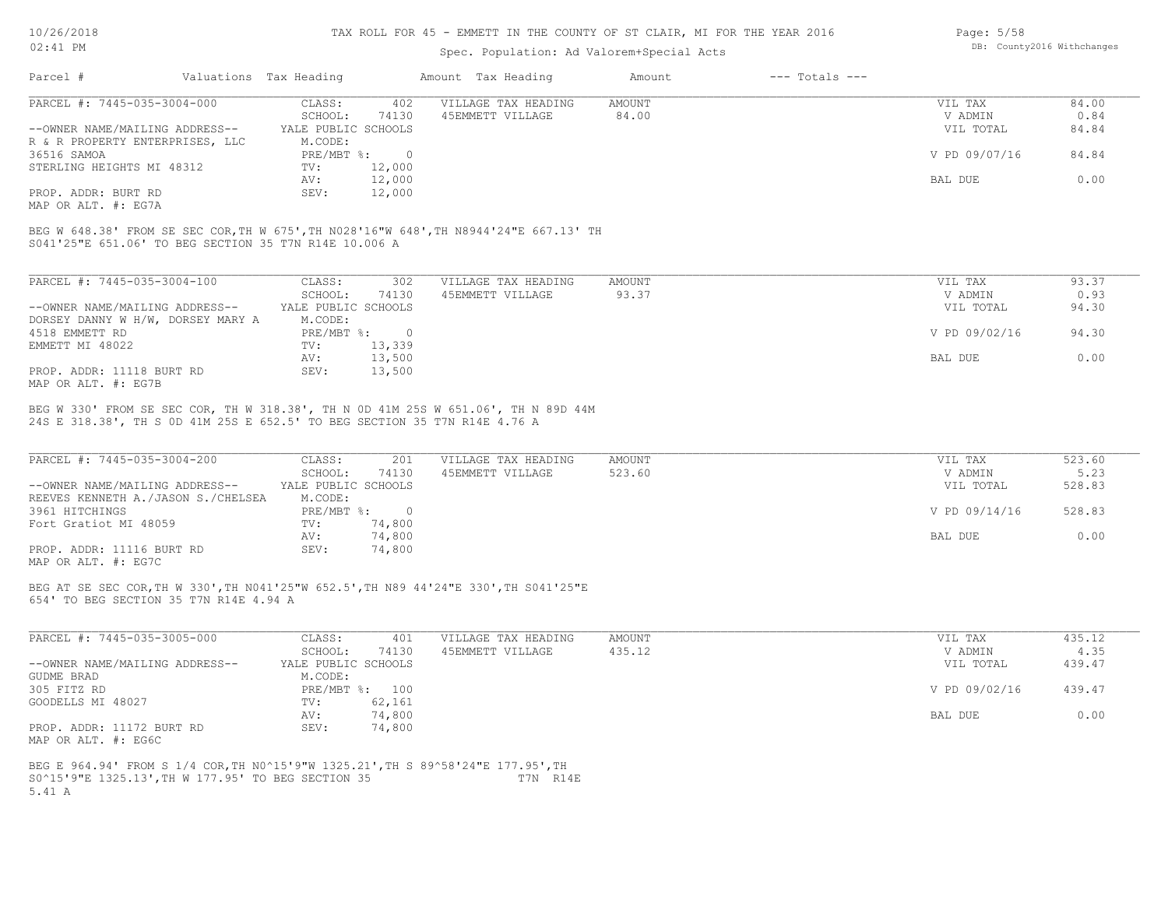#### TAX ROLL FOR 45 - EMMETT IN THE COUNTY OF ST CLAIR, MI FOR THE YEAR 2016

## Spec. Population: Ad Valorem+Special Acts

| Page: 5/58 |                            |
|------------|----------------------------|
|            | DB: County2016 Withchanges |

| Parcel #                                              | Valuations Tax Heading |                | Amount Tax Heading                                                                    | Amount        | $---$ Totals $---$ |               |       |
|-------------------------------------------------------|------------------------|----------------|---------------------------------------------------------------------------------------|---------------|--------------------|---------------|-------|
| PARCEL #: 7445-035-3004-000                           | CLASS:                 | 402            | VILLAGE TAX HEADING                                                                   | AMOUNT        |                    | VIL TAX       | 84.00 |
|                                                       | SCHOOL:                | 74130          | 45EMMETT VILLAGE                                                                      | 84.00         |                    | V ADMIN       | 0.84  |
| --OWNER NAME/MAILING ADDRESS--                        | YALE PUBLIC SCHOOLS    |                |                                                                                       |               |                    | VIL TOTAL     | 84.84 |
| R & R PROPERTY ENTERPRISES, LLC                       | M.CODE:                |                |                                                                                       |               |                    |               |       |
| 36516 SAMOA                                           | $PRE/MBT$ %:           | $\overline{0}$ |                                                                                       |               |                    | V PD 09/07/16 | 84.84 |
| STERLING HEIGHTS MI 48312                             | TV:                    | 12,000         |                                                                                       |               |                    |               |       |
|                                                       | AV:                    | 12,000         |                                                                                       |               |                    | BAL DUE       | 0.00  |
| PROP. ADDR: BURT RD                                   | SEV:                   | 12,000         |                                                                                       |               |                    |               |       |
| MAP OR ALT. #: EG7A                                   |                        |                |                                                                                       |               |                    |               |       |
|                                                       |                        |                | BEG W 648.38' FROM SE SEC COR, TH W 675', TH N028'16"W 648', TH N8944'24"E 667.13' TH |               |                    |               |       |
| S041'25"E 651.06' TO BEG SECTION 35 T7N R14E 10.006 A |                        |                |                                                                                       |               |                    |               |       |
| PARCEL #: 7445-035-3004-100                           | CLASS:                 | 302            | VILLAGE TAX HEADING                                                                   | <b>AMOUNT</b> |                    | VIL TAX       | 93.37 |
|                                                       | SCHOOL:                | 74130          | 45EMMETT VILLAGE                                                                      | 93.37         |                    | V ADMIN       | 0.93  |
| --OWNER NAME/MAILING ADDRESS--                        | YALE PUBLIC SCHOOLS    |                |                                                                                       |               |                    | VIL TOTAL     | 94.30 |
| DORSEY DANNY W H/W, DORSEY MARY A                     | M.CODE:                |                |                                                                                       |               |                    |               |       |
| 4518 EMMETT RD                                        | $PRE/MBT$ %:           | $\overline{0}$ |                                                                                       |               |                    | V PD 09/02/16 | 94.30 |
| EMMETT MI 48022                                       | TV:                    | 13,339         |                                                                                       |               |                    |               |       |
|                                                       | AV:                    | 13,500         |                                                                                       |               |                    | BAL DUE       | 0.00  |

24S E 318.38', TH S 0D 41M 25S E 652.5' TO BEG SECTION 35 T7N R14E 4.76 A BEG W 330' FROM SE SEC COR, TH W 318.38', TH N 0D 41M 25S W 651.06', TH N 89D 44M

| PARCEL #: 7445-035-3004-200        | CLASS:              | 201    | VILLAGE TAX HEADING | AMOUNT | VIL TAX       | 523.60 |
|------------------------------------|---------------------|--------|---------------------|--------|---------------|--------|
|                                    | SCHOOL:             | 74130  | 45EMMETT VILLAGE    | 523.60 | V ADMIN       | 5.23   |
| --OWNER NAME/MAILING ADDRESS--     | YALE PUBLIC SCHOOLS |        |                     |        | VIL TOTAL     | 528.83 |
| REEVES KENNETH A./JASON S./CHELSEA | M.CODE:             |        |                     |        |               |        |
| 3961 HITCHINGS                     | $PRE/MBT$ %:        |        |                     |        | V PD 09/14/16 | 528.83 |
| Fort Gratiot MI 48059              | TV:                 | 74,800 |                     |        |               |        |
|                                    | AV:                 | 74,800 |                     |        | BAL DUE       | 0.00   |
| PROP. ADDR: 11116 BURT RD          | SEV:                | 74,800 |                     |        |               |        |
| MAP OR ALT. #: EG7C                |                     |        |                     |        |               |        |

654' TO BEG SECTION 35 T7N R14E 4.94 A BEG AT SE SEC COR,TH W 330',TH N041'25"W 652.5',TH N89 44'24"E 330',TH S041'25"E

| PARCEL #: 7445-035-3005-000    | CLASS:              | 401            | VILLAGE TAX HEADING | AMOUNT | VIL TAX       | 435.12 |
|--------------------------------|---------------------|----------------|---------------------|--------|---------------|--------|
|                                | SCHOOL:             | 74130          | 45EMMETT VILLAGE    | 435.12 | V ADMIN       | 4.35   |
| --OWNER NAME/MAILING ADDRESS-- | YALE PUBLIC SCHOOLS |                |                     |        | VIL TOTAL     | 439.47 |
| GUDME BRAD                     | M.CODE:             |                |                     |        |               |        |
| 305 FITZ RD                    |                     | PRE/MBT %: 100 |                     |        | V PD 09/02/16 | 439.47 |
| GOODELLS MI 48027              | TV:                 | 62,161         |                     |        |               |        |
|                                | AV:                 | 74,800         |                     |        | BAL DUE       | 0.00   |
| PROP. ADDR: 11172 BURT RD      | SEV:                | 74,800         |                     |        |               |        |
| MAP OR ALT. #: EG6C            |                     |                |                     |        |               |        |

5.41 A S0^15'9"E 1325.13',TH W 177.95' TO BEG SECTION 35 T7N R14E BEG E 964.94' FROM S 1/4 COR,TH N0^15'9"W 1325.21',TH S 89^58'24"E 177.95',TH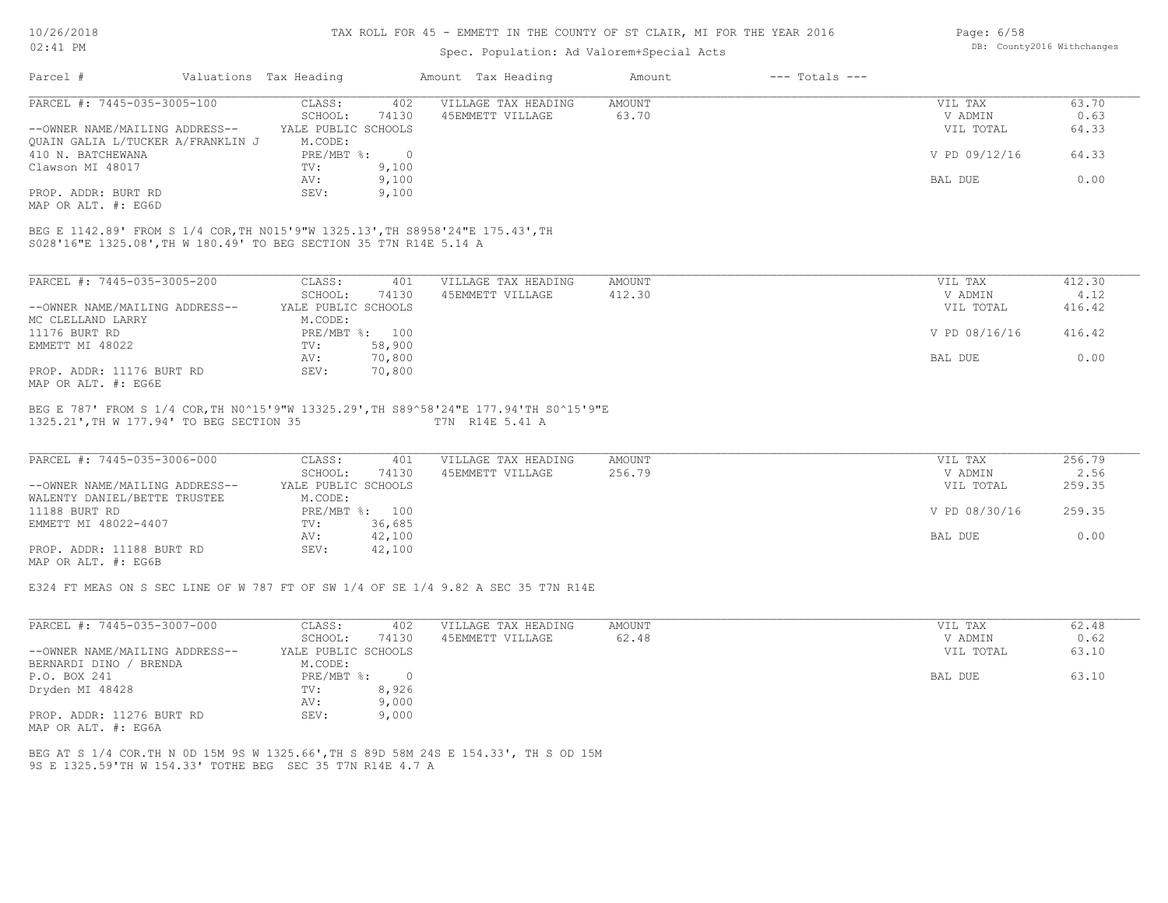#### TAX ROLL FOR 45 - EMMETT IN THE COUNTY OF ST CLAIR, MI FOR THE YEAR 2016

### Spec. Population: Ad Valorem+Special Acts

| Page: $6/58$ |                            |
|--------------|----------------------------|
|              | DB: County2016 Withchanges |

| Parcel #                                                           | Valuations Tax Heading |                | Amount Tax Heading                                                             | Amount | $---$ Totals $---$ |               |       |
|--------------------------------------------------------------------|------------------------|----------------|--------------------------------------------------------------------------------|--------|--------------------|---------------|-------|
| PARCEL #: 7445-035-3005-100                                        | CLASS:                 | 402            | VILLAGE TAX HEADING                                                            | AMOUNT |                    | VIL TAX       | 63.70 |
|                                                                    | SCHOOL:                | 74130          | 45EMMETT VILLAGE                                                               | 63.70  |                    | V ADMIN       | 0.63  |
| --OWNER NAME/MAILING ADDRESS--                                     | YALE PUBLIC SCHOOLS    |                |                                                                                |        |                    | VIL TOTAL     | 64.33 |
| OUAIN GALIA L/TUCKER A/FRANKLIN J                                  | M.CODE:                |                |                                                                                |        |                    |               |       |
| 410 N. BATCHEWANA                                                  | PRE/MBT %:             | $\overline{0}$ |                                                                                |        |                    | V PD 09/12/16 | 64.33 |
| Clawson MI 48017                                                   | TV:                    | 9,100          |                                                                                |        |                    |               |       |
|                                                                    | AV:                    | 9,100          |                                                                                |        |                    | BAL DUE       | 0.00  |
| PROP. ADDR: BURT RD                                                | SEV:                   | 9,100          |                                                                                |        |                    |               |       |
| MAP OR ALT. #: EG6D                                                |                        |                |                                                                                |        |                    |               |       |
|                                                                    |                        |                |                                                                                |        |                    |               |       |
|                                                                    |                        |                | BEG E 1142.89' FROM S 1/4 COR, TH N015'9"W 1325.13', TH S8958'24"E 175.43', TH |        |                    |               |       |
| S028'16"E 1325.08', TH W 180.49' TO BEG SECTION 35 T7N R14E 5.14 A |                        |                |                                                                                |        |                    |               |       |
|                                                                    |                        |                |                                                                                |        |                    |               |       |

| PARCEL #: 7445-035-3005-200    | CLASS:              | 401    | VILLAGE TAX HEADING | AMOUNT | 412.30<br>VIL TAX       |
|--------------------------------|---------------------|--------|---------------------|--------|-------------------------|
|                                | SCHOOL:             | 74130  | 45EMMETT VILLAGE    | 412.30 | 4.12<br>V ADMIN         |
| --OWNER NAME/MAILING ADDRESS-- | YALE PUBLIC SCHOOLS |        |                     |        | 416.42<br>VIL TOTAL     |
| MC CLELLAND LARRY              | M.CODE:             |        |                     |        |                         |
| 11176 BURT RD                  | PRE/MBT %:          | 100    |                     |        | V PD 08/16/16<br>416.42 |
| EMMETT MI 48022                | TV:                 | 58,900 |                     |        |                         |
|                                | AV:                 | 70,800 |                     |        | 0.00<br>BAL DUE         |
| PROP. ADDR: 11176 BURT RD      | SEV:                | 70,800 |                     |        |                         |
| MAP OR ALT. #: EG6E            |                     |        |                     |        |                         |

#### 1325.21',TH W 177.94' TO BEG SECTION 35 T7N R14E 5.41 A BEG E 787' FROM S 1/4 COR,TH N0^15'9"W 13325.29',TH S89^58'24"E 177.94'TH S0^15'9"E

| PARCEL #: 7445-035-3006-000                  | CLASS:              | 401            | VILLAGE TAX HEADING | AMOUNT | VIL TAX       | 256.79 |
|----------------------------------------------|---------------------|----------------|---------------------|--------|---------------|--------|
|                                              | SCHOOL:             | 74130          | 45EMMETT VILLAGE    | 256.79 | V ADMIN       | 2.56   |
| --OWNER NAME/MAILING ADDRESS--               | YALE PUBLIC SCHOOLS |                |                     |        | VIL TOTAL     | 259.35 |
| WALENTY DANIEL/BETTE TRUSTEE                 | M.CODE:             |                |                     |        |               |        |
| 11188 BURT RD                                |                     | PRE/MBT %: 100 |                     |        | V PD 08/30/16 | 259.35 |
| EMMETT MI 48022-4407                         | TV:                 | 36,685         |                     |        |               |        |
|                                              | AV:                 | 42,100         |                     |        | BAL DUE       | 0.00   |
| PROP. ADDR: 11188 BURT RD                    | SEV:                | 42,100         |                     |        |               |        |
| $\cdots$ $\cdots$ $\cdots$ $\cdots$ $\cdots$ |                     |                |                     |        |               |        |

MAP OR ALT. #: EG6B

E324 FT MEAS ON S SEC LINE OF W 787 FT OF SW 1/4 OF SE 1/4 9.82 A SEC 35 T7N R14E

| PARCEL #: 7445-035-3007-000    | CLASS:              | 402   | VILLAGE TAX HEADING | AMOUNT | VIL TAX   | 62.48 |
|--------------------------------|---------------------|-------|---------------------|--------|-----------|-------|
|                                | SCHOOL:             | 74130 | 45EMMETT VILLAGE    | 62.48  | V ADMIN   | 0.62  |
| --OWNER NAME/MAILING ADDRESS-- | YALE PUBLIC SCHOOLS |       |                     |        | VIL TOTAL | 63.10 |
| BERNARDI DINO / BRENDA         | M.CODE:             |       |                     |        |           |       |
| P.O. BOX 241                   | $PRE/MBT$ %:        |       |                     |        | BAL DUE   | 63.10 |
| Dryden MI 48428                | TV:                 | 8,926 |                     |        |           |       |
|                                | AV:                 | 9,000 |                     |        |           |       |
| PROP. ADDR: 11276 BURT RD      | SEV:                | 9,000 |                     |        |           |       |

MAP OR ALT. #: EG6A

9S E 1325.59'TH W 154.33' TOTHE BEG SEC 35 T7N R14E 4.7 A BEG AT S 1/4 COR.TH N 0D 15M 9S W 1325.66',TH S 89D 58M 24S E 154.33', TH S OD 15M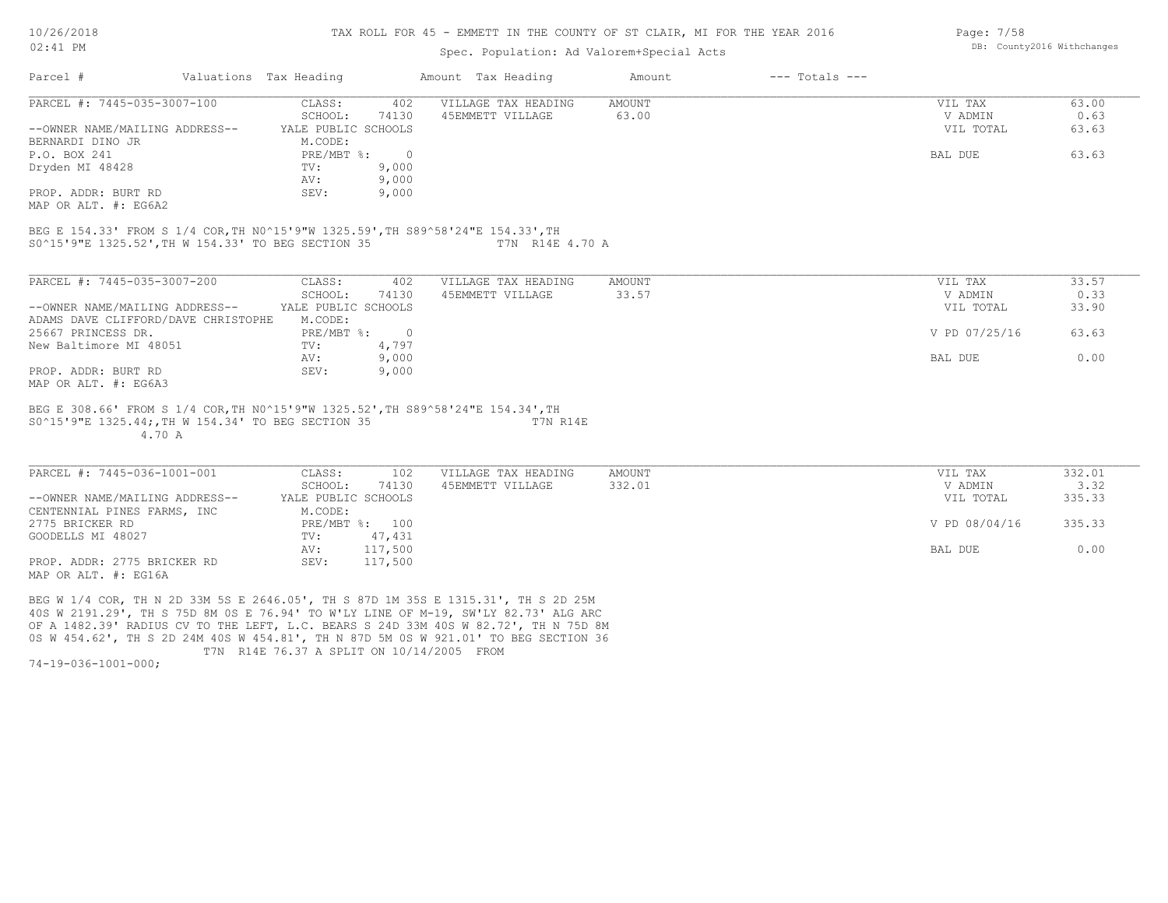#### TAX ROLL FOR 45 - EMMETT IN THE COUNTY OF ST CLAIR, MI FOR THE YEAR 2016

### Spec. Population: Ad Valorem+Special Acts

| Parcel #                                                                        | Valuations Tax Heading         | Amount Tax Heading  | Amount | $---$ Totals $---$ |               |       |
|---------------------------------------------------------------------------------|--------------------------------|---------------------|--------|--------------------|---------------|-------|
| PARCEL #: 7445-035-3007-100                                                     | 402<br>CLASS:                  | VILLAGE TAX HEADING | AMOUNT |                    | VIL TAX       | 63.00 |
|                                                                                 | 74130<br>SCHOOL:               | 45EMMETT VILLAGE    | 63.00  |                    | V ADMIN       | 0.63  |
| --OWNER NAME/MAILING ADDRESS--                                                  | YALE PUBLIC SCHOOLS            |                     |        |                    | VIL TOTAL     | 63.63 |
| BERNARDI DINO JR                                                                | M.CODE:                        |                     |        |                    |               |       |
| P.O. BOX 241                                                                    | $PRE/MBT$ %:<br>$\overline{0}$ |                     |        |                    | BAL DUE       | 63.63 |
| Dryden MI 48428                                                                 | 9,000<br>TV:                   |                     |        |                    |               |       |
|                                                                                 | 9,000<br>AV:                   |                     |        |                    |               |       |
| PROP. ADDR: BURT RD                                                             | SEV:<br>9,000                  |                     |        |                    |               |       |
| MAP OR ALT. #: EG6A2                                                            |                                |                     |        |                    |               |       |
| BEG E 154.33' FROM S 1/4 COR, TH N0^15'9"W 1325.59', TH S89^58'24"E 154.33', TH |                                |                     |        |                    |               |       |
| S0^15'9"E 1325.52', TH W 154.33' TO BEG SECTION 35                              |                                | T7N R14E 4.70 A     |        |                    |               |       |
|                                                                                 | 402                            |                     |        |                    |               |       |
| PARCEL #: 7445-035-3007-200                                                     | CLASS:                         | VILLAGE TAX HEADING | AMOUNT |                    | VIL TAX       | 33.57 |
|                                                                                 | 74130<br>SCHOOL:               | 45EMMETT VILLAGE    | 33.57  |                    | V ADMIN       | 0.33  |
| --OWNER NAME/MAILING ADDRESS--                                                  | YALE PUBLIC SCHOOLS            |                     |        |                    | VIL TOTAL     | 33.90 |
| ADAMS DAVE CLIFFORD/DAVE CHRISTOPHE                                             | M.CODE:                        |                     |        |                    |               |       |
| 25667 PRINCESS DR.                                                              | $\overline{0}$<br>$PRE/MBT$ %: |                     |        |                    | V PD 07/25/16 | 63.63 |
| New Baltimore MI 48051                                                          | 4,797<br>TV:                   |                     |        |                    |               |       |
| PROP. ADDR: BURT RD                                                             | 9,000<br>AV:<br>9,000<br>SEV:  |                     |        |                    | BAL DUE       | 0.00  |
|                                                                                 |                                |                     |        |                    |               |       |

MAP OR ALT. #: EG6A3

 4.70 A S0^15'9"E 1325.44;,TH W 154.34' TO BEG SECTION 35 T7N R14E BEG E 308.66' FROM S 1/4 COR,TH N0^15'9"W 1325.52',TH S89^58'24"E 154.34',TH

| PARCEL #: 7445-036-1001-001    | CLASS:              | 102     | VILLAGE TAX HEADING | AMOUNT | VIL TAX       | 332.01 |
|--------------------------------|---------------------|---------|---------------------|--------|---------------|--------|
|                                | SCHOOL:             | 74130   | 45EMMETT VILLAGE    | 332.01 | V ADMIN       | 3.32   |
| --OWNER NAME/MAILING ADDRESS-- | YALE PUBLIC SCHOOLS |         |                     |        | VIL TOTAL     | 335.33 |
| CENTENNIAL PINES FARMS, INC    | M.CODE:             |         |                     |        |               |        |
| 2775 BRICKER RD                | PRE/MBT %:          | 100     |                     |        | V PD 08/04/16 | 335.33 |
| GOODELLS MI 48027              | TV:                 | 47,431  |                     |        |               |        |
|                                | AV:                 | 117,500 |                     |        | BAL DUE       | 0.00   |
| PROP. ADDR: 2775 BRICKER RD    | SEV:                | 117,500 |                     |        |               |        |
| MAP OR ALT. #: EG16A           |                     |         |                     |        |               |        |

 $\mathcal{L}_\mathcal{L} = \mathcal{L}_\mathcal{L} = \mathcal{L}_\mathcal{L} = \mathcal{L}_\mathcal{L} = \mathcal{L}_\mathcal{L} = \mathcal{L}_\mathcal{L} = \mathcal{L}_\mathcal{L} = \mathcal{L}_\mathcal{L} = \mathcal{L}_\mathcal{L} = \mathcal{L}_\mathcal{L} = \mathcal{L}_\mathcal{L} = \mathcal{L}_\mathcal{L} = \mathcal{L}_\mathcal{L} = \mathcal{L}_\mathcal{L} = \mathcal{L}_\mathcal{L} = \mathcal{L}_\mathcal{L} = \mathcal{L}_\mathcal{L}$ 

 T7N R14E 76.37 A SPLIT ON 10/14/2005 FROM 0S W 454.62', TH S 2D 24M 40S W 454.81', TH N 87D 5M 0S W 921.01' TO BEG SECTION 36 OF A 1482.39' RADIUS CV TO THE LEFT, L.C. BEARS S 24D 33M 40S W 82.72', TH N 75D 8M 40S W 2191.29', TH S 75D 8M 0S E 76.94' TO W'LY LINE OF M-19, SW'LY 82.73' ALG ARC BEG W 1/4 COR, TH N 2D 33M 5S E 2646.05', TH S 87D 1M 35S E 1315.31', TH S 2D 25M

74-19-036-1001-000;

DB: County2016 Withchanges

Page: 7/58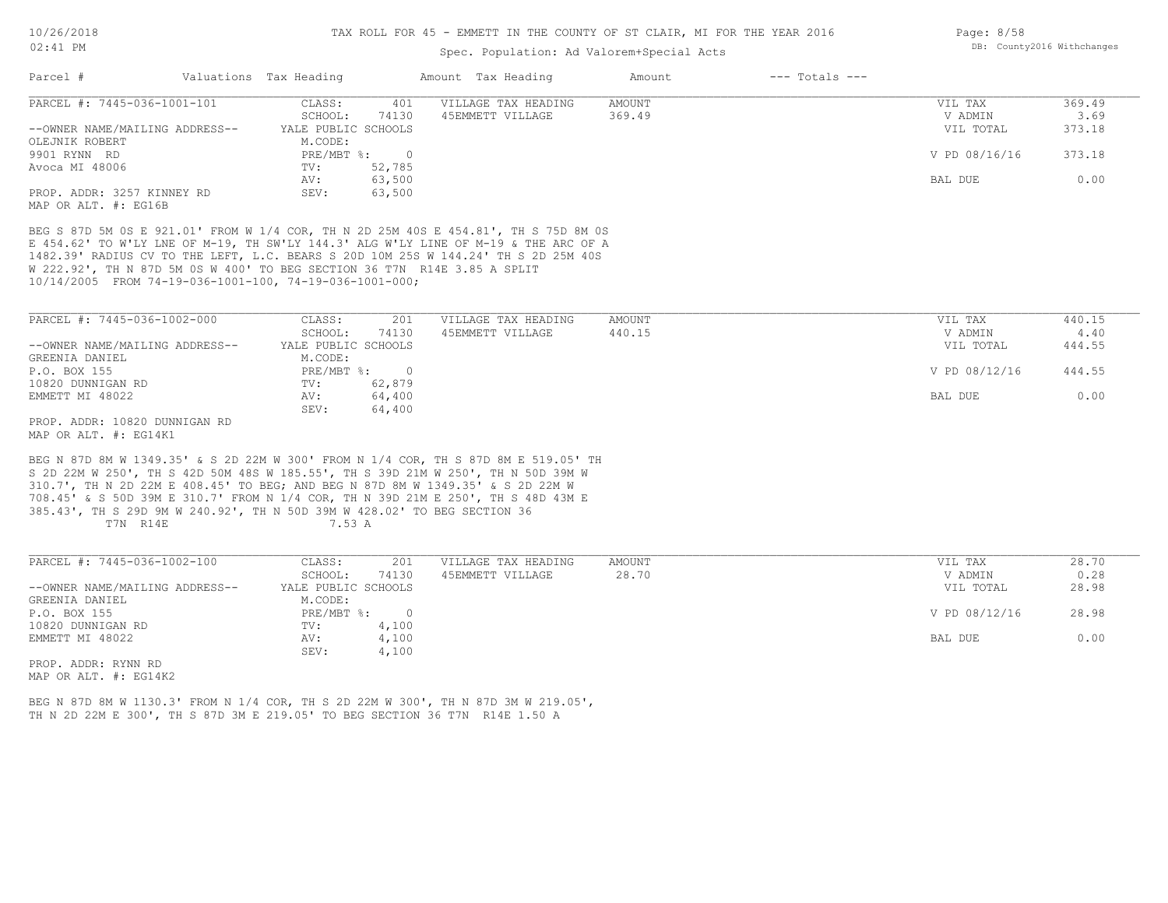#### TAX ROLL FOR 45 - EMMETT IN THE COUNTY OF ST CLAIR, MI FOR THE YEAR 2016

### Spec. Population: Ad Valorem+Special Acts

|                                                    |            |                                   |                                     | Amount             | $---$ Totals $---$ |               |        |
|----------------------------------------------------|------------|-----------------------------------|-------------------------------------|--------------------|--------------------|---------------|--------|
| PARCEL #: 7445-036-1001-101                        | CLASS:     | 401                               | VILLAGE TAX HEADING                 | AMOUNT             |                    | VIL TAX       | 369.49 |
|                                                    | SCHOOL:    | 74130                             | 45EMMETT VILLAGE                    | 369.49             |                    | V ADMIN       | 3.69   |
| --OWNER NAME/MAILING ADDRESS--                     |            |                                   |                                     |                    |                    | VIL TOTAL     | 373.18 |
|                                                    |            |                                   |                                     |                    |                    | V PD 08/16/16 | 373.18 |
|                                                    | TV:<br>AV: | 52,785<br>63,500                  |                                     |                    |                    | BAL DUE       | 0.00   |
| PROP. ADDR: 3257 KINNEY RD<br>MAP OR ALT. #: EG16B | SEV:       | 63,500                            |                                     |                    |                    |               |        |
|                                                    |            | Valuations Tax Heading<br>M.CODE: | YALE PUBLIC SCHOOLS<br>$PRE/MBT$ %: | Amount Tax Heading |                    |               |        |

10/14/2005 FROM 74-19-036-1001-100, 74-19-036-1001-000; W 222.92', TH N 87D 5M 0S W 400' TO BEG SECTION 36 T7N R14E 3.85 A SPLIT 1482.39' RADIUS CV TO THE LEFT, L.C. BEARS S 20D 10M 25S W 144.24' TH S 2D 25M 40S E 454.62' TO W'LY LNE OF M-19, TH SW'LY 144.3' ALG W'LY LINE OF M-19 & THE ARC OF A BEG S 87D 5M 0S E 921.01' FROM W 1/4 COR, TH N 2D 25M 40S E 454.81', TH S 75D 8M 0S

| PARCEL #: 7445-036-1002-000    | CLASS:              | 201    | VILLAGE TAX HEADING | AMOUNT | VIL TAX       | 440.15 |
|--------------------------------|---------------------|--------|---------------------|--------|---------------|--------|
|                                | SCHOOL:             | 74130  | 45EMMETT VILLAGE    | 440.15 | V ADMIN       | 4.40   |
| --OWNER NAME/MAILING ADDRESS-- | YALE PUBLIC SCHOOLS |        |                     |        | VIL TOTAL     | 444.55 |
| GREENIA DANIEL                 | M.CODE:             |        |                     |        |               |        |
| P.O. BOX 155                   | PRE/MBT %:          |        |                     |        | V PD 08/12/16 | 444.55 |
| 10820 DUNNIGAN RD              | TV:                 | 62,879 |                     |        |               |        |
| EMMETT MI 48022                | AV:                 | 64,400 |                     |        | BAL DUE       | 0.00   |
|                                | SEV:                | 64,400 |                     |        |               |        |
| PROP. ADDR: 10820 DUNNIGAN RD  |                     |        |                     |        |               |        |

MAP OR ALT. #: EG14K1

T7N R14E 7.53 A 385.43', TH S 29D 9M W 240.92', TH N 50D 39M W 428.02' TO BEG SECTION 36 708.45' & S 50D 39M E 310.7' FROM N 1/4 COR, TH N 39D 21M E 250', TH S 48D 43M E 310.7', TH N 2D 22M E 408.45' TO BEG; AND BEG N 87D 8M W 1349.35' & S 2D 22M W S 2D 22M W 250', TH S 42D 50M 48S W 185.55', TH S 39D 21M W 250', TH N 50D 39M W BEG N 87D 8M W 1349.35' & S 2D 22M W 300' FROM N 1/4 COR, TH S 87D 8M E 519.05' TH

| PARCEL #: 7445-036-1002-100    | CLASS:              | 201   | VILLAGE TAX HEADING | AMOUNT | VIL TAX       | 28.70 |
|--------------------------------|---------------------|-------|---------------------|--------|---------------|-------|
|                                | SCHOOL:             | 74130 | 45EMMETT VILLAGE    | 28.70  | V ADMIN       | 0.28  |
| --OWNER NAME/MAILING ADDRESS-- | YALE PUBLIC SCHOOLS |       |                     |        | VIL TOTAL     | 28.98 |
| GREENIA DANIEL                 | M.CODE:             |       |                     |        |               |       |
| P.O. BOX 155                   | PRE/MBT %:          |       |                     |        | V PD 08/12/16 | 28.98 |
| 10820 DUNNIGAN RD              | TV:                 | 4,100 |                     |        |               |       |
| EMMETT MI 48022                | AV:                 | 4,100 |                     |        | BAL DUE       | 0.00  |
|                                | SEV:                | 4,100 |                     |        |               |       |
| PROP. ADDR: RYNN RD            |                     |       |                     |        |               |       |

MAP OR ALT. #: EG14K2

TH N 2D 22M E 300', TH S 87D 3M E 219.05' TO BEG SECTION 36 T7N R14E 1.50 A BEG N 87D 8M W 1130.3' FROM N 1/4 COR, TH S 2D 22M W 300', TH N 87D 3M W 219.05', Page: 8/58 DB: County2016 Withchanges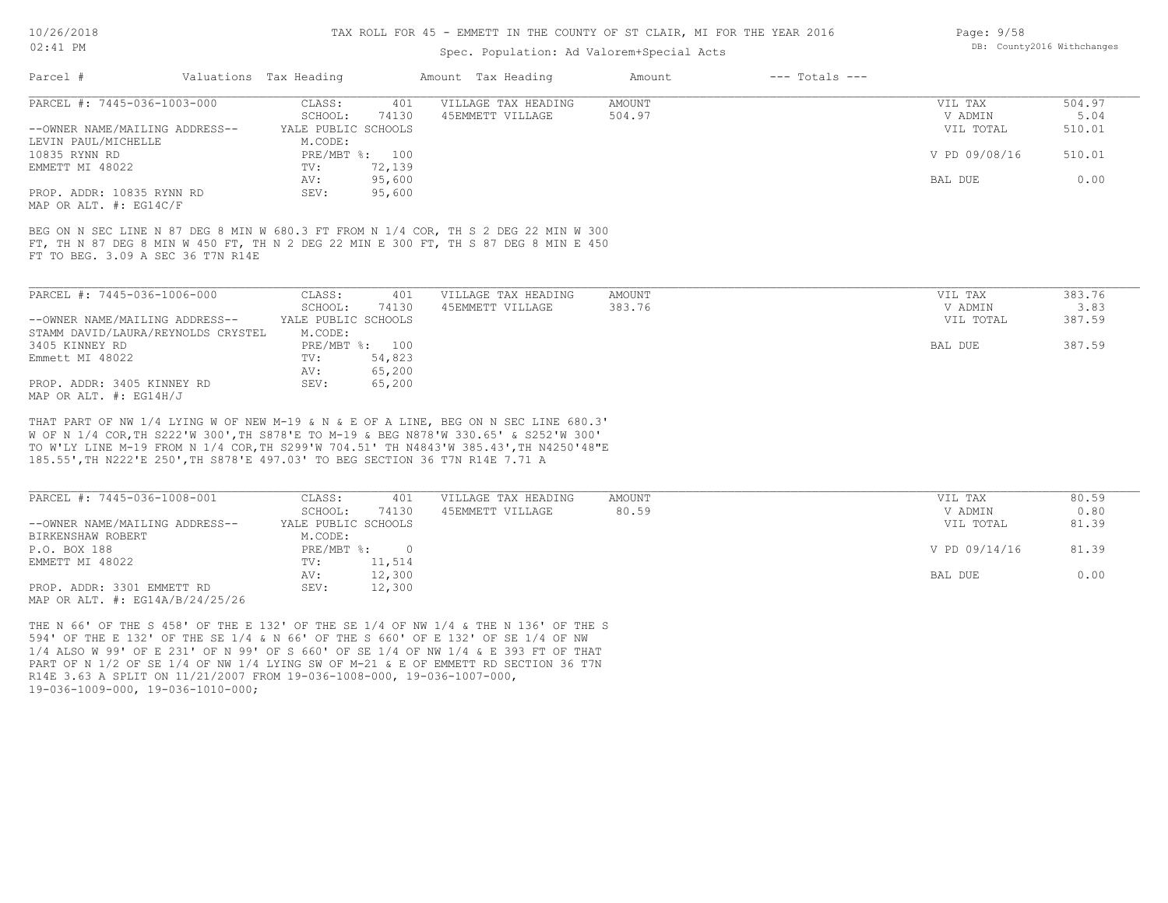#### TAX ROLL FOR 45 - EMMETT IN THE COUNTY OF ST CLAIR, MI FOR THE YEAR 2016

### Spec. Population: Ad Valorem+Special Acts

| Page: $9/58$ |                            |
|--------------|----------------------------|
|              | DB: County2016 Withchanges |

| Parcel #                           | Valuations Tax Heading |                  | Amount Tax Heading                                                                                                                                                         | Amount        | $---$ Totals $---$ |               |        |
|------------------------------------|------------------------|------------------|----------------------------------------------------------------------------------------------------------------------------------------------------------------------------|---------------|--------------------|---------------|--------|
| PARCEL #: 7445-036-1003-000        | CLASS:                 | 401              | VILLAGE TAX HEADING                                                                                                                                                        | <b>AMOUNT</b> |                    | VIL TAX       | 504.97 |
|                                    | SCHOOL:                | 74130            | 45EMMETT VILLAGE                                                                                                                                                           | 504.97        |                    | V ADMIN       | 5.04   |
| --OWNER NAME/MAILING ADDRESS--     | YALE PUBLIC SCHOOLS    |                  |                                                                                                                                                                            |               |                    | VIL TOTAL     | 510.01 |
| LEVIN PAUL/MICHELLE                | M.CODE:                |                  |                                                                                                                                                                            |               |                    |               |        |
| 10835 RYNN RD                      |                        | PRE/MBT %: 100   |                                                                                                                                                                            |               |                    | V PD 09/08/16 | 510.01 |
| EMMETT MI 48022                    | TV:                    | 72,139           |                                                                                                                                                                            |               |                    |               |        |
|                                    | AV:                    | 95,600           |                                                                                                                                                                            |               |                    | BAL DUE       | 0.00   |
| PROP. ADDR: 10835 RYNN RD          | SEV:                   | 95,600           |                                                                                                                                                                            |               |                    |               |        |
| MAP OR ALT. $\#$ : EG14C/F         |                        |                  |                                                                                                                                                                            |               |                    |               |        |
|                                    |                        |                  | BEG ON N SEC LINE N 87 DEG 8 MIN W 680.3 FT FROM N 1/4 COR, TH S 2 DEG 22 MIN W 300<br>FT, TH N 87 DEG 8 MIN W 450 FT, TH N 2 DEG 22 MIN E 300 FT, TH S 87 DEG 8 MIN E 450 |               |                    |               |        |
|                                    |                        |                  |                                                                                                                                                                            |               |                    |               |        |
| FT TO BEG. 3.09 A SEC 36 T7N R14E  |                        |                  |                                                                                                                                                                            |               |                    |               |        |
| PARCEL #: 7445-036-1006-000        | CLASS:                 | 401              | VILLAGE TAX HEADING                                                                                                                                                        | AMOUNT        |                    | VIL TAX       | 383.76 |
|                                    | SCHOOL:                | 74130            | 45EMMETT VILLAGE                                                                                                                                                           | 383.76        |                    | V ADMIN       | 3.83   |
| --OWNER NAME/MAILING ADDRESS--     | YALE PUBLIC SCHOOLS    |                  |                                                                                                                                                                            |               |                    | VIL TOTAL     | 387.59 |
| STAMM DAVID/LAURA/REYNOLDS CRYSTEL | M.CODE:                |                  |                                                                                                                                                                            |               |                    |               |        |
| 3405 KINNEY RD                     |                        | PRE/MBT %: 100   |                                                                                                                                                                            |               |                    | BAL DUE       | 387.59 |
| Emmett MI 48022                    | TV:                    | 54,823           |                                                                                                                                                                            |               |                    |               |        |
| PROP. ADDR: 3405 KINNEY RD         | AV:<br>SEV:            | 65,200<br>65,200 |                                                                                                                                                                            |               |                    |               |        |

185.55',TH N222'E 250',TH S878'E 497.03' TO BEG SECTION 36 T7N R14E 7.71 A TO W'LY LINE M-19 FROM N 1/4 COR,TH S299'W 704.51' TH N4843'W 385.43',TH N4250'48"E W OF N 1/4 COR,TH S222'W 300',TH S878'E TO M-19 & BEG N878'W 330.65' & S252'W 300' THAT PART OF NW 1/4 LYING W OF NEW M-19 & N & E OF A LINE, BEG ON N SEC LINE 680.3'

| PARCEL #: 7445-036-1008-001     | CLASS:              | 401    | VILLAGE TAX HEADING | AMOUNT | VIL TAX       | 80.59 |
|---------------------------------|---------------------|--------|---------------------|--------|---------------|-------|
|                                 | SCHOOL:             | 74130  | 45EMMETT VILLAGE    | 80.59  | V ADMIN       | 0.80  |
| --OWNER NAME/MAILING ADDRESS--  | YALE PUBLIC SCHOOLS |        |                     |        | VIL TOTAL     | 81.39 |
| BIRKENSHAW ROBERT               | M.CODE:             |        |                     |        |               |       |
| P.O. BOX 188                    | PRE/MBT %:          |        |                     |        | V PD 09/14/16 | 81.39 |
| EMMETT MI 48022                 | TV:                 | 11,514 |                     |        |               |       |
|                                 | AV:                 | 12,300 |                     |        | BAL DUE       | 0.00  |
| PROP. ADDR: 3301 EMMETT RD      | SEV:                | 12,300 |                     |        |               |       |
| MAP OR ALT. #: EG14A/B/24/25/26 |                     |        |                     |        |               |       |

19-036-1009-000, 19-036-1010-000; R14E 3.63 A SPLIT ON 11/21/2007 FROM 19-036-1008-000, 19-036-1007-000, PART OF N 1/2 OF SE 1/4 OF NW 1/4 LYING SW OF M-21 & E OF EMMETT RD SECTION 36 T7N 1/4 ALSO W 99' OF E 231' OF N 99' OF S 660' OF SE 1/4 OF NW 1/4 & E 393 FT OF THAT 594' OF THE E 132' OF THE SE 1/4 & N 66' OF THE S 660' OF E 132' OF SE 1/4 OF NW THE N 66' OF THE S 458' OF THE E 132' OF THE SE 1/4 OF NW 1/4 & THE N 136' OF THE S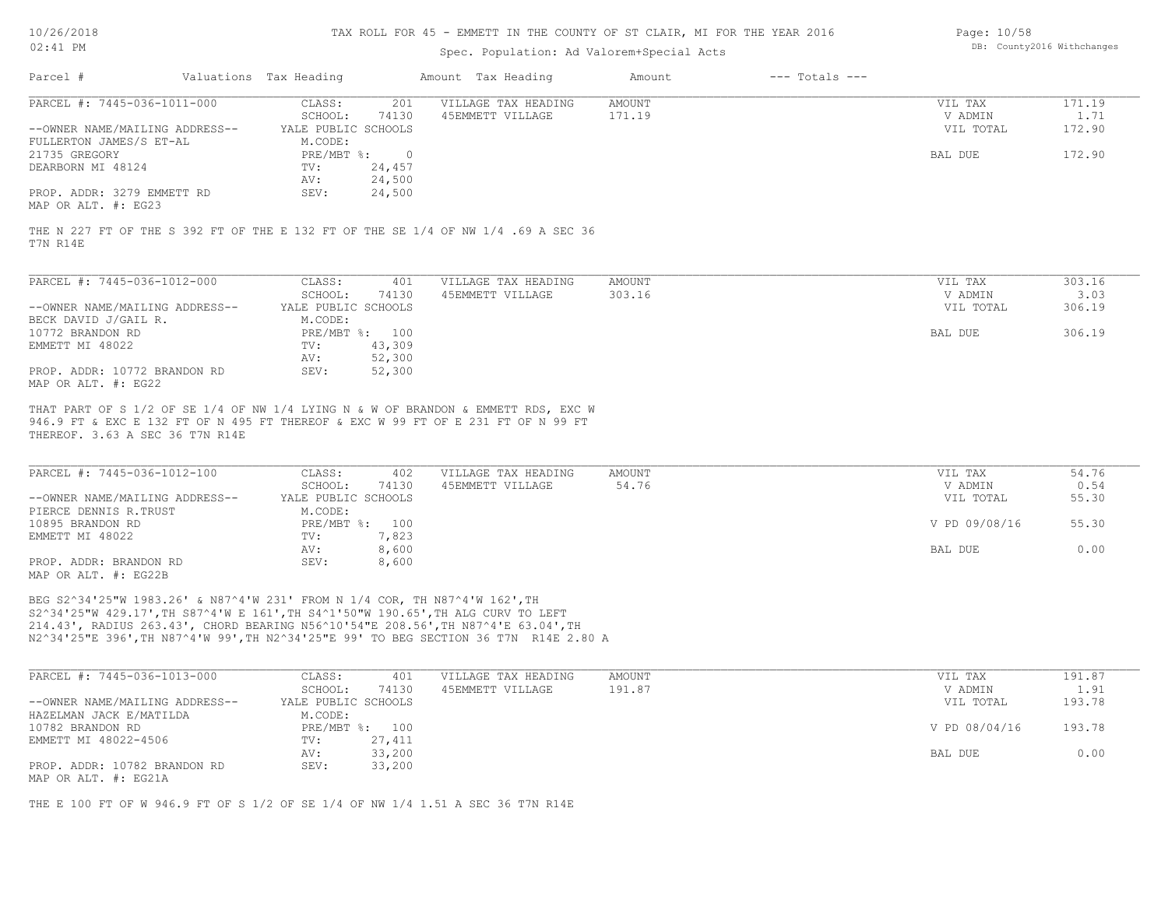#### TAX ROLL FOR 45 - EMMETT IN THE COUNTY OF ST CLAIR, MI FOR THE YEAR 2016

### Spec. Population: Ad Valorem+Special Acts

| Page: 10/58 |                            |
|-------------|----------------------------|
|             | DB: County2016 Withchanges |

| Parcel #                        | Valuations Tax Heading |                | Amount Tax Heading                                                                                                                                                    | Amount | $---$ Totals $---$ |           |        |
|---------------------------------|------------------------|----------------|-----------------------------------------------------------------------------------------------------------------------------------------------------------------------|--------|--------------------|-----------|--------|
| PARCEL #: 7445-036-1011-000     | CLASS:                 | 201            | VILLAGE TAX HEADING                                                                                                                                                   | AMOUNT |                    | VIL TAX   | 171.19 |
|                                 | SCHOOL:                | 74130          | 45EMMETT VILLAGE                                                                                                                                                      | 171.19 |                    | V ADMIN   | 1.71   |
| --OWNER NAME/MAILING ADDRESS--  | YALE PUBLIC SCHOOLS    |                |                                                                                                                                                                       |        |                    | VIL TOTAL | 172.90 |
| FULLERTON JAMES/S ET-AL         | M.CODE:                |                |                                                                                                                                                                       |        |                    |           |        |
| 21735 GREGORY                   |                        | PRE/MBT %: 0   |                                                                                                                                                                       |        |                    | BAL DUE   | 172.90 |
| DEARBORN MI 48124               | TV:                    | 24,457         |                                                                                                                                                                       |        |                    |           |        |
|                                 | AV:                    | 24,500         |                                                                                                                                                                       |        |                    |           |        |
| PROP. ADDR: 3279 EMMETT RD      | SEV:                   | 24,500         |                                                                                                                                                                       |        |                    |           |        |
| MAP OR ALT. #: EG23             |                        |                |                                                                                                                                                                       |        |                    |           |        |
| PARCEL #: 7445-036-1012-000     | CLASS:                 | 401            | VILLAGE TAX HEADING                                                                                                                                                   | AMOUNT |                    | VIL TAX   | 303.16 |
|                                 | SCHOOL:                | 74130          | 45EMMETT VILLAGE                                                                                                                                                      | 303.16 |                    | V ADMIN   | 3.03   |
| --OWNER NAME/MAILING ADDRESS--  | YALE PUBLIC SCHOOLS    |                |                                                                                                                                                                       |        |                    | VIL TOTAL | 306.19 |
| BECK DAVID J/GAIL R.            | M.CODE:                |                |                                                                                                                                                                       |        |                    |           |        |
| 10772 BRANDON RD                |                        | PRE/MBT %: 100 |                                                                                                                                                                       |        |                    | BAL DUE   | 306.19 |
| EMMETT MI 48022                 | TV:                    | 43,309         |                                                                                                                                                                       |        |                    |           |        |
|                                 | AV:                    | 52,300         |                                                                                                                                                                       |        |                    |           |        |
| PROP. ADDR: 10772 BRANDON RD    | SEV:                   | 52,300         |                                                                                                                                                                       |        |                    |           |        |
| MAP OR ALT. #: EG22             |                        |                |                                                                                                                                                                       |        |                    |           |        |
|                                 |                        |                |                                                                                                                                                                       |        |                    |           |        |
|                                 |                        |                | THAT PART OF S 1/2 OF SE 1/4 OF NW 1/4 LYING N & W OF BRANDON & EMMETT RDS, EXC W<br>946.9 FT & EXC E 132 FT OF N 495 FT THEREOF & EXC W 99 FT OF E 231 FT OF N 99 FT |        |                    |           |        |
| THEREOF. 3.63 A SEC 36 T7N R14E |                        |                |                                                                                                                                                                       |        |                    |           |        |
|                                 |                        |                |                                                                                                                                                                       |        |                    |           |        |
| PARCEL #: 7445-036-1012-100     | CLASS:                 | 402            | VILLAGE TAX HEADING                                                                                                                                                   | AMOUNT |                    | VIL TAX   | 54.76  |
|                                 | SCHOOL:                | 74130          | 45EMMETT VILLAGE                                                                                                                                                      | 54.76  |                    | V ADMIN   | 0.54   |

|                                                                                                                                                 | SCHOOL:             | 74130 | 45EMMETT VILLAGE | 54.76 | V ADMIN       | 0.54  |
|-------------------------------------------------------------------------------------------------------------------------------------------------|---------------------|-------|------------------|-------|---------------|-------|
| --OWNER NAME/MAILING ADDRESS--                                                                                                                  | YALE PUBLIC SCHOOLS |       |                  |       | VIL TOTAL     | 55.30 |
| PIERCE DENNIS R.TRUST                                                                                                                           | M.CODE:             |       |                  |       |               |       |
| 10895 BRANDON RD                                                                                                                                | $PRE/MBT$ %:        | 100   |                  |       | V PD 09/08/16 | 55.30 |
| EMMETT MI 48022                                                                                                                                 | TV:                 | 7,823 |                  |       |               |       |
|                                                                                                                                                 | AV:                 | 8,600 |                  |       | BAL DUE       | 0.00  |
| PROP. ADDR: BRANDON RD                                                                                                                          | SEV:                | 8,600 |                  |       |               |       |
| $\overline{111}$ $\overline{0}$ $\overline{11}$ $\overline{11}$ $\overline{11}$ $\overline{11}$ $\overline{11}$ $\overline{11}$ $\overline{11}$ |                     |       |                  |       |               |       |

MAP OR ALT. #: EG22B

N2^34'25"E 396',TH N87^4'W 99',TH N2^34'25"E 99' TO BEG SECTION 36 T7N R14E 2.80 A 214.43', RADIUS 263.43', CHORD BEARING N56^10'54"E 208.56',TH N87^4'E 63.04',TH S2^34'25"W 429.17',TH S87^4'W E 161',TH S4^1'50"W 190.65',TH ALG CURV TO LEFT BEG S2^34'25"W 1983.26' & N87^4'W 231' FROM N 1/4 COR, TH N87^4'W 162',TH

| PARCEL #: 7445-036-1013-000    | CLASS:              | 401            | VILLAGE TAX HEADING | AMOUNT | VIL TAX       | 191.87 |
|--------------------------------|---------------------|----------------|---------------------|--------|---------------|--------|
|                                | SCHOOL:             | 74130          | 45EMMETT VILLAGE    | 191.87 | V ADMIN       | 1.91   |
| --OWNER NAME/MAILING ADDRESS-- | YALE PUBLIC SCHOOLS |                |                     |        | VIL TOTAL     | 193.78 |
| HAZELMAN JACK E/MATILDA        | M.CODE:             |                |                     |        |               |        |
| 10782 BRANDON RD               |                     | PRE/MBT %: 100 |                     |        | V PD 08/04/16 | 193.78 |
| EMMETT MI 48022-4506           | TV:                 | 27,411         |                     |        |               |        |
|                                | AV:                 | 33,200         |                     |        | BAL DUE       | 0.00   |
| PROP. ADDR: 10782 BRANDON RD   | SEV:                | 33,200         |                     |        |               |        |
| MAP OR ALT. #: EG21A           |                     |                |                     |        |               |        |

THE E 100 FT OF W 946.9 FT OF S 1/2 OF SE 1/4 OF NW 1/4 1.51 A SEC 36 T7N R14E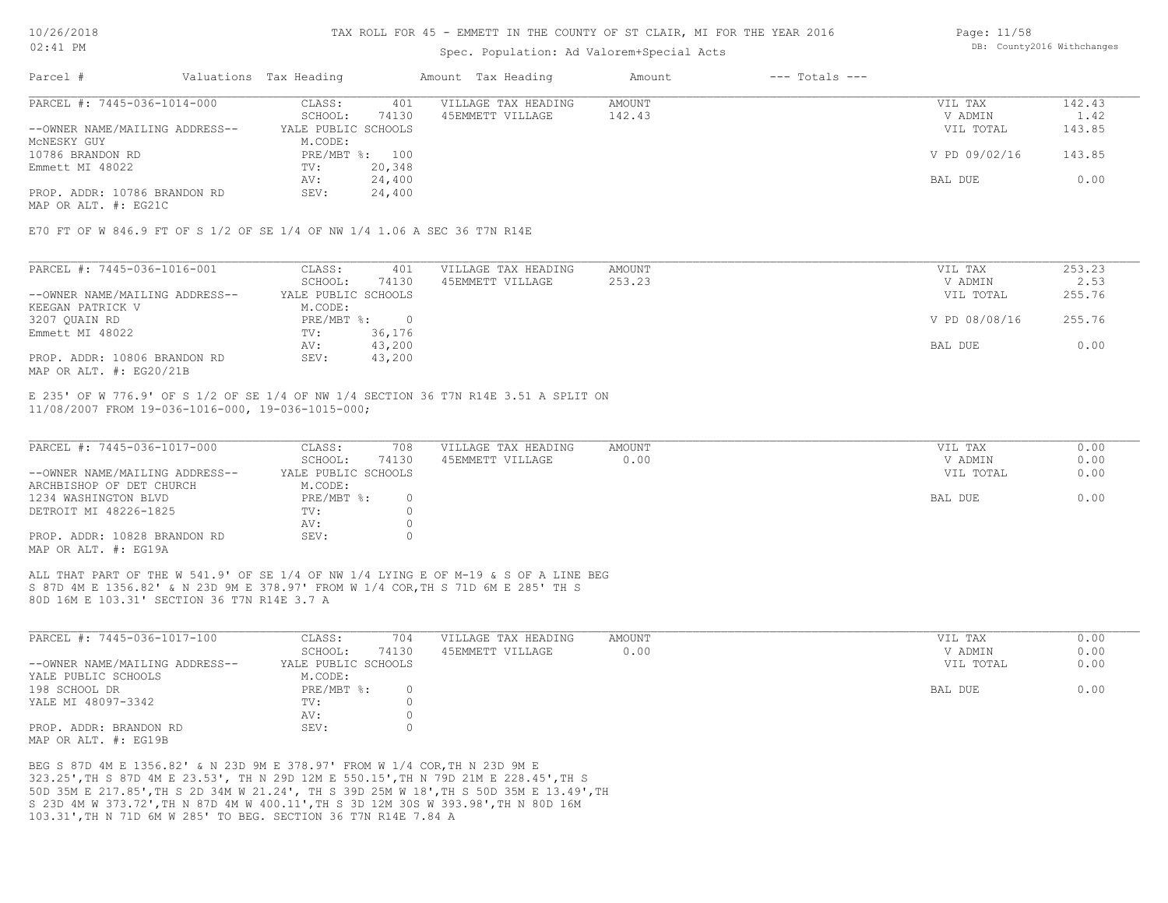#### TAX ROLL FOR 45 - EMMETT IN THE COUNTY OF ST CLAIR, MI FOR THE YEAR 2016

### Spec. Population: Ad Valorem+Special Acts

| Page: 11/58 |                            |
|-------------|----------------------------|
|             | DB: County2016 Withchanges |

| Parcel #                       | Valuations Tax Heading |        | Amount Tax Heading  | Amount | $---$ Totals $---$ |               |        |
|--------------------------------|------------------------|--------|---------------------|--------|--------------------|---------------|--------|
| PARCEL #: 7445-036-1014-000    | CLASS:                 | 401    | VILLAGE TAX HEADING | AMOUNT |                    | VIL TAX       | 142.43 |
|                                | SCHOOL:                | 74130  | 45EMMETT VILLAGE    | 142.43 |                    | V ADMIN       | 1.42   |
| --OWNER NAME/MAILING ADDRESS-- | YALE PUBLIC SCHOOLS    |        |                     |        |                    | VIL TOTAL     | 143.85 |
| MCNESKY GUY                    | M.CODE:                |        |                     |        |                    |               |        |
| 10786 BRANDON RD               | PRE/MBT %: 100         |        |                     |        |                    | V PD 09/02/16 | 143.85 |
| Emmett MI 48022                | TV:                    | 20,348 |                     |        |                    |               |        |
|                                | AV:                    | 24,400 |                     |        |                    | BAL DUE       | 0.00   |
| PROP. ADDR: 10786 BRANDON RD   | SEV:                   | 24,400 |                     |        |                    |               |        |
|                                |                        |        |                     |        |                    |               |        |

MAP OR ALT. #: EG21C

E70 FT OF W 846.9 FT OF S 1/2 OF SE 1/4 OF NW 1/4 1.06 A SEC 36 T7N R14E

| PARCEL #: 7445-036-1016-001    | CLASS:              | 401    | VILLAGE TAX HEADING | AMOUNT | VIL TAX       | 253.23 |
|--------------------------------|---------------------|--------|---------------------|--------|---------------|--------|
|                                | SCHOOL:             | 74130  | 45EMMETT VILLAGE    | 253.23 | V ADMIN       | 2.53   |
| --OWNER NAME/MAILING ADDRESS-- | YALE PUBLIC SCHOOLS |        |                     |        | VIL TOTAL     | 255.76 |
| KEEGAN PATRICK V               | M.CODE:             |        |                     |        |               |        |
| 3207 QUAIN RD                  | $PRE/MBT$ %:        |        |                     |        | V PD 08/08/16 | 255.76 |
| Emmett MI 48022                | TV:                 | 36,176 |                     |        |               |        |
|                                | AV:                 | 43,200 |                     |        | BAL DUE       | 0.00   |
| PROP. ADDR: 10806 BRANDON RD   | SEV:                | 43,200 |                     |        |               |        |
| MAP OR ALT. #: EG20/21B        |                     |        |                     |        |               |        |

11/08/2007 FROM 19-036-1016-000, 19-036-1015-000; E 235' OF W 776.9' OF S 1/2 OF SE 1/4 OF NW 1/4 SECTION 36 T7N R14E 3.51 A SPLIT ON

| PARCEL #: 7445-036-1017-000    | CLASS:              | 708   | VILLAGE TAX HEADING | AMOUNT | VIL TAX   | 0.00 |
|--------------------------------|---------------------|-------|---------------------|--------|-----------|------|
|                                | SCHOOL:             | 74130 | 45EMMETT VILLAGE    | 0.00   | V ADMIN   | 0.00 |
| --OWNER NAME/MAILING ADDRESS-- | YALE PUBLIC SCHOOLS |       |                     |        | VIL TOTAL | 0.00 |
| ARCHBISHOP OF DET CHURCH       | M.CODE:             |       |                     |        |           |      |
| 1234 WASHINGTON BLVD           | PRE/MBT %:          | 0     |                     |        | BAL DUE   | 0.00 |
| DETROIT MI 48226-1825          | TV:                 |       |                     |        |           |      |
|                                | AV:                 |       |                     |        |           |      |
| PROP. ADDR: 10828 BRANDON RD   | SEV:                | 0.    |                     |        |           |      |
| MAP OR ALT. #: EG19A           |                     |       |                     |        |           |      |

 $\mathcal{L}_\mathcal{L} = \mathcal{L}_\mathcal{L} = \mathcal{L}_\mathcal{L} = \mathcal{L}_\mathcal{L} = \mathcal{L}_\mathcal{L} = \mathcal{L}_\mathcal{L} = \mathcal{L}_\mathcal{L} = \mathcal{L}_\mathcal{L} = \mathcal{L}_\mathcal{L} = \mathcal{L}_\mathcal{L} = \mathcal{L}_\mathcal{L} = \mathcal{L}_\mathcal{L} = \mathcal{L}_\mathcal{L} = \mathcal{L}_\mathcal{L} = \mathcal{L}_\mathcal{L} = \mathcal{L}_\mathcal{L} = \mathcal{L}_\mathcal{L}$ 

 $\mathcal{L}_\mathcal{L} = \mathcal{L}_\mathcal{L} = \mathcal{L}_\mathcal{L} = \mathcal{L}_\mathcal{L} = \mathcal{L}_\mathcal{L} = \mathcal{L}_\mathcal{L} = \mathcal{L}_\mathcal{L} = \mathcal{L}_\mathcal{L} = \mathcal{L}_\mathcal{L} = \mathcal{L}_\mathcal{L} = \mathcal{L}_\mathcal{L} = \mathcal{L}_\mathcal{L} = \mathcal{L}_\mathcal{L} = \mathcal{L}_\mathcal{L} = \mathcal{L}_\mathcal{L} = \mathcal{L}_\mathcal{L} = \mathcal{L}_\mathcal{L}$ 

80D 16M E 103.31' SECTION 36 T7N R14E 3.7 A S 87D 4M E 1356.82' & N 23D 9M E 378.97' FROM W 1/4 COR,TH S 71D 6M E 285' TH S ALL THAT PART OF THE W 541.9' OF SE 1/4 OF NW 1/4 LYING E OF M-19 & S OF A LINE BEG

| PARCEL #: 7445-036-1017-100    | CLASS:              | 704      | VILLAGE TAX HEADING | AMOUNT | VIL TAX   | 0.00 |
|--------------------------------|---------------------|----------|---------------------|--------|-----------|------|
|                                | SCHOOL:             | 74130    | 45EMMETT VILLAGE    | 0.00   | V ADMIN   | 0.00 |
| --OWNER NAME/MAILING ADDRESS-- | YALE PUBLIC SCHOOLS |          |                     |        | VIL TOTAL | 0.00 |
| YALE PUBLIC SCHOOLS            | M.CODE:             |          |                     |        |           |      |
| 198 SCHOOL DR                  | PRE/MBT %:          | $\Omega$ |                     |        | BAL DUE   | 0.00 |
| YALE MI 48097-3342             | TV:                 |          |                     |        |           |      |
|                                | AV:                 |          |                     |        |           |      |
| PROP. ADDR: BRANDON RD         | SEV:                |          |                     |        |           |      |
| MAP OR ALT. #: EG19B           |                     |          |                     |        |           |      |

103.31',TH N 71D 6M W 285' TO BEG. SECTION 36 T7N R14E 7.84 A S 23D 4M W 373.72',TH N 87D 4M W 400.11',TH S 3D 12M 30S W 393.98',TH N 80D 16M 50D 35M E 217.85',TH S 2D 34M W 21.24', TH S 39D 25M W 18',TH S 50D 35M E 13.49',TH 323.25',TH S 87D 4M E 23.53', TH N 29D 12M E 550.15',TH N 79D 21M E 228.45',TH S BEG S 87D 4M E 1356.82' & N 23D 9M E 378.97' FROM W 1/4 COR,TH N 23D 9M E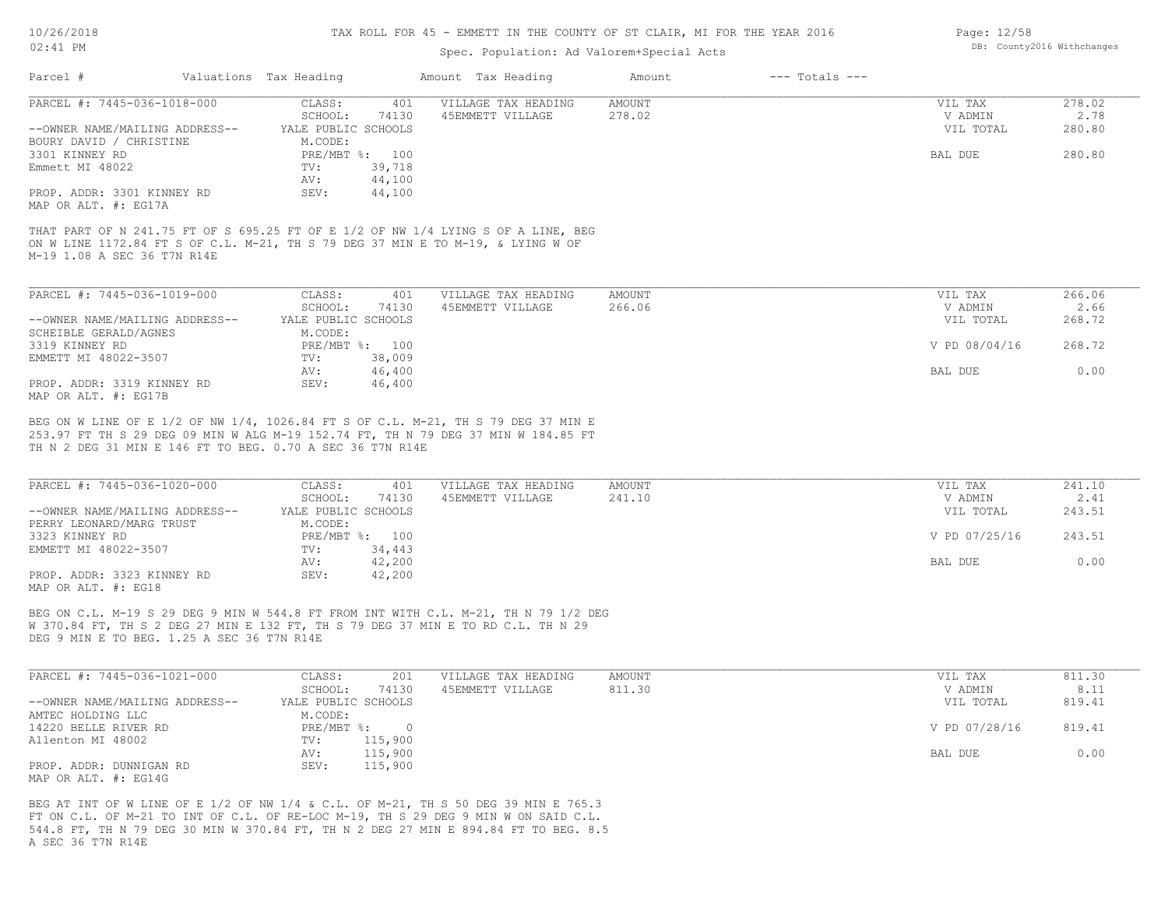#### TAX ROLL FOR 45 - EMMETT IN THE COUNTY OF ST CLAIR, MI FOR THE YEAR 2016

### Spec. Population: Ad Valorem+Special Acts

| Parcel #                                                                                                                                                | Valuations Tax Heading |                | Amount Tax Heading                                                              | Amount        | $---$ Totals $---$ |               |        |
|---------------------------------------------------------------------------------------------------------------------------------------------------------|------------------------|----------------|---------------------------------------------------------------------------------|---------------|--------------------|---------------|--------|
| PARCEL #: 7445-036-1018-000                                                                                                                             | CLASS:                 | 401            | VILLAGE TAX HEADING                                                             | <b>AMOUNT</b> |                    | VIL TAX       | 278.02 |
|                                                                                                                                                         | SCHOOL:                | 74130          | 45EMMETT VILLAGE                                                                | 278.02        |                    | V ADMIN       | 2.78   |
| --OWNER NAME/MAILING ADDRESS--                                                                                                                          | YALE PUBLIC SCHOOLS    |                |                                                                                 |               |                    | VIL TOTAL     | 280.80 |
| BOURY DAVID / CHRISTINE                                                                                                                                 | M.CODE:                |                |                                                                                 |               |                    |               |        |
| 3301 KINNEY RD                                                                                                                                          |                        | PRE/MBT %: 100 |                                                                                 |               |                    | BAL DUE       | 280.80 |
| Emmett MI 48022                                                                                                                                         | TV:                    | 39,718         |                                                                                 |               |                    |               |        |
|                                                                                                                                                         | AV:                    | 44,100         |                                                                                 |               |                    |               |        |
| PROP. ADDR: 3301 KINNEY RD                                                                                                                              | SEV:                   | 44,100         |                                                                                 |               |                    |               |        |
| MAP OR ALT. #: EG17A                                                                                                                                    |                        |                |                                                                                 |               |                    |               |        |
|                                                                                                                                                         |                        |                | ON W LINE 1172.84 FT S OF C.L. M-21, TH S 79 DEG 37 MIN E TO M-19, & LYING W OF |               |                    |               |        |
|                                                                                                                                                         |                        |                |                                                                                 |               |                    |               |        |
| PARCEL #: 7445-036-1019-000                                                                                                                             | CLASS:                 | 401            | VILLAGE TAX HEADING                                                             | AMOUNT        |                    | VIL TAX       | 266.06 |
| M-19 1.08 A SEC 36 T7N R14E                                                                                                                             | SCHOOL:                | 74130          | 45EMMETT VILLAGE                                                                | 266.06        |                    | V ADMIN       | 2.66   |
|                                                                                                                                                         | YALE PUBLIC SCHOOLS    |                |                                                                                 |               |                    | VIL TOTAL     | 268.72 |
|                                                                                                                                                         | M.CODE:                |                |                                                                                 |               |                    |               |        |
|                                                                                                                                                         |                        | PRE/MBT %: 100 |                                                                                 |               |                    | V PD 08/04/16 | 268.72 |
|                                                                                                                                                         | TV:                    | 38,009         |                                                                                 |               |                    |               |        |
|                                                                                                                                                         | AV:                    | 46,400         |                                                                                 |               |                    | BAL DUE       | 0.00   |
|                                                                                                                                                         | SEV:                   | 46,400         |                                                                                 |               |                    |               |        |
| --OWNER NAME/MAILING ADDRESS--<br>SCHEIBLE GERALD/AGNES<br>3319 KINNEY RD<br>EMMETT MI 48022-3507<br>PROP. ADDR: 3319 KINNEY RD<br>MAP OR ALT. #: EG17B |                        |                |                                                                                 |               |                    |               |        |

| PARCEL #: 7445-036-1020-000    | CLASS:              | 401            | VILLAGE TAX HEADING | AMOUNT | VIL TAX       | 241.10 |
|--------------------------------|---------------------|----------------|---------------------|--------|---------------|--------|
|                                | SCHOOL:             | 74130          | 45EMMETT VILLAGE    | 241.10 | V ADMIN       | 2.41   |
| --OWNER NAME/MAILING ADDRESS-- | YALE PUBLIC SCHOOLS |                |                     |        | VIL TOTAL     | 243.51 |
| PERRY LEONARD/MARG TRUST       | M.CODE:             |                |                     |        |               |        |
| 3323 KINNEY RD                 |                     | PRE/MBT %: 100 |                     |        | V PD 07/25/16 | 243.51 |
| EMMETT MI 48022-3507           | TV:                 | 34,443         |                     |        |               |        |
|                                | AV:                 | 42,200         |                     |        | BAL DUE       | 0.00   |
| PROP. ADDR: 3323 KINNEY RD     | SEV:                | 42,200         |                     |        |               |        |
| MAP OR ALT. #: EG18            |                     |                |                     |        |               |        |

DEG 9 MIN E TO BEG. 1.25 A SEC 36 T7N R14E W 370.84 FT, TH S 2 DEG 27 MIN E 132 FT, TH S 79 DEG 37 MIN E TO RD C.L. TH N 29 BEG ON C.L. M-19 S 29 DEG 9 MIN W 544.8 FT FROM INT WITH C.L. M-21, TH N 79 1/2 DEG

| PARCEL #: 7445-036-1021-000    | CLASS:              | 201     | VILLAGE TAX HEADING | AMOUNT | VIL TAX       | 811.30 |
|--------------------------------|---------------------|---------|---------------------|--------|---------------|--------|
|                                | SCHOOL:             | 74130   | 45EMMETT VILLAGE    | 811.30 | V ADMIN       | 8.11   |
| --OWNER NAME/MAILING ADDRESS-- | YALE PUBLIC SCHOOLS |         |                     |        | VIL TOTAL     | 819.41 |
| AMTEC HOLDING LLC              | M.CODE:             |         |                     |        |               |        |
| 14220 BELLE RIVER RD           | PRE/MBT %:          |         |                     |        | V PD 07/28/16 | 819.41 |
| Allenton MI 48002              | TV:                 | 115,900 |                     |        |               |        |
|                                | AV:                 | 115,900 |                     |        | BAL DUE       | 0.00   |
| PROP. ADDR: DUNNIGAN RD        | SEV:                | 115,900 |                     |        |               |        |
| MAP OR ALT. #: EG14G           |                     |         |                     |        |               |        |

A SEC 36 T7N R14E 544.8 FT, TH N 79 DEG 30 MIN W 370.84 FT, TH N 2 DEG 27 MIN E 894.84 FT TO BEG. 8.5 FT ON C.L. OF M-21 TO INT OF C.L. OF RE-LOC M-19, TH S 29 DEG 9 MIN W ON SAID C.L. BEG AT INT OF W LINE OF E 1/2 OF NW 1/4 & C.L. OF M-21, TH S 50 DEG 39 MIN E 765.3

Page: 12/58 DB: County2016 Withchanges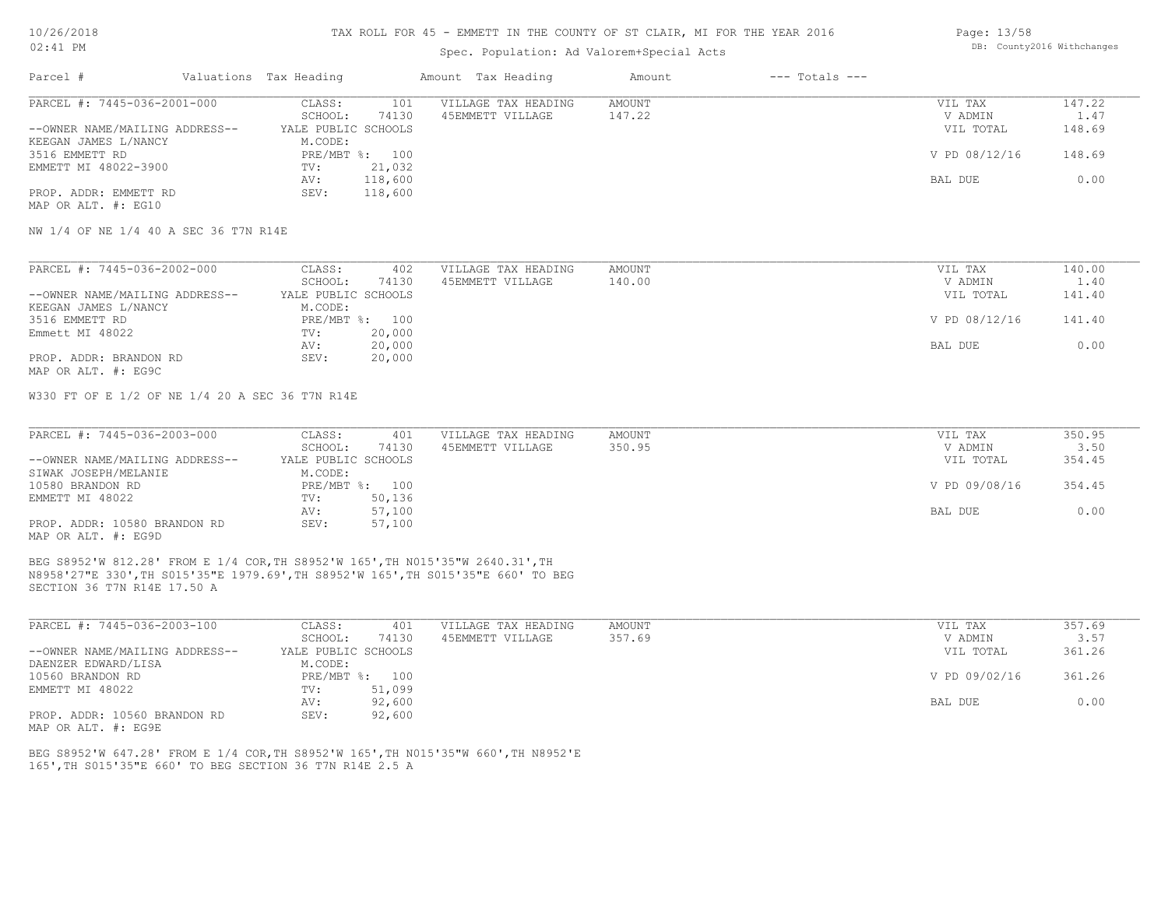#### TAX ROLL FOR 45 - EMMETT IN THE COUNTY OF ST CLAIR, MI FOR THE YEAR 2016

## Spec. Population: Ad Valorem+Special Acts

| Parcel #                       | Valuations Tax Heading |                | Amount Tax Heading  | Amount | $---$ Totals $---$ |               |        |
|--------------------------------|------------------------|----------------|---------------------|--------|--------------------|---------------|--------|
| PARCEL #: 7445-036-2001-000    | CLASS:                 | 101            | VILLAGE TAX HEADING | AMOUNT |                    | VIL TAX       | 147.22 |
|                                | SCHOOL:                | 74130          | 45EMMETT VILLAGE    | 147.22 |                    | V ADMIN       | 1.47   |
| --OWNER NAME/MAILING ADDRESS-- | YALE PUBLIC SCHOOLS    |                |                     |        |                    | VIL TOTAL     | 148.69 |
| KEEGAN JAMES L/NANCY           | M.CODE:                |                |                     |        |                    |               |        |
| 3516 EMMETT RD                 |                        | PRE/MBT %: 100 |                     |        |                    | V PD 08/12/16 | 148.69 |
| EMMETT MI 48022-3900           | TV:                    | 21,032         |                     |        |                    |               |        |
|                                | AV:                    | 118,600        |                     |        |                    | BAL DUE       | 0.00   |
| PROP. ADDR: EMMETT RD          | SEV:                   | 118,600        |                     |        |                    |               |        |
|                                |                        |                |                     |        |                    |               |        |

MAP OR ALT. #: EG10

NW 1/4 OF NE 1/4 40 A SEC 36 T7N R14E

| PARCEL #: 7445-036-2002-000    | CLASS:              | 402            | VILLAGE TAX HEADING | AMOUNT | VIL TAX       | 140.00 |
|--------------------------------|---------------------|----------------|---------------------|--------|---------------|--------|
|                                | SCHOOL:             | 74130          | 45EMMETT VILLAGE    | 140.00 | V ADMIN       | 1.40   |
| --OWNER NAME/MAILING ADDRESS-- | YALE PUBLIC SCHOOLS |                |                     |        | VIL TOTAL     | 141.40 |
| KEEGAN JAMES L/NANCY           | M.CODE:             |                |                     |        |               |        |
| 3516 EMMETT RD                 |                     | PRE/MBT %: 100 |                     |        | V PD 08/12/16 | 141.40 |
| Emmett MI 48022                | TV:                 | 20,000         |                     |        |               |        |
|                                | AV:                 | 20,000         |                     |        | BAL DUE       | 0.00   |
| PROP. ADDR: BRANDON RD         | SEV:                | 20,000         |                     |        |               |        |
|                                |                     |                |                     |        |               |        |

MAP OR ALT. #: EG9C

W330 FT OF E 1/2 OF NE 1/4 20 A SEC 36 T7N R14E

| PARCEL #: 7445-036-2003-000    | CLASS:              | 401            | VILLAGE TAX HEADING | AMOUNT | VIL TAX       | 350.95 |
|--------------------------------|---------------------|----------------|---------------------|--------|---------------|--------|
|                                | SCHOOL:             | 74130          | 45EMMETT VILLAGE    | 350.95 | V ADMIN       | 3.50   |
| --OWNER NAME/MAILING ADDRESS-- | YALE PUBLIC SCHOOLS |                |                     |        | VIL TOTAL     | 354.45 |
| SIWAK JOSEPH/MELANIE           | M.CODE:             |                |                     |        |               |        |
| 10580 BRANDON RD               |                     | PRE/MBT %: 100 |                     |        | V PD 09/08/16 | 354.45 |
| EMMETT MI 48022                | TV:                 | 50,136         |                     |        |               |        |
|                                | AV:                 | 57,100         |                     |        | BAL DUE       | 0.00   |
| PROP. ADDR: 10580 BRANDON RD   | SEV:                | 57,100         |                     |        |               |        |
| MAP OR ALT. #: EG9D            |                     |                |                     |        |               |        |

SECTION 36 T7N R14E 17.50 A N8958'27"E 330',TH S015'35"E 1979.69',TH S8952'W 165',TH S015'35"E 660' TO BEG BEG S8952'W 812.28' FROM E 1/4 COR,TH S8952'W 165',TH N015'35"W 2640.31',TH

| PARCEL #: 7445-036-2003-100    | CLASS:              | 401    | VILLAGE TAX HEADING | AMOUNT | VIL TAX       | 357.69 |
|--------------------------------|---------------------|--------|---------------------|--------|---------------|--------|
|                                | SCHOOL:             | 74130  | 45EMMETT VILLAGE    | 357.69 | V ADMIN       | 3.57   |
| --OWNER NAME/MAILING ADDRESS-- | YALE PUBLIC SCHOOLS |        |                     |        | VIL TOTAL     | 361.26 |
| DAENZER EDWARD/LISA            | M.CODE:             |        |                     |        |               |        |
| 10560 BRANDON RD               | PRE/MBT %: 100      |        |                     |        | V PD 09/02/16 | 361.26 |
| EMMETT MI 48022                | TV:                 | 51,099 |                     |        |               |        |
|                                | AV:                 | 92,600 |                     |        | BAL DUE       | 0.00   |
| PROP. ADDR: 10560 BRANDON RD   | SEV:                | 92,600 |                     |        |               |        |

MAP OR ALT. #: EG9E

165',TH S015'35"E 660' TO BEG SECTION 36 T7N R14E 2.5 A BEG S8952'W 647.28' FROM E 1/4 COR,TH S8952'W 165',TH N015'35"W 660',TH N8952'E Page: 13/58 DB: County2016 Withchanges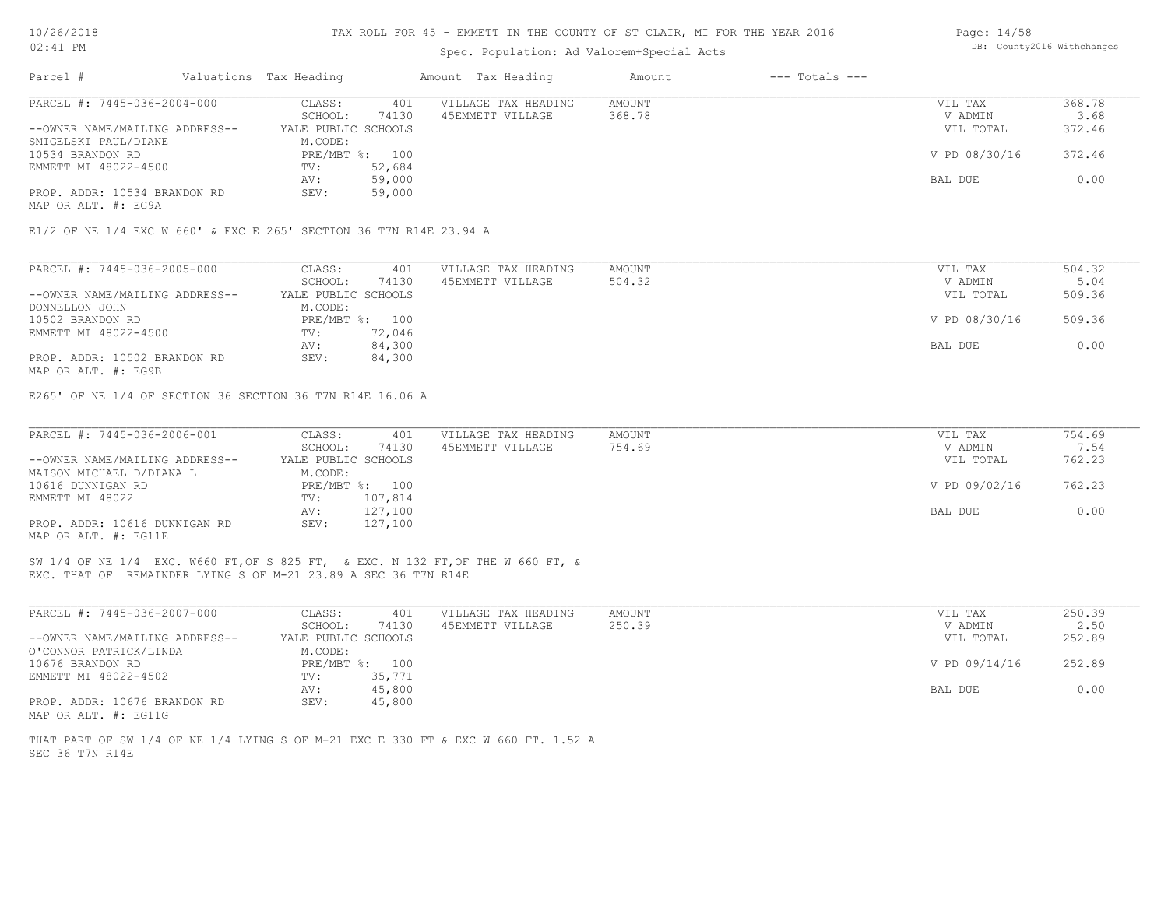#### TAX ROLL FOR 45 - EMMETT IN THE COUNTY OF ST CLAIR, MI FOR THE YEAR 2016

## Spec. Population: Ad Valorem+Special Acts

| Parcel #                       | Valuations Tax Heading |                | Amount Tax Heading  | Amount | $---$ Totals $---$ |               |        |
|--------------------------------|------------------------|----------------|---------------------|--------|--------------------|---------------|--------|
| PARCEL #: 7445-036-2004-000    | CLASS:                 | 401            | VILLAGE TAX HEADING | AMOUNT |                    | VIL TAX       | 368.78 |
|                                | SCHOOL:                | 74130          | 45EMMETT VILLAGE    | 368.78 |                    | V ADMIN       | 3.68   |
| --OWNER NAME/MAILING ADDRESS-- | YALE PUBLIC SCHOOLS    |                |                     |        |                    | VIL TOTAL     | 372.46 |
| SMIGELSKI PAUL/DIANE           | M.CODE:                |                |                     |        |                    |               |        |
| 10534 BRANDON RD               |                        | PRE/MBT %: 100 |                     |        |                    | V PD 08/30/16 | 372.46 |
| EMMETT MI 48022-4500           | TV:                    | 52,684         |                     |        |                    |               |        |
|                                | AV:                    | 59,000         |                     |        |                    | BAL DUE       | 0.00   |
| PROP. ADDR: 10534 BRANDON RD   | SEV:                   | 59,000         |                     |        |                    |               |        |
| MAP OR ALT. #: EG9A            |                        |                |                     |        |                    |               |        |

E1/2 OF NE 1/4 EXC W 660' & EXC E 265' SECTION 36 T7N R14E 23.94 A

| PARCEL #: 7445-036-2005-000    | CLASS:              | 401            | VILLAGE TAX HEADING | AMOUNT | VIL TAX       | 504.32 |
|--------------------------------|---------------------|----------------|---------------------|--------|---------------|--------|
|                                | SCHOOL:             | 74130          | 45EMMETT VILLAGE    | 504.32 | V ADMIN       | 5.04   |
| --OWNER NAME/MAILING ADDRESS-- | YALE PUBLIC SCHOOLS |                |                     |        | VIL TOTAL     | 509.36 |
| DONNELLON JOHN                 | M.CODE:             |                |                     |        |               |        |
| 10502 BRANDON RD               |                     | PRE/MBT %: 100 |                     |        | V PD 08/30/16 | 509.36 |
| EMMETT MI 48022-4500           | TV:                 | 72,046         |                     |        |               |        |
|                                | AV:                 | 84,300         |                     |        | BAL DUE       | 0.00   |
| PROP. ADDR: 10502 BRANDON RD   | SEV:                | 84,300         |                     |        |               |        |
| MAP OR ALT. #: EG9B            |                     |                |                     |        |               |        |

E265' OF NE 1/4 OF SECTION 36 SECTION 36 T7N R14E 16.06 A

| PARCEL #: 7445-036-2006-001    | CLASS:              | 401            | VILLAGE TAX HEADING | AMOUNT | VIL TAX       | 754.69 |
|--------------------------------|---------------------|----------------|---------------------|--------|---------------|--------|
|                                | SCHOOL:             | 74130          | 45EMMETT VILLAGE    | 754.69 | V ADMIN       | 7.54   |
| --OWNER NAME/MAILING ADDRESS-- | YALE PUBLIC SCHOOLS |                |                     |        | VIL TOTAL     | 762.23 |
| MAISON MICHAEL D/DIANA L       | M.CODE:             |                |                     |        |               |        |
| 10616 DUNNIGAN RD              |                     | PRE/MBT %: 100 |                     |        | V PD 09/02/16 | 762.23 |
| EMMETT MI 48022                | TV:                 | 107,814        |                     |        |               |        |
|                                | AV:                 | 127,100        |                     |        | BAL DUE       | 0.00   |
| PROP. ADDR: 10616 DUNNIGAN RD  | SEV:                | 127,100        |                     |        |               |        |
| MAP OR ALT. #: EG11E           |                     |                |                     |        |               |        |

EXC. THAT OF REMAINDER LYING S OF M-21 23.89 A SEC 36 T7N R14E SW 1/4 OF NE 1/4 EXC. W660 FT,OF S 825 FT, & EXC. N 132 FT,OF THE W 660 FT, &

| PARCEL #: 7445-036-2007-000    | CLASS:              | 401            | VILLAGE TAX HEADING | AMOUNT | VIL TAX       | 250.39 |
|--------------------------------|---------------------|----------------|---------------------|--------|---------------|--------|
|                                | SCHOOL:             | 74130          | 45EMMETT VILLAGE    | 250.39 | V ADMIN       | 2.50   |
| --OWNER NAME/MAILING ADDRESS-- | YALE PUBLIC SCHOOLS |                |                     |        | VIL TOTAL     | 252.89 |
| O'CONNOR PATRICK/LINDA         | M.CODE:             |                |                     |        |               |        |
| 10676 BRANDON RD               |                     | PRE/MBT %: 100 |                     |        | V PD 09/14/16 | 252.89 |
| EMMETT MI 48022-4502           | TV:                 | 35,771         |                     |        |               |        |
|                                | AV:                 | 45,800         |                     |        | BAL DUE       | 0.00   |
| PROP. ADDR: 10676 BRANDON RD   | SEV:                | 45,800         |                     |        |               |        |
| MAP OR ALT. #: EG11G           |                     |                |                     |        |               |        |

SEC 36 T7N R14E THAT PART OF SW 1/4 OF NE 1/4 LYING S OF M-21 EXC E 330 FT & EXC W 660 FT. 1.52 A Page: 14/58 DB: County2016 Withchanges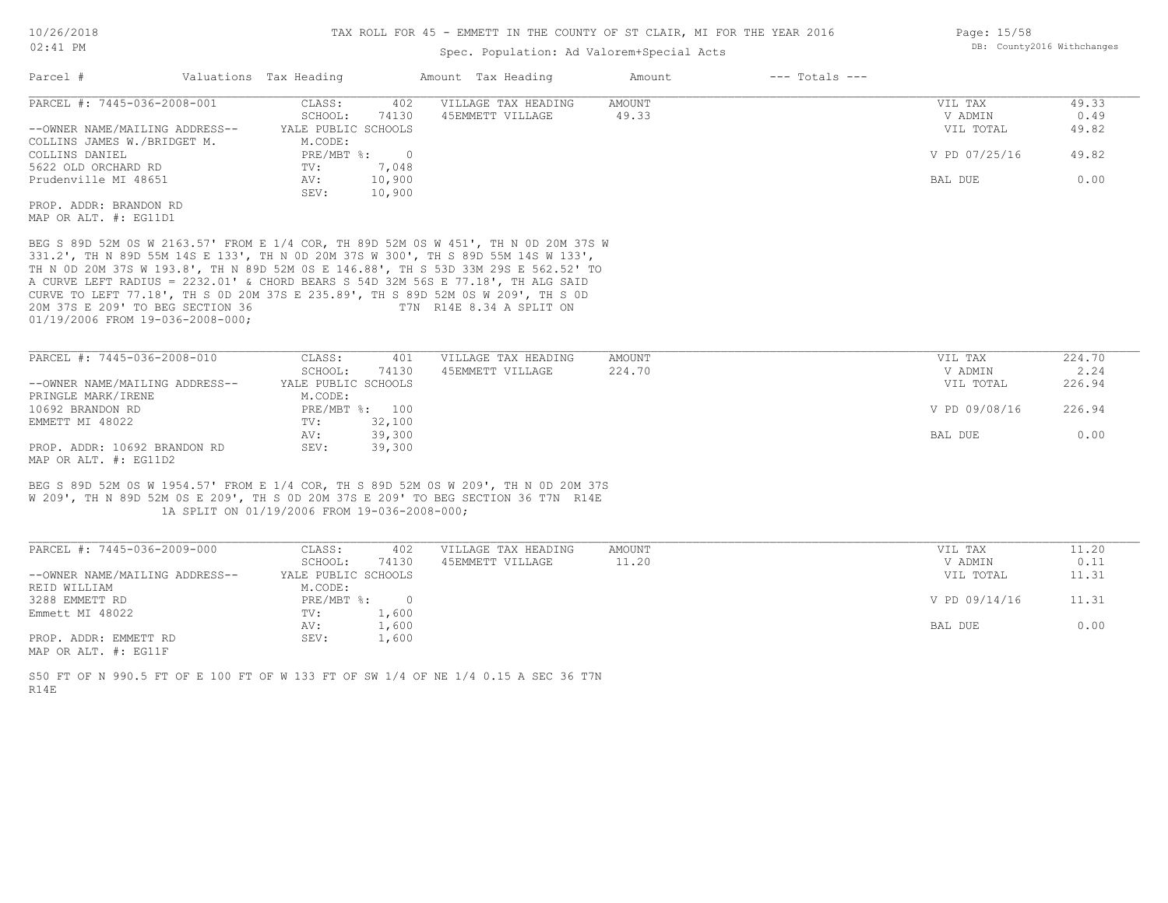#### TAX ROLL FOR 45 - EMMETT IN THE COUNTY OF ST CLAIR, MI FOR THE YEAR 2016

## Spec. Population: Ad Valorem+Special Acts

| Parcel #                       | Valuations Tax Heading |                | Amount Tax Heading                                                                  | Amount | $---$ Totals $---$ |               |       |
|--------------------------------|------------------------|----------------|-------------------------------------------------------------------------------------|--------|--------------------|---------------|-------|
| PARCEL #: 7445-036-2008-001    | CLASS:                 | 402            | VILLAGE TAX HEADING                                                                 | AMOUNT |                    | VIL TAX       | 49.33 |
|                                | SCHOOL:                | 74130          | 45EMMETT VILLAGE                                                                    | 49.33  |                    | V ADMIN       | 0.49  |
| --OWNER NAME/MAILING ADDRESS-- | YALE PUBLIC SCHOOLS    |                |                                                                                     |        |                    | VIL TOTAL     | 49.82 |
| COLLINS JAMES W./BRIDGET M.    | M.CODE:                |                |                                                                                     |        |                    |               |       |
| COLLINS DANIEL                 | PRE/MBT %:             | $\overline{0}$ |                                                                                     |        |                    | V PD 07/25/16 | 49.82 |
| 5622 OLD ORCHARD RD            | TV:                    | 7,048          |                                                                                     |        |                    |               |       |
| Prudenville MI 48651           | AV:                    | 10,900         |                                                                                     |        |                    | BAL DUE       | 0.00  |
|                                | SEV:                   | 10,900         |                                                                                     |        |                    |               |       |
| PROP. ADDR: BRANDON RD         |                        |                |                                                                                     |        |                    |               |       |
| MAP OR ALT. #: EG11D1          |                        |                |                                                                                     |        |                    |               |       |
|                                |                        |                | BEG S 89D 52M 0S W 2163.57' FROM E 1/4 COR, TH 89D 52M 0S W 451', TH N 0D 20M 37S W |        |                    |               |       |
|                                |                        |                | 331.2', TH N 89D 55M 14S E 133', TH N 0D 20M 37S W 300', TH S 89D 55M 14S W 133',   |        |                    |               |       |
|                                |                        |                | TH N OD 20M 37S W 193.8', TH N 89D 52M OS E 146.88', TH S 53D 33M 29S E 562.52' TO  |        |                    |               |       |
|                                |                        |                | A CURVE LEFT RADIUS = 2232.01' & CHORD BEARS S 54D 32M 56S E 77.18', TH ALG SAID    |        |                    |               |       |
|                                |                        |                | CHEVE TO LEFT 77 18' TH S OD 20M 37S F 235 89' TH S 89D 52M OS M 209' TH S OD       |        |                    |               |       |

01/19/2006 FROM 19-036-2008-000; 20M 37S E 209' TO BEG SECTION 36 T7N R14E 8.34 A SPLIT ON CURVE TO LEFT 77.18', TH S 0D 20M 37S E 235.89', TH S 89D 52M 0S W 209', TH S 0D

| PARCEL #: 7445-036-2008-010    | CLASS:              | 401            | VILLAGE TAX HEADING | AMOUNT | VIL TAX       | 224.70 |
|--------------------------------|---------------------|----------------|---------------------|--------|---------------|--------|
|                                | SCHOOL:             | 74130          | 45EMMETT VILLAGE    | 224.70 | V ADMIN       | 2.24   |
| --OWNER NAME/MAILING ADDRESS-- | YALE PUBLIC SCHOOLS |                |                     |        | VIL TOTAL     | 226.94 |
| PRINGLE MARK/IRENE             | M.CODE:             |                |                     |        |               |        |
| 10692 BRANDON RD               |                     | PRE/MBT %: 100 |                     |        | V PD 09/08/16 | 226.94 |
| EMMETT MI 48022                | TV:                 | 32,100         |                     |        |               |        |
|                                | AV:                 | 39,300         |                     |        | BAL DUE       | 0.00   |
| PROP. ADDR: 10692 BRANDON RD   | SEV:                | 39,300         |                     |        |               |        |
| MAP OR ALT. #: EG11D2          |                     |                |                     |        |               |        |

 1A SPLIT ON 01/19/2006 FROM 19-036-2008-000; W 209', TH N 89D 52M 0S E 209', TH S 0D 20M 37S E 209' TO BEG SECTION 36 T7N R14E BEG S 89D 52M 0S W 1954.57' FROM E 1/4 COR, TH S 89D 52M 0S W 209', TH N 0D 20M 37S

| PARCEL #: 7445-036-2009-000    | CLASS:              | 402   | VILLAGE TAX HEADING | AMOUNT | VIL TAX       | 11.20 |
|--------------------------------|---------------------|-------|---------------------|--------|---------------|-------|
|                                | SCHOOL:             | 74130 | 45EMMETT VILLAGE    | 11.20  | V ADMIN       | 0.11  |
| --OWNER NAME/MAILING ADDRESS-- | YALE PUBLIC SCHOOLS |       |                     |        | VIL TOTAL     | 11.31 |
| REID WILLIAM                   | M.CODE:             |       |                     |        |               |       |
| 3288 EMMETT RD                 | PRE/MBT %:          | - 0   |                     |        | V PD 09/14/16 | 11.31 |
| Emmett MI 48022                | TV:                 | 1,600 |                     |        |               |       |
|                                | AV:                 | 1,600 |                     |        | BAL DUE       | 0.00  |
| PROP. ADDR: EMMETT RD          | SEV:                | 1,600 |                     |        |               |       |
|                                |                     |       |                     |        |               |       |

MAP OR ALT. #: EG11F

R14E S50 FT OF N 990.5 FT OF E 100 FT OF W 133 FT OF SW 1/4 OF NE 1/4 0.15 A SEC 36 T7N Page: 15/58 DB: County2016 Withchanges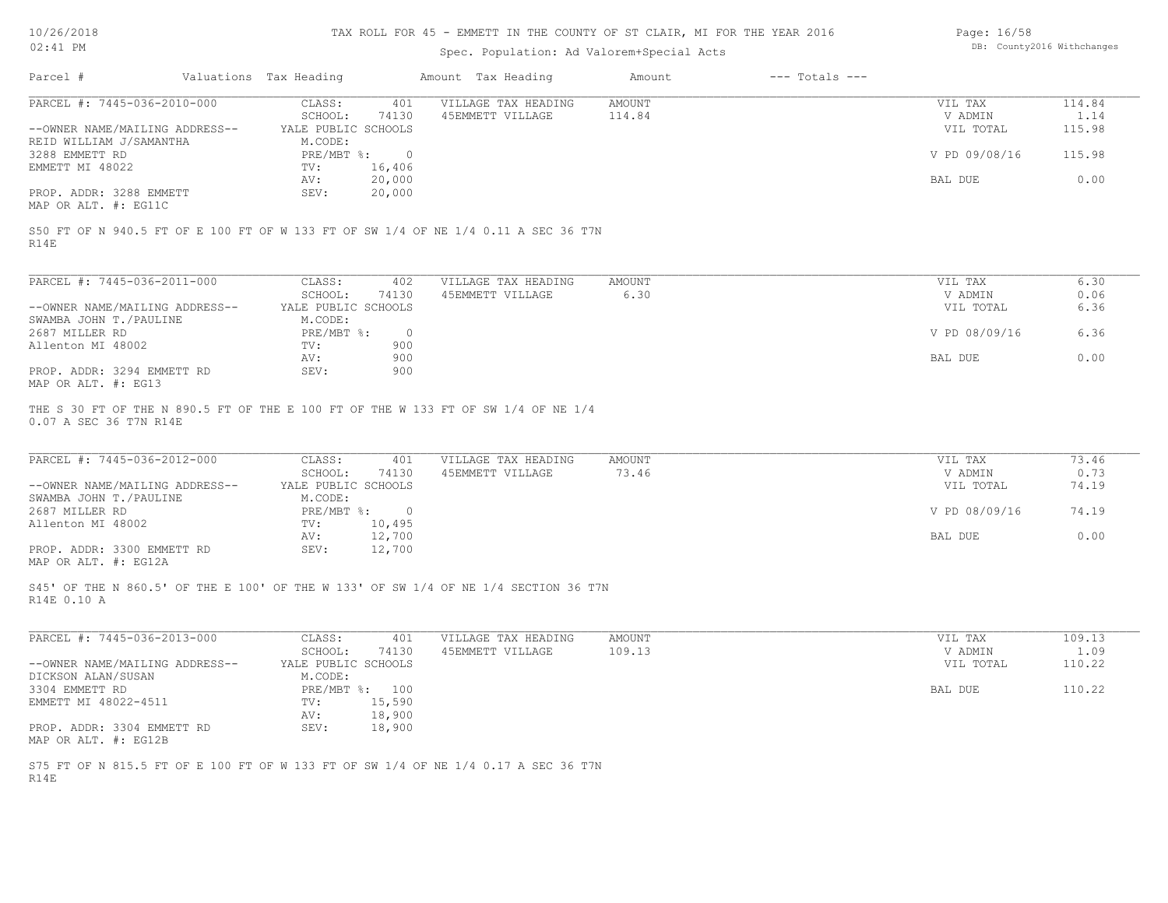#### TAX ROLL FOR 45 - EMMETT IN THE COUNTY OF ST CLAIR, MI FOR THE YEAR 2016

## Spec. Population: Ad Valorem+Special Acts

| Page: 16/58 |                            |
|-------------|----------------------------|
|             | DB: County2016 Withchanges |

| Parcel #                       | Valuations Tax Heading |        | Amount Tax Heading                                                                 | Amount | $---$ Totals $---$ |               |        |
|--------------------------------|------------------------|--------|------------------------------------------------------------------------------------|--------|--------------------|---------------|--------|
| PARCEL #: 7445-036-2010-000    | CLASS:                 | 401    | VILLAGE TAX HEADING                                                                | AMOUNT |                    | VIL TAX       | 114.84 |
|                                | SCHOOL:                | 74130  | 45EMMETT VILLAGE                                                                   | 114.84 |                    | V ADMIN       | 1.14   |
| --OWNER NAME/MAILING ADDRESS-- | YALE PUBLIC SCHOOLS    |        |                                                                                    |        |                    | VIL TOTAL     | 115.98 |
| REID WILLIAM J/SAMANTHA        | M.CODE:                |        |                                                                                    |        |                    |               |        |
| 3288 EMMETT RD                 | PRE/MBT %:             |        |                                                                                    |        |                    | V PD 09/08/16 | 115.98 |
| EMMETT MI 48022                | TV:                    | 16,406 |                                                                                    |        |                    |               |        |
|                                | AV:                    | 20,000 |                                                                                    |        |                    | BAL DUE       | 0.00   |
| PROP. ADDR: 3288 EMMETT        | SEV:                   | 20,000 |                                                                                    |        |                    |               |        |
| MAP OR ALT. #: EG11C           |                        |        |                                                                                    |        |                    |               |        |
|                                |                        |        |                                                                                    |        |                    |               |        |
|                                |                        |        | S50 FT OF N 940.5 FT OF E 100 FT OF W 133 FT OF SW 1/4 OF NE 1/4 0.11 A SEC 36 T7N |        |                    |               |        |

R14E

| PARCEL #: 7445-036-2011-000    | CLASS:              | 402      | VILLAGE TAX HEADING | AMOUNT | VIL TAX       | 6.30 |
|--------------------------------|---------------------|----------|---------------------|--------|---------------|------|
|                                | SCHOOL:             | 74130    | 45EMMETT VILLAGE    | 6.30   | V ADMIN       | 0.06 |
| --OWNER NAME/MAILING ADDRESS-- | YALE PUBLIC SCHOOLS |          |                     |        | VIL TOTAL     | 6.36 |
| SWAMBA JOHN T./PAULINE         | M.CODE:             |          |                     |        |               |      |
| 2687 MILLER RD                 | PRE/MBT %:          | $\Omega$ |                     |        | V PD 08/09/16 | 6.36 |
| Allenton MI 48002              | TV:                 | 900      |                     |        |               |      |
|                                | AV:                 | 900      |                     |        | BAL DUE       | 0.00 |
| PROP. ADDR: 3294 EMMETT RD     | SEV:                | 900      |                     |        |               |      |
| MAP OR ALT. #: EG13            |                     |          |                     |        |               |      |

0.07 A SEC 36 T7N R14E THE S 30 FT OF THE N 890.5 FT OF THE E 100 FT OF THE W 133 FT OF SW 1/4 OF NE 1/4

| PARCEL #: 7445-036-2012-000    | CLASS:              | 401    | VILLAGE TAX HEADING | AMOUNT | VIL TAX       | 73.46 |
|--------------------------------|---------------------|--------|---------------------|--------|---------------|-------|
|                                | SCHOOL:             | 74130  | 45EMMETT VILLAGE    | 73.46  | V ADMIN       | 0.73  |
| --OWNER NAME/MAILING ADDRESS-- | YALE PUBLIC SCHOOLS |        |                     |        | VIL TOTAL     | 74.19 |
| SWAMBA JOHN T./PAULINE         | M.CODE:             |        |                     |        |               |       |
| 2687 MILLER RD                 | $PRE/MBT$ %:        |        |                     |        | V PD 08/09/16 | 74.19 |
| Allenton MI 48002              | TV:                 | 10,495 |                     |        |               |       |
|                                | AV:                 | 12,700 |                     |        | BAL DUE       | 0.00  |
| PROP. ADDR: 3300 EMMETT RD     | SEV:                | 12,700 |                     |        |               |       |
| MAP OR ALT. #: EG12A           |                     |        |                     |        |               |       |

R14E 0.10 A S45' OF THE N 860.5' OF THE E 100' OF THE W 133' OF SW 1/4 OF NE 1/4 SECTION 36 T7N

| PARCEL #: 7445-036-2013-000                                                        | CLASS:              | 401    | VILLAGE TAX HEADING | AMOUNT | VIL TAX   | 109.13 |
|------------------------------------------------------------------------------------|---------------------|--------|---------------------|--------|-----------|--------|
|                                                                                    | SCHOOL:             | 74130  | 45EMMETT VILLAGE    | 109.13 | V ADMIN   | 1.09   |
| --OWNER NAME/MAILING ADDRESS--                                                     | YALE PUBLIC SCHOOLS |        |                     |        | VIL TOTAL | 110.22 |
| DICKSON ALAN/SUSAN                                                                 | M.CODE:             |        |                     |        |           |        |
| 3304 EMMETT RD                                                                     | PRE/MBT %:          | 100    |                     |        | BAL DUE   | 110.22 |
| EMMETT MI 48022-4511                                                               | TV:                 | 15,590 |                     |        |           |        |
|                                                                                    | AV:                 | 18,900 |                     |        |           |        |
| PROP. ADDR: 3304 EMMETT RD                                                         | SEV:                | 18,900 |                     |        |           |        |
| MAP OR ALT. #: EG12B                                                               |                     |        |                     |        |           |        |
|                                                                                    |                     |        |                     |        |           |        |
| S75 FT OF N 815.5 FT OF E 100 FT OF W 133 FT OF SW 1/4 OF NE 1/4 0.17 A SEC 36 T7N |                     |        |                     |        |           |        |

 $\mathcal{L}_\mathcal{L} = \mathcal{L}_\mathcal{L} = \mathcal{L}_\mathcal{L} = \mathcal{L}_\mathcal{L} = \mathcal{L}_\mathcal{L} = \mathcal{L}_\mathcal{L} = \mathcal{L}_\mathcal{L} = \mathcal{L}_\mathcal{L} = \mathcal{L}_\mathcal{L} = \mathcal{L}_\mathcal{L} = \mathcal{L}_\mathcal{L} = \mathcal{L}_\mathcal{L} = \mathcal{L}_\mathcal{L} = \mathcal{L}_\mathcal{L} = \mathcal{L}_\mathcal{L} = \mathcal{L}_\mathcal{L} = \mathcal{L}_\mathcal{L}$ 

R14E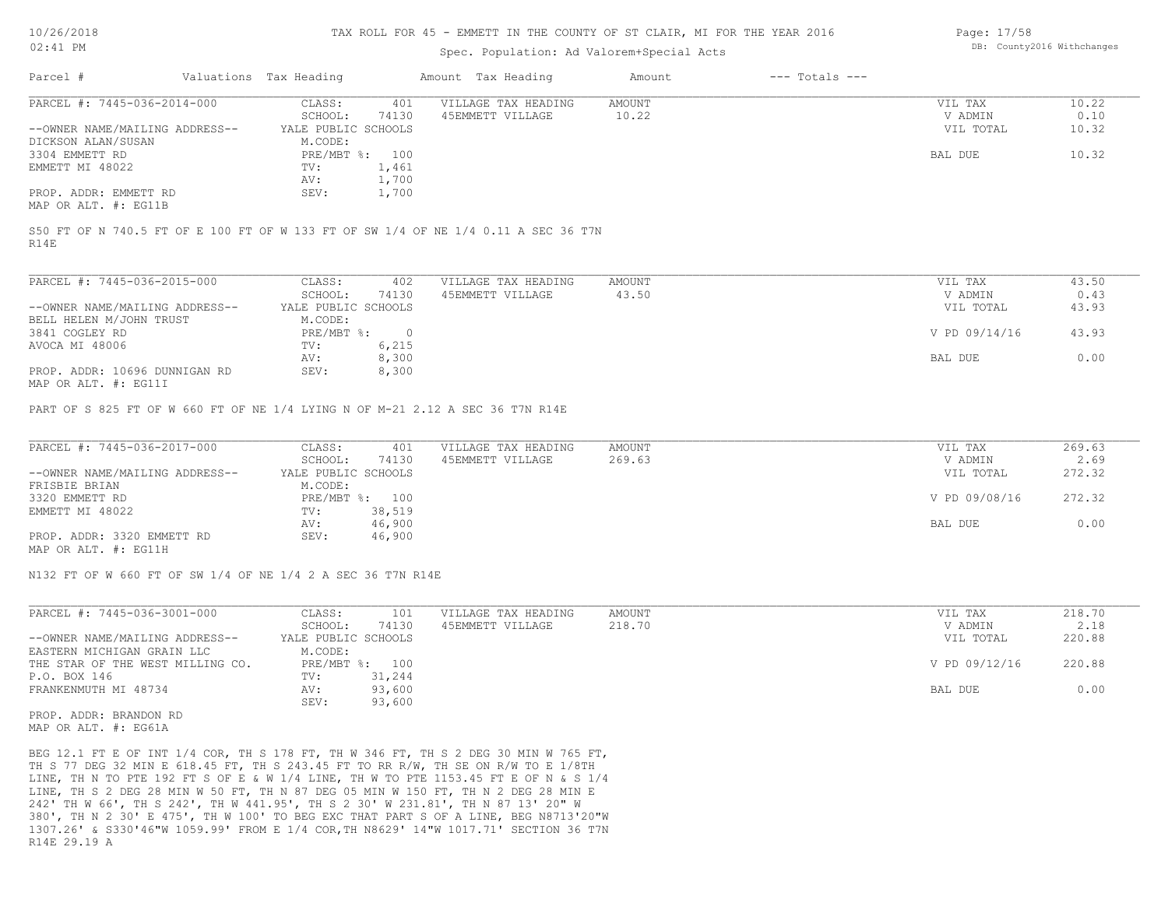#### TAX ROLL FOR 45 - EMMETT IN THE COUNTY OF ST CLAIR, MI FOR THE YEAR 2016

### Spec. Population: Ad Valorem+Special Acts

| Page: 17/58 |                            |
|-------------|----------------------------|
|             | DB: County2016 Withchanges |

| Parcel #                       | Valuations Tax Heading |       | Amount Tax Heading  | Amount | $---$ Totals $---$ |           |       |
|--------------------------------|------------------------|-------|---------------------|--------|--------------------|-----------|-------|
| PARCEL #: 7445-036-2014-000    | CLASS:                 | 401   | VILLAGE TAX HEADING | AMOUNT |                    | VIL TAX   | 10.22 |
|                                | SCHOOL:                | 74130 | 45EMMETT VILLAGE    | 10.22  |                    | V ADMIN   | 0.10  |
| --OWNER NAME/MAILING ADDRESS-- | YALE PUBLIC SCHOOLS    |       |                     |        |                    | VIL TOTAL | 10.32 |
| DICKSON ALAN/SUSAN             | M.CODE:                |       |                     |        |                    |           |       |
| 3304 EMMETT RD                 | PRE/MBT %: 100         |       |                     |        |                    | BAL DUE   | 10.32 |
| EMMETT MI 48022                | TV:                    | 1,461 |                     |        |                    |           |       |
|                                | AV:                    | 1,700 |                     |        |                    |           |       |
| PROP. ADDR: EMMETT RD          | SEV:                   | 1,700 |                     |        |                    |           |       |
| MAP OR ALT. #: EG11B           |                        |       |                     |        |                    |           |       |

R14E S50 FT OF N 740.5 FT OF E 100 FT OF W 133 FT OF SW 1/4 OF NE 1/4 0.11 A SEC 36 T7N

| PARCEL #: 7445-036-2015-000                           | CLASS:                    | 402    | VILLAGE TAX HEADING | AMOUNT | VIL TAX       | 43.50 |
|-------------------------------------------------------|---------------------------|--------|---------------------|--------|---------------|-------|
|                                                       | SCHOOL:                   | 74130  | 45EMMETT VILLAGE    | 43.50  | V ADMIN       | 0.43  |
| --OWNER NAME/MAILING ADDRESS--                        | YALE PUBLIC SCHOOLS       |        |                     |        | VIL TOTAL     | 43.93 |
| BELL HELEN M/JOHN TRUST                               | M.CODE:                   |        |                     |        |               |       |
| 3841 COGLEY RD                                        | $PRE/MBT$ $\frac{1}{6}$ : | $\cap$ |                     |        | V PD 09/14/16 | 43.93 |
| AVOCA MI 48006                                        | TV:                       | 6,215  |                     |        |               |       |
|                                                       | AV:                       | 8,300  |                     |        | BAL DUE       | 0.00  |
| PROP. ADDR: 10696 DUNNIGAN RD<br>MAD OD ATHL 4. DO11T | SEV:                      | 8,300  |                     |        |               |       |

MAP OR ALT. #: EG11I

PART OF S 825 FT OF W 660 FT OF NE 1/4 LYING N OF M-21 2.12 A SEC 36 T7N R14E

| PARCEL #: 7445-036-2017-000    | CLASS:              | 401            | VILLAGE TAX HEADING | AMOUNT | VIL TAX       | 269.63 |
|--------------------------------|---------------------|----------------|---------------------|--------|---------------|--------|
|                                | SCHOOL:             | 74130          | 45EMMETT VILLAGE    | 269.63 | V ADMIN       | 2.69   |
| --OWNER NAME/MAILING ADDRESS-- | YALE PUBLIC SCHOOLS |                |                     |        | VIL TOTAL     | 272.32 |
| FRISBIE BRIAN                  | M.CODE:             |                |                     |        |               |        |
| 3320 EMMETT RD                 |                     | PRE/MBT %: 100 |                     |        | V PD 09/08/16 | 272.32 |
| EMMETT MI 48022                | TV:                 | 38,519         |                     |        |               |        |
|                                | AV:                 | 46,900         |                     |        | BAL DUE       | 0.00   |
| PROP. ADDR: 3320 EMMETT RD     | SEV:                | 46,900         |                     |        |               |        |
| MAP OR ALT. #: EG11H           |                     |                |                     |        |               |        |

N132 FT OF W 660 FT OF SW 1/4 OF NE 1/4 2 A SEC 36 T7N R14E

| PARCEL #: 7445-036-3001-000      | CLASS:              | 101            | VILLAGE TAX HEADING | AMOUNT | VIL TAX       | 218.70 |
|----------------------------------|---------------------|----------------|---------------------|--------|---------------|--------|
|                                  | SCHOOL:             | 74130          | 45EMMETT VILLAGE    | 218.70 | V ADMIN       | 2.18   |
| --OWNER NAME/MAILING ADDRESS--   | YALE PUBLIC SCHOOLS |                |                     |        | VIL TOTAL     | 220.88 |
| EASTERN MICHIGAN GRAIN LLC       | M.CODE:             |                |                     |        |               |        |
| THE STAR OF THE WEST MILLING CO. |                     | PRE/MBT %: 100 |                     |        | V PD 09/12/16 | 220.88 |
| P.O. BOX 146                     | TV:                 | 31,244         |                     |        |               |        |
| FRANKENMUTH MI 48734             | AV:                 | 93,600         |                     |        | BAL DUE       | 0.00   |
|                                  | SEV:                | 93,600         |                     |        |               |        |

MAP OR ALT. #: EG61A PROP. ADDR: BRANDON RD

R14E 29.19 A 1307.26' & S330'46"W 1059.99' FROM E 1/4 COR,TH N8629' 14"W 1017.71' SECTION 36 T7N 380', TH N 2 30' E 475', TH W 100' TO BEG EXC THAT PART S OF A LINE, BEG N8713'20"W 242' TH W 66', TH S 242', TH W 441.95', TH S 2 30' W 231.81', TH N 87 13' 20" W LINE, TH S 2 DEG 28 MIN W 50 FT, TH N 87 DEG 05 MIN W 150 FT, TH N 2 DEG 28 MIN E LINE, TH N TO PTE 192 FT S OF E & W 1/4 LINE, TH W TO PTE 1153.45 FT E OF N & S 1/4 TH S 77 DEG 32 MIN E 618.45 FT, TH S 243.45 FT TO RR R/W, TH SE ON R/W TO E 1/8TH BEG 12.1 FT E OF INT 1/4 COR, TH S 178 FT, TH W 346 FT, TH S 2 DEG 30 MIN W 765 FT,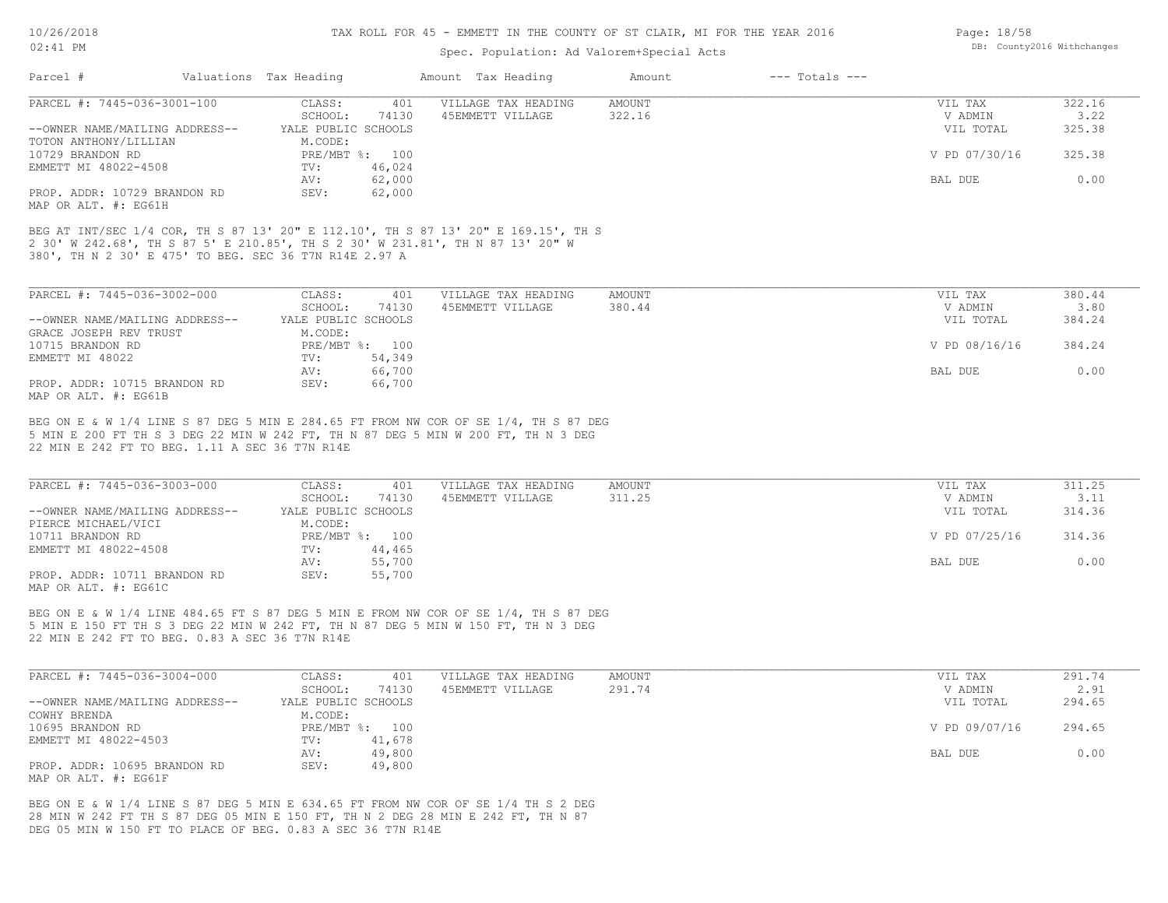## TAX ROLL FOR 45 - EMMETT IN THE COUNTY OF ST CLAIR, MI FOR THE YEAR 2016

Page: 18/58

DB: County2016 Withchanges

## Spec. Population: Ad Valorem+Special Acts

| Parcel #                                                                                                                                                             | Valuations Tax Heading         |                  | Amount Tax Heading  | Amount        | $---$ Totals $---$ |                      |                |
|----------------------------------------------------------------------------------------------------------------------------------------------------------------------|--------------------------------|------------------|---------------------|---------------|--------------------|----------------------|----------------|
| PARCEL #: 7445-036-3001-100                                                                                                                                          | CLASS:                         | 401              | VILLAGE TAX HEADING | AMOUNT        |                    | VIL TAX              | 322.16         |
|                                                                                                                                                                      | SCHOOL:                        | 74130            | 45EMMETT VILLAGE    | 322.16        |                    | V ADMIN<br>VIL TOTAL | 3.22<br>325.38 |
| --OWNER NAME/MAILING ADDRESS--<br>TOTON ANTHONY/LILLIAN                                                                                                              | YALE PUBLIC SCHOOLS<br>M.CODE: |                  |                     |               |                    |                      |                |
| 10729 BRANDON RD                                                                                                                                                     | PRE/MBT %: 100                 |                  |                     |               |                    | V PD 07/30/16        | 325.38         |
| EMMETT MI 48022-4508                                                                                                                                                 | TV:                            | 46,024           |                     |               |                    |                      |                |
|                                                                                                                                                                      | AV:                            | 62,000           |                     |               |                    | BAL DUE              | 0.00           |
| PROP. ADDR: 10729 BRANDON RD                                                                                                                                         | SEV:                           | 62,000           |                     |               |                    |                      |                |
| MAP OR ALT. #: EG61H                                                                                                                                                 |                                |                  |                     |               |                    |                      |                |
| BEG AT INT/SEC 1/4 COR, TH S 87 13' 20" E 112.10', TH S 87 13' 20" E 169.15', TH S<br>2 30' W 242.68', TH S 87 5' E 210.85', TH S 2 30' W 231.81', TH N 87 13' 20" W |                                |                  |                     |               |                    |                      |                |
| 380', TH N 2 30' E 475' TO BEG. SEC 36 T7N R14E 2.97 A                                                                                                               |                                |                  |                     |               |                    |                      |                |
|                                                                                                                                                                      |                                |                  |                     |               |                    |                      |                |
|                                                                                                                                                                      |                                |                  |                     |               |                    |                      |                |
| PARCEL #: 7445-036-3002-000                                                                                                                                          | CLASS:                         | 401              | VILLAGE TAX HEADING | <b>AMOUNT</b> |                    | VIL TAX              | 380.44         |
| --OWNER NAME/MAILING ADDRESS--                                                                                                                                       | SCHOOL:<br>YALE PUBLIC SCHOOLS | 74130            | 45EMMETT VILLAGE    | 380.44        |                    | V ADMIN<br>VIL TOTAL | 3.80<br>384.24 |
| GRACE JOSEPH REV TRUST                                                                                                                                               | M.CODE:                        |                  |                     |               |                    |                      |                |
| 10715 BRANDON RD                                                                                                                                                     | PRE/MBT %: 100                 |                  |                     |               |                    | V PD 08/16/16        | 384.24         |
| EMMETT MI 48022                                                                                                                                                      | TV:                            | 54,349           |                     |               |                    |                      |                |
|                                                                                                                                                                      | AV:                            | 66,700           |                     |               |                    | BAL DUE              | 0.00           |
| PROP. ADDR: 10715 BRANDON RD                                                                                                                                         | SEV:                           | 66,700           |                     |               |                    |                      |                |
| MAP OR ALT. #: EG61B                                                                                                                                                 |                                |                  |                     |               |                    |                      |                |
| BEG ON E & W 1/4 LINE S 87 DEG 5 MIN E 284.65 FT FROM NW COR OF SE 1/4, TH S 87 DEG                                                                                  |                                |                  |                     |               |                    |                      |                |
| 5 MIN E 200 FT TH S 3 DEG 22 MIN W 242 FT, TH N 87 DEG 5 MIN W 200 FT, TH N 3 DEG                                                                                    |                                |                  |                     |               |                    |                      |                |
| 22 MIN E 242 FT TO BEG. 1.11 A SEC 36 T7N R14E                                                                                                                       |                                |                  |                     |               |                    |                      |                |
|                                                                                                                                                                      |                                |                  |                     |               |                    |                      |                |
| PARCEL #: 7445-036-3003-000                                                                                                                                          | CLASS:                         | 401              | VILLAGE TAX HEADING | AMOUNT        |                    | VIL TAX              | 311.25         |
|                                                                                                                                                                      | SCHOOL:                        | 74130            | 45EMMETT VILLAGE    | 311.25        |                    | V ADMIN              | 3.11           |
| --OWNER NAME/MAILING ADDRESS--                                                                                                                                       | YALE PUBLIC SCHOOLS            |                  |                     |               |                    | VIL TOTAL            | 314.36         |
| PIERCE MICHAEL/VICI                                                                                                                                                  | M.CODE:                        |                  |                     |               |                    |                      |                |
| 10711 BRANDON RD                                                                                                                                                     | PRE/MBT %: 100                 |                  |                     |               |                    | V PD 07/25/16        | 314.36         |
| EMMETT MI 48022-4508                                                                                                                                                 | TV:                            | 44,465           |                     |               |                    |                      |                |
| PROP. ADDR: 10711 BRANDON RD                                                                                                                                         | AV:<br>SEV:                    | 55,700<br>55,700 |                     |               |                    | BAL DUE              | 0.00           |
| MAP OR ALT. #: EG61C                                                                                                                                                 |                                |                  |                     |               |                    |                      |                |
|                                                                                                                                                                      |                                |                  |                     |               |                    |                      |                |
| BEG ON E & W 1/4 LINE 484.65 FT S 87 DEG 5 MIN E FROM NW COR OF SE 1/4, TH S 87 DEG                                                                                  |                                |                  |                     |               |                    |                      |                |
| 5 MIN E 150 FT TH S 3 DEG 22 MIN W 242 FT, TH N 87 DEG 5 MIN W 150 FT, TH N 3 DEG                                                                                    |                                |                  |                     |               |                    |                      |                |
| 22 MIN E 242 FT TO BEG. 0.83 A SEC 36 T7N R14E                                                                                                                       |                                |                  |                     |               |                    |                      |                |
|                                                                                                                                                                      |                                |                  |                     |               |                    |                      |                |
| PARCEL #: 7445-036-3004-000                                                                                                                                          | CLASS:                         | 401              | VILLAGE TAX HEADING | AMOUNT        |                    | VIL TAX              | 291.74         |
|                                                                                                                                                                      | SCHOOL:                        | 74130            | 45EMMETT VILLAGE    | 291.74        |                    | V ADMIN              | 2.91           |
| --OWNER NAME/MAILING ADDRESS--                                                                                                                                       | YALE PUBLIC SCHOOLS            |                  |                     |               |                    | VIL TOTAL            | 294.65         |
| COWHY BRENDA                                                                                                                                                         | M.CODE:                        |                  |                     |               |                    |                      |                |
| 10695 BRANDON RD                                                                                                                                                     | PRE/MBT %: 100                 |                  |                     |               |                    | V PD 09/07/16        | 294.65         |
| EMMETT MI 48022-4503                                                                                                                                                 | TV:<br>AV:                     | 41,678<br>49,800 |                     |               |                    | BAL DUE              | 0.00           |
| PROP. ADDR: 10695 BRANDON RD                                                                                                                                         | SEV:                           | 49,800           |                     |               |                    |                      |                |
| MAP OR ALT. #: EG61F                                                                                                                                                 |                                |                  |                     |               |                    |                      |                |
|                                                                                                                                                                      |                                |                  |                     |               |                    |                      |                |
| BEG ON E & W 1/4 LINE S 87 DEG 5 MIN E 634.65 FT FROM NW COR OF SE 1/4 TH S 2 DEG                                                                                    |                                |                  |                     |               |                    |                      |                |
| 28 MIN W 242 FT TH S 87 DEG 05 MIN E 150 FT, TH N 2 DEG 28 MIN E 242 FT, TH N 87                                                                                     |                                |                  |                     |               |                    |                      |                |
| DEG 05 MIN W 150 FT TO PLACE OF BEG. 0.83 A SEC 36 T7N R14E                                                                                                          |                                |                  |                     |               |                    |                      |                |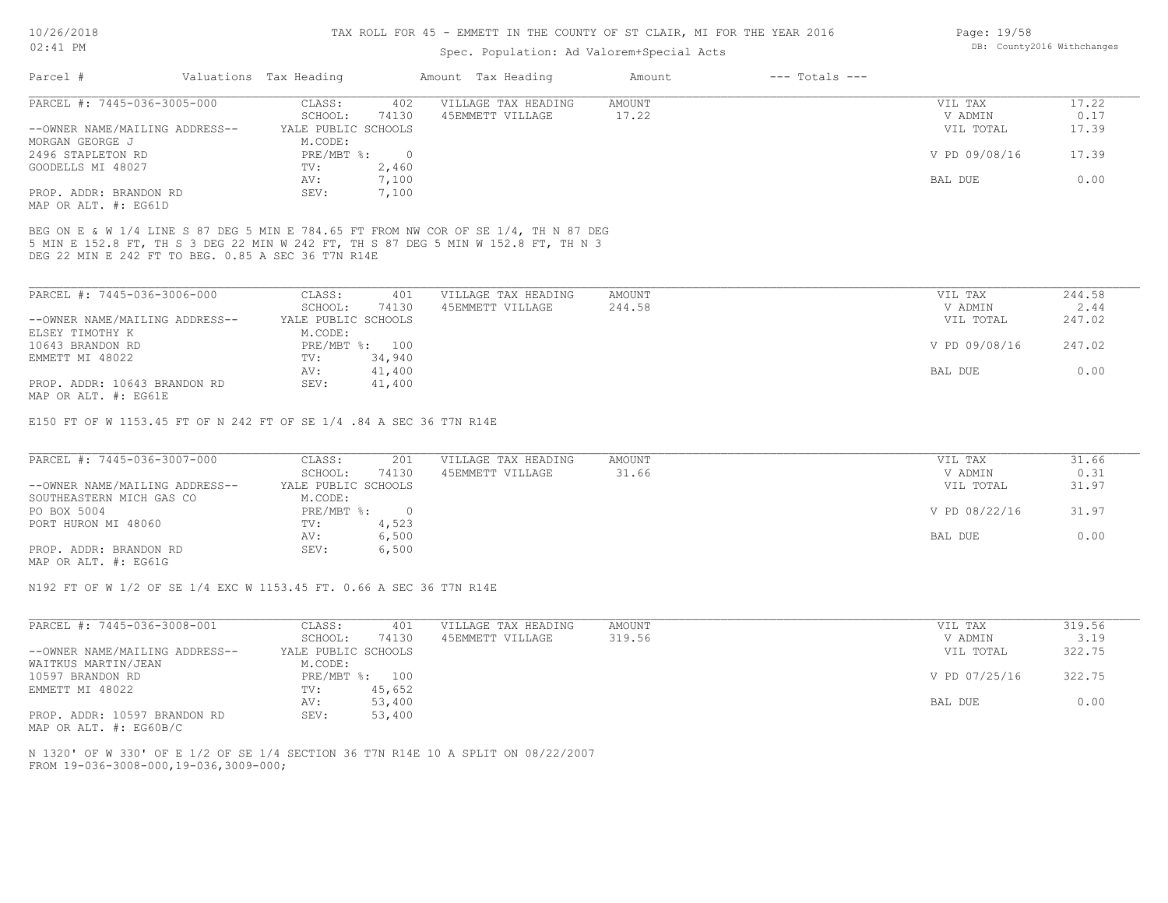#### TAX ROLL FOR 45 - EMMETT IN THE COUNTY OF ST CLAIR, MI FOR THE YEAR 2016

### Spec. Population: Ad Valorem+Special Acts

| Parcel #                       | Valuations Tax Heading |       | Amount Tax Heading  | Amount | $---$ Totals $---$ |               |       |
|--------------------------------|------------------------|-------|---------------------|--------|--------------------|---------------|-------|
| PARCEL #: 7445-036-3005-000    | CLASS:                 | 402   | VILLAGE TAX HEADING | AMOUNT |                    | VIL TAX       | 17.22 |
|                                | SCHOOL:                | 74130 | 45EMMETT VILLAGE    | 17.22  |                    | V ADMIN       | 0.17  |
| --OWNER NAME/MAILING ADDRESS-- | YALE PUBLIC SCHOOLS    |       |                     |        |                    | VIL TOTAL     | 17.39 |
| MORGAN GEORGE J                | M.CODE:                |       |                     |        |                    |               |       |
| 2496 STAPLETON RD              | $PRE/MBT$ $\div$       |       |                     |        |                    | V PD 09/08/16 | 17.39 |
| GOODELLS MI 48027              | TV:                    | 2,460 |                     |        |                    |               |       |
|                                | AV:                    | 7,100 |                     |        |                    | BAL DUE       | 0.00  |
| PROP. ADDR: BRANDON RD         | SEV:                   | 7,100 |                     |        |                    |               |       |
| MAP OR ALT. #: EG61D           |                        |       |                     |        |                    |               |       |

DEG 22 MIN E 242 FT TO BEG. 0.85 A SEC 36 T7N R14E 5 MIN E 152.8 FT, TH S 3 DEG 22 MIN W 242 FT, TH S 87 DEG 5 MIN W 152.8 FT, TH N 3 BEG ON E & W 1/4 LINE S 87 DEG 5 MIN E 784.65 FT FROM NW COR OF SE 1/4, TH N 87 DEG

| PARCEL #: 7445-036-3006-000    | CLASS:              | 401            | VILLAGE TAX HEADING | AMOUNT | VIL TAX       | 244.58 |
|--------------------------------|---------------------|----------------|---------------------|--------|---------------|--------|
|                                | SCHOOL:             | 74130          | 45EMMETT VILLAGE    | 244.58 | V ADMIN       | 2.44   |
| --OWNER NAME/MAILING ADDRESS-- | YALE PUBLIC SCHOOLS |                |                     |        | VIL TOTAL     | 247.02 |
| ELSEY TIMOTHY K                | M.CODE:             |                |                     |        |               |        |
| 10643 BRANDON RD               |                     | PRE/MBT %: 100 |                     |        | V PD 09/08/16 | 247.02 |
| EMMETT MI 48022                | TV:                 | 34,940         |                     |        |               |        |
|                                | AV:                 | 41,400         |                     |        | BAL DUE       | 0.00   |
| PROP. ADDR: 10643 BRANDON RD   | SEV:                | 41,400         |                     |        |               |        |
| MAP OR ALT. #: EG61E           |                     |                |                     |        |               |        |

E150 FT OF W 1153.45 FT OF N 242 FT OF SE 1/4 .84 A SEC 36 T7N R14E

| PARCEL #: 7445-036-3007-000    | CLASS:              | 201   | VILLAGE TAX HEADING | AMOUNT | VIL TAX       | 31.66 |
|--------------------------------|---------------------|-------|---------------------|--------|---------------|-------|
|                                | SCHOOL:             | 74130 | 45EMMETT VILLAGE    | 31.66  | V ADMIN       | 0.31  |
| --OWNER NAME/MAILING ADDRESS-- | YALE PUBLIC SCHOOLS |       |                     |        | VIL TOTAL     | 31.97 |
| SOUTHEASTERN MICH GAS CO       | M.CODE:             |       |                     |        |               |       |
| PO BOX 5004                    | PRE/MBT %:          |       |                     |        | V PD 08/22/16 | 31.97 |
| PORT HURON MI 48060            | TV:                 | 4,523 |                     |        |               |       |
|                                | AV:                 | 6,500 |                     |        | BAL DUE       | 0.00  |
| PROP. ADDR: BRANDON RD         | SEV:                | 6,500 |                     |        |               |       |
| MAP OR ALT. #: EG61G           |                     |       |                     |        |               |       |

N192 FT OF W 1/2 OF SE 1/4 EXC W 1153.45 FT. 0.66 A SEC 36 T7N R14E

| PARCEL #: 7445-036-3008-001    | CLASS:              | 401            | VILLAGE TAX HEADING | AMOUNT | VIL TAX       | 319.56 |
|--------------------------------|---------------------|----------------|---------------------|--------|---------------|--------|
|                                | SCHOOL:             | 74130          | 45EMMETT VILLAGE    | 319.56 | V ADMIN       | 3.19   |
| --OWNER NAME/MAILING ADDRESS-- | YALE PUBLIC SCHOOLS |                |                     |        | VIL TOTAL     | 322.75 |
| WAITKUS MARTIN/JEAN            | M.CODE:             |                |                     |        |               |        |
| 10597 BRANDON RD               |                     | PRE/MBT %: 100 |                     |        | V PD 07/25/16 | 322.75 |
| EMMETT MI 48022                | TV:                 | 45,652         |                     |        |               |        |
|                                | AV:                 | 53,400         |                     |        | BAL DUE       | 0.00   |
| PROP. ADDR: 10597 BRANDON RD   | SEV:                | 53,400         |                     |        |               |        |

MAP OR ALT. #: EG60B/C

FROM 19-036-3008-000,19-036,3009-000; N 1320' OF W 330' OF E 1/2 OF SE 1/4 SECTION 36 T7N R14E 10 A SPLIT ON 08/22/2007 Page: 19/58 DB: County2016 Withchanges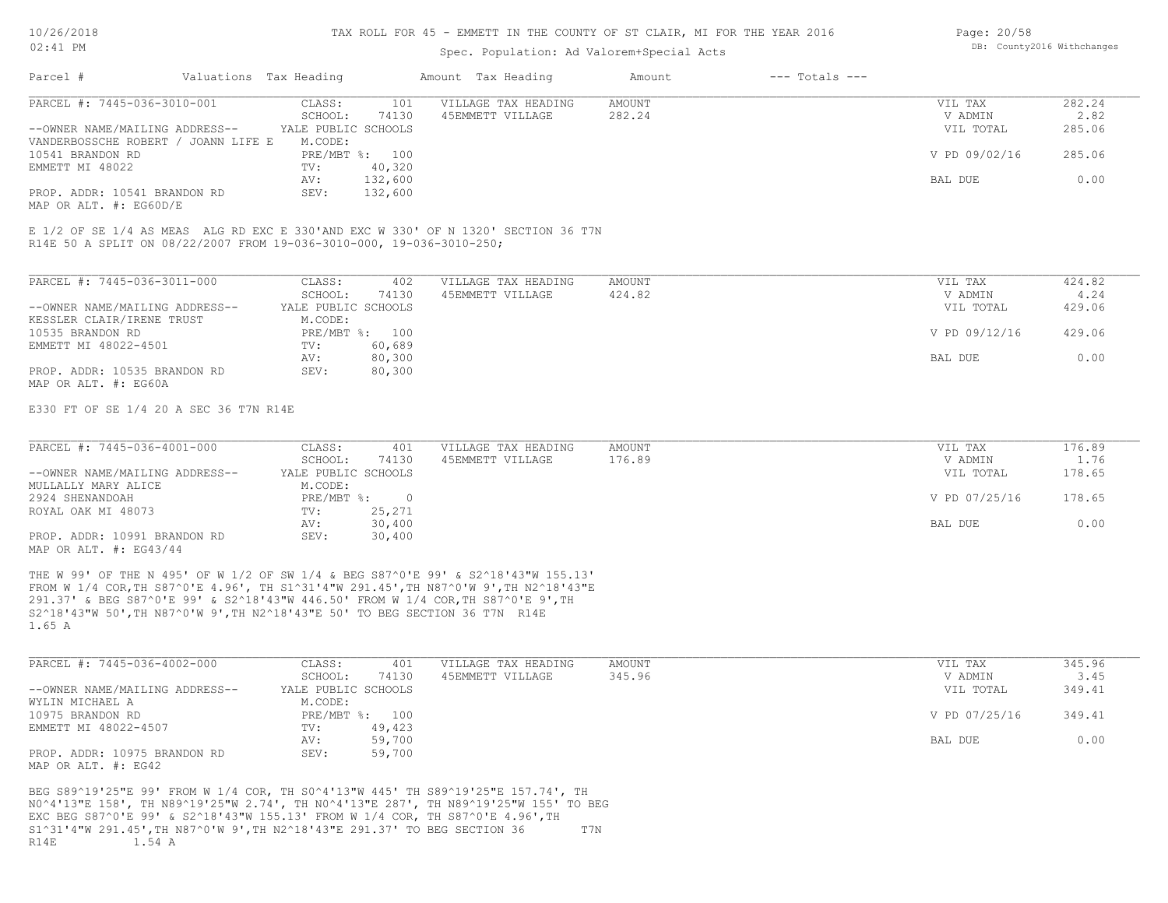#### TAX ROLL FOR 45 - EMMETT IN THE COUNTY OF ST CLAIR, MI FOR THE YEAR 2016

### Spec. Population: Ad Valorem+Special Acts

| Page: 20/58 |                            |
|-------------|----------------------------|
|             | DB: County2016 Withchanges |

| Parcel #                                                   | Valuations Tax Heading |                | Amount Tax Heading  | Amount | $---$ Totals $---$ |               |        |
|------------------------------------------------------------|------------------------|----------------|---------------------|--------|--------------------|---------------|--------|
| PARCEL #: 7445-036-3010-001                                | CLASS:                 | 101            | VILLAGE TAX HEADING | AMOUNT |                    | VIL TAX       | 282.24 |
|                                                            | SCHOOL:                | 74130          | 45EMMETT VILLAGE    | 282.24 |                    | V ADMIN       | 2.82   |
| --OWNER NAME/MAILING ADDRESS--                             | YALE PUBLIC SCHOOLS    |                |                     |        |                    | VIL TOTAL     | 285.06 |
| VANDERBOSSCHE ROBERT / JOANN LIFE E                        | M.CODE:                |                |                     |        |                    |               |        |
| 10541 BRANDON RD                                           |                        | PRE/MBT %: 100 |                     |        |                    | V PD 09/02/16 | 285.06 |
| EMMETT MI 48022                                            | TV:                    | 40,320         |                     |        |                    |               |        |
|                                                            | AV:                    | 132,600        |                     |        |                    | BAL DUE       | 0.00   |
| PROP. ADDR: 10541 BRANDON RD<br>MAP OR ALT. $\#$ : EG60D/E | SEV:                   | 132,600        |                     |        |                    |               |        |
|                                                            |                        |                |                     |        |                    |               |        |

R14E 50 A SPLIT ON 08/22/2007 FROM 19-036-3010-000, 19-036-3010-250; E 1/2 OF SE 1/4 AS MEAS ALG RD EXC E 330'AND EXC W 330' OF N 1320' SECTION 36 T7N

| PARCEL #: 7445-036-3011-000    | CLASS:              | 402    | VILLAGE TAX HEADING | AMOUNT | VIL TAX       | 424.82 |
|--------------------------------|---------------------|--------|---------------------|--------|---------------|--------|
|                                | SCHOOL:             | 74130  | 45EMMETT VILLAGE    | 424.82 | V ADMIN       | 4.24   |
| --OWNER NAME/MAILING ADDRESS-- | YALE PUBLIC SCHOOLS |        |                     |        | VIL TOTAL     | 429.06 |
| KESSLER CLAIR/IRENE TRUST      | M.CODE:             |        |                     |        |               |        |
| 10535 BRANDON RD               | PRE/MBT %:          | 100    |                     |        | V PD 09/12/16 | 429.06 |
| EMMETT MI 48022-4501           | TV:                 | 60,689 |                     |        |               |        |
|                                | AV:                 | 80,300 |                     |        | BAL DUE       | 0.00   |
| PROP. ADDR: 10535 BRANDON RD   | SEV:                | 80,300 |                     |        |               |        |
| MAP OR ALT. #: EG60A           |                     |        |                     |        |               |        |

E330 FT OF SE 1/4 20 A SEC 36 T7N R14E

| PARCEL #: 7445-036-4001-000    | CLASS:              | 401    | VILLAGE TAX HEADING | AMOUNT | VIL TAX       | 176.89 |
|--------------------------------|---------------------|--------|---------------------|--------|---------------|--------|
|                                | SCHOOL:             | 74130  | 45EMMETT VILLAGE    | 176.89 | V ADMIN       | 1.76   |
| --OWNER NAME/MAILING ADDRESS-- | YALE PUBLIC SCHOOLS |        |                     |        | VIL TOTAL     | 178.65 |
| MULLALLY MARY ALICE            | M.CODE:             |        |                     |        |               |        |
| 2924 SHENANDOAH                | PRE/MBT %:          |        |                     |        | V PD 07/25/16 | 178.65 |
| ROYAL OAK MI 48073             | TV:                 | 25,271 |                     |        |               |        |
|                                | AV:                 | 30,400 |                     |        | BAL DUE       | 0.00   |
| PROP. ADDR: 10991 BRANDON RD   | SEV:                | 30,400 |                     |        |               |        |
| MAP OR ALT. $\#$ : EG43/44     |                     |        |                     |        |               |        |

1.65 A S2^18'43"W 50',TH N87^0'W 9',TH N2^18'43"E 50' TO BEG SECTION 36 T7N R14E 291.37' & BEG S87^0'E 99' & S2^18'43"W 446.50' FROM W 1/4 COR,TH S87^0'E 9',TH FROM W 1/4 COR,TH S87^0'E 4.96', TH S1^31'4"W 291.45',TH N87^0'W 9',TH N2^18'43"E THE W 99' OF THE N 495' OF W 1/2 OF SW 1/4 & BEG S87^0'E 99' & S2^18'43"W 155.13'

| PARCEL #: 7445-036-4002-000    | CLASS:              | 401            | VILLAGE TAX HEADING | AMOUNT    | VIL TAX       | 345.96 |
|--------------------------------|---------------------|----------------|---------------------|-----------|---------------|--------|
|                                | SCHOOL:             | 74130          | 45EMMETT VILLAGE    | 345.96    | V ADMIN       | 3.45   |
| --OWNER NAME/MAILING ADDRESS-- | YALE PUBLIC SCHOOLS |                |                     | VIL TOTAL | 349.41        |        |
| WYLIN MICHAEL A                | M.CODE:             |                |                     |           |               |        |
| 10975 BRANDON RD               |                     | PRE/MBT %: 100 |                     |           | V PD 07/25/16 | 349.41 |
| EMMETT MI 48022-4507           | TV:                 | 49,423         |                     |           |               |        |
|                                | AV:                 | 59,700         |                     |           | BAL DUE       | 0.00   |
| PROP. ADDR: 10975 BRANDON RD   | SEV:                | 59,700         |                     |           |               |        |
| MAP OR ALT. #: EG42            |                     |                |                     |           |               |        |

R14E 1.54 A S1^31'4"W 291.45',TH N87^0'W 9',TH N2^18'43"E 291.37' TO BEG SECTION 36 T7N EXC BEG S87^0'E 99' & S2^18'43"W 155.13' FROM W 1/4 COR, TH S87^0'E 4.96',TH N0^4'13"E 158', TH N89^19'25"W 2.74', TH N0^4'13"E 287', TH N89^19'25"W 155' TO BEG BEG S89^19'25"E 99' FROM W 1/4 COR, TH S0^4'13"W 445' TH S89^19'25"E 157.74', TH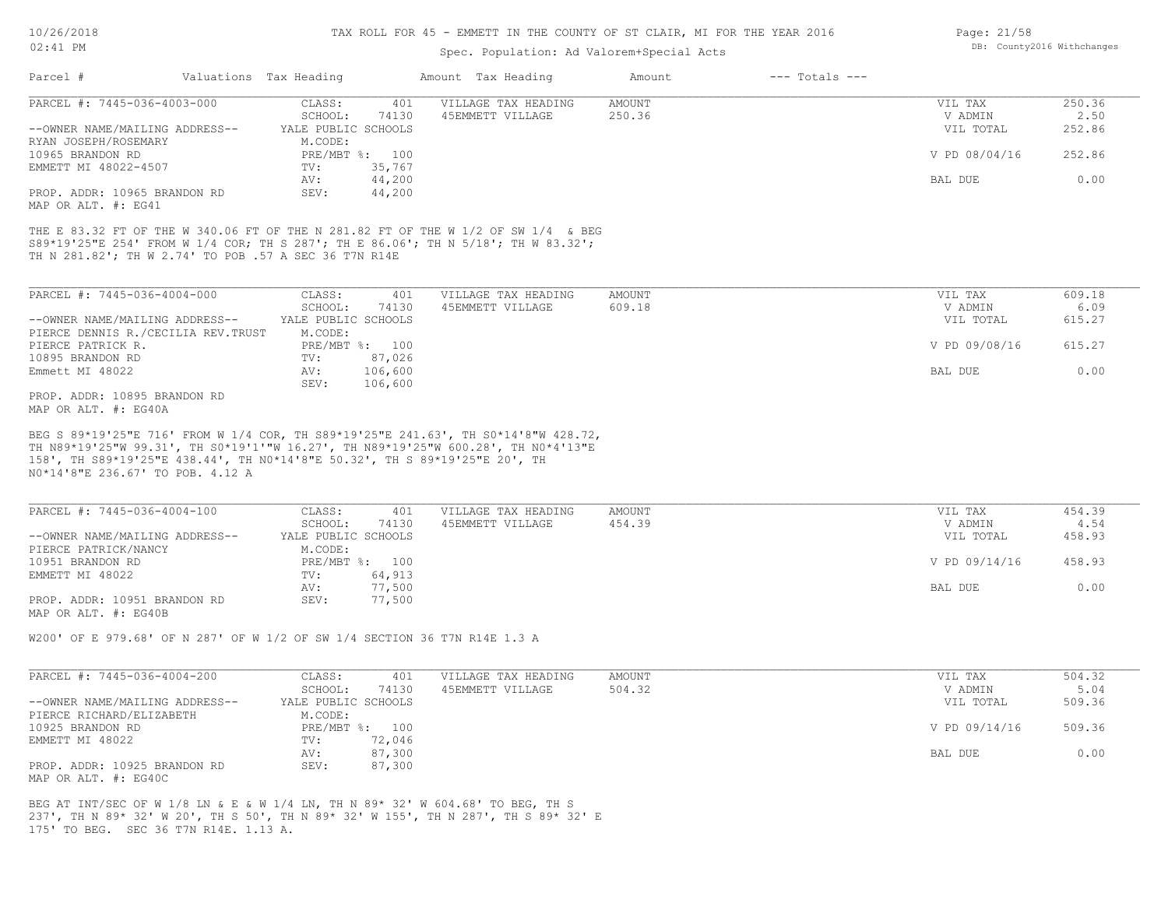10/26/2018

### 02:41 PM

### TAX ROLL FOR 45 - EMMETT IN THE COUNTY OF ST CLAIR, MI FOR THE YEAR 2016

## Spec. Population: Ad Valorem+Special Acts

| Parcel #                                                                                                                                      | Valuations Tax Heading |                                |                          | Amount Tax Heading                                                                                                                                                     | Amount | $---$ Totals $---$ |                      |                |
|-----------------------------------------------------------------------------------------------------------------------------------------------|------------------------|--------------------------------|--------------------------|------------------------------------------------------------------------------------------------------------------------------------------------------------------------|--------|--------------------|----------------------|----------------|
| PARCEL #: 7445-036-4003-000                                                                                                                   |                        | CLASS:                         | 401                      | VILLAGE TAX HEADING                                                                                                                                                    | AMOUNT |                    | VIL TAX              | 250.36         |
|                                                                                                                                               |                        | SCHOOL:                        | 74130                    | 45EMMETT VILLAGE                                                                                                                                                       | 250.36 |                    | V ADMIN              | 2.50           |
| --OWNER NAME/MAILING ADDRESS--<br>RYAN JOSEPH/ROSEMARY                                                                                        |                        | YALE PUBLIC SCHOOLS<br>M.CODE: |                          |                                                                                                                                                                        |        |                    | VIL TOTAL            | 252.86         |
| 10965 BRANDON RD<br>EMMETT MI 48022-4507                                                                                                      |                        | TV:                            | PRE/MBT %: 100<br>35,767 |                                                                                                                                                                        |        |                    | V PD 08/04/16        | 252.86         |
|                                                                                                                                               |                        | AV:                            | 44,200                   |                                                                                                                                                                        |        |                    | BAL DUE              | 0.00           |
| PROP. ADDR: 10965 BRANDON RD<br>MAP OR ALT. #: EG41                                                                                           |                        | SEV:                           | 44,200                   |                                                                                                                                                                        |        |                    |                      |                |
| TH N 281.82'; TH W 2.74' TO POB .57 A SEC 36 T7N R14E                                                                                         |                        |                                |                          | THE E 83.32 FT OF THE W 340.06 FT OF THE N 281.82 FT OF THE W 1/2 OF SW 1/4 & BEG<br>S89*19'25"E 254' FROM W 1/4 COR; TH S 287'; TH E 86.06'; TH N 5/18'; TH W 83.32'; |        |                    |                      |                |
| PARCEL #: 7445-036-4004-000                                                                                                                   |                        | CLASS:                         | 401                      | VILLAGE TAX HEADING                                                                                                                                                    | AMOUNT |                    | VIL TAX              | 609.18         |
|                                                                                                                                               |                        | SCHOOL:                        | 74130                    | 45EMMETT VILLAGE                                                                                                                                                       | 609.18 |                    | V ADMIN              | 6.09           |
| --OWNER NAME/MAILING ADDRESS--<br>PIERCE DENNIS R./CECILIA REV.TRUST                                                                          |                        | YALE PUBLIC SCHOOLS<br>M.CODE: |                          |                                                                                                                                                                        |        |                    | VIL TOTAL            | 615.27         |
| PIERCE PATRICK R.                                                                                                                             |                        |                                | PRE/MBT %: 100           |                                                                                                                                                                        |        |                    | V PD 09/08/16        | 615.27         |
| 10895 BRANDON RD                                                                                                                              |                        | $\texttt{TV}$ :                | 87,026                   |                                                                                                                                                                        |        |                    |                      |                |
| Emmett MI 48022                                                                                                                               |                        | AV:<br>SEV:                    | 106,600<br>106,600       |                                                                                                                                                                        |        |                    | BAL DUE              | 0.00           |
| PROP. ADDR: 10895 BRANDON RD<br>MAP OR ALT. #: EG40A                                                                                          |                        |                                |                          |                                                                                                                                                                        |        |                    |                      |                |
| 158', TH S89*19'25"E 438.44', TH NO*14'8"E 50.32', TH S 89*19'25"E 20', TH<br>NO*14'8"E 236.67' TO POB. 4.12 A<br>PARCEL #: 7445-036-4004-100 |                        | CLASS:                         | 401                      | VILLAGE TAX HEADING                                                                                                                                                    | AMOUNT |                    | VIL TAX              | 454.39         |
| --OWNER NAME/MAILING ADDRESS--                                                                                                                |                        | SCHOOL:<br>YALE PUBLIC SCHOOLS | 74130                    | 45EMMETT VILLAGE                                                                                                                                                       | 454.39 |                    | V ADMIN<br>VIL TOTAL | 4.54<br>458.93 |
| PIERCE PATRICK/NANCY                                                                                                                          |                        | M.CODE:                        |                          |                                                                                                                                                                        |        |                    |                      |                |
| 10951 BRANDON RD                                                                                                                              |                        |                                | PRE/MBT %: 100           |                                                                                                                                                                        |        |                    | V PD 09/14/16        | 458.93         |
| EMMETT MI 48022                                                                                                                               |                        | $\texttt{TV}$ :<br>AV:         | 64,913<br>77,500         |                                                                                                                                                                        |        |                    | BAL DUE              | 0.00           |
| PROP. ADDR: 10951 BRANDON RD                                                                                                                  |                        | SEV:                           | 77,500                   |                                                                                                                                                                        |        |                    |                      |                |
| MAP OR ALT. #: EG40B                                                                                                                          |                        |                                |                          |                                                                                                                                                                        |        |                    |                      |                |
| W200' OF E 979.68' OF N 287' OF W 1/2 OF SW 1/4 SECTION 36 T7N R14E 1.3 A                                                                     |                        |                                |                          |                                                                                                                                                                        |        |                    |                      |                |
| PARCEL #: 7445-036-4004-200                                                                                                                   |                        | CLASS:                         | 401                      | VILLAGE TAX HEADING                                                                                                                                                    | AMOUNT |                    | VIL TAX              | 504.32         |
|                                                                                                                                               |                        | SCHOOL:                        | 74130                    | 45EMMETT VILLAGE                                                                                                                                                       | 504.32 |                    | V ADMIN              | 5.04           |
| --OWNER NAME/MAILING ADDRESS--<br>PIERCE RICHARD/ELIZABETH                                                                                    |                        | YALE PUBLIC SCHOOLS<br>M.CODE: |                          |                                                                                                                                                                        |        |                    | VIL TOTAL            | 509.36         |
| 10925 BRANDON RD                                                                                                                              |                        |                                | PRE/MBT %: 100           |                                                                                                                                                                        |        |                    | V PD 09/14/16        | 509.36         |
| EMMETT MI 48022                                                                                                                               |                        | TV:                            | 72,046                   |                                                                                                                                                                        |        |                    |                      | 0.00           |
| PROP. ADDR: 10925 BRANDON RD<br>MAP OR ALT. #: EG40C                                                                                          |                        | AV:<br>SEV:                    | 87,300<br>87,300         |                                                                                                                                                                        |        |                    | BAL DUE              |                |
|                                                                                                                                               |                        |                                |                          |                                                                                                                                                                        |        |                    |                      |                |

175' TO BEG. SEC 36 T7N R14E. 1.13 A. 237', TH N 89\* 32' W 20', TH S 50', TH N 89\* 32' W 155', TH N 287', TH S 89\* 32' E BEG AT INT/SEC OF W 1/8 LN & E & W 1/4 LN, TH N 89\* 32' W 604.68' TO BEG, TH S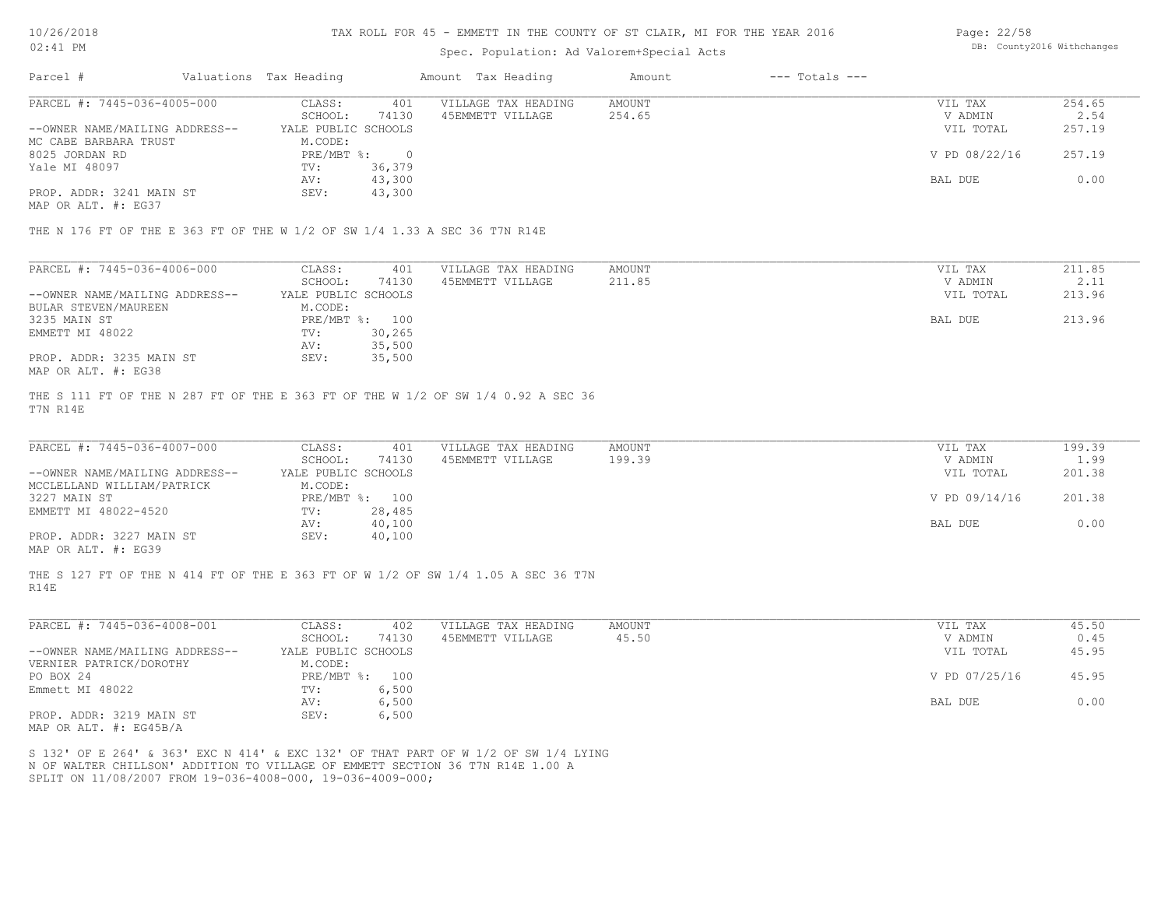#### TAX ROLL FOR 45 - EMMETT IN THE COUNTY OF ST CLAIR, MI FOR THE YEAR 2016

### Spec. Population: Ad Valorem+Special Acts

| Page: 22/58 |                            |
|-------------|----------------------------|
|             | DB: County2016 Withchanges |

| Parcel #                       | Valuations Tax Heading |        | Amount Tax Heading  | Amount | $---$ Totals $---$ |               |        |
|--------------------------------|------------------------|--------|---------------------|--------|--------------------|---------------|--------|
| PARCEL #: 7445-036-4005-000    | CLASS:                 | 401    | VILLAGE TAX HEADING | AMOUNT |                    | VIL TAX       | 254.65 |
|                                | SCHOOL:                | 74130  | 45EMMETT VILLAGE    | 254.65 |                    | V ADMIN       | 2.54   |
| --OWNER NAME/MAILING ADDRESS-- | YALE PUBLIC SCHOOLS    |        |                     |        |                    | VIL TOTAL     | 257.19 |
| MC CABE BARBARA TRUST          | M.CODE:                |        |                     |        |                    |               |        |
| 8025 JORDAN RD                 | PRE/MBT %:             |        |                     |        |                    | V PD 08/22/16 | 257.19 |
| Yale MI 48097                  | TV:                    | 36,379 |                     |        |                    |               |        |
|                                | AV:                    | 43,300 |                     |        |                    | BAL DUE       | 0.00   |
| PROP. ADDR: 3241 MAIN ST       | SEV:                   | 43,300 |                     |        |                    |               |        |
|                                |                        |        |                     |        |                    |               |        |

MAP OR ALT. #: EG37

THE N 176 FT OF THE E 363 FT OF THE W 1/2 OF SW 1/4 1.33 A SEC 36 T7N R14E

| PARCEL #: 7445-036-4006-000    | CLASS:     | 401                 | VILLAGE TAX HEADING | AMOUNT | VIL TAX   | 211.85 |
|--------------------------------|------------|---------------------|---------------------|--------|-----------|--------|
|                                | SCHOOL:    | 74130               | 45EMMETT VILLAGE    | 211.85 | V ADMIN   | 2.11   |
| --OWNER NAME/MAILING ADDRESS-- |            | YALE PUBLIC SCHOOLS |                     |        | VIL TOTAL | 213.96 |
| BULAR STEVEN/MAUREEN           | M.CODE:    |                     |                     |        |           |        |
| 3235 MAIN ST                   | PRE/MBT %: | 100                 |                     |        | BAL DUE   | 213.96 |
| EMMETT MI 48022                | TV:        | 30,265              |                     |        |           |        |
|                                | AV:        | 35,500              |                     |        |           |        |
| PROP. ADDR: 3235 MAIN ST       | SEV:       | 35,500              |                     |        |           |        |
| MAP OR ALT. #: EG38            |            |                     |                     |        |           |        |

T7N R14E THE S 111 FT OF THE N 287 FT OF THE E 363 FT OF THE W 1/2 OF SW 1/4 0.92 A SEC 36

| PARCEL #: 7445-036-4007-000                  | CLASS:              | 401            | VILLAGE TAX HEADING | AMOUNT | VIL TAX       | 199.39 |
|----------------------------------------------|---------------------|----------------|---------------------|--------|---------------|--------|
|                                              | SCHOOL:             | 74130          | 45EMMETT VILLAGE    | 199.39 | V ADMIN       | 1.99   |
| --OWNER NAME/MAILING ADDRESS--               | YALE PUBLIC SCHOOLS |                |                     |        | VIL TOTAL     | 201.38 |
| MCCLELLAND WILLIAM/PATRICK                   | M.CODE:             |                |                     |        |               |        |
| 3227 MAIN ST                                 |                     | PRE/MBT %: 100 |                     |        | V PD 09/14/16 | 201.38 |
| EMMETT MI 48022-4520                         | TV:                 | 28,485         |                     |        |               |        |
|                                              | AV:                 | 40,100         |                     |        | BAL DUE       | 0.00   |
| PROP. ADDR: 3227 MAIN ST                     | SEV:                | 40,100         |                     |        |               |        |
| $\cdots$ $\cdots$ $\cdots$ $\cdots$ $\cdots$ |                     |                |                     |        |               |        |

MAP OR ALT. #: EG39

R14E THE S 127 FT OF THE N 414 FT OF THE E 363 FT OF W 1/2 OF SW 1/4 1.05 A SEC 36 T7N

| PARCEL #: 7445-036-4008-001               | CLASS:              | 402   | VILLAGE TAX HEADING | AMOUNT | VIL TAX       | 45.50 |
|-------------------------------------------|---------------------|-------|---------------------|--------|---------------|-------|
|                                           | SCHOOL:             | 74130 | 45EMMETT VILLAGE    | 45.50  | V ADMIN       | 0.45  |
| --OWNER NAME/MAILING ADDRESS--            | YALE PUBLIC SCHOOLS |       |                     |        | VIL TOTAL     | 45.95 |
| VERNIER PATRICK/DOROTHY                   | M.CODE:             |       |                     |        |               |       |
| PO BOX 24                                 | PRE/MBT %:          | 100   |                     |        | V PD 07/25/16 | 45.95 |
| Emmett MI 48022                           | TV:                 | 6,500 |                     |        |               |       |
|                                           | AV:                 | 6,500 |                     |        | BAL DUE       | 0.00  |
| PROP. ADDR: 3219 MAIN ST<br>$\frac{1}{2}$ | SEV:                | 6,500 |                     |        |               |       |

MAP OR ALT. #: EG45B/A

SPLIT ON 11/08/2007 FROM 19-036-4008-000, 19-036-4009-000; N OF WALTER CHILLSON' ADDITION TO VILLAGE OF EMMETT SECTION 36 T7N R14E 1.00 A S 132' OF E 264' & 363' EXC N 414' & EXC 132' OF THAT PART OF W 1/2 OF SW 1/4 LYING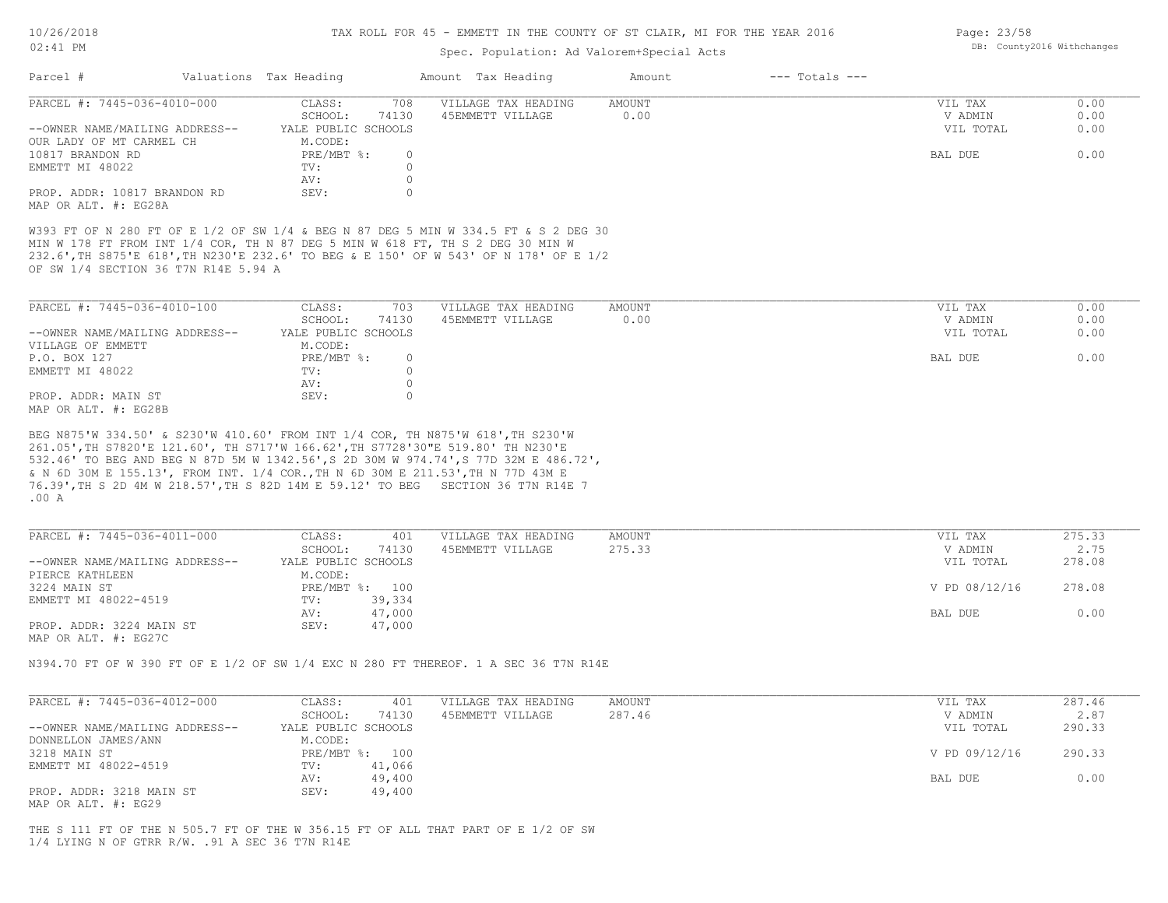## TAX ROLL FOR 45 - EMMETT IN THE COUNTY OF ST CLAIR, MI FOR THE YEAR 2016

## Spec. Population: Ad Valorem+Special Acts

| Parcel #                                                                                                                                                                                                                                                                                                                                                                                                                                                                                                                                                                                                                                                                                                                                                                 | Valuations Tax Heading                                               | Amount Tax Heading                      |                  |                                 |                      |
|--------------------------------------------------------------------------------------------------------------------------------------------------------------------------------------------------------------------------------------------------------------------------------------------------------------------------------------------------------------------------------------------------------------------------------------------------------------------------------------------------------------------------------------------------------------------------------------------------------------------------------------------------------------------------------------------------------------------------------------------------------------------------|----------------------------------------------------------------------|-----------------------------------------|------------------|---------------------------------|----------------------|
| PARCEL #: 7445-036-4010-000<br>--OWNER NAME/MAILING ADDRESS--                                                                                                                                                                                                                                                                                                                                                                                                                                                                                                                                                                                                                                                                                                            | CLASS:<br>708<br>SCHOOL:<br>74130<br>YALE PUBLIC SCHOOLS             | VILLAGE TAX HEADING<br>45EMMETT VILLAGE | AMOUNT<br>0.00   | VIL TAX<br>V ADMIN<br>VIL TOTAL | 0.00<br>0.00<br>0.00 |
| OUR LADY OF MT CARMEL CH<br>10817 BRANDON RD<br>EMMETT MI 48022                                                                                                                                                                                                                                                                                                                                                                                                                                                                                                                                                                                                                                                                                                          | M.CODE:<br>PRE/MBT %:<br>$\circ$<br>$\circ$<br>TV:<br>$\circ$<br>AV: |                                         |                  | BAL DUE                         | 0.00                 |
| PROP. ADDR: 10817 BRANDON RD<br>MAP OR ALT. #: EG28A                                                                                                                                                                                                                                                                                                                                                                                                                                                                                                                                                                                                                                                                                                                     | SEV:<br>$\circ$                                                      |                                         |                  |                                 |                      |
| W393 FT OF N 280 FT OF E 1/2 OF SW 1/4 & BEG N 87 DEG 5 MIN W 334.5 FT & S 2 DEG 30<br>MIN W 178 FT FROM INT 1/4 COR, TH N 87 DEG 5 MIN W 618 FT, TH S 2 DEG 30 MIN W<br>232.6', TH S875'E 618', TH N230'E 232.6' TO BEG & E 150' OF W 543' OF N 178' OF E 1/2<br>OF SW 1/4 SECTION 36 T7N R14E 5.94 A                                                                                                                                                                                                                                                                                                                                                                                                                                                                   |                                                                      |                                         |                  |                                 |                      |
| PARCEL #: 7445-036-4010-100                                                                                                                                                                                                                                                                                                                                                                                                                                                                                                                                                                                                                                                                                                                                              | 703<br>CLASS:                                                        | VILLAGE TAX HEADING                     | AMOUNT           | VIL TAX                         | 0.00                 |
| --OWNER NAME/MAILING ADDRESS--                                                                                                                                                                                                                                                                                                                                                                                                                                                                                                                                                                                                                                                                                                                                           | SCHOOL:<br>74130<br>YALE PUBLIC SCHOOLS                              | 45EMMETT VILLAGE                        | 0.00             | V ADMIN<br>VIL TOTAL            | 0.00<br>0.00         |
| VILLAGE OF EMMETT<br>P.O. BOX 127<br>EMMETT MI 48022                                                                                                                                                                                                                                                                                                                                                                                                                                                                                                                                                                                                                                                                                                                     | M.CODE:<br>PRE/MBT %:<br>$\circ$<br>$\circ$<br>TV:<br>$\circ$<br>AV: |                                         |                  | BAL DUE                         | 0.00                 |
| PROP. ADDR: MAIN ST<br>MAP OR ALT. #: EG28B                                                                                                                                                                                                                                                                                                                                                                                                                                                                                                                                                                                                                                                                                                                              | SEV:<br>$\circ$                                                      |                                         |                  |                                 |                      |
|                                                                                                                                                                                                                                                                                                                                                                                                                                                                                                                                                                                                                                                                                                                                                                          |                                                                      |                                         |                  |                                 |                      |
|                                                                                                                                                                                                                                                                                                                                                                                                                                                                                                                                                                                                                                                                                                                                                                          |                                                                      |                                         |                  |                                 |                      |
|                                                                                                                                                                                                                                                                                                                                                                                                                                                                                                                                                                                                                                                                                                                                                                          | CLASS:<br>401<br>SCHOOL:<br>74130                                    | VILLAGE TAX HEADING<br>45EMMETT VILLAGE | AMOUNT<br>275.33 | VIL TAX<br>V ADMIN              | 275.33<br>2.75       |
| PIERCE KATHLEEN                                                                                                                                                                                                                                                                                                                                                                                                                                                                                                                                                                                                                                                                                                                                                          | YALE PUBLIC SCHOOLS<br>M.CODE:                                       |                                         |                  | VIL TOTAL                       | 278.08               |
|                                                                                                                                                                                                                                                                                                                                                                                                                                                                                                                                                                                                                                                                                                                                                                          | PRE/MBT %: 100<br>39,334<br>TV:                                      |                                         |                  | V PD 08/12/16                   | 278.08               |
| EMMETT MI 48022-4519                                                                                                                                                                                                                                                                                                                                                                                                                                                                                                                                                                                                                                                                                                                                                     | 47,000<br>AV:<br>SEV:<br>47,000                                      |                                         |                  | BAL DUE                         | 0.00                 |
|                                                                                                                                                                                                                                                                                                                                                                                                                                                                                                                                                                                                                                                                                                                                                                          |                                                                      |                                         |                  |                                 |                      |
|                                                                                                                                                                                                                                                                                                                                                                                                                                                                                                                                                                                                                                                                                                                                                                          | CLASS:<br>401                                                        | VILLAGE TAX HEADING                     | AMOUNT           | VIL TAX                         | 287.46               |
| --OWNER NAME/MAILING ADDRESS--                                                                                                                                                                                                                                                                                                                                                                                                                                                                                                                                                                                                                                                                                                                                           | SCHOOL:<br>74130<br>YALE PUBLIC SCHOOLS                              | 45EMMETT VILLAGE                        | 287.46           | V ADMIN<br>VIL TOTAL            | 2.87<br>290.33       |
| DONNELLON JAMES/ANN                                                                                                                                                                                                                                                                                                                                                                                                                                                                                                                                                                                                                                                                                                                                                      | M.CODE:<br>PRE/MBT %: 100                                            |                                         |                  | V PD 09/12/16                   | 290.33               |
| BEG N875'W 334.50' & S230'W 410.60' FROM INT 1/4 COR, TH N875'W 618', TH S230'W<br>261.05', TH S7820'E 121.60', TH S717'W 166.62', TH S7728'30"E 519.80' TH N230'E<br>532.46' TO BEG AND BEG N 87D 5M W 1342.56', S 2D 30M W 974.74', S 77D 32M E 486.72',<br>& N 6D 30M E 155.13', FROM INT. 1/4 COR., TH N 6D 30M E 211.53', TH N 77D 43M E<br>76.39', TH S 2D 4M W 218.57', TH S 82D 14M E 59.12' TO BEG SECTION 36 T7N R14E 7<br>.00A<br>PARCEL #: 7445-036-4011-000<br>--OWNER NAME/MAILING ADDRESS--<br>3224 MAIN ST<br>PROP. ADDR: 3224 MAIN ST<br>MAP OR ALT. #: EG27C<br>N394.70 FT OF W 390 FT OF E 1/2 OF SW 1/4 EXC N 280 FT THEREOF. 1 A SEC 36 T7N R14E<br>PARCEL #: 7445-036-4012-000<br>3218 MAIN ST<br>EMMETT MI 48022-4519<br>PROP. ADDR: 3218 MAIN ST | 41,066<br>TV:<br>49,400<br>AV:<br>SEV:<br>49,400                     |                                         |                  | BAL DUE                         | 0.00                 |

1/4 LYING N OF GTRR R/W. .91 A SEC 36 T7N R14E

Page: 23/58 DB: County2016 Withchanges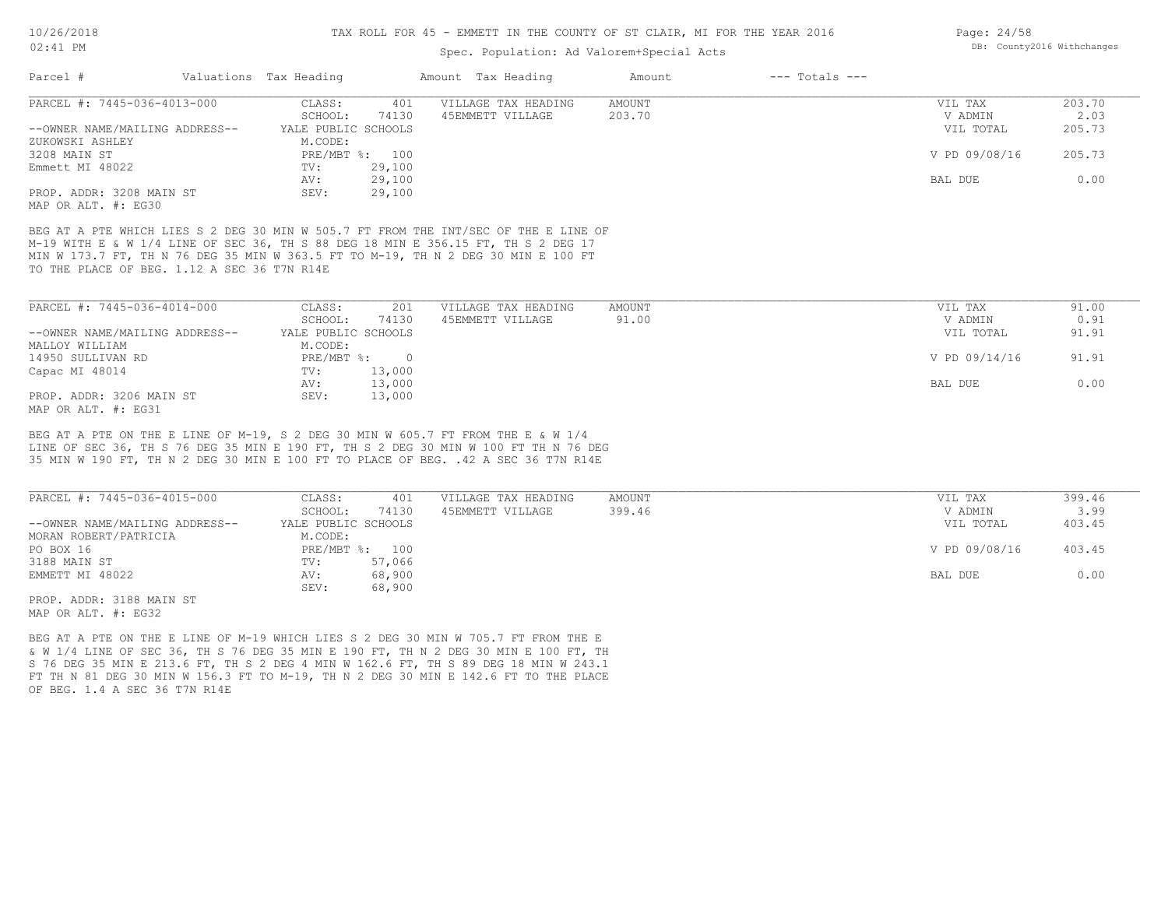#### TAX ROLL FOR 45 - EMMETT IN THE COUNTY OF ST CLAIR, MI FOR THE YEAR 2016

### Spec. Population: Ad Valorem+Special Acts

| Parcel #                                    | Valuations Tax Heading |                | Amount Tax Heading                                                                  | Amount | $---$ Totals $---$ |               |        |
|---------------------------------------------|------------------------|----------------|-------------------------------------------------------------------------------------|--------|--------------------|---------------|--------|
| PARCEL #: 7445-036-4013-000                 | CLASS:                 | 401            | VILLAGE TAX HEADING                                                                 | AMOUNT |                    | VIL TAX       | 203.70 |
|                                             | SCHOOL:                | 74130          | 45EMMETT VILLAGE                                                                    | 203.70 |                    | V ADMIN       | 2.03   |
| --OWNER NAME/MAILING ADDRESS--              | YALE PUBLIC SCHOOLS    |                |                                                                                     |        |                    | VIL TOTAL     | 205.73 |
| ZUKOWSKI ASHLEY                             | M.CODE:                |                |                                                                                     |        |                    |               |        |
| 3208 MAIN ST                                |                        | PRE/MBT %: 100 |                                                                                     |        |                    | V PD 09/08/16 | 205.73 |
| Emmett MI 48022                             | TV:                    | 29,100         |                                                                                     |        |                    |               |        |
|                                             | AV:                    | 29,100         |                                                                                     |        |                    | BAL DUE       | 0.00   |
| PROP. ADDR: 3208 MAIN ST                    | SEV:                   | 29,100         |                                                                                     |        |                    |               |        |
| MAP OR ALT. #: EG30                         |                        |                |                                                                                     |        |                    |               |        |
|                                             |                        |                | BEG AT A PTE WHICH LIES S 2 DEG 30 MIN W 505.7 FT FROM THE INT/SEC OF THE E LINE OF |        |                    |               |        |
|                                             |                        |                | M-19 WITH E & W 1/4 LINE OF SEC 36, TH S 88 DEG 18 MIN E 356.15 FT, TH S 2 DEG 17   |        |                    |               |        |
|                                             |                        |                | MIN W 173.7 FT, TH N 76 DEG 35 MIN W 363.5 FT TO M-19, TH N 2 DEG 30 MIN E 100 FT   |        |                    |               |        |
| TO THE PLACE OF BEG. 1.12 A SEC 36 T7N R14E |                        |                |                                                                                     |        |                    |               |        |
|                                             |                        |                |                                                                                     |        |                    |               |        |
| PARCEL #: 7445-036-4014-000                 | CLASS:                 | 201            | VILLAGE TAX HEADING                                                                 | AMOUNT |                    | VIL TAX       | 91.00  |

| PARCEL #: 7445-036-4014-000    | JLASS :             | ZUI      | VILLAGE TAX HEADING | AMOUNT. | VIL TAX       | YI.UU |
|--------------------------------|---------------------|----------|---------------------|---------|---------------|-------|
|                                | SCHOOL:             | 74130    | 45EMMETT VILLAGE    | 91.00   | V ADMIN       | 0.91  |
| --OWNER NAME/MAILING ADDRESS-- | YALE PUBLIC SCHOOLS |          |                     |         | VIL TOTAL     | 91.91 |
| MALLOY WILLIAM                 | M.CODE:             |          |                     |         |               |       |
| 14950 SULLIVAN RD              | PRE/MBT %:          | $\Omega$ |                     |         | V PD 09/14/16 | 91.91 |
| Capac MI 48014                 | TV:                 | 13,000   |                     |         |               |       |
|                                | AV:                 | 13,000   |                     |         | BAL DUE       | 0.00  |
| PROP. ADDR: 3206 MAIN ST       | SEV:                | 13,000   |                     |         |               |       |
| MAP OR ALT. #: EG31            |                     |          |                     |         |               |       |

35 MIN W 190 FT, TH N 2 DEG 30 MIN E 100 FT TO PLACE OF BEG. .42 A SEC 36 T7N R14E LINE OF SEC 36, TH S 76 DEG 35 MIN E 190 FT, TH S 2 DEG 30 MIN W 100 FT TH N 76 DEG BEG AT A PTE ON THE E LINE OF M-19, S 2 DEG 30 MIN W 605.7 FT FROM THE E & W 1/4

| PARCEL #: 7445-036-4015-000    | CLASS:  | 401                 | VILLAGE TAX HEADING | AMOUNT    | VIL TAX       | 399.46 |
|--------------------------------|---------|---------------------|---------------------|-----------|---------------|--------|
|                                | SCHOOL: | 74130               | 45EMMETT VILLAGE    | 399.46    | V ADMIN       | 3.99   |
| --OWNER NAME/MAILING ADDRESS-- |         | YALE PUBLIC SCHOOLS |                     | VIL TOTAL | 403.45        |        |
| MORAN ROBERT/PATRICIA          | M.CODE: |                     |                     |           |               |        |
| PO BOX 16                      |         | PRE/MBT %: 100      |                     |           | V PD 09/08/16 | 403.45 |
| 3188 MAIN ST                   | TV:     | 57,066              |                     |           |               |        |
| EMMETT MI 48022                | AV:     | 68,900              |                     |           | BAL DUE       | 0.00   |
|                                | SEV:    | 68,900              |                     |           |               |        |
| PROP. ADDR: 3188 MAIN ST       |         |                     |                     |           |               |        |

MAP OR ALT. #: EG32

OF BEG. 1.4 A SEC 36 T7N R14E FT TH N 81 DEG 30 MIN W 156.3 FT TO M-19, TH N 2 DEG 30 MIN E 142.6 FT TO THE PLACE S 76 DEG 35 MIN E 213.6 FT, TH S 2 DEG 4 MIN W 162.6 FT, TH S 89 DEG 18 MIN W 243.1 & W 1/4 LINE OF SEC 36, TH S 76 DEG 35 MIN E 190 FT, TH N 2 DEG 30 MIN E 100 FT, TH BEG AT A PTE ON THE E LINE OF M-19 WHICH LIES S 2 DEG 30 MIN W 705.7 FT FROM THE E

Page: 24/58 DB: County2016 Withchanges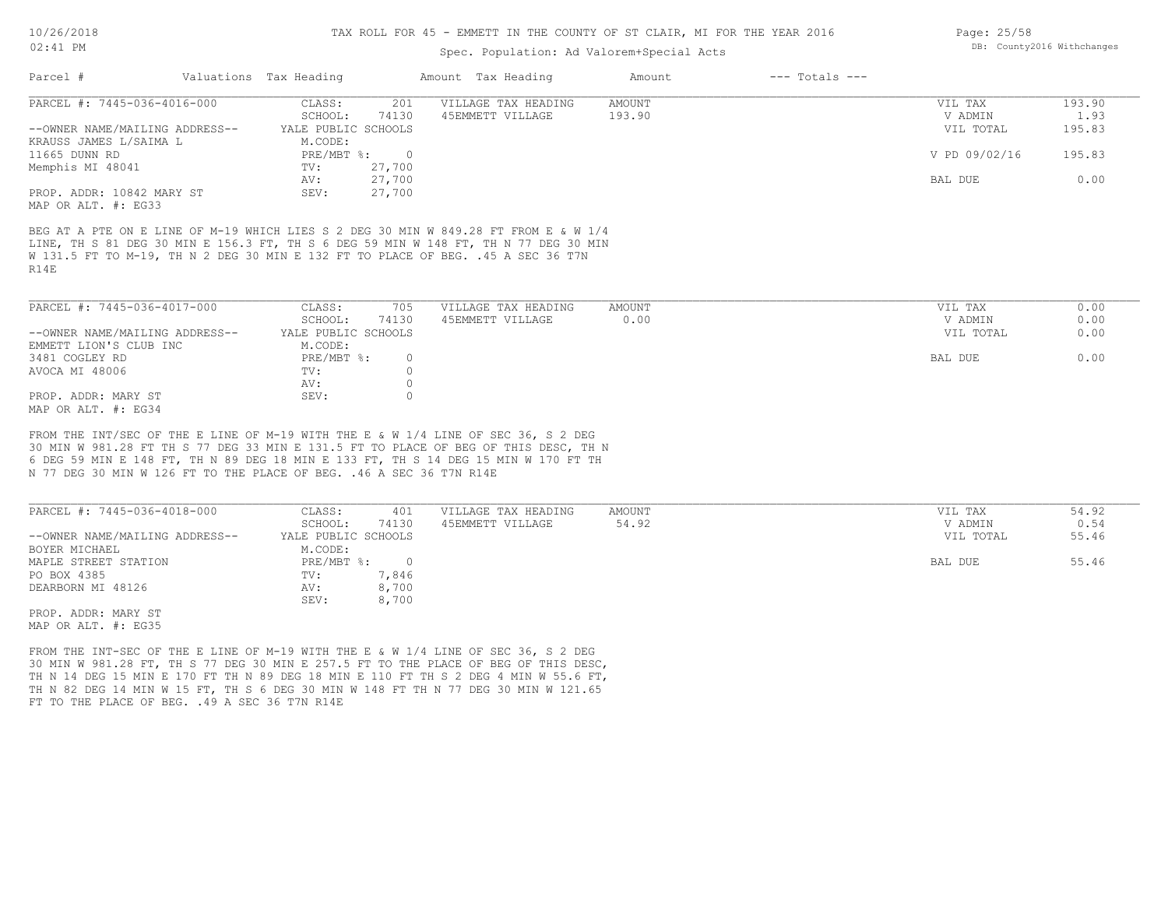#### TAX ROLL FOR 45 - EMMETT IN THE COUNTY OF ST CLAIR, MI FOR THE YEAR 2016

### Spec. Population: Ad Valorem+Special Acts

| Parcel #                       | Valuations Tax Heading |                | Amount Tax Heading                                                                  | Amount | $---$ Totals $---$ |               |        |
|--------------------------------|------------------------|----------------|-------------------------------------------------------------------------------------|--------|--------------------|---------------|--------|
| PARCEL #: 7445-036-4016-000    | CLASS:                 | 201            | VILLAGE TAX HEADING                                                                 | AMOUNT |                    | VIL TAX       | 193.90 |
|                                | SCHOOL:                | 74130          | 45EMMETT VILLAGE                                                                    | 193.90 |                    | V ADMIN       | 1.93   |
| --OWNER NAME/MAILING ADDRESS-- | YALE PUBLIC SCHOOLS    |                |                                                                                     |        |                    | VIL TOTAL     | 195.83 |
| KRAUSS JAMES L/SAIMA L         | M.CODE:                |                |                                                                                     |        |                    |               |        |
| 11665 DUNN RD                  | PRE/MBT %:             | $\overline{0}$ |                                                                                     |        |                    | V PD 09/02/16 | 195.83 |
| Memphis MI 48041               | $TV$ :                 | 27,700         |                                                                                     |        |                    |               |        |
|                                | AV:                    | 27,700         |                                                                                     |        |                    | BAL DUE       | 0.00   |
| PROP. ADDR: 10842 MARY ST      | SEV:                   | 27,700         |                                                                                     |        |                    |               |        |
| MAP OR ALT. #: EG33            |                        |                |                                                                                     |        |                    |               |        |
|                                |                        |                |                                                                                     |        |                    |               |        |
|                                |                        |                | BEG AT A PTE ON E LINE OF M-19 WHICH LIES S 2 DEG 30 MIN W 849.28 FT FROM E & W 1/4 |        |                    |               |        |
|                                |                        |                | LINE, TH S 81 DEG 30 MIN E 156.3 FT, TH S 6 DEG 59 MIN W 148 FT, TH N 77 DEG 30 MIN |        |                    |               |        |
|                                |                        |                | W 131.5 FT TO M-19, TH N 2 DEG 30 MIN E 132 FT TO PLACE OF BEG. .45 A SEC 36 T7N    |        |                    |               |        |
| R14E                           |                        |                |                                                                                     |        |                    |               |        |
|                                |                        |                |                                                                                     |        |                    |               |        |
| PARCEL #: 7445-036-4017-000    | CLASS:                 | 705            | VILLAGE TAX HEADING                                                                 | AMOUNT |                    | VIL TAX       | 0.00   |
|                                | SCHOOL:                | 74130          | 45EMMETT VILLAGE                                                                    | 0.00   |                    | V ADMIN       | 0.00   |
|                                |                        |                |                                                                                     |        |                    |               |        |
| --OWNER NAME/MAILING ADDRESS-- | YALE PUBLIC SCHOOLS    |                |                                                                                     |        |                    | VIL TOTAL     | 0.00   |
| EMMETT LION'S CLUB INC         | M.CODE:                |                |                                                                                     |        |                    |               |        |
| 3481 COGLEY RD                 | PRE/MBT %:             | $\circ$        |                                                                                     |        |                    | BAL DUE       | 0.00   |

MAP OR ALT. #: EG34 PROP. ADDR: MARY ST SEV: 0 AV: 0

N 77 DEG 30 MIN W 126 FT TO THE PLACE OF BEG. .46 A SEC 36 T7N R14E 6 DEG 59 MIN E 148 FT, TH N 89 DEG 18 MIN E 133 FT, TH S 14 DEG 15 MIN W 170 FT TH 30 MIN W 981.28 FT TH S 77 DEG 33 MIN E 131.5 FT TO PLACE OF BEG OF THIS DESC, TH N FROM THE INT/SEC OF THE E LINE OF M-19 WITH THE E & W 1/4 LINE OF SEC 36, S 2 DEG

AVOCA MI 48006 TV:  $0$ <br>AV: 0

| PARCEL #: 7445-036-4018-000    | CLASS:              | 401   | VILLAGE TAX HEADING | AMOUNT | VIL TAX   | 54.92 |
|--------------------------------|---------------------|-------|---------------------|--------|-----------|-------|
|                                | SCHOOL:             | 74130 | 45EMMETT VILLAGE    | 54.92  | V ADMIN   | 0.54  |
| --OWNER NAME/MAILING ADDRESS-- | YALE PUBLIC SCHOOLS |       |                     |        | VIL TOTAL | 55.46 |
| BOYER MICHAEL                  | M.CODE:             |       |                     |        |           |       |
| MAPLE STREET STATION           | PRE/MBT %:          |       |                     |        | BAL DUE   | 55.46 |
| PO BOX 4385                    | TV:                 | 1,846 |                     |        |           |       |
| DEARBORN MI 48126              | AV:                 | 8,700 |                     |        |           |       |
|                                | SEV:                | 8,700 |                     |        |           |       |
| PROP. ADDR: MARY ST            |                     |       |                     |        |           |       |

MAP OR ALT. #: EG35

FT TO THE PLACE OF BEG. . 49 A SEC 36 T7N R14E TH N 82 DEG 14 MIN W 15 FT, TH S 6 DEG 30 MIN W 148 FT TH N 77 DEG 30 MIN W 121.65 TH N 14 DEG 15 MIN E 170 FT TH N 89 DEG 18 MIN E 110 FT TH S 2 DEG 4 MIN W 55.6 FT, 30 MIN W 981.28 FT, TH S 77 DEG 30 MIN E 257.5 FT TO THE PLACE OF BEG OF THIS DESC, FROM THE INT-SEC OF THE E LINE OF M-19 WITH THE E & W 1/4 LINE OF SEC 36, S 2 DEG

Page: 25/58 DB: County2016 Withchanges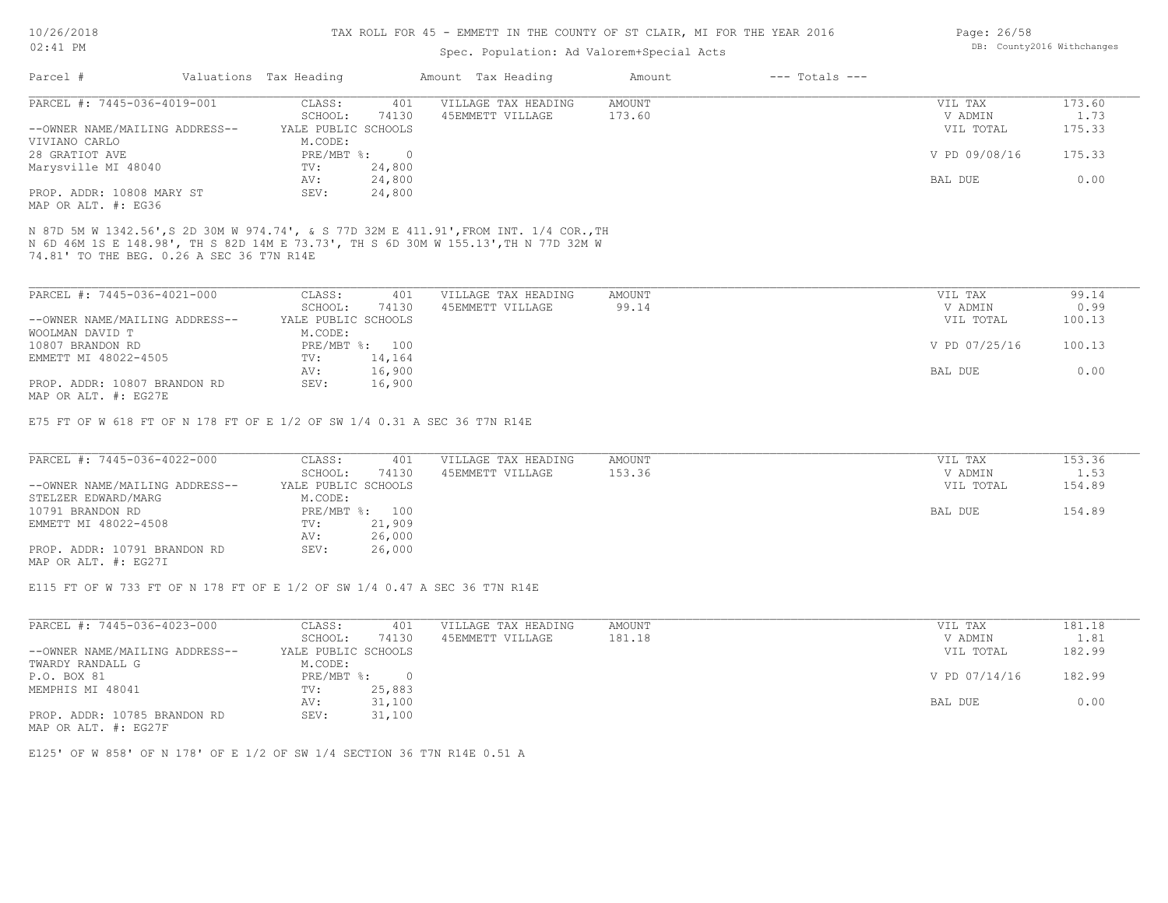#### TAX ROLL FOR 45 - EMMETT IN THE COUNTY OF ST CLAIR, MI FOR THE YEAR 2016

## Spec. Population: Ad Valorem+Special Acts

| Parcel #                       | Valuations Tax Heading |        | Amount Tax Heading  | Amount | $---$ Totals $---$ |               |        |
|--------------------------------|------------------------|--------|---------------------|--------|--------------------|---------------|--------|
| PARCEL #: 7445-036-4019-001    | CLASS:                 | 401    | VILLAGE TAX HEADING | AMOUNT |                    | VIL TAX       | 173.60 |
|                                | SCHOOL:                | 74130  | 45EMMETT VILLAGE    | 173.60 |                    | V ADMIN       | 1.73   |
| --OWNER NAME/MAILING ADDRESS-- | YALE PUBLIC SCHOOLS    |        |                     |        |                    | VIL TOTAL     | 175.33 |
| VIVIANO CARLO                  | M.CODE:                |        |                     |        |                    |               |        |
| 28 GRATIOT AVE                 | $PRE/MBT$ $\div$       |        |                     |        |                    | V PD 09/08/16 | 175.33 |
| Marysville MI 48040            | TV:                    | 24,800 |                     |        |                    |               |        |
|                                | AV:                    | 24,800 |                     |        |                    | BAL DUE       | 0.00   |
| PROP. ADDR: 10808 MARY ST      | SEV:                   | 24,800 |                     |        |                    |               |        |
| MAP OR ALT. #: EG36            |                        |        |                     |        |                    |               |        |

74.81' TO THE BEG. 0.26 A SEC 36 T7N R14E N 6D 46M 1S E 148.98', TH S 82D 14M E 73.73', TH S 6D 30M W 155.13',TH N 77D 32M W N 87D 5M W 1342.56',S 2D 30M W 974.74', & S 77D 32M E 411.91',FROM INT. 1/4 COR.,TH

| PARCEL #: 7445-036-4021-000    | CLASS:              | 401            | VILLAGE TAX HEADING | AMOUNT | VIL TAX       | 99.14  |
|--------------------------------|---------------------|----------------|---------------------|--------|---------------|--------|
|                                | SCHOOL:             | 74130          | 45EMMETT VILLAGE    | 99.14  | V ADMIN       | 0.99   |
| --OWNER NAME/MAILING ADDRESS-- | YALE PUBLIC SCHOOLS |                |                     |        | VIL TOTAL     | 100.13 |
| WOOLMAN DAVID T                | M.CODE:             |                |                     |        |               |        |
| 10807 BRANDON RD               |                     | PRE/MBT %: 100 |                     |        | V PD 07/25/16 | 100.13 |
| EMMETT MI 48022-4505           | TV:                 | 14,164         |                     |        |               |        |
|                                | AV:                 | 16,900         |                     |        | BAL DUE       | 0.00   |
| PROP. ADDR: 10807 BRANDON RD   | SEV:                | 16,900         |                     |        |               |        |
| MAP OR ALT. #: EG27E           |                     |                |                     |        |               |        |

E75 FT OF W 618 FT OF N 178 FT OF E 1/2 OF SW 1/4 0.31 A SEC 36 T7N R14E

| PARCEL #: 7445-036-4022-000    | CLASS:  | 401                 | VILLAGE TAX HEADING | AMOUNT | VIL TAX   | 153.36 |
|--------------------------------|---------|---------------------|---------------------|--------|-----------|--------|
|                                | SCHOOL: | 74130               | 45EMMETT VILLAGE    | 153.36 | V ADMIN   | 1.53   |
| --OWNER NAME/MAILING ADDRESS-- |         | YALE PUBLIC SCHOOLS |                     |        | VIL TOTAL | 154.89 |
| STELZER EDWARD/MARG            | M.CODE: |                     |                     |        |           |        |
| 10791 BRANDON RD               |         | PRE/MBT %: 100      |                     |        | BAL DUE   | 154.89 |
| EMMETT MI 48022-4508           | TV:     | 21,909              |                     |        |           |        |
|                                | AV:     | 26,000              |                     |        |           |        |
| PROP. ADDR: 10791 BRANDON RD   | SEV:    | 26,000              |                     |        |           |        |
| MAP OR ALT. #: EG27I           |         |                     |                     |        |           |        |

E115 FT OF W 733 FT OF N 178 FT OF E 1/2 OF SW 1/4 0.47 A SEC 36 T7N R14E

| PARCEL #: 7445-036-4023-000    | CLASS:              | 401    | VILLAGE TAX HEADING | AMOUNT | VIL TAX       | 181.18 |
|--------------------------------|---------------------|--------|---------------------|--------|---------------|--------|
|                                | SCHOOL:             | 74130  | 45EMMETT VILLAGE    | 181.18 | V ADMIN       | 1.81   |
| --OWNER NAME/MAILING ADDRESS-- | YALE PUBLIC SCHOOLS |        |                     |        | VIL TOTAL     | 182.99 |
| TWARDY RANDALL G               | M.CODE:             |        |                     |        |               |        |
| P.O. BOX 81                    | PRE/MBT %:          | $\cap$ |                     |        | V PD 07/14/16 | 182.99 |
| MEMPHIS MI 48041               | TV:                 | 25,883 |                     |        |               |        |
|                                | AV:                 | 31,100 |                     |        | BAL DUE       | 0.00   |
| PROP. ADDR: 10785 BRANDON RD   | SEV:                | 31,100 |                     |        |               |        |

MAP OR ALT. #: EG27F

E125' OF W 858' OF N 178' OF E 1/2 OF SW 1/4 SECTION 36 T7N R14E 0.51 A

Page: 26/58 DB: County2016 Withchanges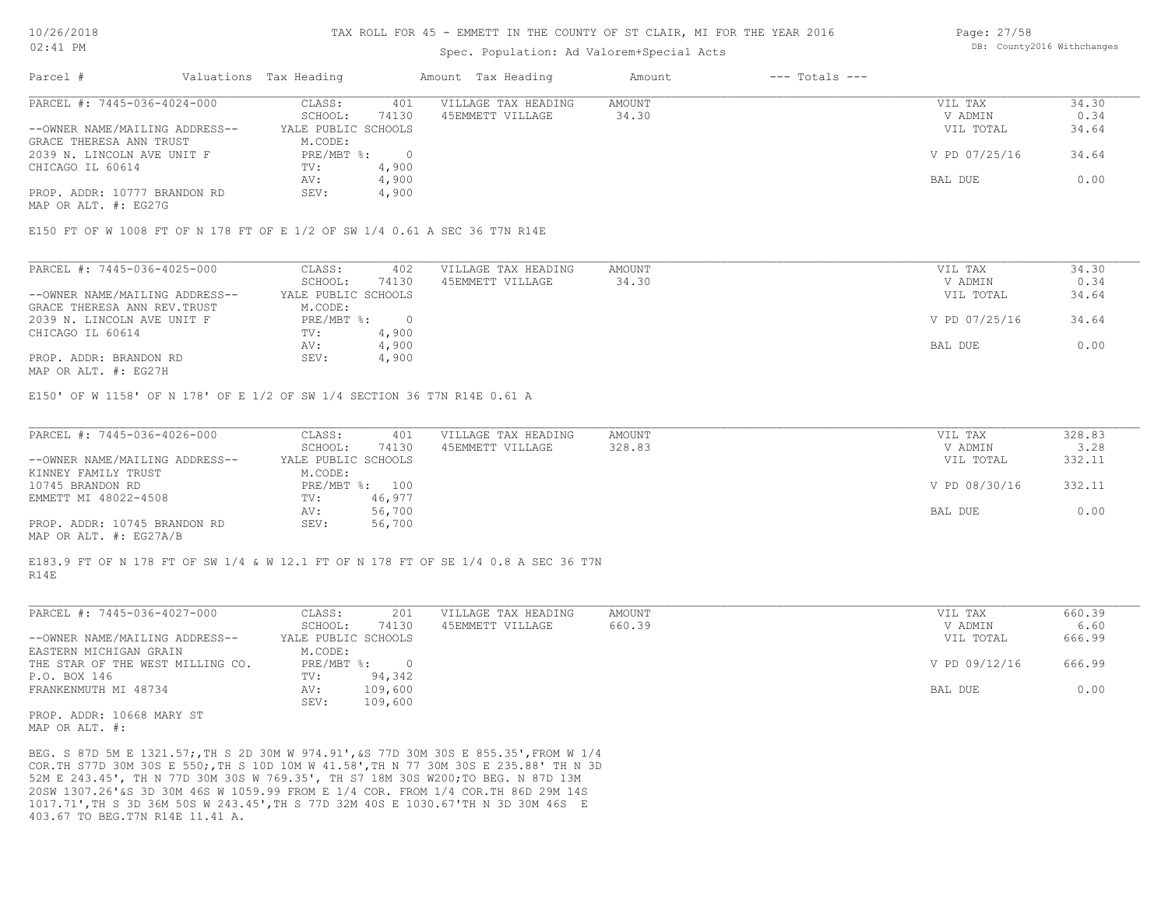#### TAX ROLL FOR 45 - EMMETT IN THE COUNTY OF ST CLAIR, MI FOR THE YEAR 2016

### Spec. Population: Ad Valorem+Special Acts

| Parcel #                       | Valuations Tax Heading |       | Amount Tax Heading  | Amount | $---$ Totals $---$ |               |       |
|--------------------------------|------------------------|-------|---------------------|--------|--------------------|---------------|-------|
| PARCEL #: 7445-036-4024-000    | CLASS:                 | 401   | VILLAGE TAX HEADING | AMOUNT |                    | VIL TAX       | 34.30 |
|                                | SCHOOL:                | 74130 | 45EMMETT VILLAGE    | 34.30  |                    | V ADMIN       | 0.34  |
| --OWNER NAME/MAILING ADDRESS-- | YALE PUBLIC SCHOOLS    |       |                     |        |                    | VIL TOTAL     | 34.64 |
| GRACE THERESA ANN TRUST        | M.CODE:                |       |                     |        |                    |               |       |
| 2039 N. LINCOLN AVE UNIT F     | PRE/MBT %:             |       |                     |        |                    | V PD 07/25/16 | 34.64 |
| CHICAGO IL 60614               | TV:                    | 4,900 |                     |        |                    |               |       |
|                                | AV:                    | 4,900 |                     |        |                    | BAL DUE       | 0.00  |
| PROP. ADDR: 10777 BRANDON RD   | SEV:                   | 4,900 |                     |        |                    |               |       |

MAP OR ALT. #: EG27G

E150 FT OF W 1008 FT OF N 178 FT OF E 1/2 OF SW 1/4 0.61 A SEC 36 T7N R14E

| PARCEL #: 7445-036-4025-000    | CLASS:              | 402   | VILLAGE TAX HEADING | AMOUNT | VIL TAX       | 34.30 |
|--------------------------------|---------------------|-------|---------------------|--------|---------------|-------|
|                                | SCHOOL:             | 74130 | 45EMMETT VILLAGE    | 34.30  | V ADMIN       | 0.34  |
| --OWNER NAME/MAILING ADDRESS-- | YALE PUBLIC SCHOOLS |       |                     |        | VIL TOTAL     | 34.64 |
| GRACE THERESA ANN REV. TRUST   | M.CODE:             |       |                     |        |               |       |
| 2039 N. LINCOLN AVE UNIT F     | PRE/MBT %:          |       |                     |        | V PD 07/25/16 | 34.64 |
| CHICAGO IL 60614               | TV:                 | 4,900 |                     |        |               |       |
|                                | AV:                 | 4,900 |                     |        | BAL DUE       | 0.00  |
| PROP. ADDR: BRANDON RD         | SEV:                | 4,900 |                     |        |               |       |
|                                |                     |       |                     |        |               |       |

MAP OR ALT. #: EG27H

E150' OF W 1158' OF N 178' OF E 1/2 OF SW 1/4 SECTION 36 T7N R14E 0.61 A

| PARCEL #: 7445-036-4026-000    | CLASS:  | 401                 | VILLAGE TAX HEADING | AMOUNT | VIL TAX       | 328.83 |
|--------------------------------|---------|---------------------|---------------------|--------|---------------|--------|
|                                | SCHOOL: | 74130               | 45EMMETT VILLAGE    | 328.83 | V ADMIN       | 3.28   |
| --OWNER NAME/MAILING ADDRESS-- |         | YALE PUBLIC SCHOOLS |                     |        | VIL TOTAL     | 332.11 |
| KINNEY FAMILY TRUST            | M.CODE: |                     |                     |        |               |        |
| 10745 BRANDON RD               |         | PRE/MBT %: 100      |                     |        | V PD 08/30/16 | 332.11 |
| EMMETT MI 48022-4508           | TV:     | 46,977              |                     |        |               |        |
|                                | AV:     | 56,700              |                     |        | BAL DUE       | 0.00   |
| PROP. ADDR: 10745 BRANDON RD   | SEV:    | 56,700              |                     |        |               |        |
| MAP OR ALT. #: EG27A/B         |         |                     |                     |        |               |        |

R14E E183.9 FT OF N 178 FT OF SW 1/4 & W 12.1 FT OF N 178 FT OF SE 1/4 0.8 A SEC 36 T7N

| PARCEL #: 7445-036-4027-000      | CLASS:              | 201     | VILLAGE TAX HEADING | AMOUNT | VIL TAX       | 660.39 |
|----------------------------------|---------------------|---------|---------------------|--------|---------------|--------|
|                                  | SCHOOL:             | 74130   | 45EMMETT VILLAGE    | 660.39 | V ADMIN       | 6.60   |
| --OWNER NAME/MAILING ADDRESS--   | YALE PUBLIC SCHOOLS |         |                     |        | VIL TOTAL     | 666.99 |
| EASTERN MICHIGAN GRAIN           | M.CODE:             |         |                     |        |               |        |
| THE STAR OF THE WEST MILLING CO. | PRE/MBT %:          |         |                     |        | V PD 09/12/16 | 666.99 |
| P.O. BOX 146                     | TV:                 | 94,342  |                     |        |               |        |
| FRANKENMUTH MI 48734             | AV:                 | 109,600 |                     |        | BAL DUE       | 0.00   |
|                                  | SEV:                | 109,600 |                     |        |               |        |
|                                  |                     |         |                     |        |               |        |

MAP OR ALT. #: PROP. ADDR: 10668 MARY ST

403.67 TO BEG.T7N R14E 11.41 A. 1017.71',TH S 3D 36M 50S W 243.45',TH S 77D 32M 40S E 1030.67'TH N 3D 30M 46S E 20SW 1307.26'&S 3D 30M 46S W 1059.99 FROM E 1/4 COR. FROM 1/4 COR.TH 86D 29M 14S 52M E 243.45', TH N 77D 30M 30S W 769.35', TH S7 18M 30S W200;TO BEG. N 87D 13M COR.TH S77D 30M 30S E 550;,TH S 10D 10M W 41.58',TH N 77 30M 30S E 235.88' TH N 3D BEG. S 87D 5M E 1321.57;,TH S 2D 30M W 974.91',&S 77D 30M 30S E 855.35',FROM W 1/4 Page: 27/58 DB: County2016 Withchanges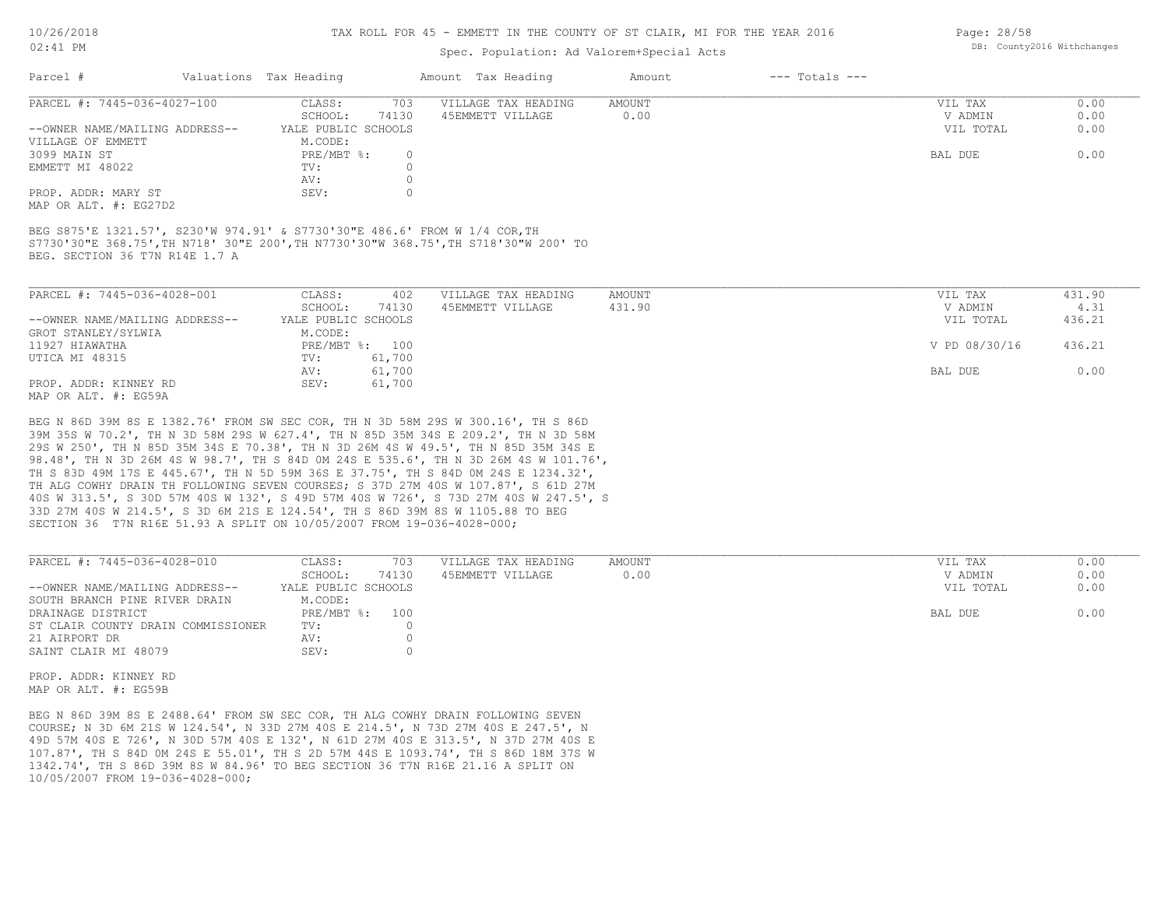#### TAX ROLL FOR 45 - EMMETT IN THE COUNTY OF ST CLAIR, MI FOR THE YEAR 2016

### Spec. Population: Ad Valorem+Special Acts

| Parcel #                       | Valuations Tax Heading |       | Amount Tax Heading  | Amount | $---$ Totals $---$ |           |      |
|--------------------------------|------------------------|-------|---------------------|--------|--------------------|-----------|------|
| PARCEL #: 7445-036-4027-100    | CLASS:                 | 703   | VILLAGE TAX HEADING | AMOUNT |                    | VIL TAX   | 0.00 |
|                                | SCHOOL:                | 74130 | 45EMMETT VILLAGE    | 0.00   |                    | V ADMIN   | 0.00 |
| --OWNER NAME/MAILING ADDRESS-- | YALE PUBLIC SCHOOLS    |       |                     |        |                    | VIL TOTAL | 0.00 |
| VILLAGE OF EMMETT              | M.CODE:                |       |                     |        |                    |           |      |
| 3099 MAIN ST                   | PRE/MBT %:             |       |                     |        |                    | BAL DUE   | 0.00 |
| EMMETT MI 48022                | TV:                    |       |                     |        |                    |           |      |
|                                | AV:                    |       |                     |        |                    |           |      |
| PROP. ADDR: MARY ST            | SEV:                   |       |                     |        |                    |           |      |
|                                |                        |       |                     |        |                    |           |      |

MAP OR ALT. #: EG27D2

BEG. SECTION 36 T7N R14E 1.7 A S7730'30"E 368.75',TH N718' 30"E 200',TH N7730'30"W 368.75',TH S718'30"W 200' TO BEG S875'E 1321.57', S230'W 974.91' & S7730'30"E 486.6' FROM W 1/4 COR,TH

| PARCEL #: 7445-036-4028-001    | CLASS:              | 402    | VILLAGE TAX HEADING | AMOUNT | VIL TAX       | 431.90 |
|--------------------------------|---------------------|--------|---------------------|--------|---------------|--------|
|                                | SCHOOL:             | 74130  | 45EMMETT VILLAGE    | 431.90 | V ADMIN       | 4.31   |
| --OWNER NAME/MAILING ADDRESS-- | YALE PUBLIC SCHOOLS |        |                     |        | VIL TOTAL     | 436.21 |
| GROT STANLEY/SYLWIA            | M.CODE:             |        |                     |        |               |        |
| 11927 HIAWATHA                 | PRE/MBT %: 100      |        |                     |        | V PD 08/30/16 | 436.21 |
| UTICA MI 48315                 | TV:                 | 61,700 |                     |        |               |        |
|                                | AV:                 | 61,700 |                     |        | BAL DUE       | 0.00   |
| PROP. ADDR: KINNEY RD          | SEV:                | 61,700 |                     |        |               |        |
| MAP OR ALT. #: EG59A           |                     |        |                     |        |               |        |

SECTION 36 T7N R16E 51.93 A SPLIT ON 10/05/2007 FROM 19-036-4028-000; 33D 27M 40S W 214.5', S 3D 6M 21S E 124.54', TH S 86D 39M 8S W 1105.88 TO BEG 40S W 313.5', S 30D 57M 40S W 132', S 49D 57M 40S W 726', S 73D 27M 40S W 247.5', S TH ALG COWHY DRAIN TH FOLLOWING SEVEN COURSES; S 37D 27M 40S W 107.87', S 61D 27M TH S 83D 49M 17S E 445.67', TH N 5D 59M 36S E 37.75', TH S 84D 0M 24S E 1234.32', 98.48', TH N 3D 26M 4S W 98.7', TH S 84D 0M 24S E 535.6', TH N 3D 26M 4S W 101.76', 29S W 250', TH N 85D 35M 34S E 70.38', TH N 3D 26M 4S W 49.5', TH N 85D 35M 34S E 39M 35S W 70.2', TH N 3D 58M 29S W 627.4', TH N 85D 35M 34S E 209.2', TH N 3D 58M BEG N 86D 39M 8S E 1382.76' FROM SW SEC COR, TH N 3D 58M 29S W 300.16', TH S 86D

| PARCEL #: 7445-036-4028-010        | CLASS:              | 703   | VILLAGE TAX HEADING | AMOUNT | VIL TAX   | 0.00 |
|------------------------------------|---------------------|-------|---------------------|--------|-----------|------|
|                                    | SCHOOL:             | 74130 | 45EMMETT VILLAGE    | 0.00   | V ADMIN   | 0.00 |
| --OWNER NAME/MAILING ADDRESS--     | YALE PUBLIC SCHOOLS |       |                     |        | VIL TOTAL | 0.00 |
| SOUTH BRANCH PINE RIVER DRAIN      | M.CODE:             |       |                     |        |           |      |
| DRAINAGE DISTRICT                  | PRE/MBT %: 100      |       |                     |        | BAL DUE   | 0.00 |
| ST CLAIR COUNTY DRAIN COMMISSIONER | TV:                 |       |                     |        |           |      |
| 21 AIRPORT DR                      | AV:                 |       |                     |        |           |      |
| SAINT CLAIR MI 48079               | SEV:                |       |                     |        |           |      |

MAP OR ALT. #: EG59B PROP. ADDR: KINNEY RD

10/05/2007 FROM 19-036-4028-000; 1342.74', TH S 86D 39M 8S W 84.96' TO BEG SECTION 36 T7N R16E 21.16 A SPLIT ON 107.87', TH S 84D 0M 24S E 55.01', TH S 2D 57M 44S E 1093.74', TH S 86D 18M 37S W 49D 57M 40S E 726', N 30D 57M 40S E 132', N 61D 27M 40S E 313.5', N 37D 27M 40S E COURSE; N 3D 6M 21S W 124.54', N 33D 27M 40S E 214.5', N 73D 27M 40S E 247.5', N BEG N 86D 39M 8S E 2488.64' FROM SW SEC COR, TH ALG COWHY DRAIN FOLLOWING SEVEN

Page: 28/58 DB: County2016 Withchanges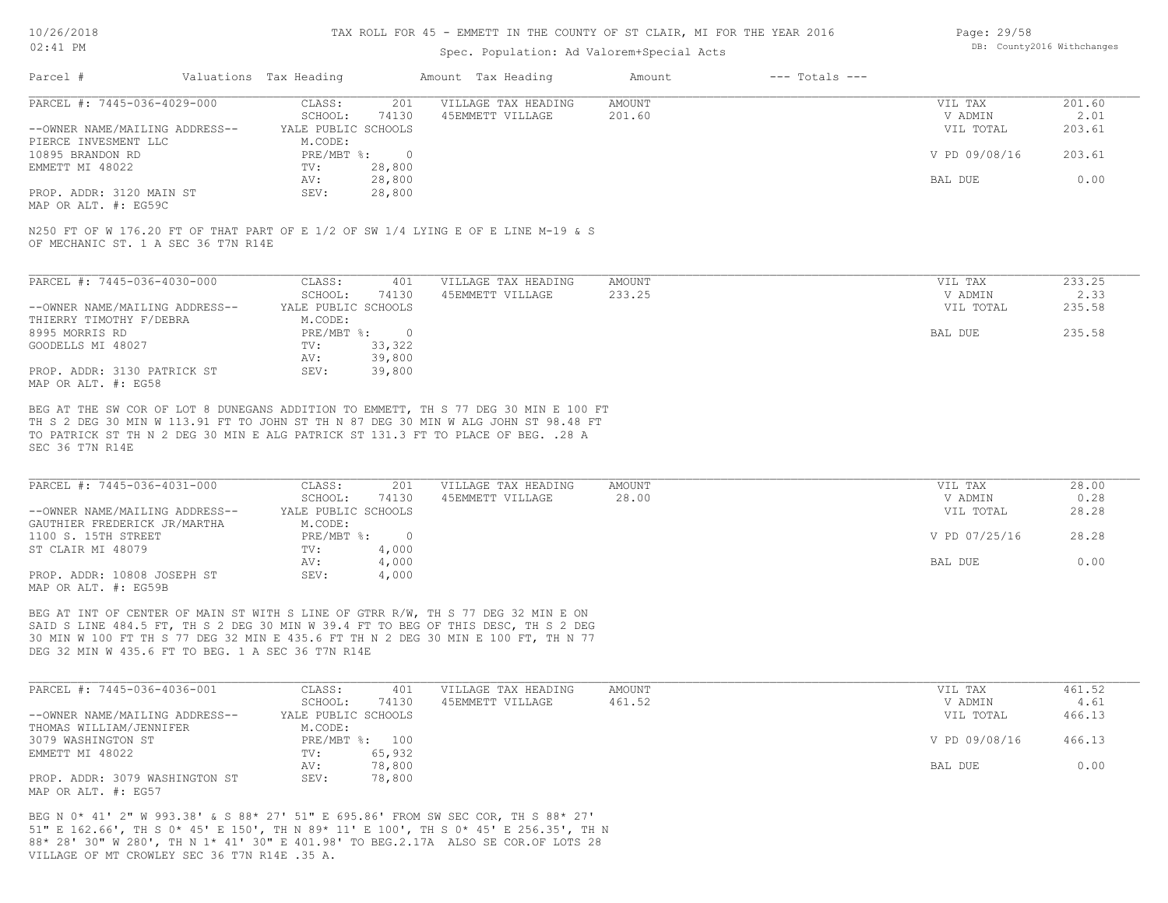10/26/2018

#### TAX ROLL FOR 45 - EMMETT IN THE COUNTY OF ST CLAIR, MI FOR THE YEAR 2016

| Page: 29/58 |                            |
|-------------|----------------------------|
|             | DB: County2016 Withchanges |

| $02:41$ PM                                         |                                |                                                                                                                                                                                                                                                                | Spec. Population: Ad Valorem+Special Acts |                    |                      |                |
|----------------------------------------------------|--------------------------------|----------------------------------------------------------------------------------------------------------------------------------------------------------------------------------------------------------------------------------------------------------------|-------------------------------------------|--------------------|----------------------|----------------|
| Parcel #                                           | Valuations Tax Heading         | Amount Tax Heading                                                                                                                                                                                                                                             | Amount                                    | $---$ Totals $---$ |                      |                |
| PARCEL #: 7445-036-4029-000                        | CLASS:                         | VILLAGE TAX HEADING<br>201                                                                                                                                                                                                                                     | <b>AMOUNT</b>                             |                    | VIL TAX              | 201.60         |
| --OWNER NAME/MAILING ADDRESS--                     | SCHOOL:<br>YALE PUBLIC SCHOOLS | 74130<br>45EMMETT VILLAGE                                                                                                                                                                                                                                      | 201.60                                    |                    | V ADMIN<br>VIL TOTAL | 2.01<br>203.61 |
| PIERCE INVESMENT LLC                               | M.CODE:                        |                                                                                                                                                                                                                                                                |                                           |                    |                      |                |
| 10895 BRANDON RD                                   | PRE/MBT %:                     | $\overline{0}$                                                                                                                                                                                                                                                 |                                           |                    | V PD 09/08/16        | 203.61         |
| EMMETT MI 48022                                    | TV:                            | 28,800                                                                                                                                                                                                                                                         |                                           |                    |                      |                |
|                                                    | AV:                            | 28,800                                                                                                                                                                                                                                                         |                                           |                    | BAL DUE              | 0.00           |
| PROP. ADDR: 3120 MAIN ST                           | SEV:                           | 28,800                                                                                                                                                                                                                                                         |                                           |                    |                      |                |
| MAP OR ALT. #: EG59C                               |                                |                                                                                                                                                                                                                                                                |                                           |                    |                      |                |
| OF MECHANIC ST. 1 A SEC 36 T7N R14E                |                                | N250 FT OF W 176.20 FT OF THAT PART OF E 1/2 OF SW 1/4 LYING E OF E LINE M-19 & S                                                                                                                                                                              |                                           |                    |                      |                |
|                                                    |                                |                                                                                                                                                                                                                                                                |                                           |                    |                      |                |
| PARCEL #: 7445-036-4030-000                        | CLASS:<br>SCHOOL:              | VILLAGE TAX HEADING<br>401<br>74130<br>45EMMETT VILLAGE                                                                                                                                                                                                        | <b>AMOUNT</b><br>233.25                   |                    | VIL TAX<br>V ADMIN   | 233.25<br>2.33 |
| --OWNER NAME/MAILING ADDRESS--                     | YALE PUBLIC SCHOOLS            |                                                                                                                                                                                                                                                                |                                           |                    | VIL TOTAL            | 235.58         |
| THIERRY TIMOTHY F/DEBRA                            | M.CODE:                        |                                                                                                                                                                                                                                                                |                                           |                    |                      |                |
| 8995 MORRIS RD                                     | PRE/MBT %:                     | $\overline{0}$                                                                                                                                                                                                                                                 |                                           |                    | BAL DUE              | 235.58         |
| GOODELLS MI 48027                                  | TV:                            | 33,322                                                                                                                                                                                                                                                         |                                           |                    |                      |                |
|                                                    | AV:                            | 39,800                                                                                                                                                                                                                                                         |                                           |                    |                      |                |
| PROP. ADDR: 3130 PATRICK ST<br>MAP OR ALT. #: EG58 | SEV:                           | 39,800                                                                                                                                                                                                                                                         |                                           |                    |                      |                |
| SEC 36 T7N R14E                                    |                                | BEG AT THE SW COR OF LOT 8 DUNEGANS ADDITION TO EMMETT, TH S 77 DEG 30 MIN E 100 FT<br>TH S 2 DEG 30 MIN W 113.91 FT TO JOHN ST TH N 87 DEG 30 MIN W ALG JOHN ST 98.48 FT<br>TO PATRICK ST TH N 2 DEG 30 MIN E ALG PATRICK ST 131.3 FT TO PLACE OF BEG. . 28 A |                                           |                    |                      |                |
| PARCEL #: 7445-036-4031-000                        | CLASS:                         | VILLAGE TAX HEADING<br>201                                                                                                                                                                                                                                     | <b>AMOUNT</b>                             |                    | VIL TAX              | 28.00          |
|                                                    | SCHOOL:                        | 74130<br>45EMMETT VILLAGE                                                                                                                                                                                                                                      | 28.00                                     |                    | V ADMIN              | 0.28           |
| --OWNER NAME/MAILING ADDRESS--                     | YALE PUBLIC SCHOOLS            |                                                                                                                                                                                                                                                                |                                           |                    | VIL TOTAL            | 28.28          |
| GAUTHIER FREDERICK JR/MARTHA                       | M.CODE:                        |                                                                                                                                                                                                                                                                |                                           |                    |                      |                |
| 1100 S. 15TH STREET                                | PRE/MBT %:                     | $\overline{0}$                                                                                                                                                                                                                                                 |                                           |                    | V PD 07/25/16        | 28.28          |
| ST CLAIR MI 48079                                  | TV:                            | 4,000                                                                                                                                                                                                                                                          |                                           |                    |                      |                |
| PROP. ADDR: 10808 JOSEPH ST                        | AV:<br>SEV:                    | 4,000<br>4,000                                                                                                                                                                                                                                                 |                                           |                    | BAL DUE              | 0.00           |
| MAP OR ALT. #: EG59B                               |                                |                                                                                                                                                                                                                                                                |                                           |                    |                      |                |
|                                                    |                                |                                                                                                                                                                                                                                                                |                                           |                    |                      |                |
|                                                    |                                | BEG AT INT OF CENTER OF MAIN ST WITH S LINE OF GTRR R/W, TH S 77 DEG 32 MIN E ON                                                                                                                                                                               |                                           |                    |                      |                |
|                                                    |                                | SAID S LINE 484.5 FT, TH S 2 DEG 30 MIN W 39.4 FT TO BEG OF THIS DESC, TH S 2 DEG                                                                                                                                                                              |                                           |                    |                      |                |
|                                                    |                                | 30 MIN W 100 FT TH S 77 DEG 32 MIN E 435.6 FT TH N 2 DEG 30 MIN E 100 FT, TH N 77                                                                                                                                                                              |                                           |                    |                      |                |
| DEG 32 MIN W 435.6 FT TO BEG. 1 A SEC 36 T7N R14E  |                                |                                                                                                                                                                                                                                                                |                                           |                    |                      |                |
|                                                    |                                |                                                                                                                                                                                                                                                                |                                           |                    |                      |                |

| PARCEL #: 7445-036-4036-001    | CLASS:              | 401            | VILLAGE TAX HEADING | AMOUNT | VIL TAX       | 461.52 |
|--------------------------------|---------------------|----------------|---------------------|--------|---------------|--------|
|                                | SCHOOL:             | 74130          | 45EMMETT VILLAGE    | 461.52 | V ADMIN       | 4.61   |
| --OWNER NAME/MAILING ADDRESS-- | YALE PUBLIC SCHOOLS |                |                     |        | VIL TOTAL     | 466.13 |
| THOMAS WILLIAM/JENNIFER        | M.CODE:             |                |                     |        |               |        |
| 3079 WASHINGTON ST             |                     | PRE/MBT %: 100 |                     |        | V PD 09/08/16 | 466.13 |
| EMMETT MI 48022                | TV:                 | 65,932         |                     |        |               |        |
|                                | AV:                 | 78,800         |                     |        | BAL DUE       | 0.00   |
| PROP. ADDR: 3079 WASHINGTON ST | SEV:                | 78,800         |                     |        |               |        |
| MAP OR ALT. #: EG57            |                     |                |                     |        |               |        |

VILLAGE OF MT CROWLEY SEC 36 T7N R14E .35 A. 88\* 28' 30" W 280', TH N 1\* 41' 30" E 401.98' TO BEG.2.17A ALSO SE COR.OF LOTS 28 51" E 162.66', TH S 0\* 45' E 150', TH N 89\* 11' E 100', TH S 0\* 45' E 256.35', TH N BEG N 0\* 41' 2" W 993.38' & S 88\* 27' 51" E 695.86' FROM SW SEC COR, TH S 88\* 27'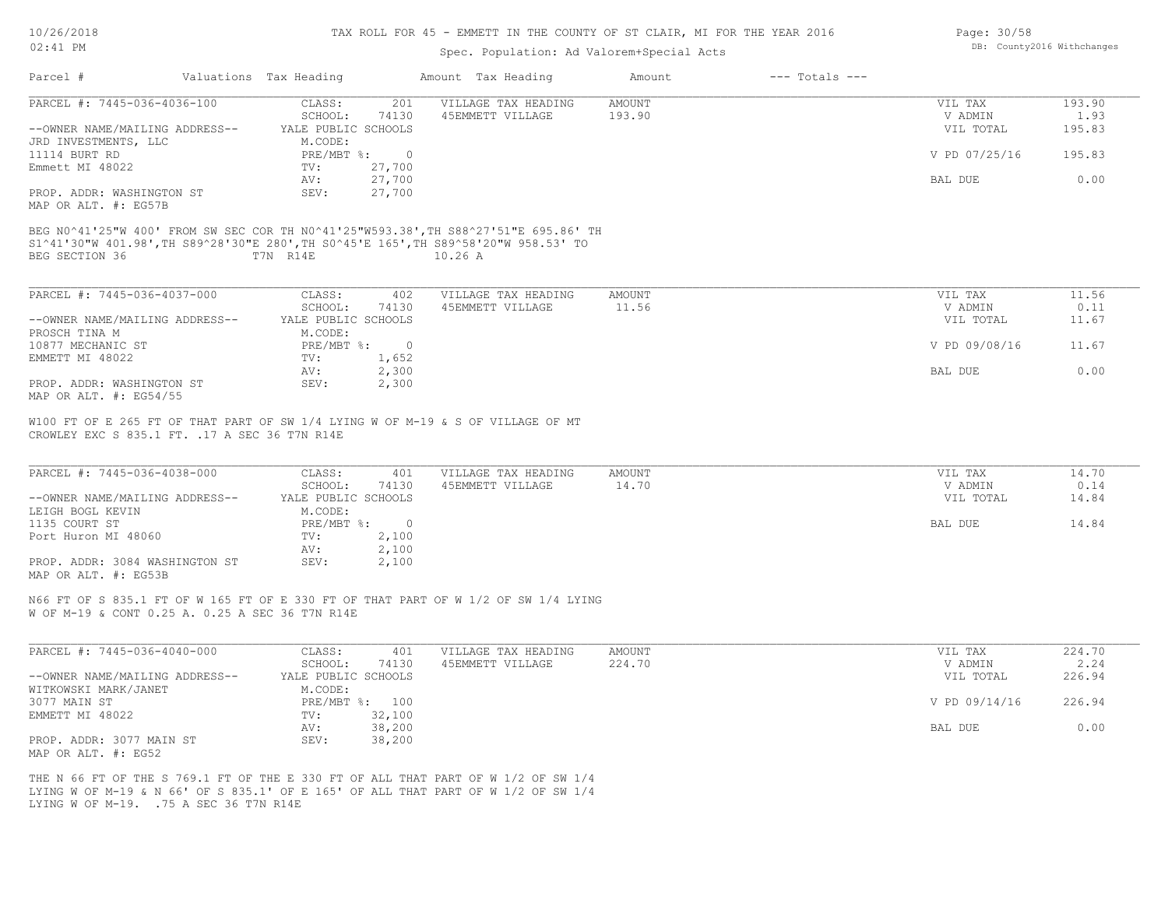LYING W OF M-19. .75 A SEC 36 T7N R14E

## TAX ROLL FOR 45 - EMMETT IN THE COUNTY OF ST CLAIR, MI FOR THE YEAR 2016

## Spec. Population: Ad Valorem+Special Acts

| Page: 30/58 |                            |
|-------------|----------------------------|
|             | DB: County2016 Withchanges |

| Parcel #                                                      | Valuations Tax Heading                   |                  | Amount Tax Heading                                                                                                                                                                      | Amount                  | $---$ Totals $---$ |                                 |                          |
|---------------------------------------------------------------|------------------------------------------|------------------|-----------------------------------------------------------------------------------------------------------------------------------------------------------------------------------------|-------------------------|--------------------|---------------------------------|--------------------------|
| PARCEL #: 7445-036-4036-100<br>--OWNER NAME/MAILING ADDRESS-- | CLASS:<br>SCHOOL:<br>YALE PUBLIC SCHOOLS | 201<br>74130     | VILLAGE TAX HEADING<br>45EMMETT VILLAGE                                                                                                                                                 | <b>AMOUNT</b><br>193.90 |                    | VIL TAX<br>V ADMIN<br>VIL TOTAL | 193.90<br>1.93<br>195.83 |
| JRD INVESTMENTS, LLC<br>11114 BURT RD                         | M.CODE:<br>PRE/MBT %: 0                  |                  |                                                                                                                                                                                         |                         |                    | V PD 07/25/16                   | 195.83                   |
| Emmett MI 48022                                               | TV:<br>AV:                               | 27,700<br>27,700 |                                                                                                                                                                                         |                         |                    | BAL DUE                         | 0.00                     |
| PROP. ADDR: WASHINGTON ST<br>MAP OR ALT. #: EG57B             | SEV:                                     | 27,700           |                                                                                                                                                                                         |                         |                    |                                 |                          |
| BEG SECTION 36                                                | T7N R14E                                 |                  | BEG N0^41'25"W 400' FROM SW SEC COR TH N0^41'25"W593.38', TH S88^27'51"E 695.86' TH<br>S1^41'30"W 401.98', TH S89^28'30"E 280', TH S0^45'E 165', TH S89^58'20"W 958.53' TO<br>$10.26$ A |                         |                    |                                 |                          |
| PARCEL #: 7445-036-4037-000                                   | CLASS:                                   | 402              | VILLAGE TAX HEADING                                                                                                                                                                     | <b>AMOUNT</b>           |                    | VIL TAX                         | 11.56                    |
|                                                               | SCHOOL:                                  | 74130            | 45EMMETT VILLAGE                                                                                                                                                                        | 11.56                   |                    | V ADMIN                         | 0.11                     |
| --OWNER NAME/MAILING ADDRESS--<br>PROSCH TINA M               | YALE PUBLIC SCHOOLS<br>M.CODE:           |                  |                                                                                                                                                                                         |                         |                    | VIL TOTAL                       | 11.67                    |
| 10877 MECHANIC ST<br>EMMETT MI 48022                          | PRE/MBT %: 0<br>TV:                      | 1,652            |                                                                                                                                                                                         |                         |                    | V PD 09/08/16                   | 11.67                    |
| PROP. ADDR: WASHINGTON ST                                     | AV:<br>SEV:                              | 2,300<br>2,300   |                                                                                                                                                                                         |                         |                    | BAL DUE                         | 0.00                     |
| MAP OR ALT. #: EG54/55                                        |                                          |                  |                                                                                                                                                                                         |                         |                    |                                 |                          |
| CROWLEY EXC S 835.1 FT. . 17 A SEC 36 T7N R14E                |                                          |                  | W100 FT OF E 265 FT OF THAT PART OF SW 1/4 LYING W OF M-19 & S OF VILLAGE OF MT                                                                                                         |                         |                    |                                 |                          |
| PARCEL #: 7445-036-4038-000                                   | CLASS:<br>SCHOOL:                        | 401<br>74130     | VILLAGE TAX HEADING<br>45EMMETT VILLAGE                                                                                                                                                 | AMOUNT<br>14.70         |                    | VIL TAX<br>V ADMIN              | 14.70<br>0.14            |
| --OWNER NAME/MAILING ADDRESS--                                | YALE PUBLIC SCHOOLS                      |                  |                                                                                                                                                                                         |                         |                    | VIL TOTAL                       | 14.84                    |
| LEIGH BOGL KEVIN<br>1135 COURT ST                             | M.CODE:<br>PRE/MBT %: 0                  |                  |                                                                                                                                                                                         |                         |                    | BAL DUE                         | 14.84                    |
| Port Huron MI 48060                                           | TV:<br>AV:                               | 2,100<br>2,100   |                                                                                                                                                                                         |                         |                    |                                 |                          |
| PROP. ADDR: 3084 WASHINGTON ST<br>MAP OR ALT. #: EG53B        | SEV:                                     | 2,100            |                                                                                                                                                                                         |                         |                    |                                 |                          |
| W OF M-19 & CONT 0.25 A. 0.25 A SEC 36 T7N R14E               |                                          |                  | N66 FT OF S 835.1 FT OF W 165 FT OF E 330 FT OF THAT PART OF W 1/2 OF SW 1/4 LYING                                                                                                      |                         |                    |                                 |                          |
| PARCEL #: 7445-036-4040-000                                   | CLASS:                                   | 401              | VILLAGE TAX HEADING                                                                                                                                                                     | <b>AMOUNT</b>           |                    | VIL TAX                         | 224.70                   |
| --OWNER NAME/MAILING ADDRESS--                                | SCHOOL:<br>YALE PUBLIC SCHOOLS           | 74130            | 45EMMETT VILLAGE                                                                                                                                                                        | 224.70                  |                    | V ADMIN<br>VIL TOTAL            | 2.24<br>226.94           |
| WITKOWSKI MARK/JANET<br>3077 MAIN ST                          | M.CODE:<br>PRE/MBT %: 100                |                  |                                                                                                                                                                                         |                         |                    | V PD 09/14/16                   | 226.94                   |
| EMMETT MI 48022                                               | TV:<br>AV:                               | 32,100<br>38,200 |                                                                                                                                                                                         |                         |                    | BAL DUE                         | 0.00                     |
| PROP. ADDR: 3077 MAIN ST<br>MAP OR ALT. #: EG52               | SEV:                                     | 38,200           |                                                                                                                                                                                         |                         |                    |                                 |                          |
|                                                               |                                          |                  | THE N 66 FT OF THE S 769.1 FT OF THE E 330 FT OF ALL THAT PART OF W 1/2 OF SW 1/4<br>LYING W OF M-19 & N 66' OF S 835.1' OF E 165' OF ALL THAT PART OF W 1/2 OF SW 1/4                  |                         |                    |                                 |                          |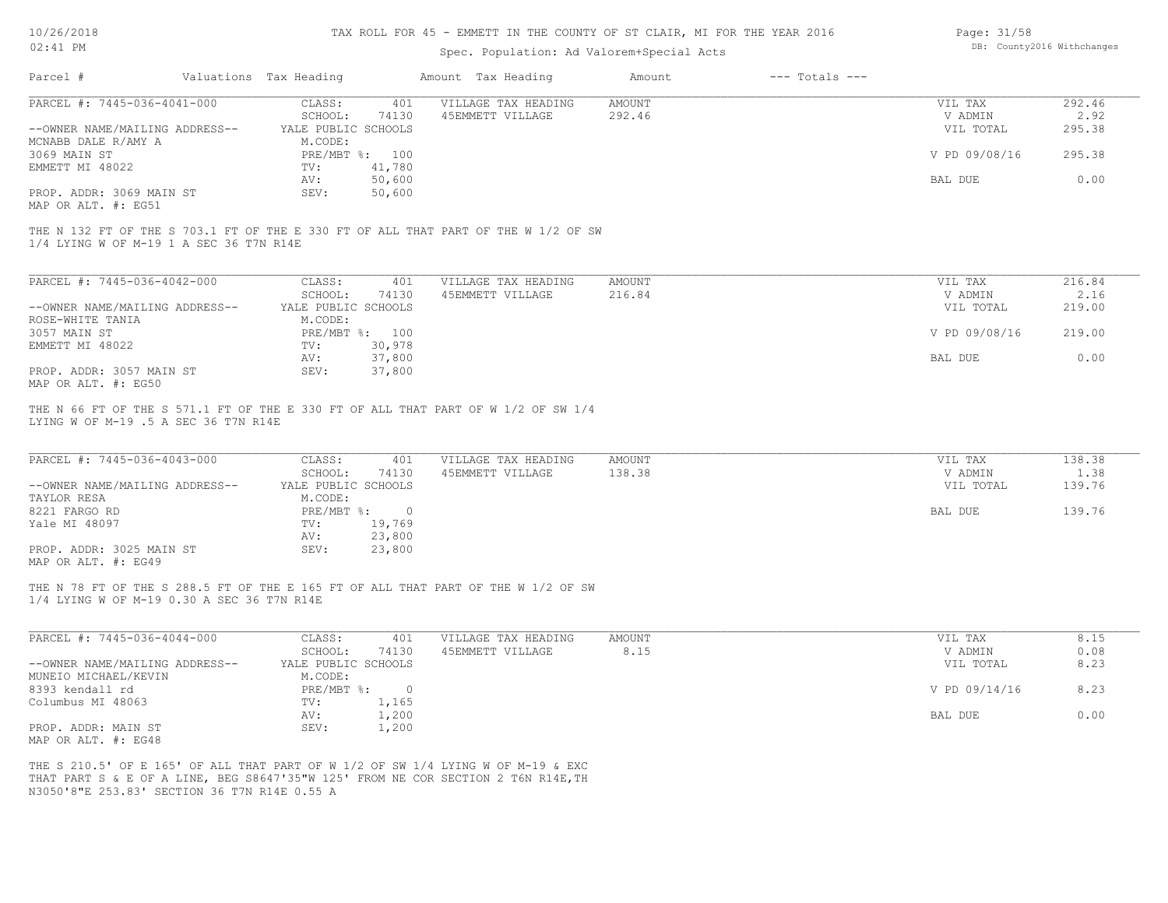## TAX ROLL FOR 45 - EMMETT IN THE COUNTY OF ST CLAIR, MI FOR THE YEAR 2016

## Spec. Population: Ad Valorem+Special Acts

| Page: 31/58 |                            |
|-------------|----------------------------|
|             | DB: County2016 Withchanges |

| Parcel #                                              | Valuations Tax Heading         |                  | Amount Tax Heading                                                                                                                                                    | Amount                  | $---$ Totals $---$ |                      |                |
|-------------------------------------------------------|--------------------------------|------------------|-----------------------------------------------------------------------------------------------------------------------------------------------------------------------|-------------------------|--------------------|----------------------|----------------|
| PARCEL #: 7445-036-4041-000                           | CLASS:<br>SCHOOL:              | 401<br>74130     | VILLAGE TAX HEADING<br>45EMMETT VILLAGE                                                                                                                               | AMOUNT<br>292.46        |                    | VIL TAX<br>V ADMIN   | 292.46<br>2.92 |
| --OWNER NAME/MAILING ADDRESS--<br>MCNABB DALE R/AMY A | YALE PUBLIC SCHOOLS<br>M.CODE: |                  |                                                                                                                                                                       |                         |                    | VIL TOTAL            | 295.38         |
| 3069 MAIN ST                                          | PRE/MBT %: 100                 |                  |                                                                                                                                                                       |                         |                    | V PD 09/08/16        | 295.38         |
| EMMETT MI 48022                                       | TV:                            | 41,780           |                                                                                                                                                                       |                         |                    |                      |                |
|                                                       | AV:                            | 50,600           |                                                                                                                                                                       |                         |                    | BAL DUE              | 0.00           |
| PROP. ADDR: 3069 MAIN ST<br>MAP OR ALT. #: EG51       | SEV:                           | 50,600           |                                                                                                                                                                       |                         |                    |                      |                |
| 1/4 LYING W OF M-19 1 A SEC 36 T7N R14E               |                                |                  | THE N 132 FT OF THE S 703.1 FT OF THE E 330 FT OF ALL THAT PART OF THE W 1/2 OF SW                                                                                    |                         |                    |                      |                |
| PARCEL #: 7445-036-4042-000                           | CLASS:                         | 401              | VILLAGE TAX HEADING                                                                                                                                                   | <b>AMOUNT</b>           |                    | VIL TAX              | 216.84         |
|                                                       | SCHOOL:                        | 74130            | 45EMMETT VILLAGE                                                                                                                                                      | 216.84                  |                    | V ADMIN              | 2.16           |
| --OWNER NAME/MAILING ADDRESS--                        | YALE PUBLIC SCHOOLS            |                  |                                                                                                                                                                       |                         |                    | VIL TOTAL            | 219.00         |
| ROSE-WHITE TANIA                                      | M.CODE:                        |                  |                                                                                                                                                                       |                         |                    |                      |                |
| 3057 MAIN ST                                          | PRE/MBT %: 100                 |                  |                                                                                                                                                                       |                         |                    | V PD 09/08/16        | 219.00         |
| EMMETT MI 48022                                       | TV:                            | 30,978           |                                                                                                                                                                       |                         |                    |                      |                |
| PROP. ADDR: 3057 MAIN ST                              | AV:<br>SEV:                    | 37,800<br>37,800 |                                                                                                                                                                       |                         |                    | BAL DUE              | 0.00           |
| MAP OR ALT. #: EG50                                   |                                |                  |                                                                                                                                                                       |                         |                    |                      |                |
| LYING W OF M-19 .5 A SEC 36 T7N R14E                  |                                |                  | THE N 66 FT OF THE S 571.1 FT OF THE E 330 FT OF ALL THAT PART OF W 1/2 OF SW 1/4                                                                                     |                         |                    |                      |                |
| PARCEL #: 7445-036-4043-000                           | CLASS:<br>SCHOOL:              | 401<br>74130     | VILLAGE TAX HEADING<br>45EMMETT VILLAGE                                                                                                                               | <b>AMOUNT</b><br>138.38 |                    | VIL TAX<br>V ADMIN   | 138.38         |
| --OWNER NAME/MAILING ADDRESS--                        | YALE PUBLIC SCHOOLS            |                  |                                                                                                                                                                       |                         |                    | VIL TOTAL            | 1.38<br>139.76 |
| TAYLOR RESA                                           | M.CODE:                        |                  |                                                                                                                                                                       |                         |                    |                      |                |
| 8221 FARGO RD                                         | $PRE/MBT$ $\div$ 0             |                  |                                                                                                                                                                       |                         |                    | BAL DUE              | 139.76         |
| Yale MI 48097                                         | TV:                            | 19,769           |                                                                                                                                                                       |                         |                    |                      |                |
|                                                       | AV:                            | 23,800           |                                                                                                                                                                       |                         |                    |                      |                |
| PROP. ADDR: 3025 MAIN ST<br>MAP OR ALT. #: EG49       | SEV:                           | 23,800           |                                                                                                                                                                       |                         |                    |                      |                |
| 1/4 LYING W OF M-19 0.30 A SEC 36 T7N R14E            |                                |                  | THE N 78 FT OF THE S 288.5 FT OF THE E 165 FT OF ALL THAT PART OF THE W 1/2 OF SW                                                                                     |                         |                    |                      |                |
| PARCEL #: 7445-036-4044-000                           | CLASS:                         | 401              | VILLAGE TAX HEADING                                                                                                                                                   | AMOUNT                  |                    | VIL TAX              | 8.15           |
| --OWNER NAME/MAILING ADDRESS--                        | SCHOOL:<br>YALE PUBLIC SCHOOLS | 74130            | 45EMMETT VILLAGE                                                                                                                                                      | 8.15                    |                    | V ADMIN<br>VIL TOTAL | 0.08<br>8.23   |
| MUNEIO MICHAEL/KEVIN                                  | M.CODE:                        |                  |                                                                                                                                                                       |                         |                    |                      |                |
| 8393 kendall rd                                       | PRE/MBT %: 0                   |                  |                                                                                                                                                                       |                         |                    | V PD 09/14/16        | 8.23           |
| Columbus MI 48063                                     | TV:                            | 1,165            |                                                                                                                                                                       |                         |                    |                      |                |
|                                                       | AV:                            | 1,200            |                                                                                                                                                                       |                         |                    | BAL DUE              | 0.00           |
| PROP. ADDR: MAIN ST<br>MAP OR ALT. #: EG48            | SEV:                           | 1,200            |                                                                                                                                                                       |                         |                    |                      |                |
| N3050'8"E 253.83' SECTION 36 T7N R14E 0.55 A          |                                |                  | THE S 210.5' OF E 165' OF ALL THAT PART OF W 1/2 OF SW 1/4 LYING W OF M-19 & EXC<br>THAT PART S & E OF A LINE, BEG S8647'35"W 125' FROM NE COR SECTION 2 T6N R14E, TH |                         |                    |                      |                |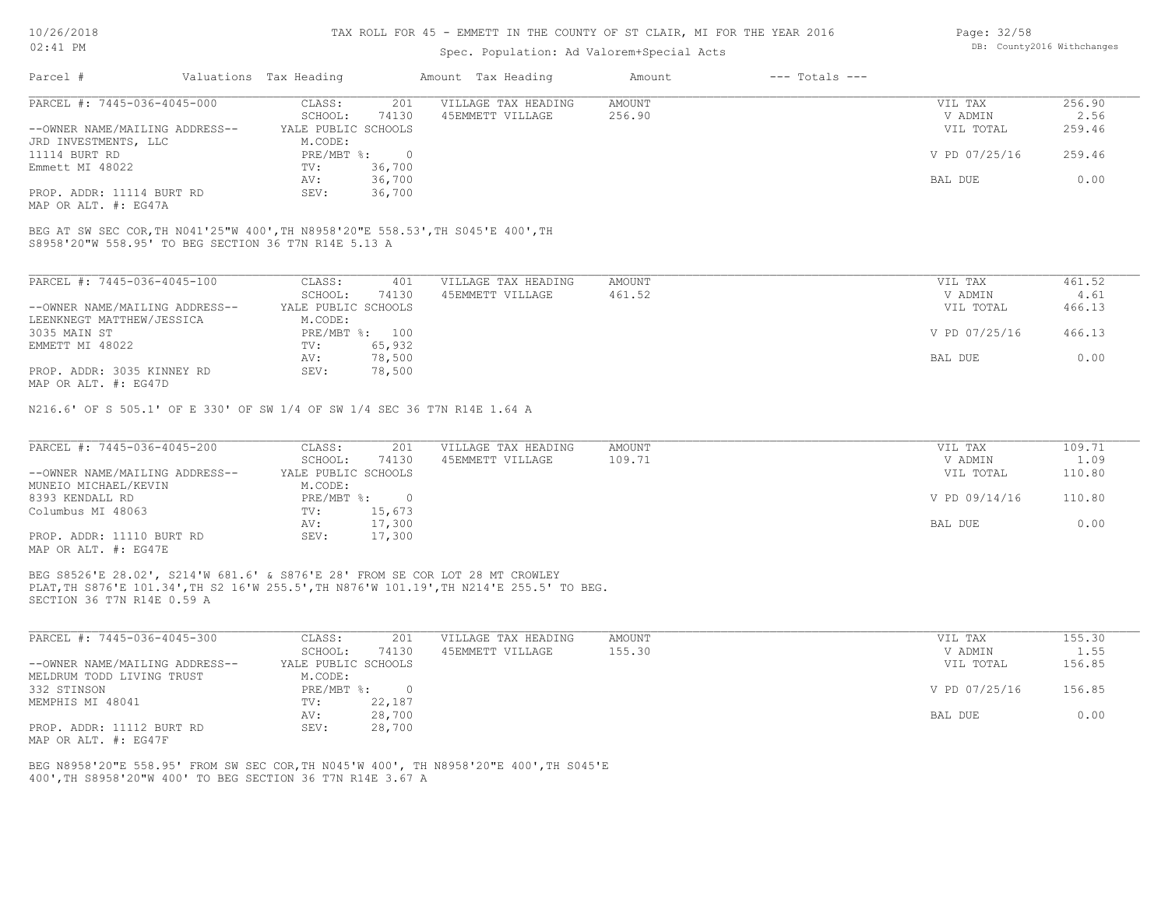#### TAX ROLL FOR 45 - EMMETT IN THE COUNTY OF ST CLAIR, MI FOR THE YEAR 2016

## Spec. Population: Ad Valorem+Special Acts

| Parcel #                       | Valuations Tax Heading |        | Amount Tax Heading  | Amount | $---$ Totals $---$ |               |        |
|--------------------------------|------------------------|--------|---------------------|--------|--------------------|---------------|--------|
| PARCEL #: 7445-036-4045-000    | CLASS:                 | 201    | VILLAGE TAX HEADING | AMOUNT |                    | VIL TAX       | 256.90 |
|                                | SCHOOL:                | 74130  | 45EMMETT VILLAGE    | 256.90 |                    | V ADMIN       | 2.56   |
| --OWNER NAME/MAILING ADDRESS-- | YALE PUBLIC SCHOOLS    |        |                     |        |                    | VIL TOTAL     | 259.46 |
| JRD INVESTMENTS, LLC           | M.CODE:                |        |                     |        |                    |               |        |
| 11114 BURT RD                  | PRE/MBT %:             |        |                     |        |                    | V PD 07/25/16 | 259.46 |
| Emmett MI 48022                | TV:                    | 36,700 |                     |        |                    |               |        |
|                                | AV:                    | 36,700 |                     |        |                    | BAL DUE       | 0.00   |
| PROP. ADDR: 11114 BURT RD      | SEV:                   | 36,700 |                     |        |                    |               |        |
|                                |                        |        |                     |        |                    |               |        |

MAP OR ALT. #: EG47A

S8958'20"W 558.95' TO BEG SECTION 36 T7N R14E 5.13 A BEG AT SW SEC COR,TH N041'25"W 400',TH N8958'20"E 558.53',TH S045'E 400',TH

| PARCEL #: 7445-036-4045-100    | CLASS:              | 401    | VILLAGE TAX HEADING | AMOUNT | VIL TAX       | 461.52 |
|--------------------------------|---------------------|--------|---------------------|--------|---------------|--------|
|                                | SCHOOL:             | 74130  | 45EMMETT VILLAGE    | 461.52 | V ADMIN       | 4.61   |
| --OWNER NAME/MAILING ADDRESS-- | YALE PUBLIC SCHOOLS |        |                     |        | VIL TOTAL     | 466.13 |
| LEENKNEGT MATTHEW/JESSICA      | M.CODE:             |        |                     |        |               |        |
| 3035 MAIN ST                   | $PRE/MBT$ %:        | 100    |                     |        | V PD 07/25/16 | 466.13 |
| EMMETT MI 48022                | TV:                 | 65,932 |                     |        |               |        |
|                                | AV:                 | 78,500 |                     |        | BAL DUE       | 0.00   |
| PROP. ADDR: 3035 KINNEY RD     | SEV:                | 78,500 |                     |        |               |        |
| MAP OR ALT. #: EG47D           |                     |        |                     |        |               |        |

N216.6' OF S 505.1' OF E 330' OF SW 1/4 OF SW 1/4 SEC 36 T7N R14E 1.64 A

| PARCEL #: 7445-036-4045-200    | CLASS:              | 201    | VILLAGE TAX HEADING | AMOUNT | VIL TAX       | 109.71 |
|--------------------------------|---------------------|--------|---------------------|--------|---------------|--------|
|                                | SCHOOL:             | 74130  | 45EMMETT VILLAGE    | 109.71 | V ADMIN       | 1.09   |
| --OWNER NAME/MAILING ADDRESS-- | YALE PUBLIC SCHOOLS |        |                     |        | VIL TOTAL     | 110.80 |
| MUNEIO MICHAEL/KEVIN           | M.CODE:             |        |                     |        |               |        |
| 8393 KENDALL RD                | PRE/MBT %:          |        |                     |        | V PD 09/14/16 | 110.80 |
| Columbus MI 48063              | TV:                 | 15,673 |                     |        |               |        |
|                                | AV:                 | 17,300 |                     |        | BAL DUE       | 0.00   |
| PROP. ADDR: 11110 BURT RD      | SEV:                | 17,300 |                     |        |               |        |
| MAP OR ALT. #: EG47E           |                     |        |                     |        |               |        |

PLAT,TH S876'E 101.34',TH S2 16'W 255.5',TH N876'W 101.19',TH N214'E 255.5' TO BEG. BEG S8526'E 28.02', S214'W 681.6' & S876'E 28' FROM SE COR LOT 28 MT CROWLEY

SECTION 36 T7N R14E 0.59 A

| PARCEL #: 7445-036-4045-300    | CLASS:              | 201    | VILLAGE TAX HEADING | AMOUNT | VIL TAX       | 155.30 |
|--------------------------------|---------------------|--------|---------------------|--------|---------------|--------|
|                                | SCHOOL:             | 74130  | 45EMMETT VILLAGE    | 155.30 | V ADMIN       | 1.55   |
| --OWNER NAME/MAILING ADDRESS-- | YALE PUBLIC SCHOOLS |        |                     |        | VIL TOTAL     | 156.85 |
| MELDRUM TODD LIVING TRUST      | M.CODE:             |        |                     |        |               |        |
| 332 STINSON                    | $PRE/MBT$ %:        |        |                     |        | V PD 07/25/16 | 156.85 |
| MEMPHIS MI 48041               | TV:                 | 22,187 |                     |        |               |        |
|                                | AV:                 | 28,700 |                     |        | BAL DUE       | 0.00   |
| PROP. ADDR: 11112 BURT RD      | SEV:                | 28,700 |                     |        |               |        |
| MAP OR ALT. #: EG47F           |                     |        |                     |        |               |        |

400',TH S8958'20"W 400' TO BEG SECTION 36 T7N R14E 3.67 A BEG N8958'20"E 558.95' FROM SW SEC COR,TH N045'W 400', TH N8958'20"E 400',TH S045'E Page: 32/58 DB: County2016 Withchanges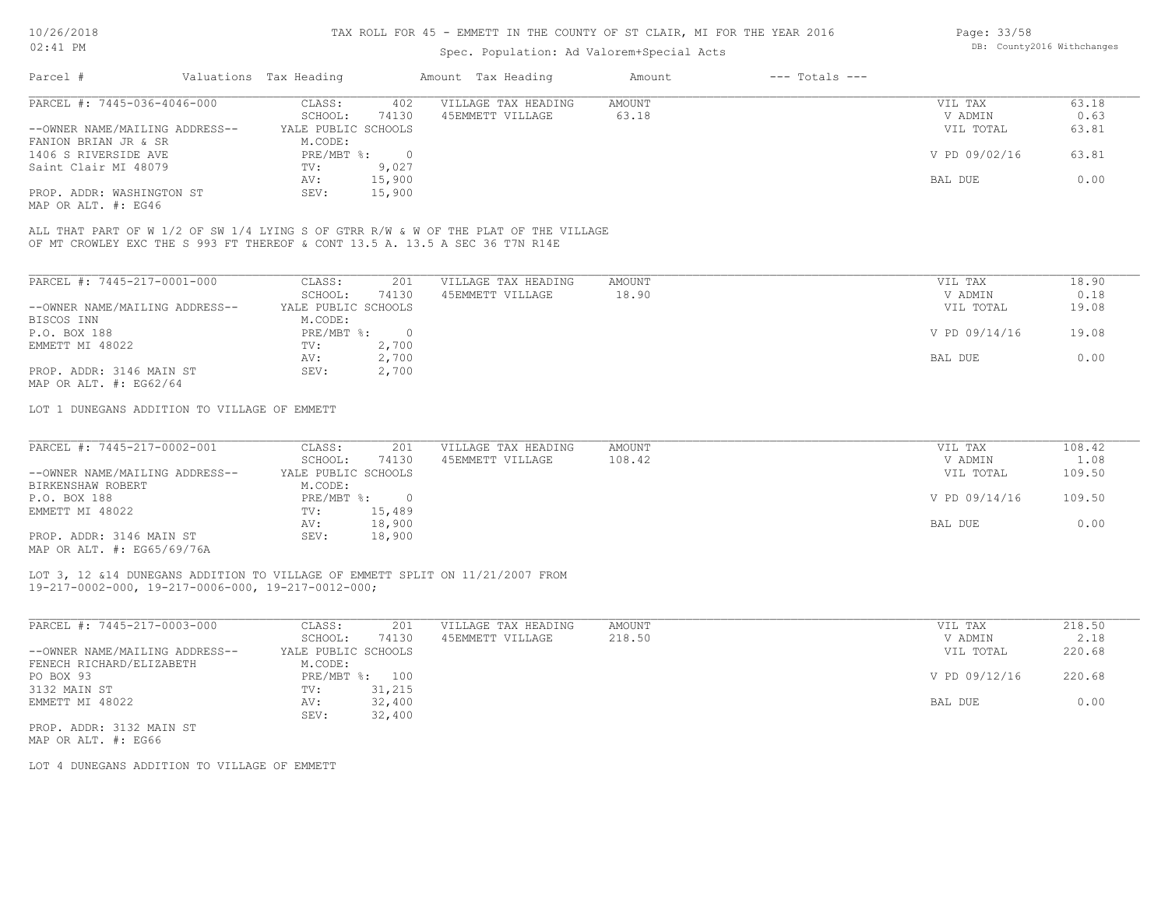#### TAX ROLL FOR 45 - EMMETT IN THE COUNTY OF ST CLAIR, MI FOR THE YEAR 2016

## Spec. Population: Ad Valorem+Special Acts

| Parcel #                       | Valuations Tax Heading |        | Amount Tax Heading  | Amount | $---$ Totals $---$ |               |       |
|--------------------------------|------------------------|--------|---------------------|--------|--------------------|---------------|-------|
| PARCEL #: 7445-036-4046-000    | CLASS:                 | 402    | VILLAGE TAX HEADING | AMOUNT |                    | VIL TAX       | 63.18 |
|                                | SCHOOL:                | 74130  | 45EMMETT VILLAGE    | 63.18  |                    | V ADMIN       | 0.63  |
| --OWNER NAME/MAILING ADDRESS-- | YALE PUBLIC SCHOOLS    |        |                     |        |                    | VIL TOTAL     | 63.81 |
| FANION BRIAN JR & SR           | M.CODE:                |        |                     |        |                    |               |       |
| 1406 S RIVERSIDE AVE           | PRE/MBT %:             |        |                     |        |                    | V PD 09/02/16 | 63.81 |
| Saint Clair MI 48079           | TV:                    | 9,027  |                     |        |                    |               |       |
|                                | AV:                    | 15,900 |                     |        |                    | BAL DUE       | 0.00  |
| PROP. ADDR: WASHINGTON ST      | SEV:                   | 15,900 |                     |        |                    |               |       |

MAP OR ALT. #: EG46

OF MT CROWLEY EXC THE S 993 FT THEREOF & CONT 13.5 A. 13.5 A SEC 36 T7N R14E ALL THAT PART OF W 1/2 OF SW 1/4 LYING S OF GTRR R/W & W OF THE PLAT OF THE VILLAGE

| PARCEL #: 7445-217-0001-000    | CLASS:              | 201      | VILLAGE TAX HEADING | AMOUNT | 18.90<br>VIL TAX       |
|--------------------------------|---------------------|----------|---------------------|--------|------------------------|
|                                | SCHOOL:             | 74130    | 45EMMETT VILLAGE    | 18.90  | 0.18<br>V ADMIN        |
| --OWNER NAME/MAILING ADDRESS-- | YALE PUBLIC SCHOOLS |          |                     |        | 19.08<br>VIL TOTAL     |
| BISCOS INN                     | M.CODE:             |          |                     |        |                        |
| P.O. BOX 188                   | $PRE/MBT$ %:        | $\Omega$ |                     |        | V PD 09/14/16<br>19.08 |
| EMMETT MI 48022                | TV:                 | 2,700    |                     |        |                        |
|                                | AV:                 | 2,700    |                     |        | 0.00<br>BAL DUE        |
| PROP. ADDR: 3146 MAIN ST       | SEV:                | 2,700    |                     |        |                        |
| MAP OR ALT. $\#$ : EG62/64     |                     |          |                     |        |                        |

LOT 1 DUNEGANS ADDITION TO VILLAGE OF EMMETT

| PARCEL #: 7445-217-0002-001    | CLASS:              | 201    | VILLAGE TAX HEADING | AMOUNT | VIL TAX       | 108.42 |
|--------------------------------|---------------------|--------|---------------------|--------|---------------|--------|
|                                | SCHOOL:             | 74130  | 45EMMETT VILLAGE    | 108.42 | V ADMIN       | 1.08   |
| --OWNER NAME/MAILING ADDRESS-- | YALE PUBLIC SCHOOLS |        |                     |        | VIL TOTAL     | 109.50 |
| BIRKENSHAW ROBERT              | M.CODE:             |        |                     |        |               |        |
| P.O. BOX 188                   | PRE/MBT %:          |        |                     |        | V PD 09/14/16 | 109.50 |
| EMMETT MI 48022                | TV:                 | 15,489 |                     |        |               |        |
|                                | AV:                 | 18,900 |                     |        | BAL DUE       | 0.00   |
| PROP. ADDR: 3146 MAIN ST       | SEV:                | 18,900 |                     |        |               |        |
| $\frac{1}{2}$                  |                     |        |                     |        |               |        |

MAP OR ALT. #: EG65/69/76A

19-217-0002-000, 19-217-0006-000, 19-217-0012-000; LOT 3, 12 &14 DUNEGANS ADDITION TO VILLAGE OF EMMETT SPLIT ON 11/21/2007 FROM

| PARCEL #: 7445-217-0003-000    | CLASS:              | 201    | VILLAGE TAX HEADING | AMOUNT | 218.50<br>VIL TAX       |  |
|--------------------------------|---------------------|--------|---------------------|--------|-------------------------|--|
|                                | SCHOOL:             | 74130  | 45EMMETT VILLAGE    | 218.50 | 2.18<br>V ADMIN         |  |
| --OWNER NAME/MAILING ADDRESS-- | YALE PUBLIC SCHOOLS |        |                     |        | 220.68<br>VIL TOTAL     |  |
| FENECH RICHARD/ELIZABETH       | M.CODE:             |        |                     |        |                         |  |
| PO BOX 93                      | PRE/MBT %:          | 100    |                     |        | V PD 09/12/16<br>220.68 |  |
| 3132 MAIN ST                   | TV:                 | 31,215 |                     |        |                         |  |
| EMMETT MI 48022                | AV:                 | 32,400 |                     |        | 0.00<br>BAL DUE         |  |
|                                | SEV:                | 32,400 |                     |        |                         |  |
| PROP. ADDR: 3132 MAIN ST       |                     |        |                     |        |                         |  |

MAP OR ALT. #: EG66

LOT 4 DUNEGANS ADDITION TO VILLAGE OF EMMETT

Page: 33/58 DB: County2016 Withchanges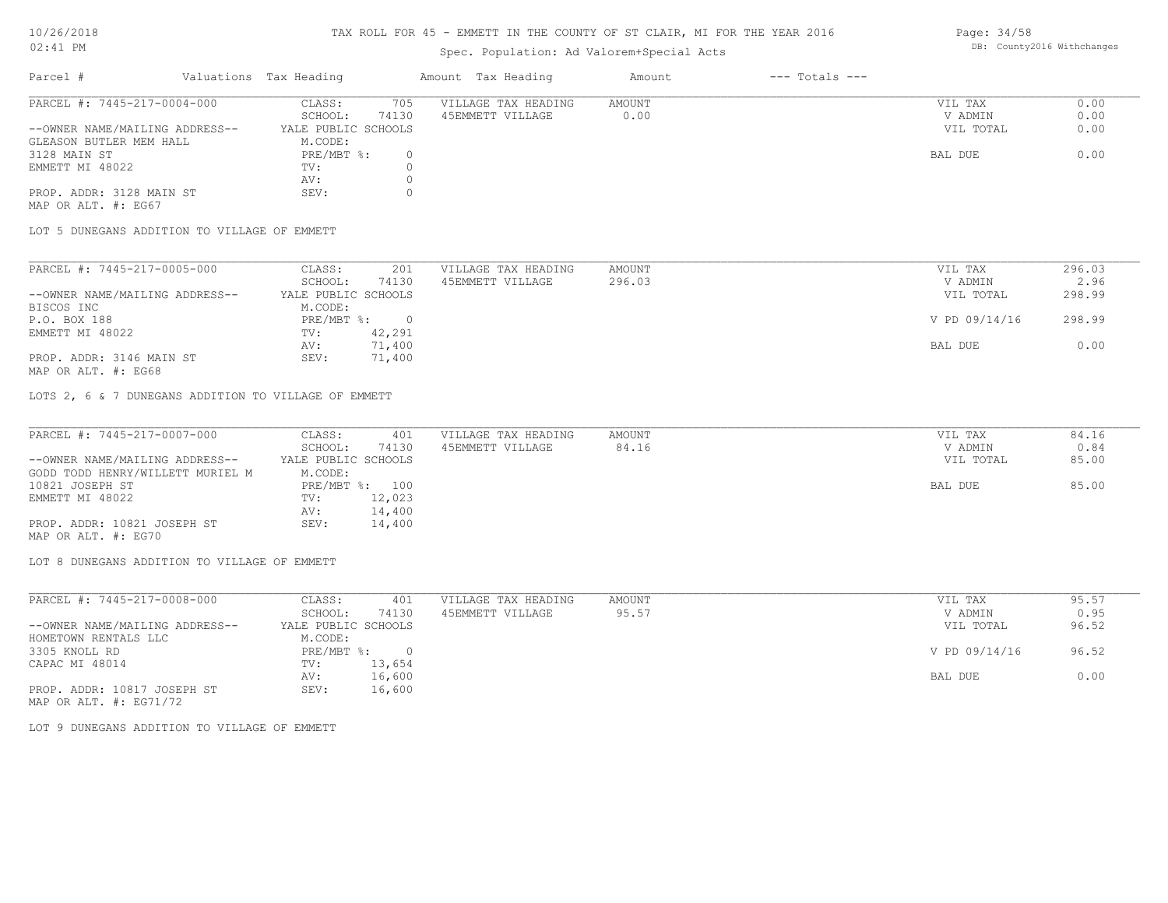# 10/26/2018

## 02:41 PM

### TAX ROLL FOR 45 - EMMETT IN THE COUNTY OF ST CLAIR, MI FOR THE YEAR 2016

## Spec. Population: Ad Valorem+Special Acts

| Parcel #                       | Valuations Tax Heading |       | Amount Tax Heading  | Amount | $---$ Totals $---$ |           |      |
|--------------------------------|------------------------|-------|---------------------|--------|--------------------|-----------|------|
| PARCEL #: 7445-217-0004-000    | CLASS:                 | 705   | VILLAGE TAX HEADING | AMOUNT |                    | VIL TAX   | 0.00 |
|                                | SCHOOL:                | 74130 | 45EMMETT VILLAGE    | 0.00   |                    | V ADMIN   | 0.00 |
| --OWNER NAME/MAILING ADDRESS-- | YALE PUBLIC SCHOOLS    |       |                     |        |                    | VIL TOTAL | 0.00 |
| GLEASON BUTLER MEM HALL        | M.CODE:                |       |                     |        |                    |           |      |
| 3128 MAIN ST                   | PRE/MBT %:             |       |                     |        |                    | BAL DUE   | 0.00 |
| EMMETT MI 48022                | TV:                    |       |                     |        |                    |           |      |
|                                | AV:                    |       |                     |        |                    |           |      |
| PROP. ADDR: 3128 MAIN ST       | SEV:                   |       |                     |        |                    |           |      |

MAP OR ALT. #: EG67

LOT 5 DUNEGANS ADDITION TO VILLAGE OF EMMETT

| PARCEL #: 7445-217-0005-000    | CLASS:              | 201    | VILLAGE TAX HEADING | AMOUNT | VIL TAX       | 296.03 |
|--------------------------------|---------------------|--------|---------------------|--------|---------------|--------|
|                                | SCHOOL:             | 74130  | 45EMMETT VILLAGE    | 296.03 | V ADMIN       | 2.96   |
| --OWNER NAME/MAILING ADDRESS-- | YALE PUBLIC SCHOOLS |        |                     |        | VIL TOTAL     | 298.99 |
| BISCOS INC                     | M.CODE:             |        |                     |        |               |        |
| P.O. BOX 188                   | PRE/MBT %:          |        |                     |        | V PD 09/14/16 | 298.99 |
| EMMETT MI 48022                | TV:                 | 42,291 |                     |        |               |        |
|                                | AV:                 | 71,400 |                     |        | BAL DUE       | 0.00   |
| PROP. ADDR: 3146 MAIN ST       | SEV:                | 71,400 |                     |        |               |        |
|                                |                     |        |                     |        |               |        |

MAP OR ALT. #: EG68

LOTS 2, 6 & 7 DUNEGANS ADDITION TO VILLAGE OF EMMETT

| PARCEL #: 7445-217-0007-000      | CLASS:              | 401    | VILLAGE TAX HEADING | AMOUNT | VIL TAX   | 84.16 |
|----------------------------------|---------------------|--------|---------------------|--------|-----------|-------|
|                                  | SCHOOL:             | 74130  | 45EMMETT VILLAGE    | 84.16  | V ADMIN   | 0.84  |
| --OWNER NAME/MAILING ADDRESS--   | YALE PUBLIC SCHOOLS |        |                     |        | VIL TOTAL | 85.00 |
| GODD TODD HENRY/WILLETT MURIEL M | M.CODE:             |        |                     |        |           |       |
| 10821 JOSEPH ST                  | PRE/MBT %: 100      |        |                     |        | BAL DUE   | 85.00 |
| EMMETT MI 48022                  | TV:                 | 12,023 |                     |        |           |       |
|                                  | AV:                 | 14,400 |                     |        |           |       |
| PROP. ADDR: 10821 JOSEPH ST      | SEV:                | 14,400 |                     |        |           |       |
| MAP OR ALT. #: EG70              |                     |        |                     |        |           |       |

LOT 8 DUNEGANS ADDITION TO VILLAGE OF EMMETT

| CLASS:  | 401    | VILLAGE TAX HEADING               | AMOUNT | VIL TAX       | 95.57 |
|---------|--------|-----------------------------------|--------|---------------|-------|
| SCHOOL: | 74130  | 45EMMETT VILLAGE                  | 95.57  | V ADMIN       | 0.95  |
|         |        |                                   |        | VIL TOTAL     | 96.52 |
| M.CODE: |        |                                   |        |               |       |
|         |        |                                   |        | V PD 09/14/16 | 96.52 |
| TV:     | 13,654 |                                   |        |               |       |
| AV:     | 16,600 |                                   |        | BAL DUE       | 0.00  |
| SEV:    | 16,600 |                                   |        |               |       |
|         |        | YALE PUBLIC SCHOOLS<br>PRE/MBT %: |        |               |       |

MAP OR ALT. #: EG71/72

LOT 9 DUNEGANS ADDITION TO VILLAGE OF EMMETT

Page: 34/58 DB: County2016 Withchanges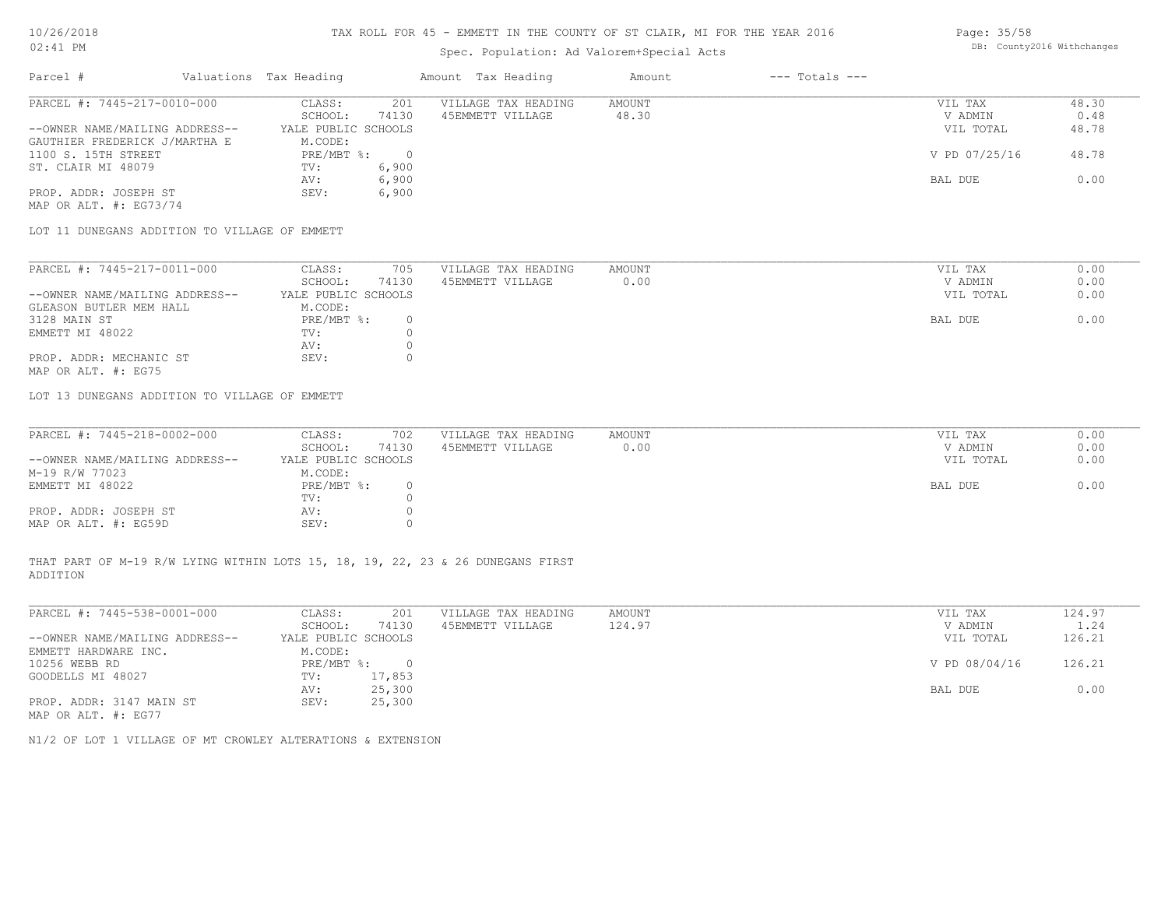#### TAX ROLL FOR 45 - EMMETT IN THE COUNTY OF ST CLAIR, MI FOR THE YEAR 2016

## Spec. Population: Ad Valorem+Special Acts

## Page: 35/58 DB: County2016 Withchanges

| Parcel #                       | Valuations Tax Heading |       | Amount Tax Heading  | Amount | $---$ Totals $---$ |               |       |
|--------------------------------|------------------------|-------|---------------------|--------|--------------------|---------------|-------|
| PARCEL #: 7445-217-0010-000    | CLASS:                 | 201   | VILLAGE TAX HEADING | AMOUNT |                    | VIL TAX       | 48.30 |
|                                | SCHOOL:                | 74130 | 45EMMETT VILLAGE    | 48.30  |                    | V ADMIN       | 0.48  |
| --OWNER NAME/MAILING ADDRESS-- | YALE PUBLIC SCHOOLS    |       |                     |        |                    | VIL TOTAL     | 48.78 |
| GAUTHIER FREDERICK J/MARTHA E  | M.CODE:                |       |                     |        |                    |               |       |
| 1100 S. 15TH STREET            | PRE/MBT %:             |       |                     |        |                    | V PD 07/25/16 | 48.78 |
| ST. CLAIR MI 48079             | TV:                    | 6,900 |                     |        |                    |               |       |
|                                | AV:                    | 6,900 |                     |        |                    | BAL DUE       | 0.00  |
| PROP. ADDR: JOSEPH ST          | SEV:                   | 6,900 |                     |        |                    |               |       |

MAP OR ALT. #: EG73/74

LOT 11 DUNEGANS ADDITION TO VILLAGE OF EMMETT

| PARCEL #: 7445-217-0011-000    | CLASS:              | 705   | VILLAGE TAX HEADING | AMOUNT | VIL TAX   | 0.00 |
|--------------------------------|---------------------|-------|---------------------|--------|-----------|------|
|                                | SCHOOL:             | 74130 | 45EMMETT VILLAGE    | 0.00   | V ADMIN   | 0.00 |
| --OWNER NAME/MAILING ADDRESS-- | YALE PUBLIC SCHOOLS |       |                     |        | VIL TOTAL | 0.00 |
| GLEASON BUTLER MEM HALL        | M.CODE:             |       |                     |        |           |      |
| 3128 MAIN ST                   | PRE/MBT %:          |       |                     |        | BAL DUE   | 0.00 |
| EMMETT MI 48022                | TV:                 |       |                     |        |           |      |
|                                | AV:                 |       |                     |        |           |      |
| PROP. ADDR: MECHANIC ST        | SEV:                |       |                     |        |           |      |
| MAP OR ALT. #: EG75            |                     |       |                     |        |           |      |

LOT 13 DUNEGANS ADDITION TO VILLAGE OF EMMETT

| PARCEL #: 7445-218-0002-000    | CLASS:              | 702   | VILLAGE TAX HEADING | AMOUNT | VIL TAX   | 0.00 |
|--------------------------------|---------------------|-------|---------------------|--------|-----------|------|
|                                | SCHOOL:             | 74130 | 45EMMETT VILLAGE    | 0.00   | V ADMIN   | 0.00 |
| --OWNER NAME/MAILING ADDRESS-- | YALE PUBLIC SCHOOLS |       |                     |        | VIL TOTAL | 0.00 |
| M-19 R/W 77023                 | M.CODE:             |       |                     |        |           |      |
| EMMETT MI 48022                | $PRE/MBT$ %:        |       |                     |        | BAL DUE   | 0.00 |
|                                | TV:                 |       |                     |        |           |      |
| PROP. ADDR: JOSEPH ST          | AV:                 |       |                     |        |           |      |
| MAP OR ALT. #: EG59D           | SEV:                |       |                     |        |           |      |

ADDITION THAT PART OF M-19 R/W LYING WITHIN LOTS 15, 18, 19, 22, 23 & 26 DUNEGANS FIRST

| PARCEL #: 7445-538-0001-000    | CLASS:              | 201    | VILLAGE TAX HEADING | AMOUNT | VIL TAX       | 124.97 |
|--------------------------------|---------------------|--------|---------------------|--------|---------------|--------|
|                                | SCHOOL:             | 74130  | 45EMMETT VILLAGE    | 124.97 | V ADMIN       | 1.24   |
| --OWNER NAME/MAILING ADDRESS-- | YALE PUBLIC SCHOOLS |        |                     |        | VIL TOTAL     | 126.21 |
| EMMETT HARDWARE INC.           | M.CODE:             |        |                     |        |               |        |
| 10256 WEBB RD                  | PRE/MBT %:          |        |                     |        | V PD 08/04/16 | 126.21 |
| GOODELLS MI 48027              | TV:                 | 17,853 |                     |        |               |        |
|                                | AV:                 | 25,300 |                     |        | BAL DUE       | 0.00   |
| PROP. ADDR: 3147 MAIN ST       | SEV:                | 25,300 |                     |        |               |        |
| MAP OR ALT. #: EG77            |                     |        |                     |        |               |        |

N1/2 OF LOT 1 VILLAGE OF MT CROWLEY ALTERATIONS & EXTENSION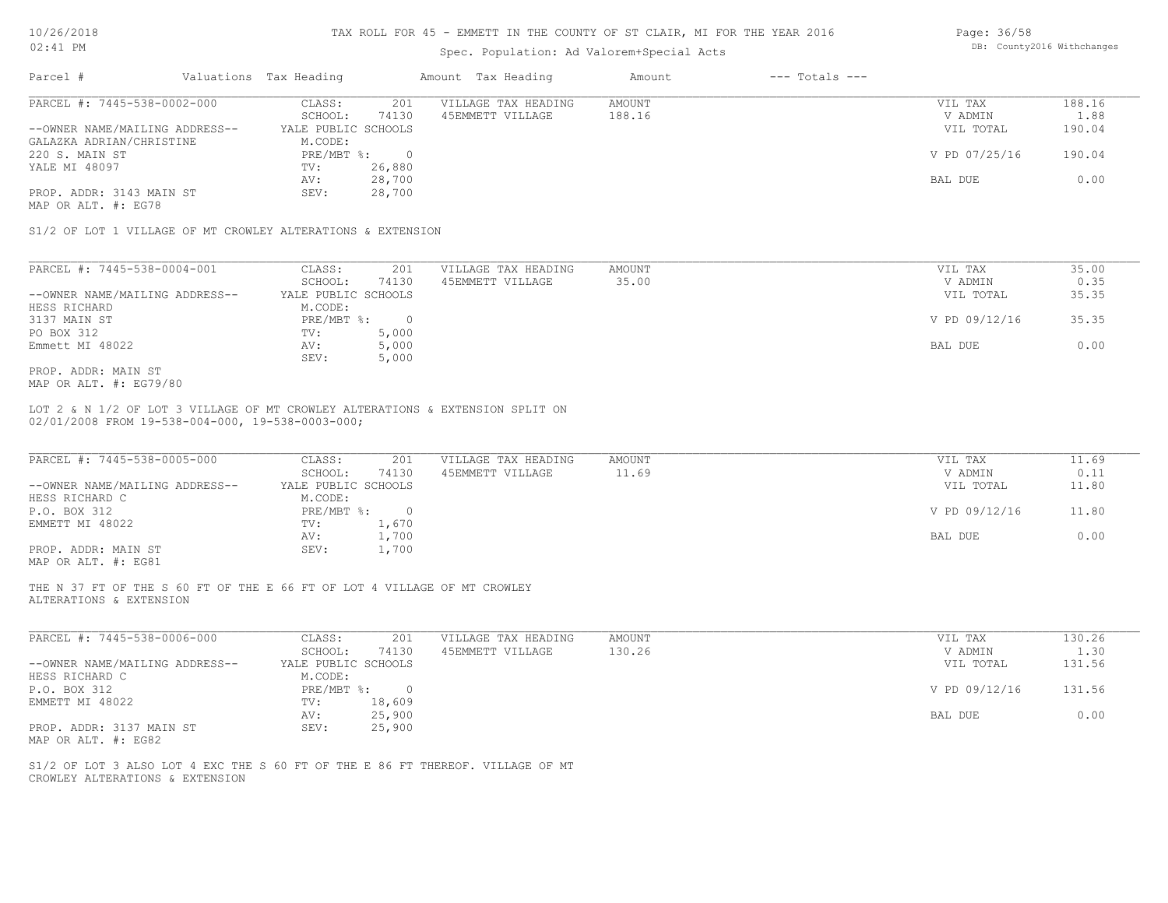#### TAX ROLL FOR 45 - EMMETT IN THE COUNTY OF ST CLAIR, MI FOR THE YEAR 2016

## Spec. Population: Ad Valorem+Special Acts

| Parcel #                                                    | Valuations Tax Heading |                  | Amount Tax Heading  | Amount | $---$ Totals $---$ |               |        |
|-------------------------------------------------------------|------------------------|------------------|---------------------|--------|--------------------|---------------|--------|
| PARCEL #: 7445-538-0002-000                                 | CLASS:                 | 201              | VILLAGE TAX HEADING | AMOUNT |                    | VIL TAX       | 188.16 |
|                                                             | SCHOOL:                | 74130            | 45EMMETT VILLAGE    | 188.16 |                    | V ADMIN       | 1.88   |
| --OWNER NAME/MAILING ADDRESS--                              | YALE PUBLIC SCHOOLS    |                  |                     |        |                    | VIL TOTAL     | 190.04 |
| GALAZKA ADRIAN/CHRISTINE<br>220 S. MAIN ST                  | M.CODE:<br>PRE/MBT %:  | $\overline{0}$   |                     |        |                    | V PD 07/25/16 | 190.04 |
| YALE MI 48097                                               | TV:<br>AV:             | 26,880<br>28,700 |                     |        |                    | BAL DUE       | 0.00   |
| PROP. ADDR: 3143 MAIN ST                                    | SEV:                   | 28,700           |                     |        |                    |               |        |
| MAP OR ALT. #: EG78                                         |                        |                  |                     |        |                    |               |        |
| S1/2 OF LOT 1 VILLAGE OF MT CROWLEY ALTERATIONS & EXTENSION |                        |                  |                     |        |                    |               |        |

| PARCEL #: 7445-538-0004-001    | CLASS:              | 201   | VILLAGE TAX HEADING | AMOUNT |         | VIL TAX       | 35.00 |
|--------------------------------|---------------------|-------|---------------------|--------|---------|---------------|-------|
|                                | SCHOOL:             | 74130 | 45EMMETT VILLAGE    | 35.00  |         | V ADMIN       | 0.35  |
| --OWNER NAME/MAILING ADDRESS-- | YALE PUBLIC SCHOOLS |       |                     |        |         | VIL TOTAL     | 35.35 |
| HESS RICHARD                   | M.CODE:             |       |                     |        |         |               |       |
| 3137 MAIN ST                   | PRE/MBT %:          |       |                     |        |         | V PD 09/12/16 | 35.35 |
| PO BOX 312                     | TV:                 | 5,000 |                     |        |         |               |       |
| Emmett MI 48022                | AV:                 | 5,000 |                     |        | BAL DUE |               | 0.00  |
|                                | SEV:                | 5,000 |                     |        |         |               |       |
| PROP. ADDR: MAIN ST            |                     |       |                     |        |         |               |       |

MAP OR ALT. #: EG79/80

02/01/2008 FROM 19-538-004-000, 19-538-0003-000; LOT 2 & N 1/2 OF LOT 3 VILLAGE OF MT CROWLEY ALTERATIONS & EXTENSION SPLIT ON

| PARCEL #: 7445-538-0005-000    | CLASS:              | VILLAGE TAX HEADING<br>201 | AMOUNT | VIL TAX       | 11.69 |
|--------------------------------|---------------------|----------------------------|--------|---------------|-------|
|                                | 74130<br>SCHOOL:    | 45EMMETT VILLAGE           | 11.69  | V ADMIN       | 0.11  |
| --OWNER NAME/MAILING ADDRESS-- | YALE PUBLIC SCHOOLS |                            |        | VIL TOTAL     | 11.80 |
| HESS RICHARD C                 | M.CODE:             |                            |        |               |       |
| P.O. BOX 312                   | PRE/MBT %:          |                            |        | V PD 09/12/16 | 11.80 |
| EMMETT MI 48022                | 1,670<br>TV:        |                            |        |               |       |
|                                | 1,700<br>AV:        |                            |        | BAL DUE       | 0.00  |
| PROP. ADDR: MAIN ST            | 1,700<br>SEV:       |                            |        |               |       |
|                                |                     |                            |        |               |       |

MAP OR ALT. #: EG81

ALTERATIONS & EXTENSION THE N 37 FT OF THE S 60 FT OF THE E 66 FT OF LOT 4 VILLAGE OF MT CROWLEY

| PARCEL #: 7445-538-0006-000    | CLASS:              | 201    | VILLAGE TAX HEADING | AMOUNT | VIL TAX       | 130.26 |
|--------------------------------|---------------------|--------|---------------------|--------|---------------|--------|
|                                | SCHOOL:             | 74130  | 45EMMETT VILLAGE    | 130.26 | V ADMIN       | 1.30   |
| --OWNER NAME/MAILING ADDRESS-- | YALE PUBLIC SCHOOLS |        |                     |        | VIL TOTAL     | 131.56 |
| HESS RICHARD C                 | M.CODE:             |        |                     |        |               |        |
| P.O. BOX 312                   | $PRE/MBT$ %:        | $\cap$ |                     |        | V PD 09/12/16 | 131.56 |
| EMMETT MI 48022                | TV:                 | 18,609 |                     |        |               |        |
|                                | AV:                 | 25,900 |                     |        | BAL DUE       | 0.00   |
| PROP. ADDR: 3137 MAIN ST       | SEV:                | 25,900 |                     |        |               |        |
| MAP OR ALT. #: EG82            |                     |        |                     |        |               |        |

 $\mathcal{L}_\mathcal{L} = \mathcal{L}_\mathcal{L} = \mathcal{L}_\mathcal{L} = \mathcal{L}_\mathcal{L} = \mathcal{L}_\mathcal{L} = \mathcal{L}_\mathcal{L} = \mathcal{L}_\mathcal{L} = \mathcal{L}_\mathcal{L} = \mathcal{L}_\mathcal{L} = \mathcal{L}_\mathcal{L} = \mathcal{L}_\mathcal{L} = \mathcal{L}_\mathcal{L} = \mathcal{L}_\mathcal{L} = \mathcal{L}_\mathcal{L} = \mathcal{L}_\mathcal{L} = \mathcal{L}_\mathcal{L} = \mathcal{L}_\mathcal{L}$ 

CROWLEY ALTERATIONS & EXTENSION S1/2 OF LOT 3 ALSO LOT 4 EXC THE S 60 FT OF THE E 86 FT THEREOF. VILLAGE OF MT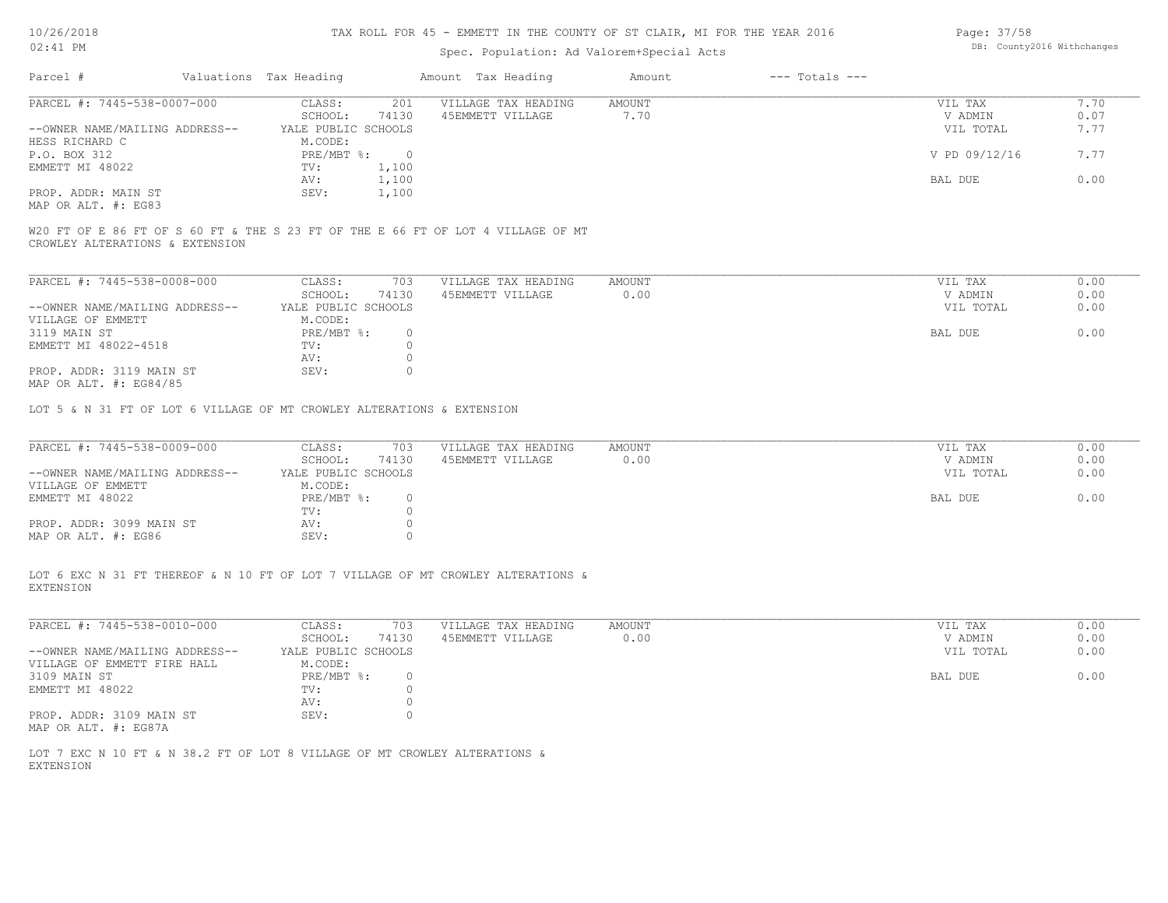#### TAX ROLL FOR 45 - EMMETT IN THE COUNTY OF ST CLAIR, MI FOR THE YEAR 2016

## Spec. Population: Ad Valorem+Special Acts

| Page: 37/58 |                            |
|-------------|----------------------------|
|             | DB: County2016 Withchanges |

| Parcel #<br>Valuations Tax Heading                    |       | Amount Tax Heading  | Amount | $---$ Totals $---$ |               |      |
|-------------------------------------------------------|-------|---------------------|--------|--------------------|---------------|------|
| PARCEL #: 7445-538-0007-000<br>CLASS:                 | 201   | VILLAGE TAX HEADING | AMOUNT |                    | VIL TAX       | 7.70 |
| SCHOOL:                                               | 74130 | 45EMMETT VILLAGE    | 7.70   |                    | V ADMIN       | 0.07 |
| --OWNER NAME/MAILING ADDRESS--<br>YALE PUBLIC SCHOOLS |       |                     |        |                    | VIL TOTAL     | 7.77 |
| HESS RICHARD C<br>M.CODE:                             |       |                     |        |                    |               |      |
| $PRE/MBT$ %:<br>P.O. BOX 312                          |       |                     |        |                    | V PD 09/12/16 | 7.77 |
| EMMETT MI 48022<br>TV:                                | 1,100 |                     |        |                    |               |      |
| AV:                                                   | 1,100 |                     |        |                    | BAL DUE       | 0.00 |
| PROP. ADDR: MAIN ST<br>SEV:                           | 1,100 |                     |        |                    |               |      |
| MAP OR ALT. #: EG83                                   |       |                     |        |                    |               |      |

CROWLEY ALTERATIONS & EXTENSION W20 FT OF E 86 FT OF S 60 FT & THE S 23 FT OF THE E 66 FT OF LOT 4 VILLAGE OF MT

| PARCEL #: 7445-538-0008-000    | CLASS:              | 703      | VILLAGE TAX HEADING | AMOUNT | VIL TAX   | 0.00 |
|--------------------------------|---------------------|----------|---------------------|--------|-----------|------|
|                                | SCHOOL:             | 74130    | 45EMMETT VILLAGE    | 0.00   | V ADMIN   | 0.00 |
| --OWNER NAME/MAILING ADDRESS-- | YALE PUBLIC SCHOOLS |          |                     |        | VIL TOTAL | 0.00 |
| VILLAGE OF EMMETT              | M.CODE:             |          |                     |        |           |      |
| 3119 MAIN ST                   | PRE/MBT %:          | $\Omega$ |                     |        | BAL DUE   | 0.00 |
| EMMETT MI 48022-4518           | TV:                 |          |                     |        |           |      |
|                                | AV:                 |          |                     |        |           |      |
| PROP. ADDR: 3119 MAIN ST       | SEV:                |          |                     |        |           |      |
| MAP OR ALT. #: EG84/85         |                     |          |                     |        |           |      |

LOT 5 & N 31 FT OF LOT 6 VILLAGE OF MT CROWLEY ALTERATIONS & EXTENSION

| PARCEL #: 7445-538-0009-000    | CLASS:              | 703   | VILLAGE TAX HEADING | AMOUNT | VIL TAX   | 0.00 |
|--------------------------------|---------------------|-------|---------------------|--------|-----------|------|
|                                | SCHOOL:             | 74130 | 45EMMETT VILLAGE    | 0.00   | V ADMIN   | 0.00 |
| --OWNER NAME/MAILING ADDRESS-- | YALE PUBLIC SCHOOLS |       |                     |        | VIL TOTAL | 0.00 |
| VILLAGE OF EMMETT              | M.CODE:             |       |                     |        |           |      |
| EMMETT MI 48022                | PRE/MBT %:          |       |                     |        | BAL DUE   | 0.00 |
|                                | TV:                 |       |                     |        |           |      |
| PROP. ADDR: 3099 MAIN ST       | AV:                 |       |                     |        |           |      |
| MAP OR ALT. #: EG86            | SEV:                |       |                     |        |           |      |

EXTENSION LOT 6 EXC N 31 FT THEREOF & N 10 FT OF LOT 7 VILLAGE OF MT CROWLEY ALTERATIONS &

| PARCEL #: 7445-538-0010-000    | CLASS:              | 703   | VILLAGE TAX HEADING | AMOUNT | 0.00<br>VIL TAX   |
|--------------------------------|---------------------|-------|---------------------|--------|-------------------|
|                                | SCHOOL:             | 74130 | 45EMMETT VILLAGE    | 0.00   | 0.00<br>V ADMIN   |
| --OWNER NAME/MAILING ADDRESS-- | YALE PUBLIC SCHOOLS |       |                     |        | 0.00<br>VIL TOTAL |
| VILLAGE OF EMMETT FIRE HALL    | M.CODE:             |       |                     |        |                   |
| 3109 MAIN ST                   | PRE/MBT %:          | 0.    |                     |        | 0.00<br>BAL DUE   |
| EMMETT MI 48022                | TV:                 |       |                     |        |                   |
|                                | AV:                 |       |                     |        |                   |
| PROP. ADDR: 3109 MAIN ST       | SEV:                |       |                     |        |                   |
| MAP OR ALT. #: EG87A           |                     |       |                     |        |                   |

EXTENSION LOT 7 EXC N 10 FT & N 38.2 FT OF LOT 8 VILLAGE OF MT CROWLEY ALTERATIONS &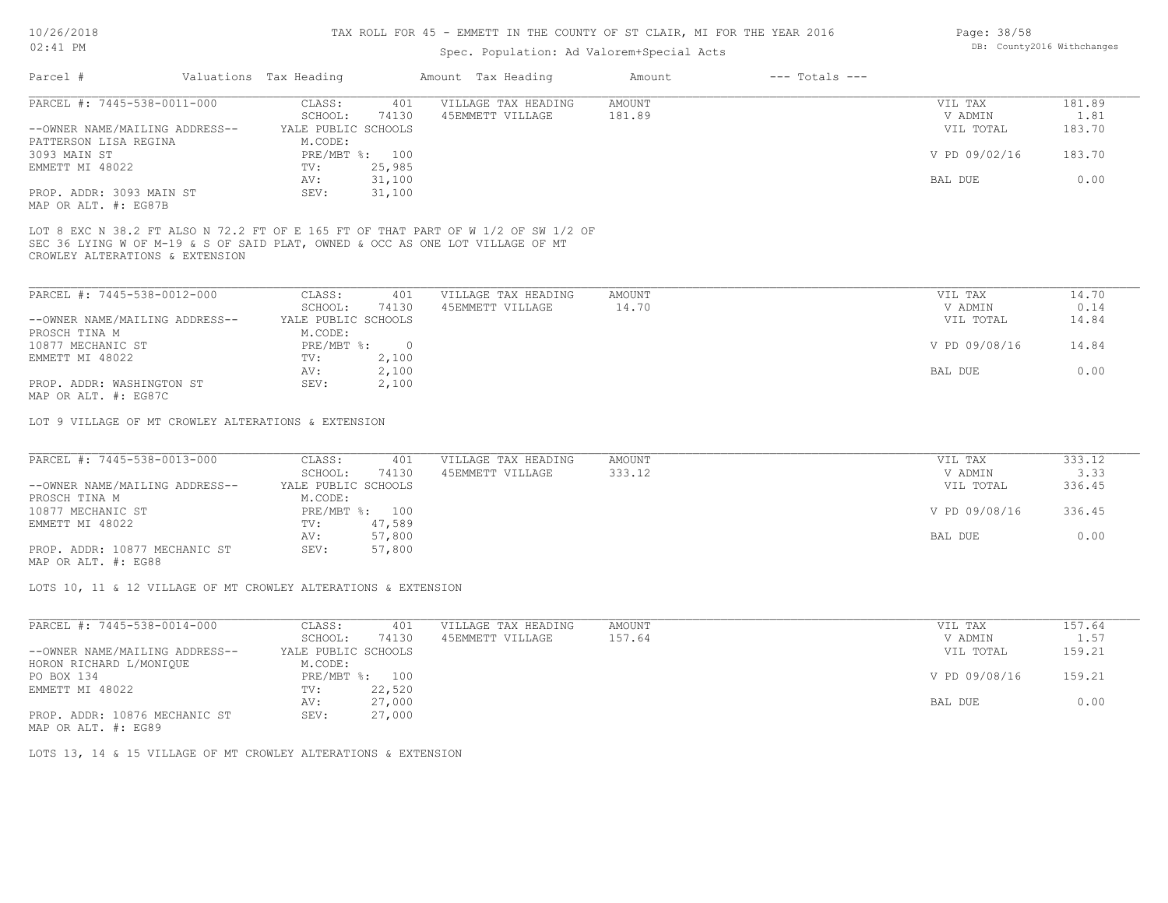#### TAX ROLL FOR 45 - EMMETT IN THE COUNTY OF ST CLAIR, MI FOR THE YEAR 2016

## Spec. Population: Ad Valorem+Special Acts

| Parcel #                       | Valuations Tax Heading |                | Amount Tax Heading  | Amount | $---$ Totals $---$ |               |        |
|--------------------------------|------------------------|----------------|---------------------|--------|--------------------|---------------|--------|
| PARCEL #: 7445-538-0011-000    | CLASS:                 | 401            | VILLAGE TAX HEADING | AMOUNT |                    | VIL TAX       | 181.89 |
|                                | SCHOOL:                | 74130          | 45EMMETT VILLAGE    | 181.89 |                    | V ADMIN       | 1.81   |
| --OWNER NAME/MAILING ADDRESS-- | YALE PUBLIC SCHOOLS    |                |                     |        |                    | VIL TOTAL     | 183.70 |
| PATTERSON LISA REGINA          | M.CODE:                |                |                     |        |                    |               |        |
| 3093 MAIN ST                   |                        | PRE/MBT %: 100 |                     |        |                    | V PD 09/02/16 | 183.70 |
| EMMETT MI 48022                | TV:                    | 25,985         |                     |        |                    |               |        |
|                                | AV:                    | 31,100         |                     |        |                    | BAL DUE       | 0.00   |
| PROP. ADDR: 3093 MAIN ST       | SEV:                   | 31,100         |                     |        |                    |               |        |
| MAP OR ALT. #: EG87B           |                        |                |                     |        |                    |               |        |

CROWLEY ALTERATIONS & EXTENSION SEC 36 LYING W OF M-19 & S OF SAID PLAT, OWNED & OCC AS ONE LOT VILLAGE OF MT LOT 8 EXC N 38.2 FT ALSO N 72.2 FT OF E 165 FT OF THAT PART OF W 1/2 OF SW 1/2 OF

| PARCEL #: 7445-538-0012-000    | CLASS:              | 401   | VILLAGE TAX HEADING | AMOUNT | VIL TAX       | 14.70 |
|--------------------------------|---------------------|-------|---------------------|--------|---------------|-------|
|                                | SCHOOL:             | 74130 | 45EMMETT VILLAGE    | 14.70  | V ADMIN       | 0.14  |
| --OWNER NAME/MAILING ADDRESS-- | YALE PUBLIC SCHOOLS |       |                     |        | VIL TOTAL     | 14.84 |
| PROSCH TINA M                  | M.CODE:             |       |                     |        |               |       |
| 10877 MECHANIC ST              | PRE/MBT %:          |       |                     |        | V PD 09/08/16 | 14.84 |
| EMMETT MI 48022                | TV:                 | 2,100 |                     |        |               |       |
|                                | AV:                 | 2,100 |                     |        | BAL DUE       | 0.00  |
| PROP. ADDR: WASHINGTON ST      | SEV:                | 2,100 |                     |        |               |       |
|                                |                     |       |                     |        |               |       |

MAP OR ALT. #: EG87C

LOT 9 VILLAGE OF MT CROWLEY ALTERATIONS & EXTENSION

| PARCEL #: 7445-538-0013-000    | CLASS:              | 401            | VILLAGE TAX HEADING | AMOUNT | VIL TAX       | 333.12 |
|--------------------------------|---------------------|----------------|---------------------|--------|---------------|--------|
|                                | SCHOOL:             | 74130          | 45EMMETT VILLAGE    | 333.12 | V ADMIN       | 3.33   |
| --OWNER NAME/MAILING ADDRESS-- | YALE PUBLIC SCHOOLS |                |                     |        | VIL TOTAL     | 336.45 |
| PROSCH TINA M                  | M.CODE:             |                |                     |        |               |        |
| 10877 MECHANIC ST              |                     | PRE/MBT %: 100 |                     |        | V PD 09/08/16 | 336.45 |
| EMMETT MI 48022                | TV:                 | 47,589         |                     |        |               |        |
|                                | AV:                 | 57,800         |                     |        | BAL DUE       | 0.00   |
| PROP. ADDR: 10877 MECHANIC ST  | SEV:                | 57,800         |                     |        |               |        |
|                                |                     |                |                     |        |               |        |

MAP OR ALT. #: EG88

LOTS 10, 11 & 12 VILLAGE OF MT CROWLEY ALTERATIONS & EXTENSION

| PARCEL #: 7445-538-0014-000    | CLASS:              | 401    | VILLAGE TAX HEADING | AMOUNT | VIL TAX       | 157.64 |
|--------------------------------|---------------------|--------|---------------------|--------|---------------|--------|
|                                | SCHOOL:             | 74130  | 45EMMETT VILLAGE    | 157.64 | V ADMIN       | 1.57   |
| --OWNER NAME/MAILING ADDRESS-- | YALE PUBLIC SCHOOLS |        |                     |        | VIL TOTAL     | 159.21 |
| HORON RICHARD L/MONIQUE        | M.CODE:             |        |                     |        |               |        |
| PO BOX 134                     | $PRE/MBT$ %:        | 100    |                     |        | V PD 09/08/16 | 159.21 |
| EMMETT MI 48022                | TV:                 | 22,520 |                     |        |               |        |
|                                | AV:                 | 27,000 |                     |        | BAL DUE       | 0.00   |
| PROP. ADDR: 10876 MECHANIC ST  | SEV:                | 27,000 |                     |        |               |        |
|                                |                     |        |                     |        |               |        |

MAP OR ALT. #: EG89

LOTS 13, 14 & 15 VILLAGE OF MT CROWLEY ALTERATIONS & EXTENSION

Page: 38/58 DB: County2016 Withchanges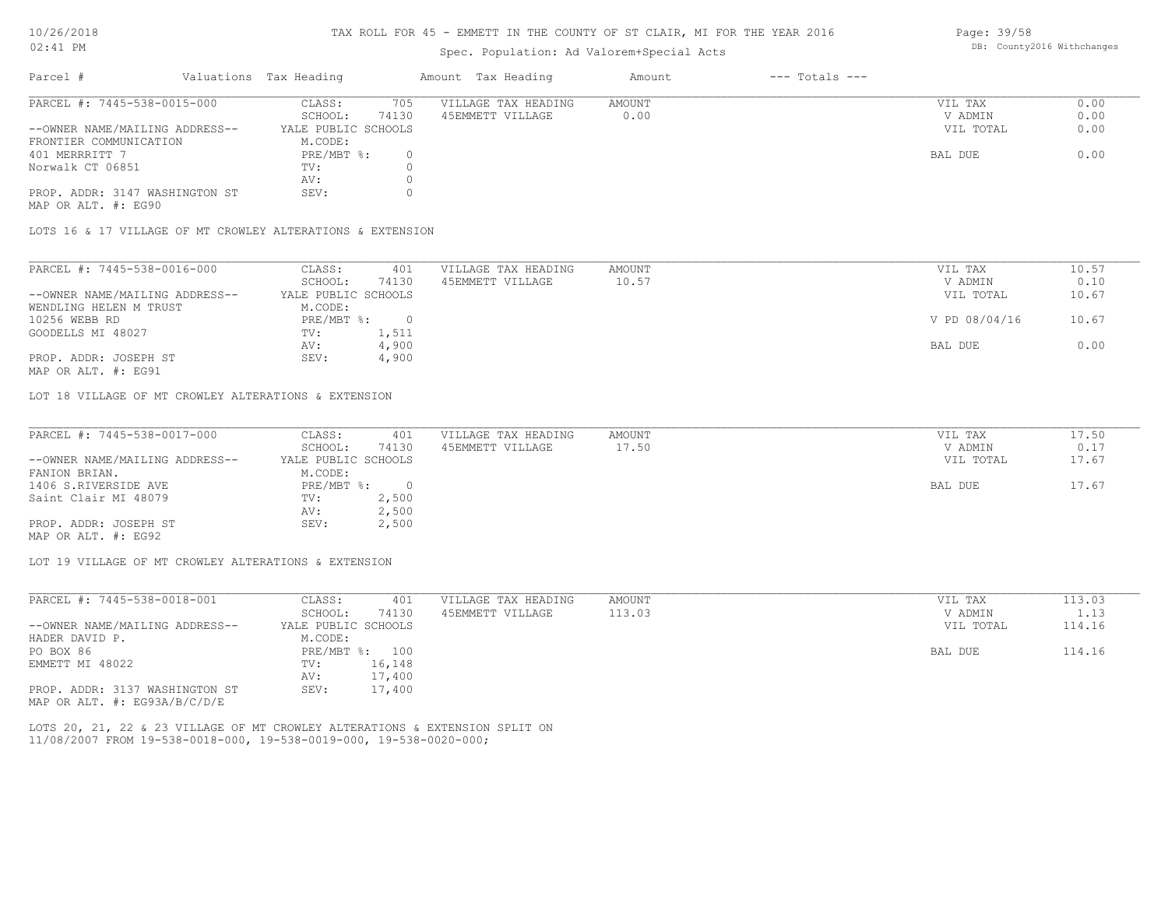#### TAX ROLL FOR 45 - EMMETT IN THE COUNTY OF ST CLAIR, MI FOR THE YEAR 2016

## Spec. Population: Ad Valorem+Special Acts

| Parcel #                       | Valuations Tax Heading |       | Amount Tax Heading  | Amount | $---$ Totals $---$ |           |      |
|--------------------------------|------------------------|-------|---------------------|--------|--------------------|-----------|------|
| PARCEL #: 7445-538-0015-000    | CLASS:                 | 705   | VILLAGE TAX HEADING | AMOUNT |                    | VIL TAX   | 0.00 |
|                                | SCHOOL:                | 74130 | 45EMMETT VILLAGE    | 0.00   |                    | V ADMIN   | 0.00 |
| --OWNER NAME/MAILING ADDRESS-- | YALE PUBLIC SCHOOLS    |       |                     |        |                    | VIL TOTAL | 0.00 |
| FRONTIER COMMUNICATION         | M.CODE:                |       |                     |        |                    |           |      |
| 401 MERRRITT 7                 | PRE/MBT %:             |       |                     |        |                    | BAL DUE   | 0.00 |
| Norwalk CT 06851               | TV:                    |       |                     |        |                    |           |      |
|                                | AV:                    |       |                     |        |                    |           |      |
| PROP. ADDR: 3147 WASHINGTON ST | SEV:                   |       |                     |        |                    |           |      |

MAP OR ALT. #: EG90

LOTS 16 & 17 VILLAGE OF MT CROWLEY ALTERATIONS & EXTENSION

| PARCEL #: 7445-538-0016-000    | CLASS:              | 401   | VILLAGE TAX HEADING | AMOUNT | VIL TAX       | 10.57 |
|--------------------------------|---------------------|-------|---------------------|--------|---------------|-------|
|                                | SCHOOL:             | 74130 | 45EMMETT VILLAGE    | 10.57  | V ADMIN       | 0.10  |
| --OWNER NAME/MAILING ADDRESS-- | YALE PUBLIC SCHOOLS |       |                     |        | VIL TOTAL     | 10.67 |
| WENDLING HELEN M TRUST         | M.CODE:             |       |                     |        |               |       |
| 10256 WEBB RD                  | PRE/MBT %:          |       |                     |        | V PD 08/04/16 | 10.67 |
| GOODELLS MI 48027              | TV:                 | 1,511 |                     |        |               |       |
|                                | AV:                 | 4,900 |                     |        | BAL DUE       | 0.00  |
| PROP. ADDR: JOSEPH ST          | SEV:                | 4,900 |                     |        |               |       |
|                                |                     |       |                     |        |               |       |

MAP OR ALT. #: EG91

LOT 18 VILLAGE OF MT CROWLEY ALTERATIONS & EXTENSION

| PARCEL #: 7445-538-0017-000    | CLASS:              | 401   | VILLAGE TAX HEADING | AMOUNT | VIL TAX   | 17.50 |
|--------------------------------|---------------------|-------|---------------------|--------|-----------|-------|
|                                | SCHOOL:             | 74130 | 45EMMETT VILLAGE    | 17.50  | V ADMIN   | 0.17  |
| --OWNER NAME/MAILING ADDRESS-- | YALE PUBLIC SCHOOLS |       |                     |        | VIL TOTAL | 17.67 |
| FANION BRIAN.                  | M.CODE:             |       |                     |        |           |       |
| 1406 S.RIVERSIDE AVE           | PRE/MBT %:          |       |                     |        | BAL DUE   | 17.67 |
| Saint Clair MI 48079           | TV:                 | 2,500 |                     |        |           |       |
|                                | AV:                 | 2,500 |                     |        |           |       |
| PROP. ADDR: JOSEPH ST          | SEV:                | 2,500 |                     |        |           |       |
| MAP OR ALT. #: EG92            |                     |       |                     |        |           |       |

LOT 19 VILLAGE OF MT CROWLEY ALTERATIONS & EXTENSION

| PARCEL #: 7445-538-0018-001    | CLASS:              | 401    | VILLAGE TAX HEADING | AMOUNT | VIL TAX   | 113.03 |
|--------------------------------|---------------------|--------|---------------------|--------|-----------|--------|
|                                | SCHOOL:             | 74130  | 45EMMETT VILLAGE    | 113.03 | V ADMIN   | 1.13   |
| --OWNER NAME/MAILING ADDRESS-- | YALE PUBLIC SCHOOLS |        |                     |        | VIL TOTAL | 114.16 |
| HADER DAVID P.                 | M.CODE:             |        |                     |        |           |        |
| PO BOX 86                      | $PRE/MBT$ %:        | 100    |                     |        | BAL DUE   | 114.16 |
| EMMETT MI 48022                | TV:                 | 16,148 |                     |        |           |        |
|                                | AV:                 | 17,400 |                     |        |           |        |
| PROP. ADDR: 3137 WASHINGTON ST | SEV:                | 17,400 |                     |        |           |        |
| MAP OR ALT. #: EG93A/B/C/D/E   |                     |        |                     |        |           |        |

11/08/2007 FROM 19-538-0018-000, 19-538-0019-000, 19-538-0020-000; LOTS 20, 21, 22 & 23 VILLAGE OF MT CROWLEY ALTERATIONS & EXTENSION SPLIT ON Page: 39/58 DB: County2016 Withchanges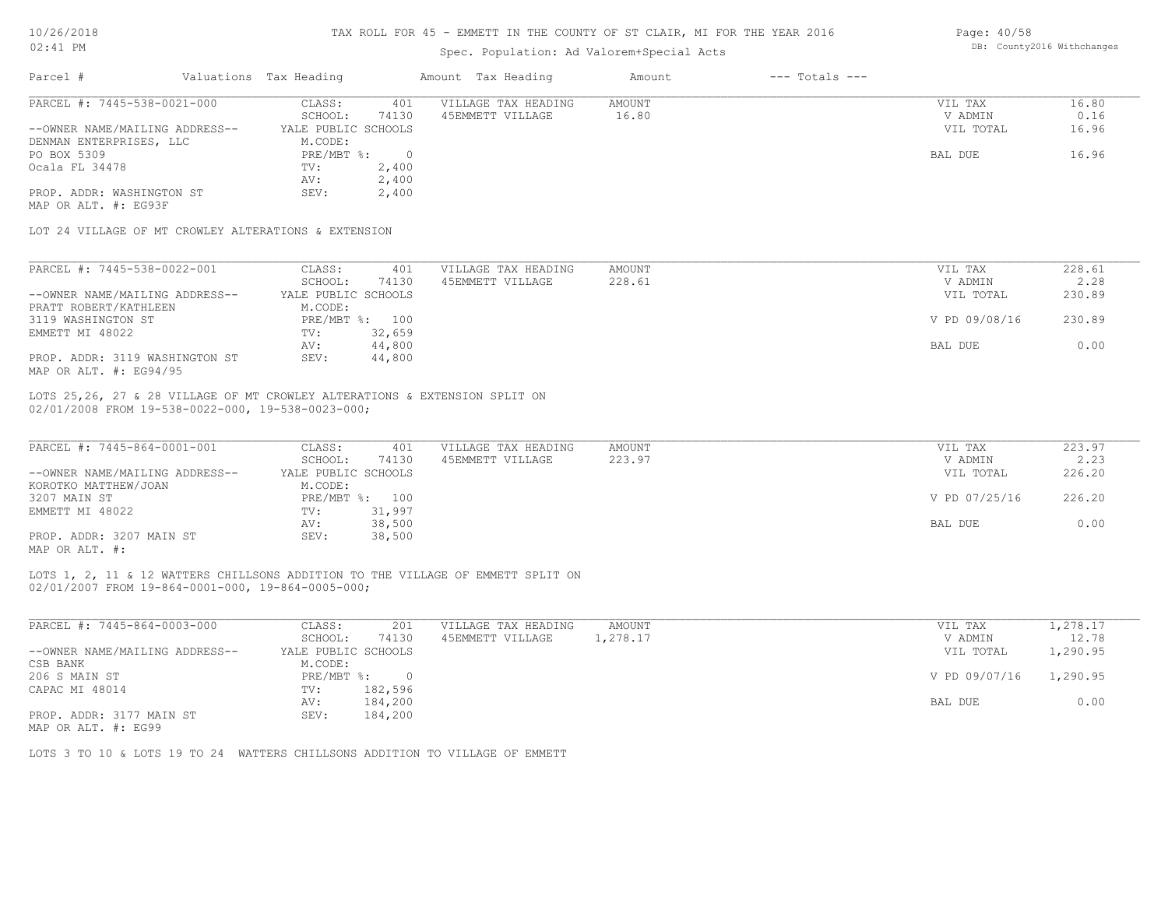#### TAX ROLL FOR 45 - EMMETT IN THE COUNTY OF ST CLAIR, MI FOR THE YEAR 2016 Page: 40/58

# Spec. Population: Ad Valorem+Special Acts

|                                                                            |                        |        | spec. Population: Ad valorem+special Acts |               |                    |               |        |
|----------------------------------------------------------------------------|------------------------|--------|-------------------------------------------|---------------|--------------------|---------------|--------|
| Parcel #                                                                   | Valuations Tax Heading |        | Amount Tax Heading                        | Amount        | $---$ Totals $---$ |               |        |
| PARCEL #: 7445-538-0021-000                                                | CLASS:                 | 401    | VILLAGE TAX HEADING                       | AMOUNT        |                    | VIL TAX       | 16.80  |
|                                                                            | SCHOOL:                | 74130  | 45EMMETT VILLAGE                          | 16.80         |                    | V ADMIN       | 0.16   |
| --OWNER NAME/MAILING ADDRESS--                                             | YALE PUBLIC SCHOOLS    |        |                                           |               |                    | VIL TOTAL     | 16.96  |
| DENMAN ENTERPRISES, LLC                                                    | M.CODE:                |        |                                           |               |                    |               |        |
| PO BOX 5309                                                                | PRE/MBT %: 0           |        |                                           |               |                    | BAL DUE       | 16.96  |
| Ocala FL 34478                                                             | TV:                    | 2,400  |                                           |               |                    |               |        |
|                                                                            | AV:                    | 2,400  |                                           |               |                    |               |        |
| PROP. ADDR: WASHINGTON ST                                                  | SEV:                   | 2,400  |                                           |               |                    |               |        |
| MAP OR ALT. #: EG93F                                                       |                        |        |                                           |               |                    |               |        |
| LOT 24 VILLAGE OF MT CROWLEY ALTERATIONS & EXTENSION                       |                        |        |                                           |               |                    |               |        |
| PARCEL #: 7445-538-0022-001                                                | CLASS:                 | 401    | VILLAGE TAX HEADING                       | <b>AMOUNT</b> |                    | VIL TAX       | 228.61 |
|                                                                            | SCHOOL:                | 74130  | 45EMMETT VILLAGE                          | 228.61        |                    | V ADMIN       | 2.28   |
| --OWNER NAME/MAILING ADDRESS--                                             | YALE PUBLIC SCHOOLS    |        |                                           |               |                    | VIL TOTAL     | 230.89 |
| PRATT ROBERT/KATHLEEN                                                      | M.CODE:                |        |                                           |               |                    |               |        |
| 3119 WASHINGTON ST                                                         | PRE/MBT %: 100         |        |                                           |               |                    | V PD 09/08/16 | 230.89 |
| EMMETT MI 48022                                                            | $\text{TV}$ :          | 32,659 |                                           |               |                    |               |        |
|                                                                            | AV:                    | 44,800 |                                           |               |                    | BAL DUE       | 0.00   |
| PROP. ADDR: 3119 WASHINGTON ST                                             | SEV:                   | 44,800 |                                           |               |                    |               |        |
| MAP OR ALT. #: EG94/95                                                     |                        |        |                                           |               |                    |               |        |
|                                                                            |                        |        |                                           |               |                    |               |        |
| LOTS 25,26, 27 & 28 VILLAGE OF MT CROWLEY ALTERATIONS & EXTENSION SPLIT ON |                        |        |                                           |               |                    |               |        |
| 02/01/2008 FROM 19-538-0022-000, 19-538-0023-000;                          |                        |        |                                           |               |                    |               |        |
|                                                                            |                        |        |                                           |               |                    |               |        |
| PARCEL #: 7445-864-0001-001                                                | CLASS:                 | 401    | VILLAGE TAX HEADING                       | <b>AMOUNT</b> |                    | VIL TAX       | 223.97 |
|                                                                            | SCHOOL:                | 74130  | 45EMMETT VILLAGE                          | 223.97        |                    | V ADMIN       | 2.23   |
| --OWNER NAME/MAILING ADDRESS--                                             | YALE PUBLIC SCHOOLS    |        |                                           |               |                    | VIL TOTAL     | 226.20 |
| $H \cap \cap H$                                                            | $\sim$ $\sim$ $\sim$   |        |                                           |               |                    |               |        |

| ONNER NIELD/EILLEINO IIDDINEUD | IIID I VIDIU VUNVUD |        |  | .             | 220.20 |
|--------------------------------|---------------------|--------|--|---------------|--------|
| KOROTKO MATTHEW/JOAN           | M.CODE:             |        |  |               |        |
| 3207 MAIN ST                   | PRE/MBT %: 100      |        |  | V PD 07/25/16 | 226.20 |
| EMMETT MI 48022                | TV:                 | 31,997 |  |               |        |
|                                | AV:                 | 38,500 |  | BAL DUE       | 0.00   |
| PROP. ADDR: 3207 MAIN ST       | SEV:                | 38,500 |  |               |        |
| MAP OR ALT. #:                 |                     |        |  |               |        |

02/01/2007 FROM 19-864-0001-000, 19-864-0005-000; LOTS 1, 2, 11 & 12 WATTERS CHILLSONS ADDITION TO THE VILLAGE OF EMMETT SPLIT ON

| CLASS:  | 201     | VILLAGE TAX HEADING               | AMOUNT   | VIL TAX       | 1,278.17 |
|---------|---------|-----------------------------------|----------|---------------|----------|
| SCHOOL: | 74130   | 45EMMETT VILLAGE                  | 1,278.17 | V ADMIN       | 12.78    |
|         |         |                                   |          | VIL TOTAL     | 1,290.95 |
| M.CODE: |         |                                   |          |               |          |
|         |         |                                   |          | V PD 09/07/16 | 1,290.95 |
| TV:     | 182,596 |                                   |          |               |          |
| AV:     | 184,200 |                                   |          | BAL DUE       | 0.00     |
| SEV:    | 184,200 |                                   |          |               |          |
|         |         | YALE PUBLIC SCHOOLS<br>PRE/MBT %: |          |               |          |

MAP OR ALT. #: EG99

LOTS 3 TO 10 & LOTS 19 TO 24 WATTERS CHILLSONS ADDITION TO VILLAGE OF EMMETT

DB: County2016 Withchanges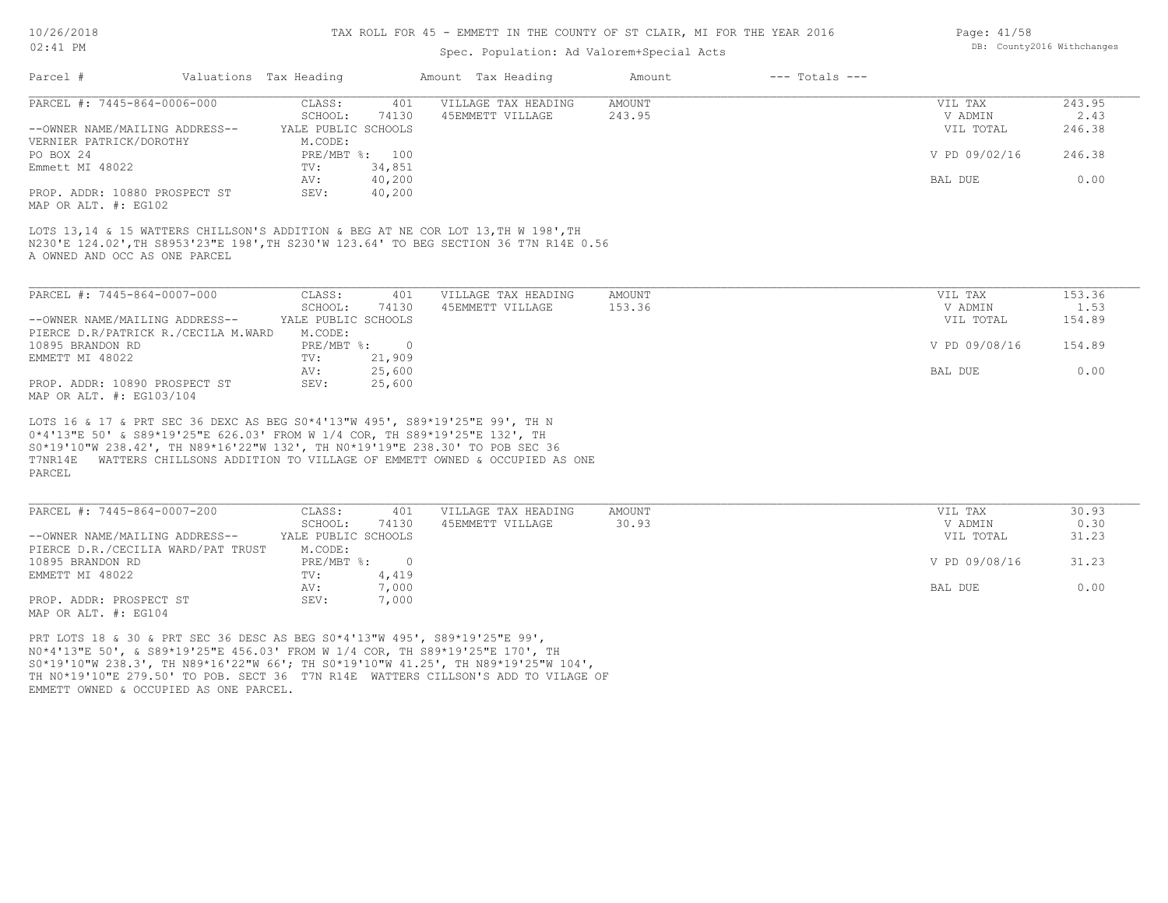#### TAX ROLL FOR 45 - EMMETT IN THE COUNTY OF ST CLAIR, MI FOR THE YEAR 2016

## Spec. Population: Ad Valorem+Special Acts

|                                                                                       |                                | spec. ropulation. Ad valorem special Acts |               |                    |               |        |
|---------------------------------------------------------------------------------------|--------------------------------|-------------------------------------------|---------------|--------------------|---------------|--------|
| Parcel #<br>Valuations Tax Heading                                                    |                                | Amount Tax Heading                        | Amount        | $---$ Totals $---$ |               |        |
| PARCEL #: 7445-864-0006-000                                                           | CLASS:<br>401                  | VILLAGE TAX HEADING                       | <b>AMOUNT</b> |                    | VIL TAX       | 243.95 |
|                                                                                       | SCHOOL:<br>74130               | 45EMMETT VILLAGE                          | 243.95        |                    | V ADMIN       | 2.43   |
| --OWNER NAME/MAILING ADDRESS--                                                        | YALE PUBLIC SCHOOLS            |                                           |               |                    | VIL TOTAL     | 246.38 |
| VERNIER PATRICK/DOROTHY                                                               | M.CODE:                        |                                           |               |                    |               |        |
| PO BOX 24                                                                             | PRE/MBT %: 100                 |                                           |               |                    | V PD 09/02/16 | 246.38 |
| Emmett MI 48022                                                                       | 34,851<br>TV:<br>40,200<br>AV: |                                           |               |                    | BAL DUE       | 0.00   |
| PROP. ADDR: 10880 PROSPECT ST                                                         | SEV:<br>40,200                 |                                           |               |                    |               |        |
| MAP OR ALT. #: EG102                                                                  |                                |                                           |               |                    |               |        |
|                                                                                       |                                |                                           |               |                    |               |        |
| LOTS 13,14 & 15 WATTERS CHILLSON'S ADDITION & BEG AT NE COR LOT 13, TH W 198', TH     |                                |                                           |               |                    |               |        |
| N230'E 124.02', TH S8953'23"E 198', TH S230'W 123.64' TO BEG SECTION 36 T7N R14E 0.56 |                                |                                           |               |                    |               |        |
| A OWNED AND OCC AS ONE PARCEL                                                         |                                |                                           |               |                    |               |        |
|                                                                                       |                                |                                           |               |                    |               |        |
| PARCEL #: 7445-864-0007-000                                                           | CLASS:<br>401                  | VILLAGE TAX HEADING                       | AMOUNT        |                    | VIL TAX       | 153.36 |
|                                                                                       | SCHOOL:<br>74130               | 45EMMETT VILLAGE                          | 153.36        |                    | V ADMIN       | 1.53   |
| --OWNER NAME/MAILING ADDRESS--                                                        | YALE PUBLIC SCHOOLS            |                                           |               |                    | VIL TOTAL     | 154.89 |
| PIERCE D.R/PATRICK R./CECILA M.WARD                                                   | M.CODE:                        |                                           |               |                    |               |        |
| 10895 BRANDON RD                                                                      | PRE/MBT %: 0                   |                                           |               |                    | V PD 09/08/16 | 154.89 |
| EMMETT MI 48022                                                                       | 21,909<br>TV:                  |                                           |               |                    |               |        |
|                                                                                       | 25,600<br>AV:                  |                                           |               |                    | BAL DUE       | 0.00   |
| PROP. ADDR: 10890 PROSPECT ST                                                         | SEV:<br>25,600                 |                                           |               |                    |               |        |
| MAP OR ALT. #: EG103/104                                                              |                                |                                           |               |                    |               |        |
| LOTS 16 & 17 & PRT SEC 36 DEXC AS BEG S0*4'13"W 495', S89*19'25"E 99', TH N           |                                |                                           |               |                    |               |        |
| 0*4'13"E 50' & S89*19'25"E 626.03' FROM W 1/4 COR, TH S89*19'25"E 132', TH            |                                |                                           |               |                    |               |        |
| S0*19'10"W 238.42', TH N89*16'22"W 132', TH N0*19'19"E 238.30' TO POB SEC 36          |                                |                                           |               |                    |               |        |
| T7NR14E WATTERS CHILLSONS ADDITION TO VILLAGE OF EMMETT OWNED & OCCUPIED AS ONE       |                                |                                           |               |                    |               |        |
| PARCEL                                                                                |                                |                                           |               |                    |               |        |
|                                                                                       |                                |                                           |               |                    |               |        |
|                                                                                       |                                |                                           |               |                    |               |        |
| PARCEL #: 7445-864-0007-200                                                           | 401<br>CLASS:                  | VILLAGE TAX HEADING                       | <b>AMOUNT</b> |                    | VIL TAX       | 30.93  |
|                                                                                       | SCHOOL:<br>74130               | 45EMMETT VILLAGE                          | 30.93         |                    | V ADMIN       | 0.30   |
| --OWNER NAME/MAILING ADDRESS--                                                        | YALE PUBLIC SCHOOLS            |                                           |               |                    | VIL TOTAL     | 31.23  |
| PIERCE D.R./CECILIA WARD/PAT TRUST<br>10895 BRANDON RD                                | M.CODE:<br>PRE/MBT %:          |                                           |               |                    | V PD 09/08/16 | 31.23  |
|                                                                                       | $\sim$ 0<br>4,419<br>TV:       |                                           |               |                    |               |        |
| EMMETT MI 48022                                                                       | 7,000                          |                                           |               |                    |               | 0.00   |
|                                                                                       | AV:                            |                                           |               |                    | BAL DUE       |        |

MAP OR ALT. #: EG104 PROP. ADDR: PROSPECT ST SEV: 7,000

EMMETT OWNED & OCCUPIED AS ONE PARCEL. TH N0\*19'10"E 279.50' TO POB. SECT 36 T7N R14E WATTERS CILLSON'S ADD TO VILAGE OF S0\*19'10"W 238.3', TH N89\*16'22"W 66'; TH S0\*19'10"W 41.25', TH N89\*19'25"W 104', N0\*4'13"E 50', & S89\*19'25"E 456.03' FROM W 1/4 COR, TH S89\*19'25"E 170', TH PRT LOTS 18 & 30 & PRT SEC 36 DESC AS BEG S0\*4'13"W 495', S89\*19'25"E 99',

Page: 41/58 DB: County2016 Withchanges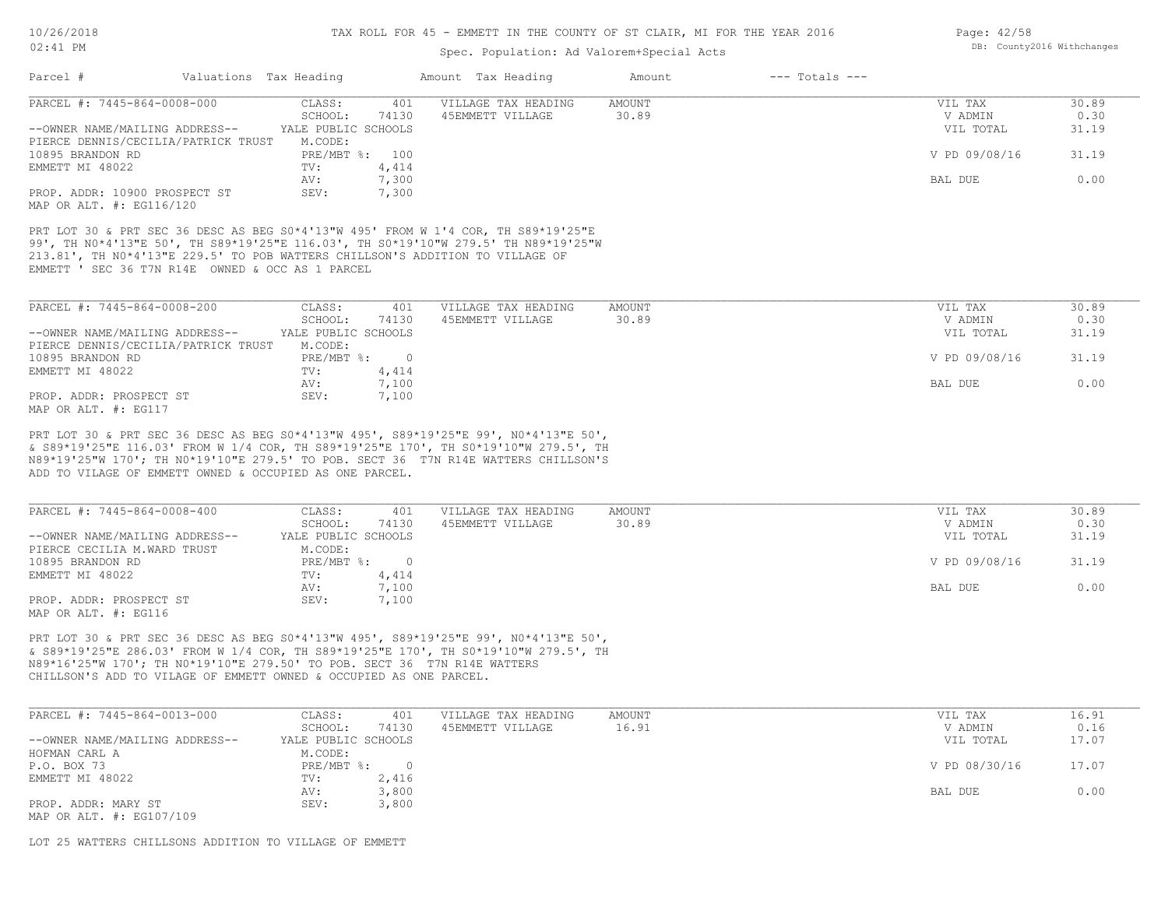## TAX ROLL FOR 45 - EMMETT IN THE COUNTY OF ST CLAIR, MI FOR THE YEAR 2016

## Spec. Population: Ad Valorem+Special Acts

|                                                                                                                                                                                                                                       | Valuations Tax Heading   | Amount Tax Heading  | $---$ Totals $---$<br>Amount |               |       |
|---------------------------------------------------------------------------------------------------------------------------------------------------------------------------------------------------------------------------------------|--------------------------|---------------------|------------------------------|---------------|-------|
| PARCEL #: 7445-864-0008-000                                                                                                                                                                                                           | CLASS:<br>401            | VILLAGE TAX HEADING | <b>AMOUNT</b>                | VIL TAX       | 30.89 |
|                                                                                                                                                                                                                                       | SCHOOL:<br>74130         | 45EMMETT VILLAGE    | 30.89                        | V ADMIN       | 0.30  |
| --OWNER NAME/MAILING ADDRESS-- YALE PUBLIC SCHOOLS                                                                                                                                                                                    |                          |                     |                              | VIL TOTAL     | 31.19 |
| PIERCE DENNIS/CECILIA/PATRICK TRUST                                                                                                                                                                                                   | M.CODE:                  |                     |                              |               |       |
| 10895 BRANDON RD                                                                                                                                                                                                                      | PRE/MBT %: 100           |                     |                              | V PD 09/08/16 | 31.19 |
| EMMETT MI 48022                                                                                                                                                                                                                       | 4,414<br>TV:             |                     |                              |               |       |
|                                                                                                                                                                                                                                       | 7,300<br>AV:             |                     |                              | BAL DUE       | 0.00  |
| PROP. ADDR: 10900 PROSPECT ST                                                                                                                                                                                                         | SEV:<br>7,300            |                     |                              |               |       |
| MAP OR ALT. #: EG116/120                                                                                                                                                                                                              |                          |                     |                              |               |       |
|                                                                                                                                                                                                                                       |                          |                     |                              |               |       |
| PRT LOT 30 & PRT SEC 36 DESC AS BEG S0*4'13"W 495' FROM W 1'4 COR, TH S89*19'25"E                                                                                                                                                     |                          |                     |                              |               |       |
| 99', TH NO*4'13"E 50', TH S89*19'25"E 116.03', TH SO*19'10"W 279.5' TH N89*19'25"W                                                                                                                                                    |                          |                     |                              |               |       |
| 213.81', TH NO*4'13"E 229.5' TO POB WATTERS CHILLSON'S ADDITION TO VILLAGE OF                                                                                                                                                         |                          |                     |                              |               |       |
|                                                                                                                                                                                                                                       |                          |                     |                              |               |       |
| EMMETT ' SEC 36 T7N R14E OWNED & OCC AS 1 PARCEL                                                                                                                                                                                      |                          |                     |                              |               |       |
|                                                                                                                                                                                                                                       |                          |                     |                              |               |       |
| PARCEL #: 7445-864-0008-200                                                                                                                                                                                                           | CLASS:<br>401            | VILLAGE TAX HEADING | AMOUNT                       | VIL TAX       | 30.89 |
|                                                                                                                                                                                                                                       | SCHOOL:<br>74130         |                     | 30.89                        | V ADMIN       | 0.30  |
|                                                                                                                                                                                                                                       |                          | 45EMMETT VILLAGE    |                              |               |       |
| --OWNER NAME/MAILING ADDRESS-- YALE PUBLIC SCHOOLS                                                                                                                                                                                    |                          |                     |                              | VIL TOTAL     | 31.19 |
| PIERCE DENNIS/CECILIA/PATRICK TRUST                                                                                                                                                                                                   | M.CODE:                  |                     |                              |               |       |
| 10895 BRANDON RD                                                                                                                                                                                                                      | PRE/MBT %: 0             |                     |                              | V PD 09/08/16 | 31.19 |
| EMMETT MI 48022                                                                                                                                                                                                                       | 4,414<br>TV:             |                     |                              |               |       |
|                                                                                                                                                                                                                                       | 7,100<br>AV:             |                     |                              | BAL DUE       | 0.00  |
|                                                                                                                                                                                                                                       |                          |                     |                              |               |       |
| PROP. ADDR: PROSPECT ST                                                                                                                                                                                                               | SEV:<br>7,100            |                     |                              |               |       |
|                                                                                                                                                                                                                                       |                          |                     |                              |               |       |
|                                                                                                                                                                                                                                       |                          |                     |                              |               |       |
| PRT LOT 30 & PRT SEC 36 DESC AS BEG S0*4'13"W 495', S89*19'25"E 99', N0*4'13"E 50',                                                                                                                                                   |                          |                     |                              |               |       |
| & S89*19'25"E 116.03' FROM W 1/4 COR, TH S89*19'25"E 170', TH S0*19'10"W 279.5', TH                                                                                                                                                   |                          |                     |                              |               |       |
|                                                                                                                                                                                                                                       |                          |                     |                              |               |       |
|                                                                                                                                                                                                                                       |                          |                     |                              |               |       |
|                                                                                                                                                                                                                                       |                          |                     |                              |               |       |
| ADD TO VILAGE OF EMMETT OWNED & OCCUPIED AS ONE PARCEL.                                                                                                                                                                               |                          |                     |                              |               |       |
| PARCEL #: 7445-864-0008-400                                                                                                                                                                                                           | CLASS:<br>401            | VILLAGE TAX HEADING | AMOUNT                       | VIL TAX       | 30.89 |
|                                                                                                                                                                                                                                       | SCHOOL:<br>74130         | 45EMMETT VILLAGE    | 30.89                        | V ADMIN       | 0.30  |
| --OWNER NAME/MAILING ADDRESS--                                                                                                                                                                                                        | YALE PUBLIC SCHOOLS      |                     |                              | VIL TOTAL     | 31.19 |
| PIERCE CECILIA M.WARD TRUST                                                                                                                                                                                                           | M.CODE:                  |                     |                              |               |       |
|                                                                                                                                                                                                                                       | $PRE/MBT$ $\div$ 0       |                     |                              | V PD 09/08/16 | 31.19 |
|                                                                                                                                                                                                                                       |                          |                     |                              |               |       |
| EMMETT MI 48022                                                                                                                                                                                                                       | 4,414<br>$\texttt{TV}$ : |                     |                              |               |       |
|                                                                                                                                                                                                                                       | 7,100<br>AV:             |                     |                              | BAL DUE       | 0.00  |
| N89*19'25"W 170'; TH N0*19'10"E 279.5' TO POB. SECT 36 T7N R14E WATTERS CHILLSON'S<br>PROP. ADDR: PROSPECT ST                                                                                                                         | SEV:<br>7,100            |                     |                              |               |       |
| MAP OR ALT. #: EG117<br>10895 BRANDON RD<br>MAP OR ALT. #: EG116                                                                                                                                                                      |                          |                     |                              |               |       |
|                                                                                                                                                                                                                                       |                          |                     |                              |               |       |
|                                                                                                                                                                                                                                       |                          |                     |                              |               |       |
| PRT LOT 30 & PRT SEC 36 DESC AS BEG S0*4'13"W 495', S89*19'25"E 99', N0*4'13"E 50',                                                                                                                                                   |                          |                     |                              |               |       |
| & S89*19'25"E 286.03' FROM W 1/4 COR, TH S89*19'25"E 170', TH S0*19'10"W 279.5', TH<br>N89*16'25"W 170'; TH N0*19'10"E 279.50' TO POB. SECT 36 T7N R14E WATTERS<br>CHILLSON'S ADD TO VILAGE OF EMMETT OWNED & OCCUPIED AS ONE PARCEL. |                          |                     |                              |               |       |

| PARCEL #: 7445-864-0013-000    | CLASS:              | 401      | VILLAGE TAX HEADING | AMOUNT | VIL TAX       | 16.91 |
|--------------------------------|---------------------|----------|---------------------|--------|---------------|-------|
|                                | SCHOOL:             | 74130    | 45EMMETT VILLAGE    | 16.91  | V ADMIN       | 0.16  |
| --OWNER NAME/MAILING ADDRESS-- | YALE PUBLIC SCHOOLS |          |                     |        | VIL TOTAL     | 17.07 |
| HOFMAN CARL A                  | M.CODE:             |          |                     |        |               |       |
| P.O. BOX 73                    | PRE/MBT %:          | $\Omega$ |                     |        | V PD 08/30/16 | 17.07 |
| EMMETT MI 48022                | TV:                 | 2,416    |                     |        |               |       |
|                                | AV:                 | 3,800    |                     |        | BAL DUE       | 0.00  |
| PROP. ADDR: MARY ST            | SEV:                | 3,800    |                     |        |               |       |
| MAP OR ALT. #: EG107/109       |                     |          |                     |        |               |       |

 $\mathcal{L}_\mathcal{L} = \mathcal{L}_\mathcal{L} = \mathcal{L}_\mathcal{L} = \mathcal{L}_\mathcal{L} = \mathcal{L}_\mathcal{L} = \mathcal{L}_\mathcal{L} = \mathcal{L}_\mathcal{L} = \mathcal{L}_\mathcal{L} = \mathcal{L}_\mathcal{L} = \mathcal{L}_\mathcal{L} = \mathcal{L}_\mathcal{L} = \mathcal{L}_\mathcal{L} = \mathcal{L}_\mathcal{L} = \mathcal{L}_\mathcal{L} = \mathcal{L}_\mathcal{L} = \mathcal{L}_\mathcal{L} = \mathcal{L}_\mathcal{L}$ 

LOT 25 WATTERS CHILLSONS ADDITION TO VILLAGE OF EMMETT

Page: 42/58 DB: County2016 Withchanges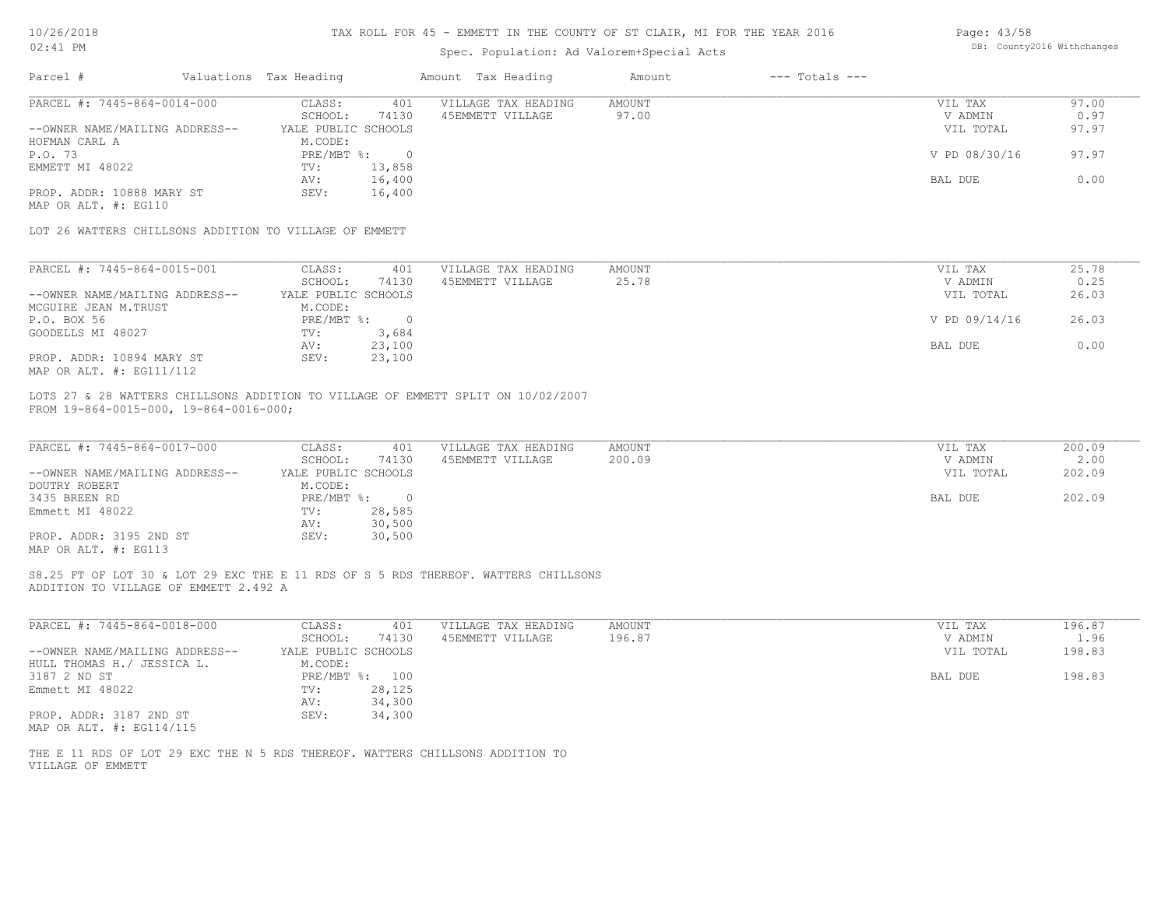### TAX ROLL FOR 45 - EMMETT IN THE COUNTY OF ST CLAIR, MI FOR THE YEAR 2016

| Page: 43/58 |                            |
|-------------|----------------------------|
|             | DB: County2016 Withchanges |

| ON: TT EM                                                                                                                   |                                                          | Spec. Population: Ad Valorem+Special Acts |                              |                                 | pp. countyzoro wrthchanges |
|-----------------------------------------------------------------------------------------------------------------------------|----------------------------------------------------------|-------------------------------------------|------------------------------|---------------------------------|----------------------------|
| Parcel #                                                                                                                    | Valuations Tax Heading                                   | Amount Tax Heading                        | $---$ Totals $---$<br>Amount |                                 |                            |
| PARCEL #: 7445-864-0014-000<br>--OWNER NAME/MAILING ADDRESS--                                                               | CLASS:<br>401<br>SCHOOL:<br>74130<br>YALE PUBLIC SCHOOLS | VILLAGE TAX HEADING<br>45EMMETT VILLAGE   | AMOUNT<br>97.00              | VIL TAX<br>V ADMIN<br>VIL TOTAL | 97.00<br>0.97<br>97.97     |
| HOFMAN CARL A<br>P.O. 73                                                                                                    | M.CODE:<br>$PRE/MBT$ %:<br>$\overline{0}$                |                                           |                              | V PD 08/30/16                   | 97.97                      |
| EMMETT MI 48022                                                                                                             | 13,858<br>TV:<br>16,400<br>AV:                           |                                           |                              | BAL DUE                         | 0.00                       |
| PROP. ADDR: 10888 MARY ST<br>MAP OR ALT. #: EG110                                                                           | 16,400<br>SEV:                                           |                                           |                              |                                 |                            |
| LOT 26 WATTERS CHILLSONS ADDITION TO VILLAGE OF EMMETT                                                                      |                                                          |                                           |                              |                                 |                            |
| PARCEL #: 7445-864-0015-001                                                                                                 | CLASS:<br>401                                            | VILLAGE TAX HEADING<br>45EMMETT VILLAGE   | AMOUNT<br>25.78              | VIL TAX                         | 25.78                      |
| --OWNER NAME/MAILING ADDRESS--<br>MCGUIRE JEAN M.TRUST                                                                      | SCHOOL:<br>74130<br>YALE PUBLIC SCHOOLS<br>M.CODE:       |                                           |                              | V ADMIN<br>VIL TOTAL            | 0.25<br>26.03              |
| P.O. BOX 56<br>GOODELLS MI 48027                                                                                            | $PRE/MBT$ $\div$ 0<br>3,684<br>TV:                       |                                           |                              | V PD 09/14/16                   | 26.03                      |
| PROP. ADDR: 10894 MARY ST<br>MAP OR ALT. #: EG111/112                                                                       | 23,100<br>AV:<br>23,100<br>SEV:                          |                                           |                              | BAL DUE                         | 0.00                       |
| --OWNER NAME/MAILING ADDRESS--                                                                                              | SCHOOL:<br>74130<br>YALE PUBLIC SCHOOLS                  | 45EMMETT VILLAGE                          | 200.09                       | V ADMIN<br>VIL TOTAL            | 2.00<br>202.09             |
| PARCEL #: 7445-864-0017-000                                                                                                 | CLASS:<br>401                                            | VILLAGE TAX HEADING                       | AMOUNT                       | VIL TAX                         | 200.09                     |
| DOUTRY ROBERT                                                                                                               | M.CODE:                                                  |                                           |                              |                                 |                            |
| 3435 BREEN RD<br>Emmett MI 48022                                                                                            | PRE/MBT %: 0<br>28,585<br>TV:                            |                                           |                              | BAL DUE                         | 202.09                     |
| PROP. ADDR: 3195 2ND ST<br>MAP OR ALT. #: EG113                                                                             | 30,500<br>AV:<br>SEV:<br>30,500                          |                                           |                              |                                 |                            |
| S8.25 FT OF LOT 30 & LOT 29 EXC THE E 11 RDS OF S 5 RDS THEREOF. WATTERS CHILLSONS<br>ADDITION TO VILLAGE OF EMMETT 2.492 A |                                                          |                                           |                              |                                 |                            |
| PARCEL #: 7445-864-0018-000                                                                                                 | CLASS:<br>401<br>SCHOOL:<br>74130                        | VILLAGE TAX HEADING<br>45EMMETT VILLAGE   | AMOUNT<br>196.87             | VIL TAX<br>V ADMIN              | 196.87<br>1.96             |
| --OWNER NAME/MAILING ADDRESS--<br>HULL THOMAS H./ JESSICA L.                                                                | YALE PUBLIC SCHOOLS<br>M.CODE:                           |                                           |                              | VIL TOTAL                       | 198.83                     |
| 3187 2 ND ST<br>Emmett MI 48022                                                                                             | PRE/MBT %: 100<br>28,125<br>TV:                          |                                           |                              | BAL DUE                         | 198.83                     |
| PROP. ADDR: 3187 2ND ST                                                                                                     | AV:<br>34,300<br>34,300<br>SEV:                          |                                           |                              |                                 |                            |
| MAP OR ALT. #: EG114/115                                                                                                    |                                                          |                                           |                              |                                 |                            |
| THE E 11 RDS OF LOT 29 EXC THE N 5 RDS THEREOF. WATTERS CHILLSONS ADDITION TO<br>VILLAGE OF EMMETT                          |                                                          |                                           |                              |                                 |                            |
|                                                                                                                             |                                                          |                                           |                              |                                 |                            |
|                                                                                                                             |                                                          |                                           |                              |                                 |                            |
|                                                                                                                             |                                                          |                                           |                              |                                 |                            |
|                                                                                                                             |                                                          |                                           |                              |                                 |                            |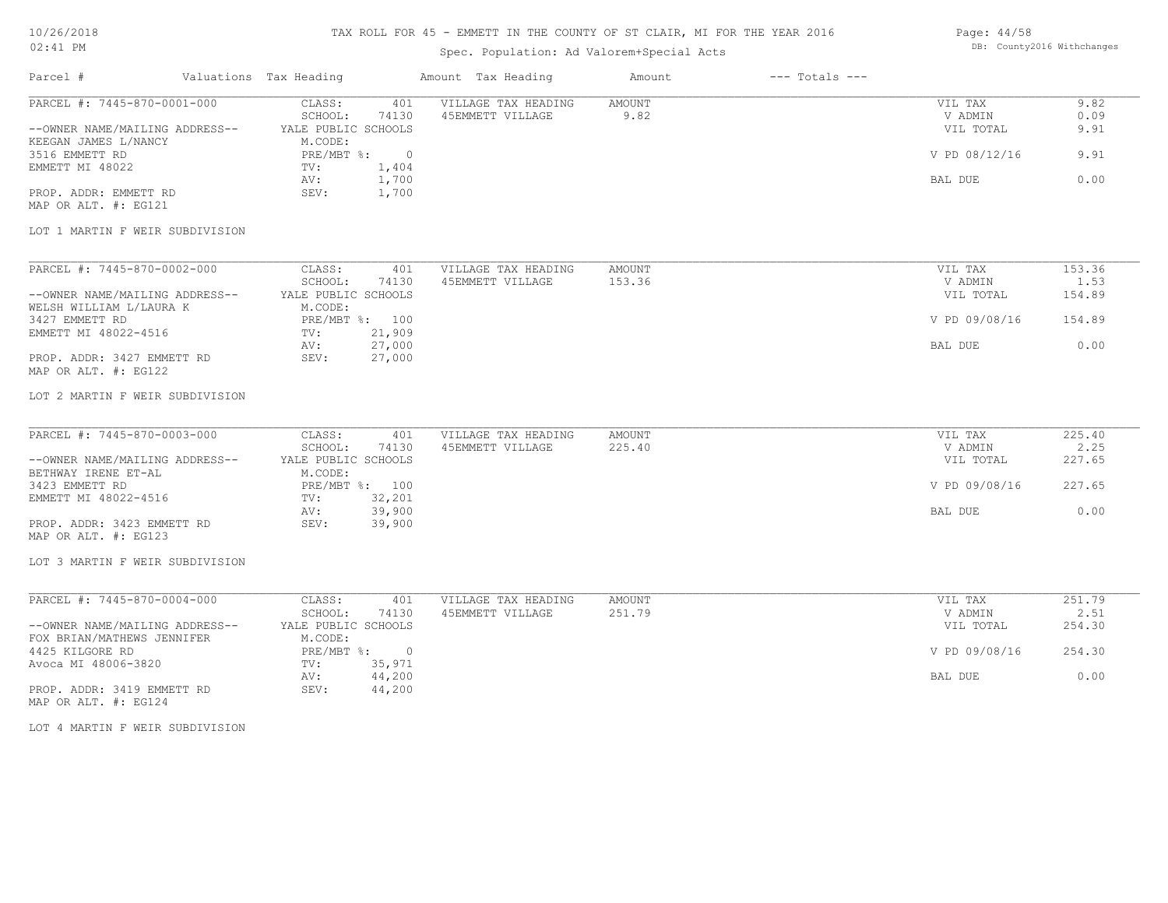### TAX ROLL FOR 45 - EMMETT IN THE COUNTY OF ST CLAIR, MI FOR THE YEAR 2016

## Spec. Population: Ad Valorem+Special Acts

| Page: 44/58 |                            |
|-------------|----------------------------|
|             | DB: County2016 Withchanges |

| Parcel # Valuations Tax Heading                                      |                                          |                | Amount Tax Heading                          | Amount           | $---$ Totals $---$ |                                 |                      |
|----------------------------------------------------------------------|------------------------------------------|----------------|---------------------------------------------|------------------|--------------------|---------------------------------|----------------------|
| PARCEL #: 7445-870-0001-000<br>--OWNER NAME/MAILING ADDRESS--        | CLASS:<br>SCHOOL:<br>YALE PUBLIC SCHOOLS | 401<br>74130   | VILLAGE TAX HEADING<br>45EMMETT VILLAGE     | AMOUNT<br>9.82   |                    | VIL TAX<br>V ADMIN<br>VIL TOTAL | 9.82<br>0.09<br>9.91 |
| KEEGAN JAMES L/NANCY<br>3516 EMMETT RD                               | M.CODE:<br>PRE/MBT %: 0                  |                |                                             |                  | V PD 08/12/16      | 9.91                            |                      |
| EMMETT MI 48022                                                      | TV:<br>AV:                               | 1,404<br>1,700 |                                             |                  |                    | BAL DUE                         | 0.00                 |
| PROP. ADDR: EMMETT RD<br>MAP OR ALT. #: EG121                        | SEV:                                     | 1,700          |                                             |                  |                    |                                 |                      |
| LOT 1 MARTIN F WEIR SUBDIVISION                                      |                                          |                |                                             |                  |                    |                                 |                      |
| PARCEL #: 7445-870-0002-000                                          | CLASS:<br>SCHOOL:                        | 74130          | 401 VILLAGE TAX HEADING<br>45EMMETT VILLAGE | AMOUNT<br>153.36 |                    | VIL TAX<br>V ADMIN              | 153.36<br>1.53       |
| --OWNER NAME/MAILING ADDRESS--                                       | YALE PUBLIC SCHOOLS                      |                |                                             |                  |                    | VIL TOTAL                       | 154.89               |
| WELSH WILLIAM L/LAURA K                                              | M.CODE:                                  |                |                                             |                  |                    |                                 |                      |
| 3427 EMMETT RD                                                       | PRE/MBT %: 100                           |                |                                             |                  | V PD 09/08/16      | 154.89                          |                      |
| EMMETT MI 48022-4516                                                 | TV: 21,909<br>AV: 27,000                 |                |                                             |                  |                    | BAL DUE                         | 0.00                 |
| PROP. ADDR: 3427 EMMETT RD                                           | SEV: 27,000                              |                |                                             |                  |                    |                                 |                      |
| MAP OR ALT. #: EG122                                                 |                                          |                |                                             |                  |                    |                                 |                      |
| LOT 2 MARTIN F WEIR SUBDIVISION                                      |                                          |                |                                             |                  |                    |                                 |                      |
| PARCEL #: 7445-870-0003-000                                          | CLASS:                                   | 401            | VILLAGE TAX HEADING                         | AMOUNT           |                    | VIL TAX                         | 225.40               |
| --OWNER NAME/MAILING ADDRESS--                                       | SCHOOL:<br>YALE PUBLIC SCHOOLS           | 74130          | 45EMMETT VILLAGE                            | 225.40           |                    | V ADMIN<br>VIL TOTAL            | 2.25<br>227.65       |
| BETHWAY IRENE ET-AL                                                  | M.CODE:                                  |                |                                             |                  |                    |                                 |                      |
| 3423 EMMETT RD                                                       | PRE/MBT %: 100                           |                |                                             |                  |                    | V PD 09/08/16                   | 227.65               |
| EMMETT MI 48022-4516                                                 | TV: 32,201<br>AV: 39,900                 |                |                                             |                  |                    |                                 |                      |
|                                                                      |                                          |                |                                             |                  |                    | BAL DUE                         | 0.00                 |
| PROP. ADDR: 3423 EMMETT RD<br>MAP OR ALT. #: EG123                   | SEV: 39,900                              |                |                                             |                  |                    |                                 |                      |
| LOT 3 MARTIN F WEIR SUBDIVISION                                      |                                          |                |                                             |                  |                    |                                 |                      |
| PARCEL #: 7445-870-0004-000                                          | CLASS:                                   | 401            | VILLAGE TAX HEADING                         | AMOUNT           |                    | VIL TAX                         | 251.79               |
| --OWNER NAME/MAILING ADDRESS--                                       | SCHOOL:<br>YALE PUBLIC SCHOOLS           | 74130          | 45EMMETT VILLAGE                            | 251.79           |                    | V ADMIN<br>VIL TOTAL            | 2.51<br>254.30       |
| FOX BRIAN/MATHEWS JENNIFER<br>4425 KILGORE RD<br>Avoca MI 48006-3820 | M.CODE:<br>PRE/MBT %: 0<br>TV: 35,971    |                |                                             |                  |                    | V PD 09/08/16                   | 254.30               |
|                                                                      | AV:                                      | 44,200         |                                             |                  |                    | BAL DUE                         | 0.00                 |
| PROP. ADDR: 3419 EMMETT RD<br>MAP OR ALT. #: EG124                   | SEV: 44,200                              |                |                                             |                  |                    |                                 |                      |
| LOT 4 MARTIN F WEIR SUBDIVISION                                      |                                          |                |                                             |                  |                    |                                 |                      |
|                                                                      |                                          |                |                                             |                  |                    |                                 |                      |
|                                                                      |                                          |                |                                             |                  |                    |                                 |                      |
|                                                                      |                                          |                |                                             |                  |                    |                                 |                      |
|                                                                      |                                          |                |                                             |                  |                    |                                 |                      |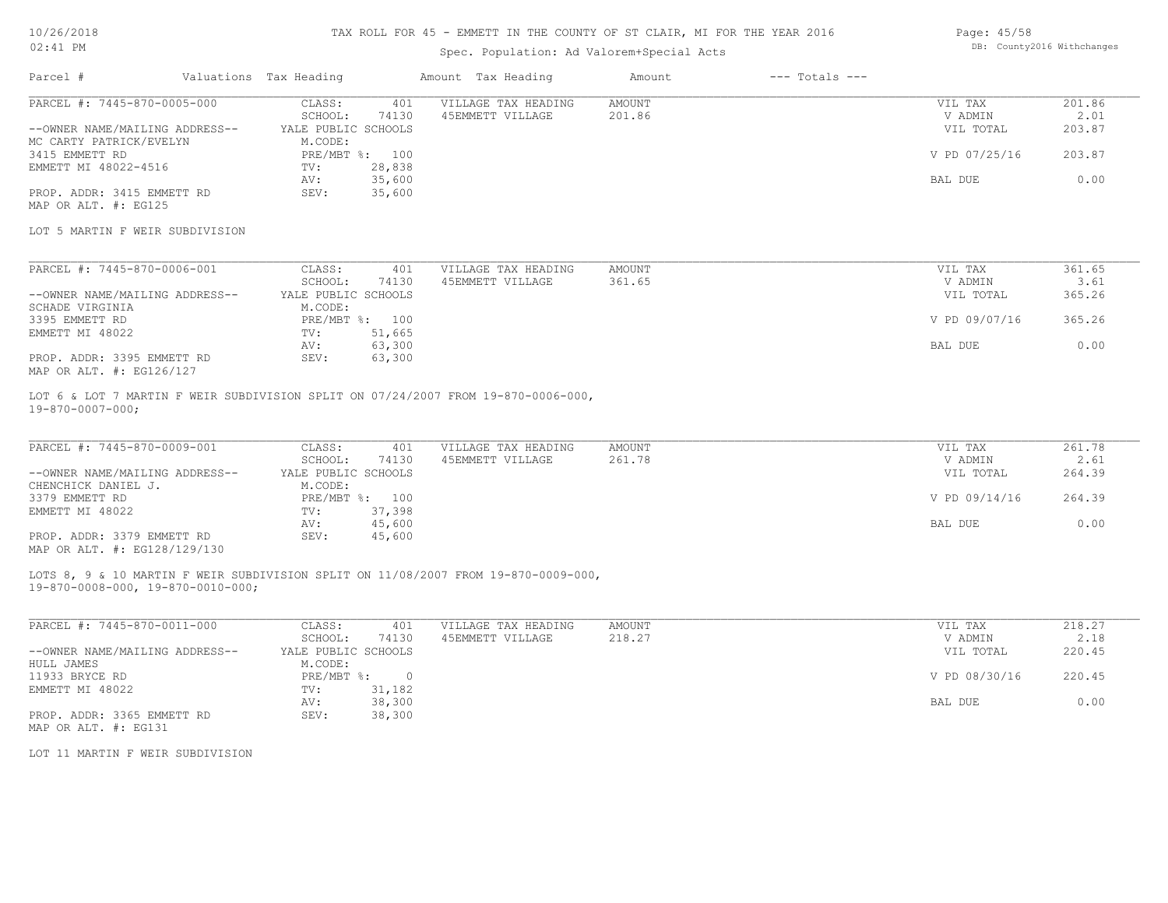#### TAX ROLL FOR 45 - EMMETT IN THE COUNTY OF ST CLAIR, MI FOR THE YEAR 2016

### Spec. Population: Ad Valorem+Special Acts

| Page: 45/58 |                            |
|-------------|----------------------------|
|             | DB: County2016 Withchanges |

| Parcel #                        | Valuations Tax Heading |                | Amount Tax Heading  | Amount | $---$ Totals $---$ |               |        |
|---------------------------------|------------------------|----------------|---------------------|--------|--------------------|---------------|--------|
| PARCEL #: 7445-870-0005-000     | CLASS:                 | 401            | VILLAGE TAX HEADING | AMOUNT |                    | VIL TAX       | 201.86 |
|                                 | SCHOOL:                | 74130          | 45EMMETT VILLAGE    | 201.86 |                    | V ADMIN       | 2.01   |
| --OWNER NAME/MAILING ADDRESS--  | YALE PUBLIC SCHOOLS    |                |                     |        |                    | VIL TOTAL     | 203.87 |
| MC CARTY PATRICK/EVELYN         | M.CODE:                |                |                     |        |                    |               |        |
| 3415 EMMETT RD                  |                        | PRE/MBT %: 100 |                     |        |                    | V PD 07/25/16 | 203.87 |
| EMMETT MI 48022-4516            | TV:                    | 28,838         |                     |        |                    |               |        |
|                                 | AV:                    | 35,600         |                     |        |                    | BAL DUE       | 0.00   |
| PROP. ADDR: 3415 EMMETT RD      | SEV:                   | 35,600         |                     |        |                    |               |        |
| MAP OR ALT. #: EG125            |                        |                |                     |        |                    |               |        |
| LOT 5 MARTIN F WEIR SUBDIVISION |                        |                |                     |        |                    |               |        |
|                                 |                        |                |                     |        |                    |               |        |
| PARCEL #: 7445-870-0006-001     | CLASS:                 | 401            | VILLAGE TAX HEADING | AMOUNT |                    | VIL TAX       | 361.65 |
|                                 | SCHOOL:                | 74130          | 45EMMETT VILLAGE    | 361.65 |                    | V ADMIN       | 3.61   |
| --OWNER NAME/MAILING ADDRESS--  | YALE PUBLIC SCHOOLS    |                |                     |        |                    | VIL TOTAL     | 365.26 |
| SCHADE VIRGINIA                 | M.CODE:                |                |                     |        |                    |               |        |
| 3395 EMMETT RD                  |                        | PRE/MBT %: 100 |                     |        |                    | V PD 09/07/16 | 365.26 |
| EMMETT MI 48022                 | TV:                    | 51,665         |                     |        |                    |               |        |

MAP OR ALT. #: EG126/127 PROP. ADDR: 3395 EMMETT RD SEV: 63,300

19-870-0007-000; LOT 6 & LOT 7 MARTIN F WEIR SUBDIVISION SPLIT ON 07/24/2007 FROM 19-870-0006-000,

| PARCEL #: 7445-870-0009-001    | CLASS:              | 401    | VILLAGE TAX HEADING | AMOUNT | VIL TAX       | 261.78 |
|--------------------------------|---------------------|--------|---------------------|--------|---------------|--------|
|                                | SCHOOL:             | 74130  | 45EMMETT VILLAGE    | 261.78 | V ADMIN       | 2.61   |
| --OWNER NAME/MAILING ADDRESS-- | YALE PUBLIC SCHOOLS |        |                     |        | VIL TOTAL     | 264.39 |
| CHENCHICK DANIEL J.            | M.CODE:             |        |                     |        |               |        |
| 3379 EMMETT RD                 | $PRE/MBT$ %:        | 100    |                     |        | V PD 09/14/16 | 264.39 |
| EMMETT MI 48022                | TV:                 | 37,398 |                     |        |               |        |
|                                | AV:                 | 45,600 |                     |        | BAL DUE       | 0.00   |
| PROP. ADDR: 3379 EMMETT RD     | SEV:                | 45,600 |                     |        |               |        |
| MAP OR ALT. #: EG128/129/130   |                     |        |                     |        |               |        |

 $\mathcal{L}_\mathcal{L} = \mathcal{L}_\mathcal{L} = \mathcal{L}_\mathcal{L} = \mathcal{L}_\mathcal{L} = \mathcal{L}_\mathcal{L} = \mathcal{L}_\mathcal{L} = \mathcal{L}_\mathcal{L} = \mathcal{L}_\mathcal{L} = \mathcal{L}_\mathcal{L} = \mathcal{L}_\mathcal{L} = \mathcal{L}_\mathcal{L} = \mathcal{L}_\mathcal{L} = \mathcal{L}_\mathcal{L} = \mathcal{L}_\mathcal{L} = \mathcal{L}_\mathcal{L} = \mathcal{L}_\mathcal{L} = \mathcal{L}_\mathcal{L}$ 

AV: 63,300 BAL DUE 0.00

LOTS 8, 9 & 10 MARTIN F WEIR SUBDIVISION SPLIT ON 11/08/2007 FROM 19-870-0009-000,

19-870-0008-000, 19-870-0010-000;

| PARCEL #: 7445-870-0011-000    | CLASS:              | 401    | VILLAGE TAX HEADING | AMOUNT | VIL TAX       | 218.27 |
|--------------------------------|---------------------|--------|---------------------|--------|---------------|--------|
|                                | SCHOOL:             | 74130  | 45EMMETT VILLAGE    | 218.27 | V ADMIN       | 2.18   |
| --OWNER NAME/MAILING ADDRESS-- | YALE PUBLIC SCHOOLS |        |                     |        | VIL TOTAL     | 220.45 |
| HULL JAMES                     | M.CODE:             |        |                     |        |               |        |
| 11933 BRYCE RD                 | PRE/MBT %:          |        |                     |        | V PD 08/30/16 | 220.45 |
| EMMETT MI 48022                | TV:                 | 31,182 |                     |        |               |        |
|                                | AV:                 | 38,300 |                     |        | BAL DUE       | 0.00   |
| PROP. ADDR: 3365 EMMETT RD     | SEV:                | 38,300 |                     |        |               |        |
| MAP OR ALT. #: EG131           |                     |        |                     |        |               |        |

LOT 11 MARTIN F WEIR SUBDIVISION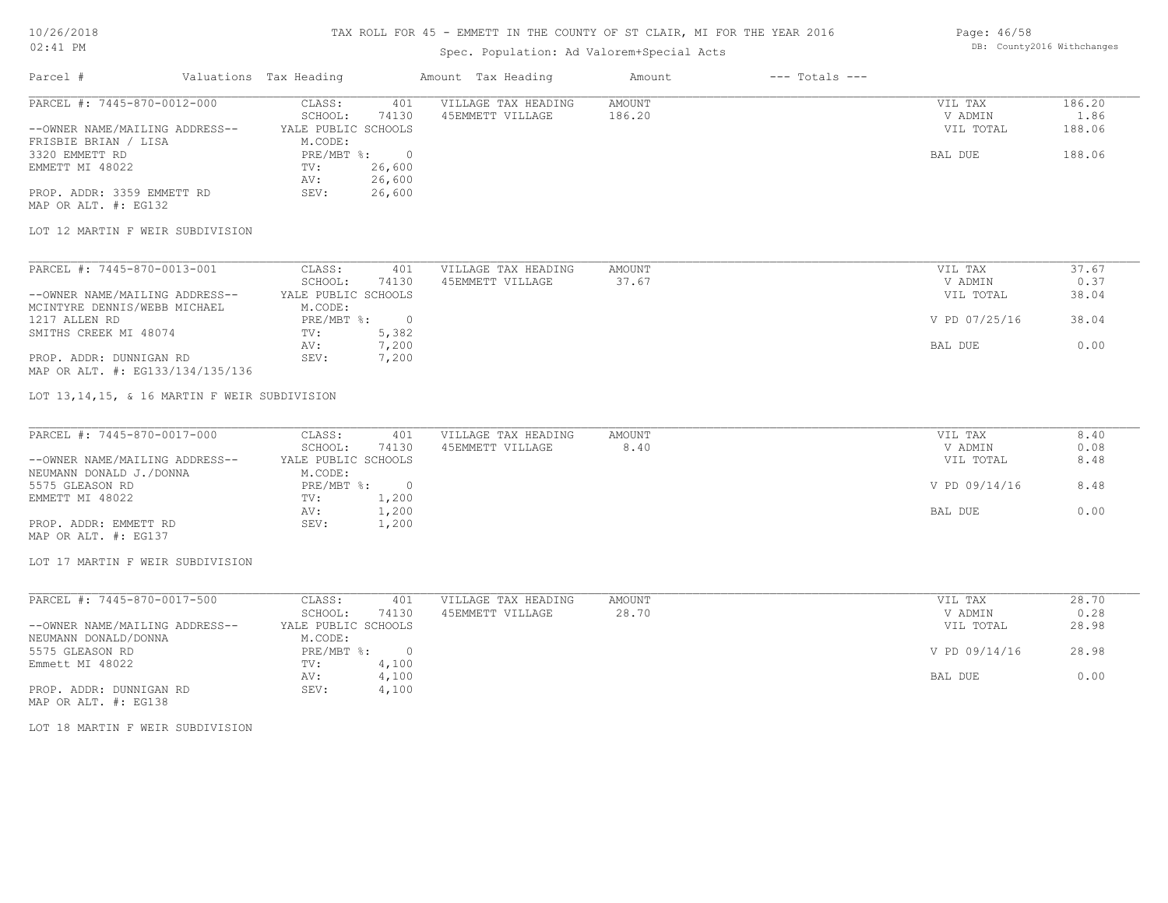#### TAX ROLL FOR 45 - EMMETT IN THE COUNTY OF ST CLAIR, MI FOR THE YEAR 2016

## Spec. Population: Ad Valorem+Special Acts

| Parcel #                       | Valuations Tax Heading |        | Amount Tax Heading  | Amount | $---$ Totals $---$ |           |        |
|--------------------------------|------------------------|--------|---------------------|--------|--------------------|-----------|--------|
| PARCEL #: 7445-870-0012-000    | CLASS:                 | 401    | VILLAGE TAX HEADING | AMOUNT |                    | VIL TAX   | 186.20 |
|                                | SCHOOL:                | 74130  | 45EMMETT VILLAGE    | 186.20 |                    | V ADMIN   | 1.86   |
| --OWNER NAME/MAILING ADDRESS-- | YALE PUBLIC SCHOOLS    |        |                     |        |                    | VIL TOTAL | 188.06 |
| FRISBIE BRIAN / LISA           | M.CODE:                |        |                     |        |                    |           |        |
| 3320 EMMETT RD                 | PRE/MBT %:             |        |                     |        |                    | BAL DUE   | 188.06 |
| EMMETT MI 48022                | TV:                    | 26,600 |                     |        |                    |           |        |
|                                | AV:                    | 26,600 |                     |        |                    |           |        |
| PROP. ADDR: 3359 EMMETT RD     | SEV:                   | 26,600 |                     |        |                    |           |        |

MAP OR ALT. #: EG132

#### LOT 12 MARTIN F WEIR SUBDIVISION

| PARCEL #: 7445-870-0013-001      | CLASS:              | 401   | VILLAGE TAX HEADING | AMOUNT | VIL TAX       | 37.67 |
|----------------------------------|---------------------|-------|---------------------|--------|---------------|-------|
|                                  | SCHOOL:             | 74130 | 45EMMETT VILLAGE    | 37.67  | V ADMIN       | 0.37  |
| --OWNER NAME/MAILING ADDRESS--   | YALE PUBLIC SCHOOLS |       |                     |        | VIL TOTAL     | 38.04 |
| MCINTYRE DENNIS/WEBB MICHAEL     | M.CODE:             |       |                     |        |               |       |
| 1217 ALLEN RD                    | PRE/MBT %:          |       |                     |        | V PD 07/25/16 | 38.04 |
| SMITHS CREEK MI 48074            | TV:                 | 5,382 |                     |        |               |       |
|                                  | AV:                 | 7,200 |                     |        | BAL DUE       | 0.00  |
| PROP. ADDR: DUNNIGAN RD          | SEV:                | 7,200 |                     |        |               |       |
| MAP OR ALT. #: EG133/134/135/136 |                     |       |                     |        |               |       |

#### LOT 13,14,15, & 16 MARTIN F WEIR SUBDIVISION

| PARCEL #: 7445-870-0017-000    | CLASS:              | 401   | VILLAGE TAX HEADING | AMOUNT | VIL TAX       | 8.40 |
|--------------------------------|---------------------|-------|---------------------|--------|---------------|------|
|                                | SCHOOL:             | 74130 | 45EMMETT VILLAGE    | 8.40   | V ADMIN       | 0.08 |
| --OWNER NAME/MAILING ADDRESS-- | YALE PUBLIC SCHOOLS |       |                     |        | VIL TOTAL     | 8.48 |
| NEUMANN DONALD J./DONNA        | M.CODE:             |       |                     |        |               |      |
| 5575 GLEASON RD                | $PRE/MBT$ %:        |       |                     |        | V PD 09/14/16 | 8.48 |
| EMMETT MI 48022                | TV:                 | 1,200 |                     |        |               |      |
|                                | AV:                 | 1,200 |                     |        | BAL DUE       | 0.00 |
| PROP. ADDR: EMMETT RD          | SEV:                | 1,200 |                     |        |               |      |
| MAP OR ALT. #: EG137           |                     |       |                     |        |               |      |

#### LOT 17 MARTIN F WEIR SUBDIVISION

| PARCEL #: 7445-870-0017-500    | CLASS:              | 401   | VILLAGE TAX HEADING | AMOUNT | VIL TAX       | 28.70 |
|--------------------------------|---------------------|-------|---------------------|--------|---------------|-------|
|                                | SCHOOL:             | 74130 | 45EMMETT VILLAGE    | 28.70  | V ADMIN       | 0.28  |
| --OWNER NAME/MAILING ADDRESS-- | YALE PUBLIC SCHOOLS |       |                     |        | VIL TOTAL     | 28.98 |
| NEUMANN DONALD/DONNA           | M.CODE:             |       |                     |        |               |       |
| 5575 GLEASON RD                | PRE/MBT %:          |       |                     |        | V PD 09/14/16 | 28.98 |
| Emmett MI 48022                | TV:                 | 4,100 |                     |        |               |       |
|                                | AV:                 | 4,100 |                     |        | BAL DUE       | 0.00  |
| PROP. ADDR: DUNNIGAN RD        | SEV:                | 4,100 |                     |        |               |       |

MAP OR ALT. #: EG138

LOT 18 MARTIN F WEIR SUBDIVISION

Page: 46/58 DB: County2016 Withchanges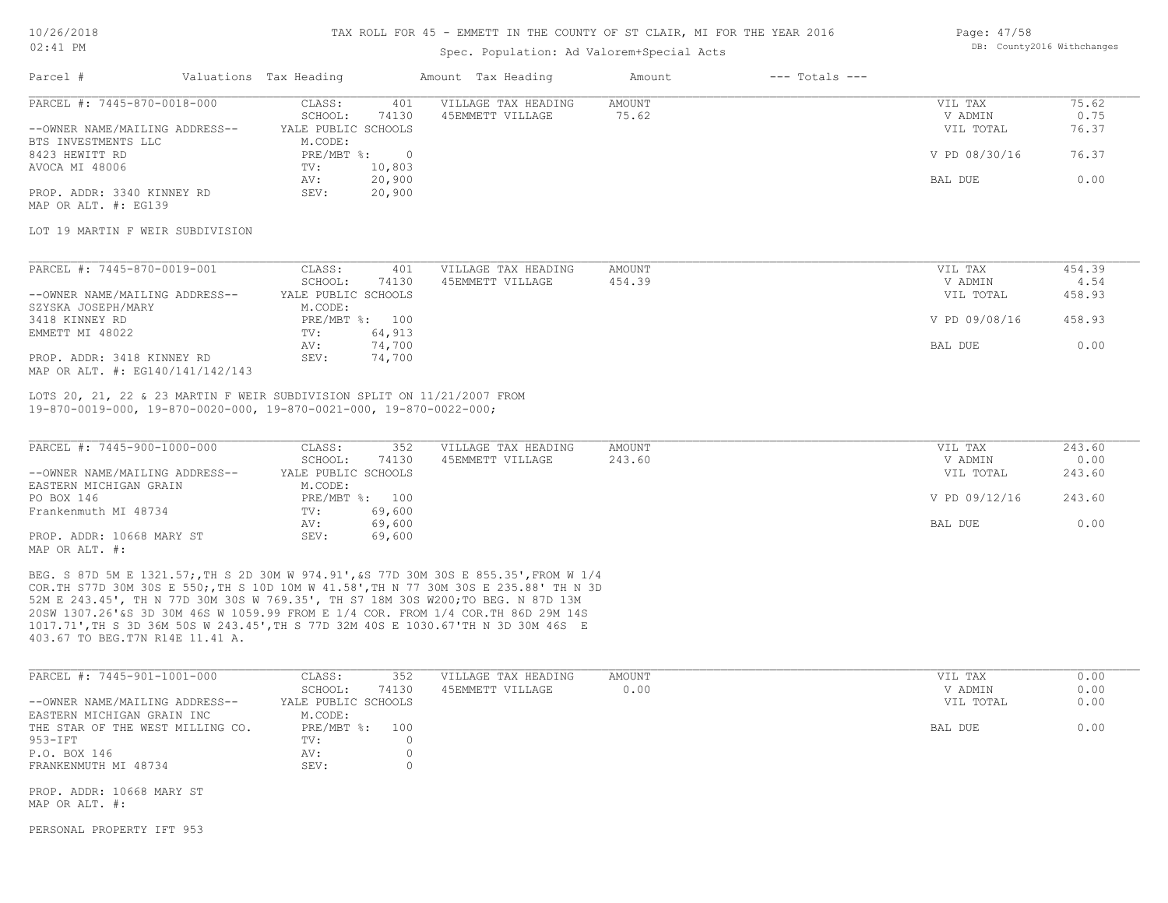### TAX ROLL FOR 45 - EMMETT IN THE COUNTY OF ST CLAIR, MI FOR THE YEAR 2016

## Spec. Population: Ad Valorem+Special Acts

| Page: 47/58 |                            |
|-------------|----------------------------|
|             | DB: County2016 Withchanges |

| PARCEL #: 7445-870-0018-000                                                                                                                                |                                   | VILLAGE TAX HEADING | <b>AMOUNT</b> |                    | 75.62  |
|------------------------------------------------------------------------------------------------------------------------------------------------------------|-----------------------------------|---------------------|---------------|--------------------|--------|
|                                                                                                                                                            | CLASS:<br>401<br>SCHOOL:<br>74130 | 45EMMETT VILLAGE    | 75.62         | VIL TAX<br>V ADMIN | 0.75   |
| --OWNER NAME/MAILING ADDRESS--                                                                                                                             | YALE PUBLIC SCHOOLS               |                     |               | VIL TOTAL          | 76.37  |
|                                                                                                                                                            |                                   |                     |               |                    |        |
| BTS INVESTMENTS LLC                                                                                                                                        | M.CODE:                           |                     |               |                    |        |
| 8423 HEWITT RD                                                                                                                                             | PRE/MBT %:<br>$\overline{0}$      |                     |               | V PD 08/30/16      | 76.37  |
| AVOCA MI 48006                                                                                                                                             | 10,803<br>TV:                     |                     |               |                    |        |
|                                                                                                                                                            | 20,900<br>AV:                     |                     |               | BAL DUE            | 0.00   |
| PROP. ADDR: 3340 KINNEY RD                                                                                                                                 | 20,900<br>SEV:                    |                     |               |                    |        |
| MAP OR ALT. #: EG139                                                                                                                                       |                                   |                     |               |                    |        |
| LOT 19 MARTIN F WEIR SUBDIVISION                                                                                                                           |                                   |                     |               |                    |        |
|                                                                                                                                                            |                                   |                     |               |                    |        |
| PARCEL #: 7445-870-0019-001                                                                                                                                | CLASS:<br>401                     | VILLAGE TAX HEADING | <b>AMOUNT</b> | VIL TAX            | 454.39 |
|                                                                                                                                                            | SCHOOL:<br>74130                  | 45EMMETT VILLAGE    | 454.39        | V ADMIN            | 4.54   |
| --OWNER NAME/MAILING ADDRESS--                                                                                                                             | YALE PUBLIC SCHOOLS               |                     |               | VIL TOTAL          | 458.93 |
| SZYSKA JOSEPH/MARY                                                                                                                                         | M.CODE:                           |                     |               |                    |        |
| 3418 KINNEY RD                                                                                                                                             | PRE/MBT %: 100                    |                     |               | V PD 09/08/16      | 458.93 |
| EMMETT MI 48022                                                                                                                                            | 64,913<br>TV:                     |                     |               |                    |        |
|                                                                                                                                                            | 74,700<br>AV:                     |                     |               | BAL DUE            | 0.00   |
| PROP. ADDR: 3418 KINNEY RD                                                                                                                                 | SEV:<br>74,700                    |                     |               |                    |        |
| MAP OR ALT. #: EG140/141/142/143                                                                                                                           |                                   |                     |               |                    |        |
| LOTS 20, 21, 22 & 23 MARTIN F WEIR SUBDIVISION SPLIT ON 11/21/2007 FROM<br>$19-870-0019-000$ , $19-870-0020-000$ , $19-870-0021-000$ , $19-870-0022-000$ ; |                                   |                     |               |                    |        |
| PARCEL #: 7445-900-1000-000                                                                                                                                | CLASS:<br>352                     | VILLAGE TAX HEADING | AMOUNT        | VIL TAX            | 243.60 |
|                                                                                                                                                            | SCHOOL:<br>74130                  | 45EMMETT VILLAGE    | 243.60        | V ADMIN            | 0.00   |
| --OWNER NAME/MAILING ADDRESS--                                                                                                                             | YALE PUBLIC SCHOOLS               |                     |               | VIL TOTAL          | 243.60 |
| EASTERN MICHIGAN GRAIN                                                                                                                                     | M.CODE:                           |                     |               |                    |        |
| PO BOX 146                                                                                                                                                 | PRE/MBT %: 100                    |                     |               | V PD 09/12/16      | 243.60 |
| Frankenmuth MI 48734                                                                                                                                       | 69,600<br>TV:                     |                     |               |                    |        |
|                                                                                                                                                            | 69,600<br>AV:                     |                     |               | BAL DUE            | 0.00   |
| PROP. ADDR: 10668 MARY ST                                                                                                                                  | SEV:<br>69,600                    |                     |               |                    |        |
| MAP OR ALT. #:                                                                                                                                             |                                   |                     |               |                    |        |
|                                                                                                                                                            |                                   |                     |               |                    |        |
| BEG. S 87D 5M E 1321.57; TH S 2D 30M W 974.91', &S 77D 30M 30S E 855.35', FROM W 1/4                                                                       |                                   |                     |               |                    |        |
| COR. TH S77D 30M 30S E 550;, TH S 10D 10M W 41.58', TH N 77 30M 30S E 235.88' TH N 3D                                                                      |                                   |                     |               |                    |        |
| 52M E 243.45', TH N 77D 30M 30S W 769.35', TH S7 18M 30S W200; TO BEG. N 87D 13M                                                                           |                                   |                     |               |                    |        |
| 20SM 1307 26'LS 3D 30M 46S M 1059 99 FROM F 1/4 COR FROM 1/4 COR TH 86D 29M 14S                                                                            |                                   |                     |               |                    |        |

403.67 TO BEG.T7N R14E 11.41 A. 1017.71',TH S 3D 36M 50S W 243.45',TH S 77D 32M 40S E 1030.67'TH N 3D 30M 46S E 20SW 1307.26'&S 3D 30M 46S W 1059.99 FROM E 1/4 COR. FROM 1/4 COR.TH 86D 29M 14S

| PARCEL #: 7445-901-1001-000      | CLASS:              | 352   | VILLAGE TAX HEADING | AMOUNT | VIL TAX   | 0.00 |
|----------------------------------|---------------------|-------|---------------------|--------|-----------|------|
|                                  | SCHOOL:             | 74130 | 45EMMETT VILLAGE    | 0.00   | V ADMIN   | 0.00 |
| --OWNER NAME/MAILING ADDRESS--   | YALE PUBLIC SCHOOLS |       |                     |        | VIL TOTAL | 0.00 |
| EASTERN MICHIGAN GRAIN INC       | M.CODE:             |       |                     |        |           |      |
| THE STAR OF THE WEST MILLING CO. | PRE/MBT %: 100      |       |                     |        | BAL DUE   | 0.00 |
| 953-IFT                          | $\text{TV}$ :       |       |                     |        |           |      |
| P.O. BOX 146                     | AV:                 |       |                     |        |           |      |
| FRANKENMUTH MI 48734             | SEV:                |       |                     |        |           |      |

MAP OR ALT. #:

PERSONAL PROPERTY IFT 953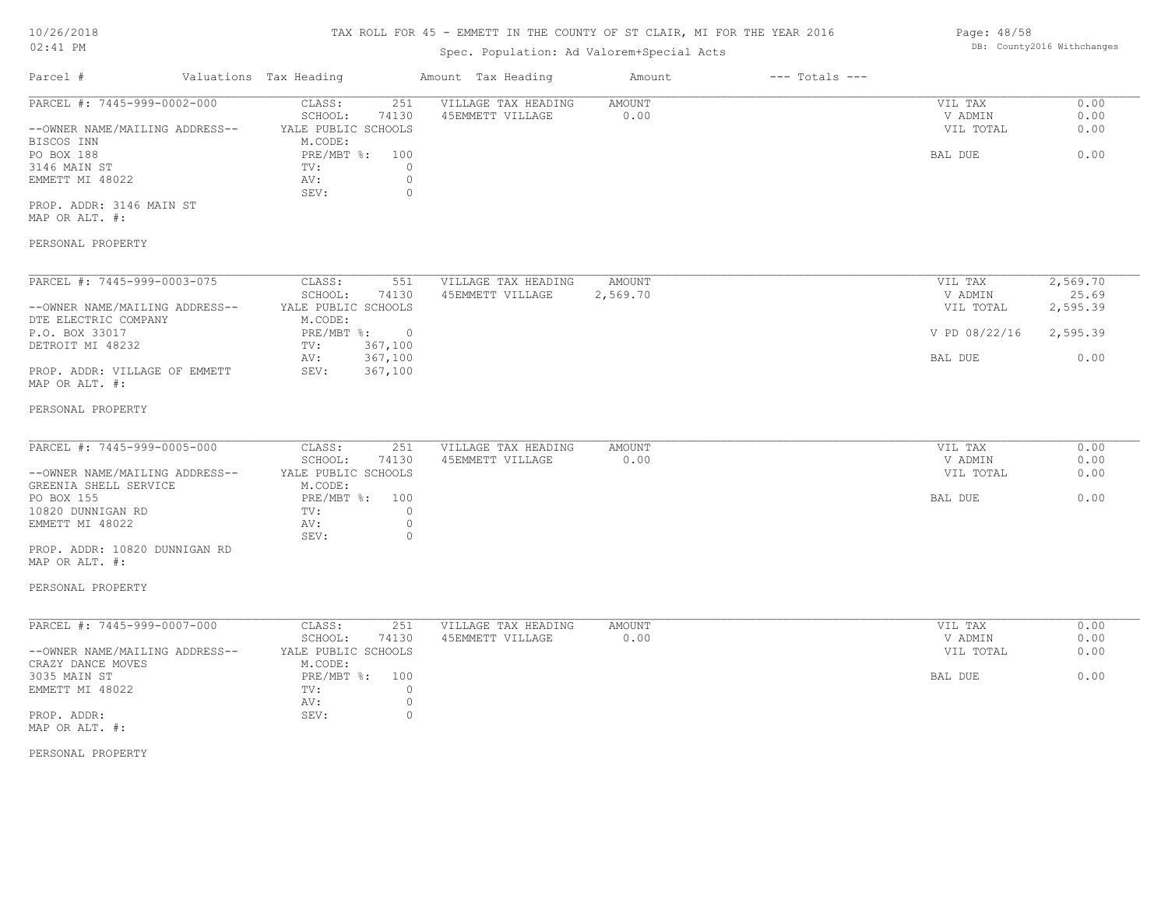### TAX ROLL FOR 45 - EMMETT IN THE COUNTY OF ST CLAIR, MI FOR THE YEAR 2016

## Spec. Population: Ad Valorem+Special Acts

| Parcel #                       | Valuations Tax Heading |       | Amount Tax Heading  | Amount | $---$ Totals $---$ |           |      |
|--------------------------------|------------------------|-------|---------------------|--------|--------------------|-----------|------|
| PARCEL #: 7445-999-0002-000    | CLASS:                 | 251   | VILLAGE TAX HEADING | AMOUNT |                    | VIL TAX   | 0.00 |
|                                | SCHOOL:                | 74130 | 45EMMETT VILLAGE    | 0.00   |                    | V ADMIN   | 0.00 |
| --OWNER NAME/MAILING ADDRESS-- | YALE PUBLIC SCHOOLS    |       |                     |        |                    | VIL TOTAL | 0.00 |
| BISCOS INN                     | M.CODE:                |       |                     |        |                    |           |      |
| PO BOX 188                     | PRE/MBT %:             | 100   |                     |        |                    | BAL DUE   | 0.00 |
| 3146 MAIN ST                   | TV:                    |       |                     |        |                    |           |      |
| EMMETT MI 48022                | AV:                    |       |                     |        |                    |           |      |
|                                | SEV:                   |       |                     |        |                    |           |      |
| PROP. ADDR: 3146 MAIN ST       |                        |       |                     |        |                    |           |      |

MAP OR ALT. #:

#### PERSONAL PROPERTY

| PARCEL #: 7445-999-0003-075    | CLASS:              | 551      | VILLAGE TAX HEADING | AMOUNT   | VIL TAX       | 2,569.70 |
|--------------------------------|---------------------|----------|---------------------|----------|---------------|----------|
|                                | SCHOOL:             | 74130    | 45EMMETT VILLAGE    | 2,569.70 | V ADMIN       | 25.69    |
| --OWNER NAME/MAILING ADDRESS-- | YALE PUBLIC SCHOOLS |          |                     |          | VIL TOTAL     | 2,595.39 |
| DTE ELECTRIC COMPANY           | M.CODE:             |          |                     |          |               |          |
| P.O. BOX 33017                 | PRE/MBT %:          | $\Omega$ |                     |          | V PD 08/22/16 | 2,595.39 |
| DETROIT MI 48232               | TV:                 | 367,100  |                     |          |               |          |
|                                | AV:                 | 367,100  |                     |          | BAL DUE       | 0.00     |
| PROP. ADDR: VILLAGE OF EMMETT  | SEV:                | 367,100  |                     |          |               |          |
| MAP OR ALT. #:                 |                     |          |                     |          |               |          |

#### PERSONAL PROPERTY

| PARCEL #: 7445-999-0005-000    | CLASS:              | 251   | VILLAGE TAX HEADING | AMOUNT | VIL TAX   | 0.00 |
|--------------------------------|---------------------|-------|---------------------|--------|-----------|------|
|                                | SCHOOL:             | 74130 | 45EMMETT VILLAGE    | 0.00   | V ADMIN   | 0.00 |
| --OWNER NAME/MAILING ADDRESS-- | YALE PUBLIC SCHOOLS |       |                     |        | VIL TOTAL | 0.00 |
| GREENIA SHELL SERVICE          | M.CODE:             |       |                     |        |           |      |
| PO BOX 155                     | PRE/MBT %: 100      |       |                     |        | BAL DUE   | 0.00 |
| 10820 DUNNIGAN RD              | TV:                 |       |                     |        |           |      |
| EMMETT MI 48022                | AV:                 |       |                     |        |           |      |
|                                | SEV:                |       |                     |        |           |      |
| PROP. ADDR: 10820 DUNNIGAN RD  |                     |       |                     |        |           |      |

MAP OR ALT. #:

#### PERSONAL PROPERTY

| PARCEL #: 7445-999-0007-000    | CLASS:              | 251   | VILLAGE TAX HEADING | AMOUNT | 0.00<br>VIL TAX   |
|--------------------------------|---------------------|-------|---------------------|--------|-------------------|
|                                | SCHOOL:             | 74130 | 45EMMETT VILLAGE    | 0.00   | 0.00<br>V ADMIN   |
| --OWNER NAME/MAILING ADDRESS-- | YALE PUBLIC SCHOOLS |       |                     |        | VIL TOTAL<br>0.00 |
| CRAZY DANCE MOVES              | M.CODE:             |       |                     |        |                   |
| 3035 MAIN ST                   | $PRE/MBT$ %:        | 100   |                     |        | 0.00<br>BAL DUE   |
| EMMETT MI 48022                | TV:                 |       |                     |        |                   |
|                                | AV:                 |       |                     |        |                   |
| PROP. ADDR:                    | SEV:                |       |                     |        |                   |
| MAP OR ALT. #:                 |                     |       |                     |        |                   |

PERSONAL PROPERTY

Page: 48/58 DB: County2016 Withchanges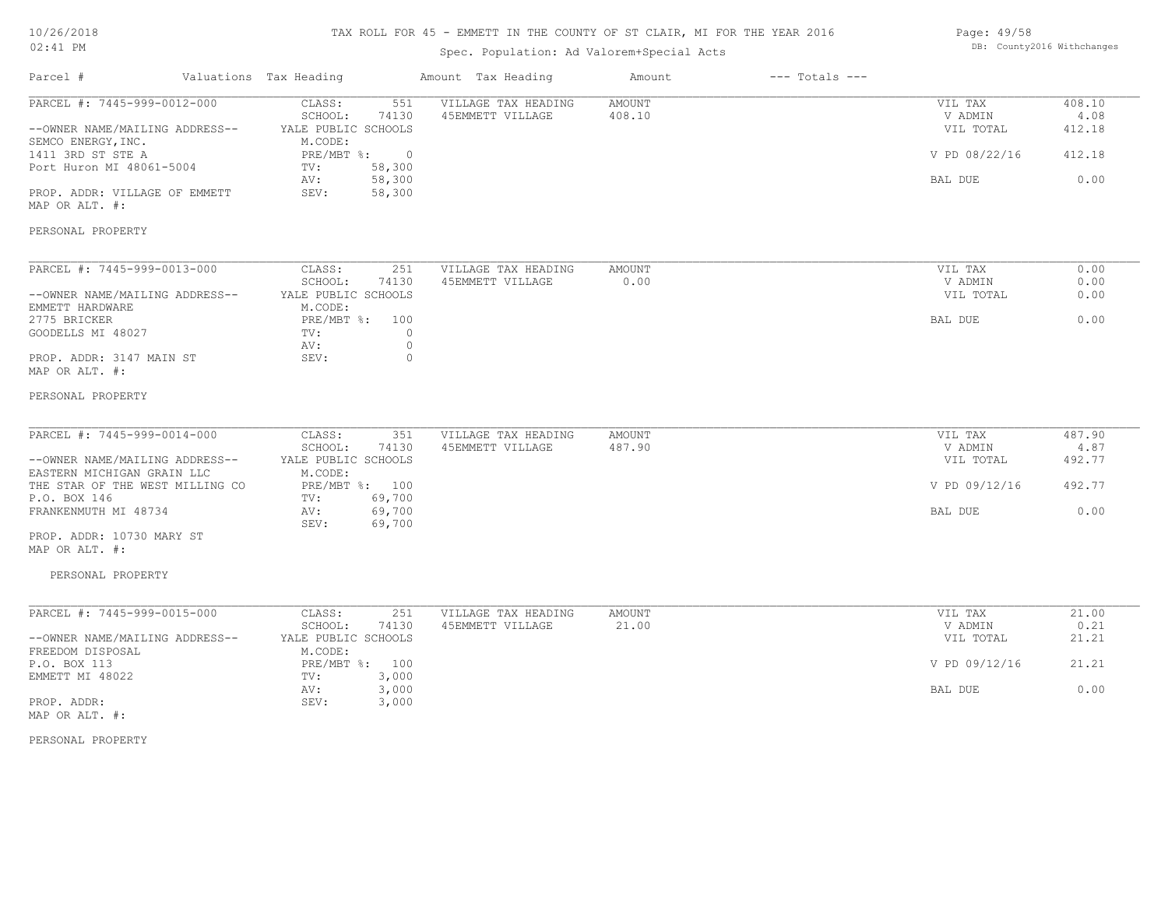## TAX ROLL FOR 45 - EMMETT IN THE COUNTY OF ST CLAIR, MI FOR THE YEAR 2016

## Spec. Population: Ad Valorem+Special Acts

| Page: 49/58 |                            |
|-------------|----------------------------|
|             | DB: County2016 Withchanges |

| Parcel #                                                                                                                                                                                                     | Valuations Tax Heading                                                                                                                                  | Amount Tax Heading                      | Amount           | $---$ Totals $---$ |                                                             |                                            |
|--------------------------------------------------------------------------------------------------------------------------------------------------------------------------------------------------------------|---------------------------------------------------------------------------------------------------------------------------------------------------------|-----------------------------------------|------------------|--------------------|-------------------------------------------------------------|--------------------------------------------|
| PARCEL #: 7445-999-0012-000<br>--OWNER NAME/MAILING ADDRESS--<br>SEMCO ENERGY, INC.<br>1411 3RD ST STE A<br>Port Huron MI 48061-5004<br>PROP. ADDR: VILLAGE OF EMMETT<br>MAP OR ALT. #:<br>PERSONAL PROPERTY | 551<br>CLASS:<br>SCHOOL:<br>74130<br>YALE PUBLIC SCHOOLS<br>M.CODE:<br>PRE/MBT %:<br>$\overline{0}$<br>58,300<br>TV:<br>58,300<br>AV:<br>SEV:<br>58,300 | VILLAGE TAX HEADING<br>45EMMETT VILLAGE | AMOUNT<br>408.10 |                    | VIL TAX<br>V ADMIN<br>VIL TOTAL<br>V PD 08/22/16<br>BAL DUE | 408.10<br>4.08<br>412.18<br>412.18<br>0.00 |
| PARCEL #: 7445-999-0013-000                                                                                                                                                                                  | CLASS:<br>251                                                                                                                                           | VILLAGE TAX HEADING                     | AMOUNT           |                    | VIL TAX                                                     | 0.00                                       |
| --OWNER NAME/MAILING ADDRESS--                                                                                                                                                                               | SCHOOL:<br>74130<br>YALE PUBLIC SCHOOLS                                                                                                                 | 45EMMETT VILLAGE                        | 0.00             |                    | V ADMIN<br>VIL TOTAL                                        | 0.00<br>0.00                               |
| EMMETT HARDWARE<br>2775 BRICKER<br>GOODELLS MI 48027<br>PROP. ADDR: 3147 MAIN ST                                                                                                                             | M.CODE:<br>PRE/MBT %: 100<br>$\circ$<br>TV:<br>AV:<br>$\circ$<br>SEV:<br>$\mathbf{0}$                                                                   |                                         |                  |                    | BAL DUE                                                     | 0.00                                       |
| MAP OR ALT. #:<br>PERSONAL PROPERTY                                                                                                                                                                          |                                                                                                                                                         |                                         |                  |                    |                                                             |                                            |
| PARCEL #: 7445-999-0014-000                                                                                                                                                                                  | CLASS:<br>351                                                                                                                                           | VILLAGE TAX HEADING                     | AMOUNT           |                    | VIL TAX                                                     | 487.90                                     |
| --OWNER NAME/MAILING ADDRESS--<br>EASTERN MICHIGAN GRAIN LLC                                                                                                                                                 | SCHOOL:<br>74130<br>YALE PUBLIC SCHOOLS<br>M.CODE:                                                                                                      | 45EMMETT VILLAGE                        | 487.90           |                    | V ADMIN<br>VIL TOTAL                                        | 4.87<br>492.77                             |
| THE STAR OF THE WEST MILLING CO<br>P.O. BOX 146                                                                                                                                                              | PRE/MBT %: 100<br>TV:<br>69,700                                                                                                                         |                                         |                  |                    | V PD 09/12/16                                               | 492.77                                     |
| FRANKENMUTH MI 48734<br>PROP. ADDR: 10730 MARY ST                                                                                                                                                            | 69,700<br>AV:<br>69,700<br>SEV:                                                                                                                         |                                         |                  |                    | BAL DUE                                                     | 0.00                                       |
| MAP OR ALT. #:<br>PERSONAL PROPERTY                                                                                                                                                                          |                                                                                                                                                         |                                         |                  |                    |                                                             |                                            |
| PARCEL #: 7445-999-0015-000                                                                                                                                                                                  | CLASS:<br>251                                                                                                                                           | VILLAGE TAX HEADING                     | AMOUNT           |                    | VIL TAX                                                     | 21.00                                      |
| --OWNER NAME/MAILING ADDRESS--                                                                                                                                                                               | SCHOOL:<br>74130<br>YALE PUBLIC SCHOOLS                                                                                                                 | 45EMMETT VILLAGE                        | 21.00            |                    | V ADMIN<br>VIL TOTAL                                        | 0.21<br>21.21                              |
| FREEDOM DISPOSAL<br>P.O. BOX 113                                                                                                                                                                             | M.CODE:<br>PRE/MBT %: 100                                                                                                                               |                                         |                  |                    | V PD 09/12/16                                               | 21.21                                      |
| EMMETT MI 48022<br>PROP. ADDR:<br>MAP OR ALT. #:                                                                                                                                                             | 3,000<br>TV:<br>AV:<br>3,000<br>SEV:<br>3,000                                                                                                           |                                         |                  |                    | BAL DUE                                                     | 0.00                                       |
| PERSONAL PROPERTY                                                                                                                                                                                            |                                                                                                                                                         |                                         |                  |                    |                                                             |                                            |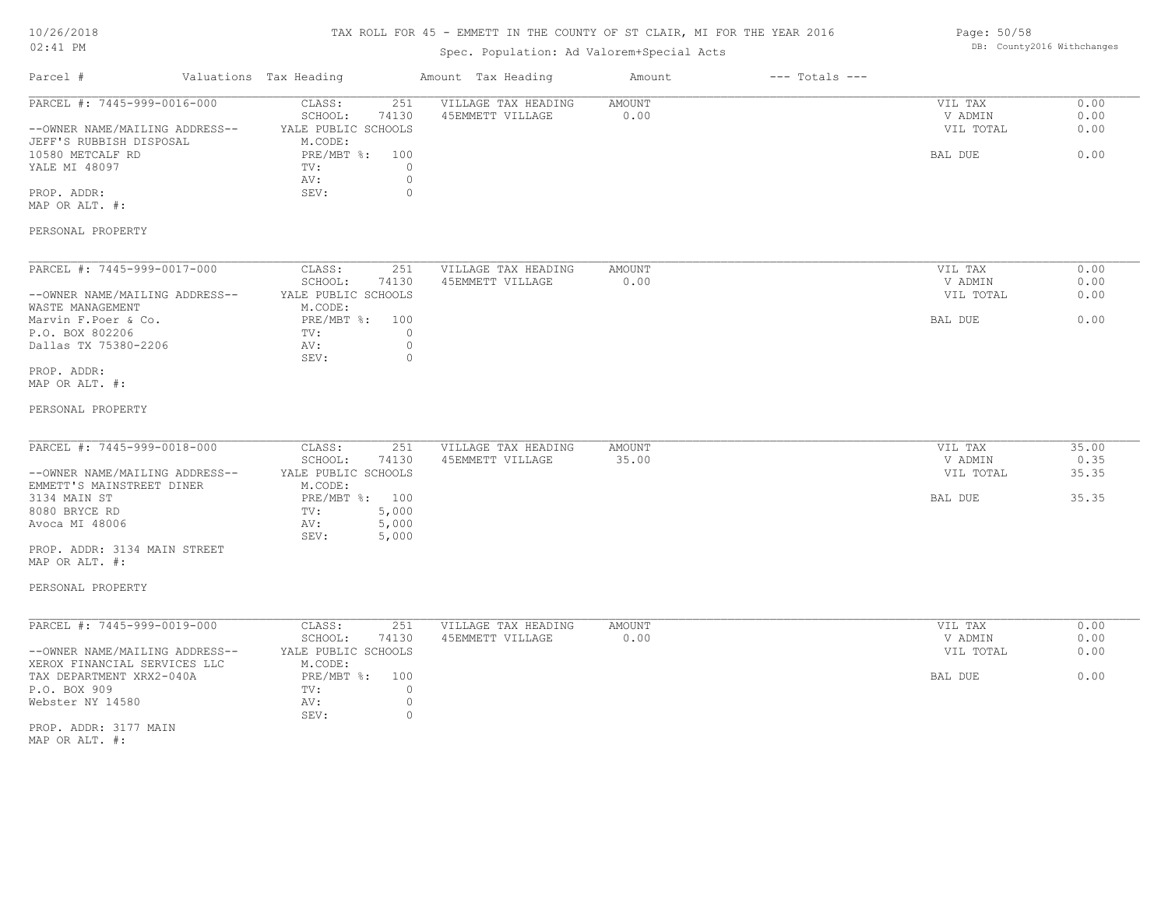### TAX ROLL FOR 45 - EMMETT IN THE COUNTY OF ST CLAIR, MI FOR THE YEAR 2016

## Spec. Population: Ad Valorem+Special Acts

| Page: 50/58 |                            |
|-------------|----------------------------|
|             | DB: County2016 Withchanges |

| Parcel #                                                                                                                                                                                                             | Valuations Tax Heading                                                                                                                 | Amount Tax Heading                                                                | Amount                | $---$ Totals $---$ |                                            |                                 |
|----------------------------------------------------------------------------------------------------------------------------------------------------------------------------------------------------------------------|----------------------------------------------------------------------------------------------------------------------------------------|-----------------------------------------------------------------------------------|-----------------------|--------------------|--------------------------------------------|---------------------------------|
| PARCEL #: 7445-999-0016-000<br>--OWNER NAME/MAILING ADDRESS--<br>JEFF'S RUBBISH DISPOSAL<br>10580 METCALF RD<br>YALE MI 48097<br>PROP. ADDR:<br>MAP OR ALT. #:<br>PERSONAL PROPERTY                                  | CLASS:<br>251<br>SCHOOL:<br>74130<br>YALE PUBLIC SCHOOLS<br>M.CODE:<br>PRE/MBT %: 100<br>TV:<br>AV:<br>SEV:                            | VILLAGE TAX HEADING<br>45EMMETT VILLAGE<br>$\circ$<br>$\mathbb O$<br>$\mathbf{0}$ | AMOUNT<br>0.00        |                    | VIL TAX<br>V ADMIN<br>VIL TOTAL<br>BAL DUE | 0.00<br>0.00<br>0.00<br>0.00    |
| PARCEL #: 7445-999-0017-000<br>--OWNER NAME/MAILING ADDRESS--<br>WASTE MANAGEMENT<br>Marvin F.Poer & Co.<br>P.O. BOX 802206<br>Dallas TX 75380-2206<br>PROP. ADDR:<br>MAP OR ALT. #:<br>PERSONAL PROPERTY            | CLASS:<br>251<br>SCHOOL:<br>74130<br>YALE PUBLIC SCHOOLS<br>M.CODE:<br>PRE/MBT %: 100<br>TV:<br>AV:<br>SEV:                            | VILLAGE TAX HEADING<br>45EMMETT VILLAGE<br>$\circ$<br>$\circ$<br>$\circ$          | <b>AMOUNT</b><br>0.00 |                    | VIL TAX<br>V ADMIN<br>VIL TOTAL<br>BAL DUE | 0.00<br>0.00<br>0.00<br>0.00    |
| PARCEL #: 7445-999-0018-000<br>--OWNER NAME/MAILING ADDRESS--<br>EMMETT'S MAINSTREET DINER<br>3134 MAIN ST<br>8080 BRYCE RD<br>Avoca MI 48006<br>PROP. ADDR: 3134 MAIN STREET<br>MAP OR ALT. #:<br>PERSONAL PROPERTY | CLASS:<br>251<br>SCHOOL:<br>74130<br>YALE PUBLIC SCHOOLS<br>M.CODE:<br>PRE/MBT %: 100<br>TV:<br>5,000<br>5,000<br>AV:<br>5,000<br>SEV: | VILLAGE TAX HEADING<br>45EMMETT VILLAGE                                           | AMOUNT<br>35.00       |                    | VIL TAX<br>V ADMIN<br>VIL TOTAL<br>BAL DUE | 35.00<br>0.35<br>35.35<br>35.35 |
| PARCEL #: 7445-999-0019-000<br>--OWNER NAME/MAILING ADDRESS--<br>XEROX FINANCIAL SERVICES LLC<br>TAX DEPARTMENT XRX2-040A<br>P.O. BOX 909<br>Webster NY 14580<br>PROP. ADDR: 3177 MAIN<br>MAP OR ALT. #:             | CLASS:<br>251<br>SCHOOL:<br>74130<br>YALE PUBLIC SCHOOLS<br>M.CODE:<br>PRE/MBT %: 100<br>TV:<br>AV:<br>SEV:                            | VILLAGE TAX HEADING<br>45EMMETT VILLAGE<br>$\circ$<br>$\mathbb O$<br>$\circ$      | <b>AMOUNT</b><br>0.00 |                    | VIL TAX<br>V ADMIN<br>VIL TOTAL<br>BAL DUE | 0.00<br>0.00<br>0.00<br>0.00    |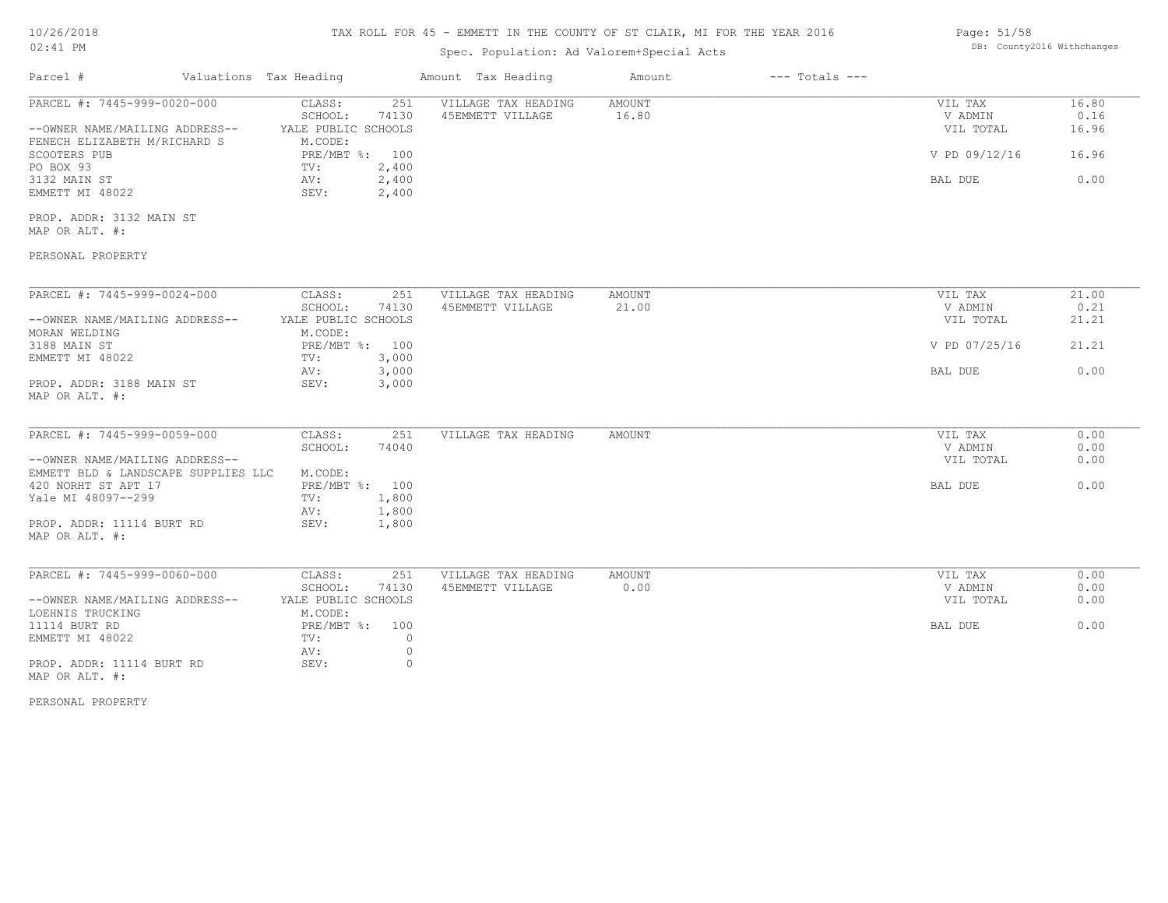| 10/26/2018 |  |  |
|------------|--|--|
|            |  |  |

### 02:41 PM

## TAX ROLL FOR 45 - EMMETT IN THE COUNTY OF ST CLAIR, MI FOR THE YEAR 2016

## Spec. Population: Ad Valorem+Special Acts

| Page: 51/58 |                            |
|-------------|----------------------------|
|             | DB: County2016 Withchanges |

| Parcel #<br>Valuations Tax Heading          |                                   | Amount Tax Heading                      | Amount                 | $---$ Totals $---$ |                    |               |
|---------------------------------------------|-----------------------------------|-----------------------------------------|------------------------|--------------------|--------------------|---------------|
| PARCEL #: 7445-999-0020-000                 | 251<br>CLASS:<br>SCHOOL:<br>74130 | VILLAGE TAX HEADING<br>45EMMETT VILLAGE | <b>AMOUNT</b><br>16.80 |                    | VIL TAX<br>V ADMIN | 16.80<br>0.16 |
| --OWNER NAME/MAILING ADDRESS--              | YALE PUBLIC SCHOOLS               |                                         |                        |                    | VIL TOTAL          | 16.96         |
| FENECH ELIZABETH M/RICHARD S                | M.CODE:                           |                                         |                        |                    |                    |               |
| SCOOTERS PUB                                | PRE/MBT %: 100                    |                                         |                        |                    | V PD 09/12/16      | 16.96         |
| PO BOX 93                                   | 2,400<br>TV:                      |                                         |                        |                    |                    |               |
| 3132 MAIN ST                                | AV:<br>2,400                      |                                         |                        |                    | BAL DUE            | 0.00          |
| EMMETT MI 48022                             | SEV:<br>2,400                     |                                         |                        |                    |                    |               |
| PROP. ADDR: 3132 MAIN ST                    |                                   |                                         |                        |                    |                    |               |
| MAP OR ALT. #:                              |                                   |                                         |                        |                    |                    |               |
| PERSONAL PROPERTY                           |                                   |                                         |                        |                    |                    |               |
| PARCEL #: 7445-999-0024-000                 | CLASS:<br>251                     | VILLAGE TAX HEADING                     | AMOUNT                 |                    | VIL TAX            | 21.00         |
|                                             | SCHOOL:<br>74130                  | 45EMMETT VILLAGE                        | 21.00                  |                    | V ADMIN            | 0.21          |
| --OWNER NAME/MAILING ADDRESS--              | YALE PUBLIC SCHOOLS               |                                         |                        |                    | VIL TOTAL          | 21.21         |
| MORAN WELDING                               | M.CODE:                           |                                         |                        |                    |                    |               |
| 3188 MAIN ST                                | PRE/MBT %: 100                    |                                         |                        |                    | V PD 07/25/16      | 21.21         |
| EMMETT MI 48022                             | 3,000                             |                                         |                        |                    |                    |               |
|                                             | TV:                               |                                         |                        |                    |                    |               |
|                                             | 3,000<br>AV:                      |                                         |                        |                    | BAL DUE            | 0.00          |
| PROP. ADDR: 3188 MAIN ST                    | 3,000<br>SEV:                     |                                         |                        |                    |                    |               |
| MAP OR ALT. #:                              |                                   |                                         |                        |                    |                    |               |
| PARCEL #: 7445-999-0059-000                 | CLASS:<br>251                     | VILLAGE TAX HEADING                     | AMOUNT                 |                    | VIL TAX            | 0.00          |
|                                             | SCHOOL:<br>74040                  |                                         |                        |                    | V ADMIN            | 0.00          |
| --OWNER NAME/MAILING ADDRESS--              |                                   |                                         |                        |                    | VIL TOTAL          | 0.00          |
| EMMETT BLD & LANDSCAPE SUPPLIES LLC         | M.CODE:                           |                                         |                        |                    |                    |               |
| 420 NORHT ST APT 17                         | PRE/MBT %: 100                    |                                         |                        |                    | BAL DUE            | 0.00          |
| Yale MI 48097--299                          | 1,800<br>TV:                      |                                         |                        |                    |                    |               |
|                                             |                                   |                                         |                        |                    |                    |               |
| PROP. ADDR: 11114 BURT RD                   | 1,800<br>AV:<br>SEV:              |                                         |                        |                    |                    |               |
| MAP OR ALT. #:                              | 1,800                             |                                         |                        |                    |                    |               |
|                                             |                                   |                                         |                        |                    |                    |               |
| PARCEL #: 7445-999-0060-000                 | CLASS:<br>251                     | VILLAGE TAX HEADING                     | AMOUNT                 |                    | VIL TAX            | 0.00          |
|                                             | SCHOOL:<br>74130                  | 45EMMETT VILLAGE                        | 0.00                   |                    | V ADMIN            | 0.00          |
| --OWNER NAME/MAILING ADDRESS--              | YALE PUBLIC SCHOOLS               |                                         |                        |                    | VIL TOTAL          | 0.00          |
|                                             |                                   |                                         |                        |                    |                    |               |
| LOEHNIS TRUCKING                            | M.CODE:                           |                                         |                        |                    |                    |               |
| 11114 BURT RD                               | PRE/MBT %: 100                    |                                         |                        |                    | BAL DUE            | 0.00          |
| EMMETT MI 48022                             | TV:<br>$\circ$                    |                                         |                        |                    |                    |               |
|                                             | AV:<br>$\circ$                    |                                         |                        |                    |                    |               |
| PROP. ADDR: 11114 BURT RD<br>MAP OR ALT. #: | SEV:<br>$\circ$                   |                                         |                        |                    |                    |               |

PERSONAL PROPERTY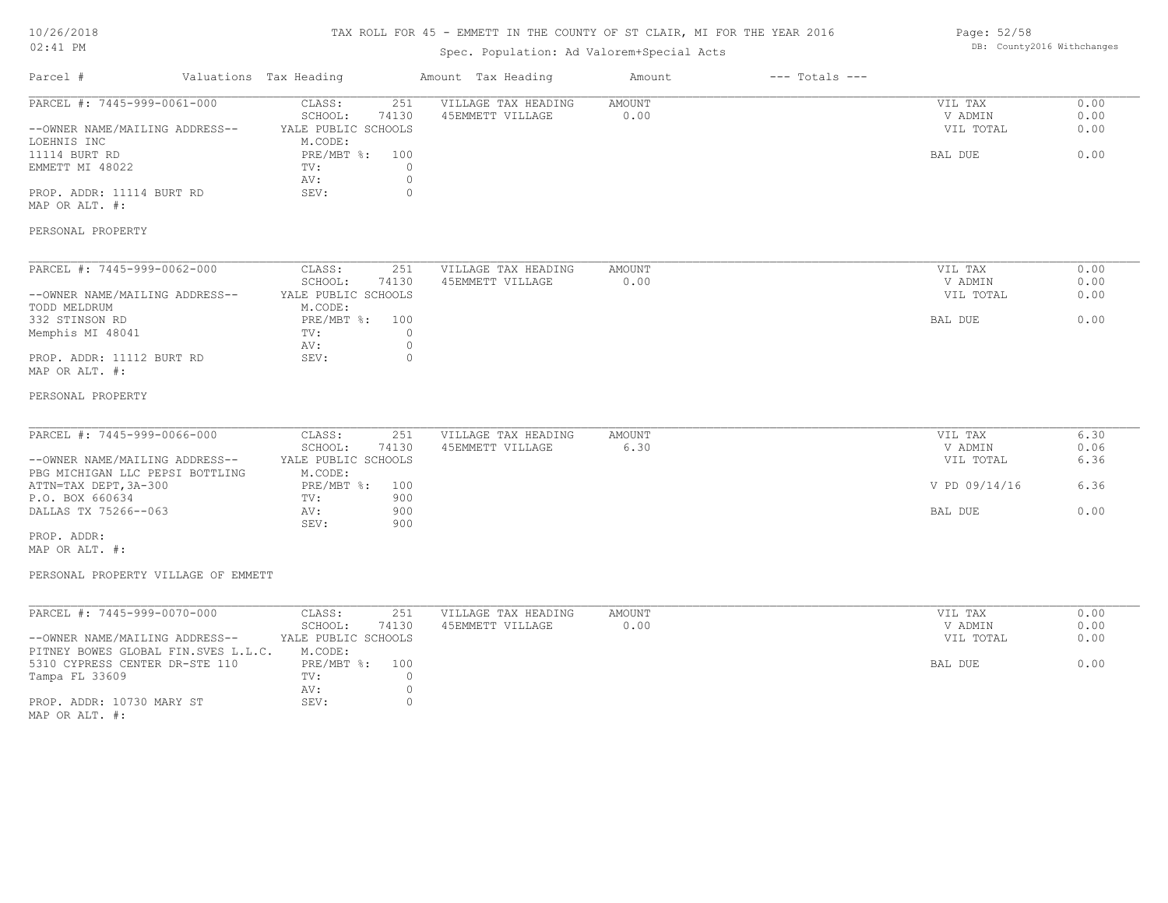### TAX ROLL FOR 45 - EMMETT IN THE COUNTY OF ST CLAIR, MI FOR THE YEAR 2016

# Spec. Population: Ad Valorem+Special Acts

#### Page: 52/58 DB: County2016 Withchanges

|                                                                       |                                         | spec. Population: Ad valorem+special Acts |        |                    |                      |              |
|-----------------------------------------------------------------------|-----------------------------------------|-------------------------------------------|--------|--------------------|----------------------|--------------|
| Parcel #                                                              | Valuations Tax Heading                  | Amount Tax Heading                        | Amount | $---$ Totals $---$ |                      |              |
| PARCEL #: 7445-999-0061-000                                           | CLASS:<br>251                           | VILLAGE TAX HEADING                       | AMOUNT |                    | VIL TAX              | 0.00         |
| --OWNER NAME/MAILING ADDRESS--                                        | SCHOOL:<br>74130<br>YALE PUBLIC SCHOOLS | 45EMMETT VILLAGE                          | 0.00   |                    | V ADMIN<br>VIL TOTAL | 0.00<br>0.00 |
| LOEHNIS INC                                                           | M.CODE:                                 |                                           |        |                    |                      |              |
| 11114 BURT RD                                                         | PRE/MBT %: 100                          |                                           |        |                    | BAL DUE              | 0.00         |
| EMMETT MI 48022                                                       | $\circ$<br>TV:<br>AV:<br>$\circ$        |                                           |        |                    |                      |              |
| PROP. ADDR: 11114 BURT RD                                             | SEV:<br>$\circ$                         |                                           |        |                    |                      |              |
| MAP OR ALT. #:                                                        |                                         |                                           |        |                    |                      |              |
| PERSONAL PROPERTY                                                     |                                         |                                           |        |                    |                      |              |
|                                                                       |                                         |                                           |        |                    |                      |              |
| PARCEL #: 7445-999-0062-000                                           | CLASS:<br>251                           | VILLAGE TAX HEADING                       | AMOUNT |                    | VIL TAX              | 0.00         |
|                                                                       | SCHOOL:<br>74130                        | 45EMMETT VILLAGE                          | 0.00   |                    | V ADMIN              | 0.00         |
| --OWNER NAME/MAILING ADDRESS--                                        | YALE PUBLIC SCHOOLS                     |                                           |        |                    | VIL TOTAL            | 0.00         |
| TODD MELDRUM<br>332 STINSON RD                                        | M.CODE:<br>$PRE/MBT$ %:<br>100          |                                           |        |                    | BAL DUE              | 0.00         |
| Memphis MI 48041                                                      | $\circ$<br>TV:                          |                                           |        |                    |                      |              |
|                                                                       | $\circ$<br>AV:                          |                                           |        |                    |                      |              |
| PROP. ADDR: 11112 BURT RD                                             | SEV:<br>$\circ$                         |                                           |        |                    |                      |              |
| MAP OR ALT. #:                                                        |                                         |                                           |        |                    |                      |              |
| PERSONAL PROPERTY                                                     |                                         |                                           |        |                    |                      |              |
|                                                                       |                                         |                                           |        |                    |                      |              |
| PARCEL #: 7445-999-0066-000                                           | 251<br>CLASS:                           | VILLAGE TAX HEADING                       | AMOUNT |                    | VIL TAX              | 6.30         |
| --OWNER NAME/MAILING ADDRESS--                                        | SCHOOL:<br>74130<br>YALE PUBLIC SCHOOLS | 45EMMETT VILLAGE                          | 6.30   |                    | V ADMIN<br>VIL TOTAL | 0.06<br>6.36 |
| PBG MICHIGAN LLC PEPSI BOTTLING                                       | M.CODE:                                 |                                           |        |                    |                      |              |
| ATTN=TAX DEPT, 3A-300                                                 | PRE/MBT %: 100                          |                                           |        |                    | V PD 09/14/16        | 6.36         |
| P.O. BOX 660634                                                       | 900<br>TV:                              |                                           |        |                    |                      |              |
| DALLAS TX 75266--063                                                  | 900<br>AV:<br>900<br>SEV:               |                                           |        |                    | BAL DUE              | 0.00         |
| PROP. ADDR:                                                           |                                         |                                           |        |                    |                      |              |
| MAP OR ALT. #:                                                        |                                         |                                           |        |                    |                      |              |
| PERSONAL PROPERTY VILLAGE OF EMMETT                                   |                                         |                                           |        |                    |                      |              |
|                                                                       |                                         |                                           |        |                    |                      |              |
| PARCEL #: 7445-999-0070-000                                           | CLASS:<br>251                           | VILLAGE TAX HEADING                       | AMOUNT |                    | VIL TAX              | 0.00         |
|                                                                       | SCHOOL:<br>74130                        | 45EMMETT VILLAGE                          | 0.00   |                    | V ADMIN              | 0.00         |
| --OWNER NAME/MAILING ADDRESS--<br>PITNEY BOWES GLOBAL FIN.SVES L.L.C. | YALE PUBLIC SCHOOLS<br>M.CODE:          |                                           |        |                    | VIL TOTAL            | 0.00         |
| 5310 CYPRESS CENTER DR-STE 110                                        | PRE/MBT %:<br>100                       |                                           |        |                    | <b>BAL DUE</b>       | 0.00         |
| Tampa FL 33609                                                        | $\circ$<br>TV:                          |                                           |        |                    |                      |              |
|                                                                       | $\circ$<br>AV:                          |                                           |        |                    |                      |              |
| PROP. ADDR: 10730 MARY ST<br>MAP OR ALT. $\#$ :                       | $\circ$<br>SEV:                         |                                           |        |                    |                      |              |
|                                                                       |                                         |                                           |        |                    |                      |              |
|                                                                       |                                         |                                           |        |                    |                      |              |
|                                                                       |                                         |                                           |        |                    |                      |              |
|                                                                       |                                         |                                           |        |                    |                      |              |
|                                                                       |                                         |                                           |        |                    |                      |              |
|                                                                       |                                         |                                           |        |                    |                      |              |
|                                                                       |                                         |                                           |        |                    |                      |              |
|                                                                       |                                         |                                           |        |                    |                      |              |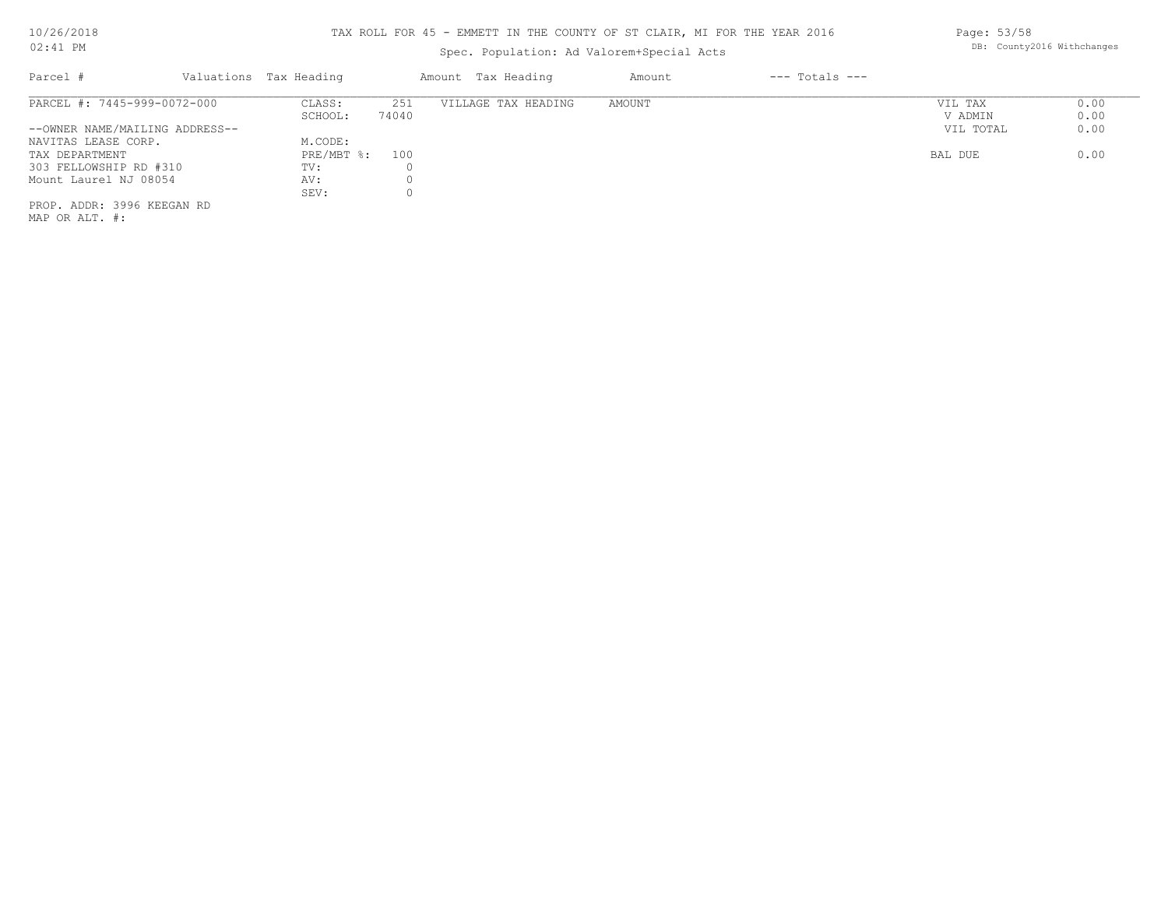## TAX ROLL FOR 45 - EMMETT IN THE COUNTY OF ST CLAIR, MI FOR THE YEAR 2016

## Spec. Population: Ad Valorem+Special Acts

| Parcel #                       | Valuations Tax Heading |       | Amount Tax Heading  | Amount | $---$ Totals $---$ |           |      |
|--------------------------------|------------------------|-------|---------------------|--------|--------------------|-----------|------|
| PARCEL #: 7445-999-0072-000    | CLASS:                 | 251   | VILLAGE TAX HEADING | AMOUNT |                    | VIL TAX   | 0.00 |
|                                | SCHOOL:                | 74040 |                     |        |                    | V ADMIN   | 0.00 |
| --OWNER NAME/MAILING ADDRESS-- |                        |       |                     |        |                    | VIL TOTAL | 0.00 |
| NAVITAS LEASE CORP.            | M.CODE:                |       |                     |        |                    |           |      |
| TAX DEPARTMENT                 | $PRE/MBT$ %:           | 100   |                     |        |                    | BAL DUE   | 0.00 |
| 303 FELLOWSHIP RD #310         | TV:                    |       |                     |        |                    |           |      |
| Mount Laurel NJ 08054          | AV:                    |       |                     |        |                    |           |      |
|                                | SEV:                   |       |                     |        |                    |           |      |
| PROP. ADDR: 3996 KEEGAN RD     |                        |       |                     |        |                    |           |      |
|                                |                        |       |                     |        |                    |           |      |

MAP OR ALT. #:

Page: 53/58 DB: County2016 Withchanges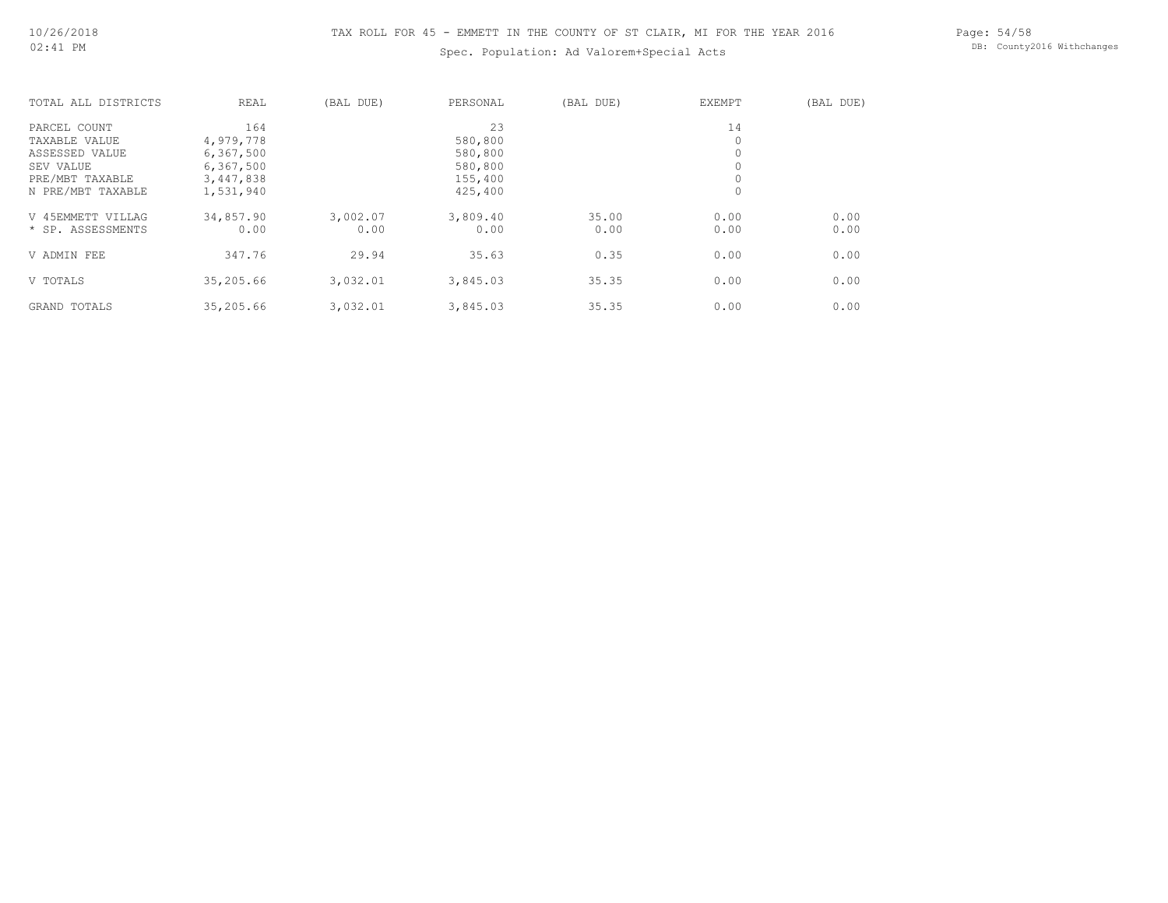## Spec. Population: Ad Valorem+Special Acts

Page: 54/58 DB: County2016 Withchanges

| TOTAL ALL DISTRICTS | <b>REAL</b> | (BAL DUE) | PERSONAL | (BAL DUE) | <b>EXEMPT</b> | (BAL DUE) |
|---------------------|-------------|-----------|----------|-----------|---------------|-----------|
| PARCEL COUNT        | 164         |           | 23       |           | 14            |           |
| TAXABLE VALUE       | 4,979,778   |           | 580,800  |           | 0             |           |
| ASSESSED VALUE      | 6,367,500   |           | 580,800  |           | 0             |           |
| SEV VALUE           | 6,367,500   |           | 580,800  |           |               |           |
| PRE/MBT TAXABLE     | 3,447,838   |           | 155,400  |           | 0             |           |
| N PRE/MBT TAXABLE   | 1,531,940   |           | 425,400  |           | 0             |           |
| V 45EMMETT VILLAG   | 34,857.90   | 3,002.07  | 3,809.40 | 35.00     | 0.00          | 0.00      |
| * SP. ASSESSMENTS   | 0.00        | 0.00      | 0.00     | 0.00      | 0.00          | 0.00      |
| V ADMIN FEE         | 347.76      | 29.94     | 35.63    | 0.35      | 0.00          | 0.00      |
| V TOTALS            | 35,205.66   | 3,032.01  | 3,845.03 | 35.35     | 0.00          | 0.00      |
| GRAND TOTALS        | 35,205.66   | 3,032.01  | 3,845.03 | 35.35     | 0.00          | 0.00      |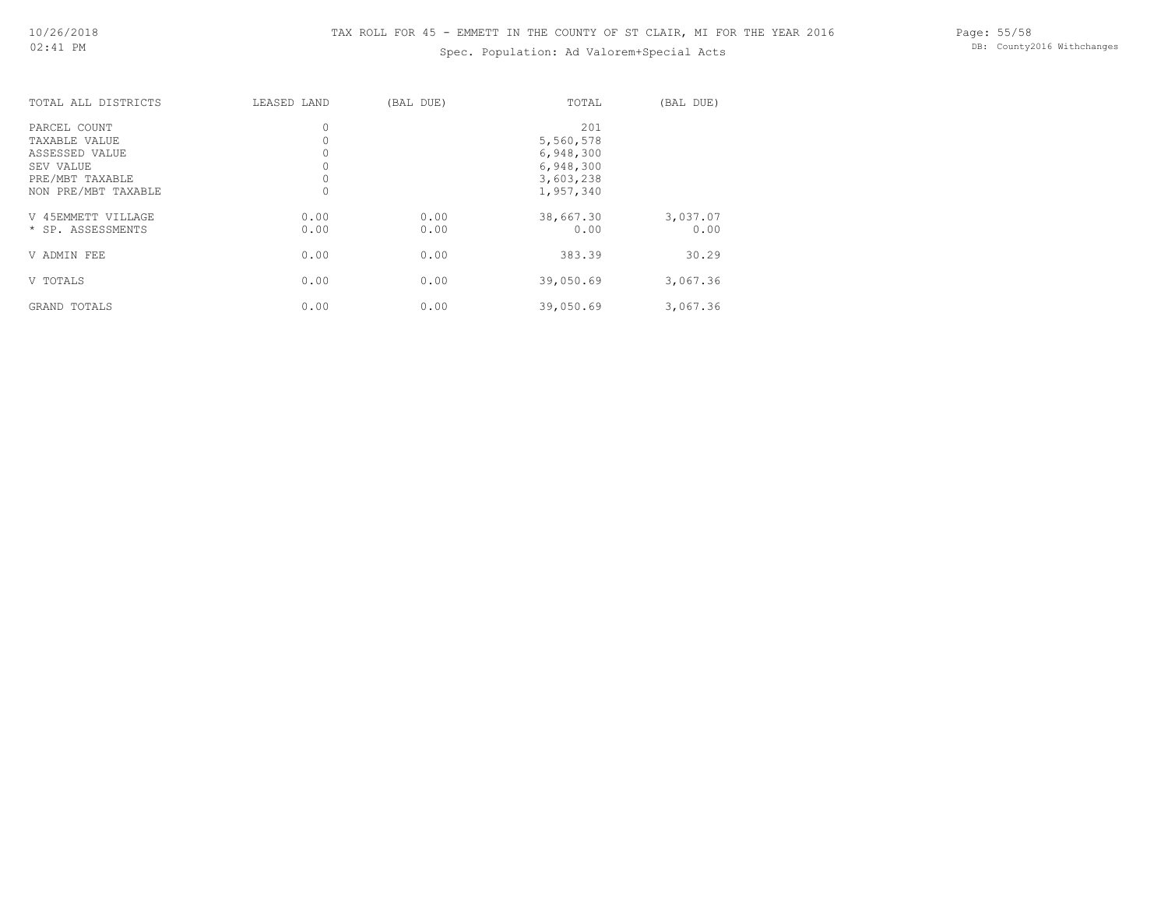#### Spec. Population: Ad Valorem+Special Acts

| TOTAL ALL DISTRICTS                                                                                    | LEASED LAND  | (BAL DUE)    | TOTAL                                                                | (BAL DUE)        |
|--------------------------------------------------------------------------------------------------------|--------------|--------------|----------------------------------------------------------------------|------------------|
| PARCEL COUNT<br>TAXABLE VALUE<br>ASSESSED VALUE<br>SEV VALUE<br>PRE/MBT TAXABLE<br>NON PRE/MBT TAXABLE | 0<br>$\circ$ |              | 201<br>5,560,578<br>6,948,300<br>6,948,300<br>3,603,238<br>1,957,340 |                  |
| V 45EMMETT VILLAGE<br>* SP. ASSESSMENTS                                                                | 0.00<br>0.00 | 0.00<br>0.00 | 38,667.30<br>0.00                                                    | 3,037.07<br>0.00 |
| V ADMIN FEE                                                                                            | 0.00         | 0.00         | 383.39                                                               | 30.29            |
| V TOTALS                                                                                               | 0.00         | 0.00         | 39,050.69                                                            | 3,067.36         |
| GRAND TOTALS                                                                                           | 0.00         | 0.00         | 39,050.69                                                            | 3,067.36         |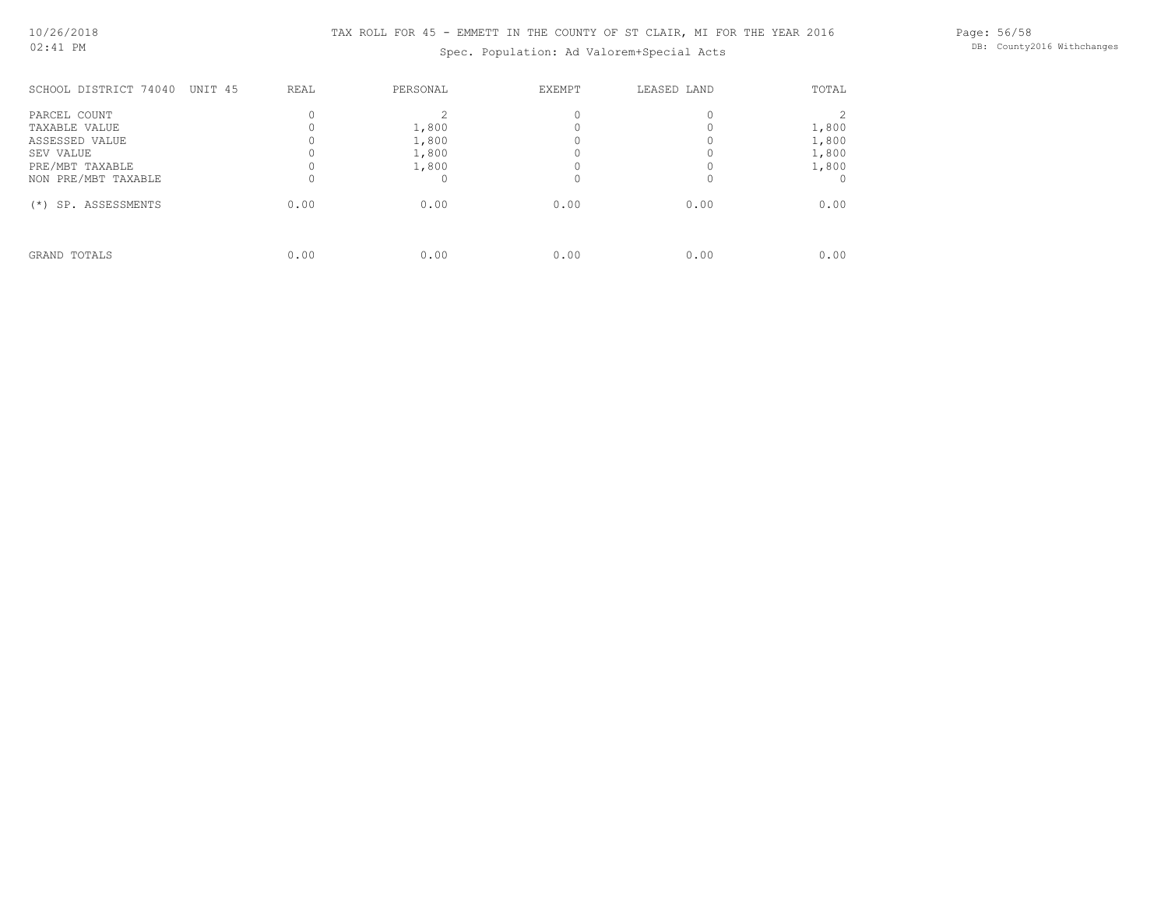## TAX ROLL FOR 45 - EMMETT IN THE COUNTY OF ST CLAIR, MI FOR THE YEAR 2016

Spec. Population: Ad Valorem+Special Acts

Page: 56/58 DB: County2016 Withchanges

| SCHOOL DISTRICT 74040<br>UNIT 45 | REAL | PERSONAL | <b>EXEMPT</b> | LEASED LAND | TOTAL |
|----------------------------------|------|----------|---------------|-------------|-------|
| PARCEL COUNT                     |      |          |               |             |       |
| TAXABLE VALUE                    |      | 1,800    |               |             | 1,800 |
| ASSESSED VALUE                   |      | 1,800    |               |             | 1,800 |
| SEV VALUE                        |      | 1,800    |               |             | 1,800 |
| PRE/MBT TAXABLE                  |      | 1,800    |               |             | 1,800 |
| NON PRE/MBT TAXABLE              |      |          |               |             |       |
| SP. ASSESSMENTS<br>$(* )$        | 0.00 | 0.00     | 0.00          | 0.00        | 0.00  |
| GRAND TOTALS                     | 0.00 | 0.00     | 0.00          | 0.00        | 0.00  |
|                                  |      |          |               |             |       |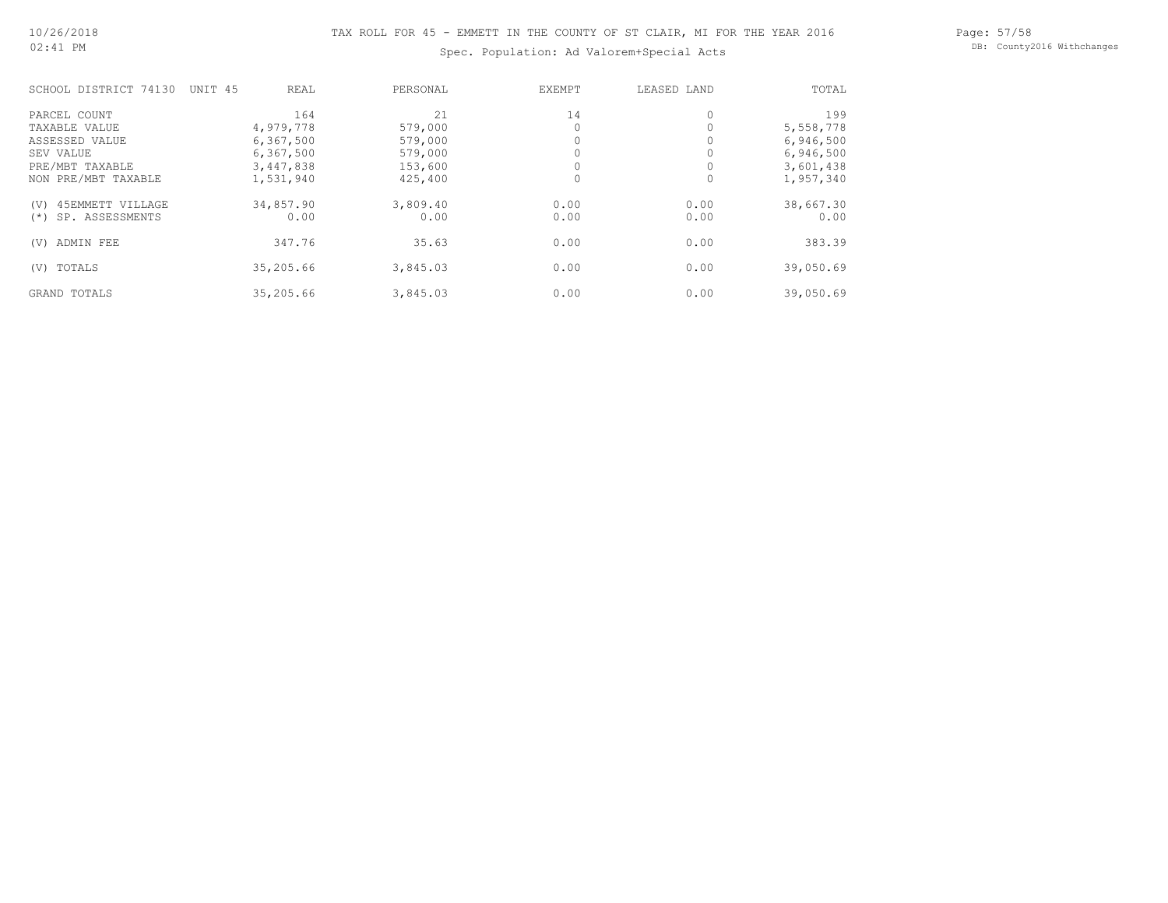Page: 57/58 DB: County2016 Withchanges

## Spec. Population: Ad Valorem+Special Acts

| SCHOOL DISTRICT 74130     | UNIT 45<br>REAL | PERSONAL | EXEMPT | LEASED LAND | TOTAL     |
|---------------------------|-----------------|----------|--------|-------------|-----------|
| PARCEL COUNT              | 164             | 2.1      | 14     | $\circ$     | 199       |
| TAXABLE VALUE             | 4,979,778       | 579,000  |        |             | 5,558,778 |
| ASSESSED VALUE            | 6,367,500       | 579,000  |        |             | 6,946,500 |
| SEV VALUE                 | 6,367,500       | 579,000  |        |             | 6,946,500 |
| PRE/MBT TAXABLE           | 3,447,838       | 153,600  |        |             | 3,601,438 |
| NON PRE/MBT TAXABLE       | 1,531,940       | 425,400  |        | 0           | 1,957,340 |
| 45EMMETT VILLAGE<br>(V)   | 34,857.90       | 3,809.40 | 0.00   | 0.00        | 38,667.30 |
| SP. ASSESSMENTS<br>$(* )$ | 0.00            | 0.00     | 0.00   | 0.00        | 0.00      |
| ADMIN FEE<br>(V)          | 347.76          | 35.63    | 0.00   | 0.00        | 383.39    |
| TOTALS<br>(V)             | 35,205.66       | 3,845.03 | 0.00   | 0.00        | 39,050.69 |
| GRAND TOTALS              | 35,205.66       | 3,845.03 | 0.00   | 0.00        | 39,050.69 |